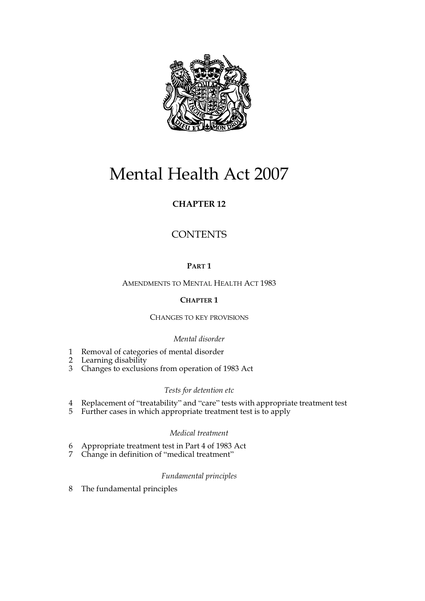

# Mental Health Act 2007

# **CHAPTER 12**

# **CONTENTS**

# **PART 1**

AMENDMENTS TO MENTAL HEALTH ACT 1983

# **CHAPTER 1**

# CHANGES TO KEY PROVISIONS

# *Mental disorder*

- 1 Removal of categories of mental disorder
- 2 Learning disability
- 3 Changes to exclusions from operation of 1983 Act

# *Tests for detention etc*

- 4 Replacement of "treatability" and "care" tests with appropriate treatment test
- 5 Further cases in which appropriate treatment test is to apply

# *Medical treatment*

- 6 Appropriate treatment test in Part 4 of 1983 Act
- 7 Change in definition of "medical treatment"

# *Fundamental principles*

8 The fundamental principles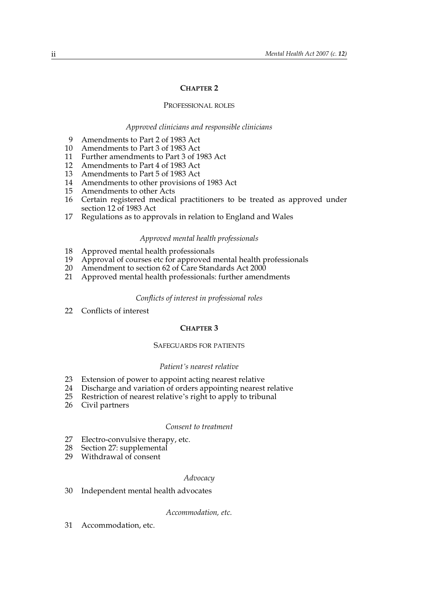#### PROFESSIONAL ROLES

#### *Approved clinicians and responsible clinicians*

- 9 Amendments to Part 2 of 1983 Act
- 10 Amendments to Part 3 of 1983 Act
- 11 Further amendments to Part 3 of 1983 Act
- 12 Amendments to Part 4 of 1983 Act
- 13 Amendments to Part 5 of 1983 Act
- 14 Amendments to other provisions of 1983 Act
- 15 Amendments to other Acts
- 16 Certain registered medical practitioners to be treated as approved under section 12 of 1983 Act
- 17 Regulations as to approvals in relation to England and Wales

# *Approved mental health professionals*

- 18 Approved mental health professionals
- 19 Approval of courses etc for approved mental health professionals<br>20 Amendment to section 62 of Care Standards Act 2000
- 20 Amendment to section 62 of Care Standards Act 2000<br>21 Approved mental health professionals: further amend
- Approved mental health professionals: further amendments

#### *Conflicts of interest in professional roles*

22 Conflicts of interest

#### **CHAPTER 3**

#### SAFEGUARDS FOR PATIENTS

#### *Patient's nearest relative*

- 23 Extension of power to appoint acting nearest relative
- 24 Discharge and variation of orders appointing nearest relative<br>25 Restriction of nearest relative's right to apply to tribunal
- Restriction of nearest relative's right to apply to tribunal
- 26 Civil partners

#### *Consent to treatment*

- 27 Electro-convulsive therapy, etc.
- 28 Section 27: supplemental
- 29 Withdrawal of consent

#### *Advocacy*

30 Independent mental health advocates

*Accommodation, etc.*

31 Accommodation, etc.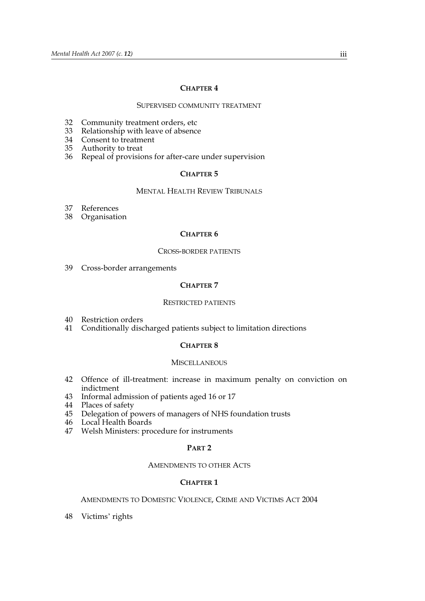#### SUPERVISED COMMUNITY TREATMENT

- 32 Community treatment orders, etc
- 33 Relationship with leave of absence
- 34 Consent to treatment
- 35 Authority to treat
- 36 Repeal of provisions for after-care under supervision

#### **CHAPTER 5**

# MENTAL HEALTH REVIEW TRIBUNALS

- 37 References
- 38 Organisation

#### **CHAPTER 6**

#### CROSS-BORDER PATIENTS

39 Cross-border arrangements

## **CHAPTER 7**

#### RESTRICTED PATIENTS

- 40 Restriction orders
- 41 Conditionally discharged patients subject to limitation directions

# **CHAPTER 8**

#### **MISCELLANEOUS**

- 42 Offence of ill-treatment: increase in maximum penalty on conviction on indictment
- 43 Informal admission of patients aged 16 or 17
- 44 Places of safety
- 45 Delegation of powers of managers of NHS foundation trusts
- 46 Local Health Boards
- 47 Welsh Ministers: procedure for instruments

#### **PART 2**

# AMENDMENTS TO OTHER ACTS

# **CHAPTER 1**

# AMENDMENTS TO DOMESTIC VIOLENCE, CRIME AND VICTIMS ACT 2004

48 Victims' rights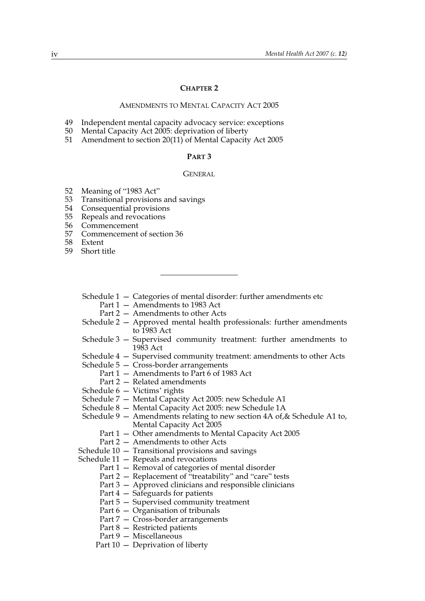#### AMENDMENTS TO MENTAL CAPACITY ACT 2005

- 49 Independent mental capacity advocacy service: exceptions
- 50 Mental Capacity Act 2005: deprivation of liberty
- 51 Amendment to section 20(11) of Mental Capacity Act 2005

#### **PART 3**

#### **GENERAL**

- 52 Meaning of "1983 Act"
- 53 Transitional provisions and savings
- 54 Consequential provisions
- 55 Repeals and revocations<br>56 Commencement
- 56 Commencement
- Commencement of section 36
- 58 Extent
- 59 Short title

Schedule 1 — Categories of mental disorder: further amendments etc

Part 1 - Amendments to 1983 Act

Part 2 — Amendments to other Acts

- Schedule 2 Approved mental health professionals: further amendments to 1983 Act
- Schedule 3 Supervised community treatment: further amendments to 1983 Act
- Schedule 4 Supervised community treatment: amendments to other Acts
- Schedule 5 Cross-border arrangements
	- Part 1 Amendments to Part 6 of 1983 Act
	- Part 2 Related amendments
- Schedule 6 Victims' rights
- Schedule 7 Mental Capacity Act 2005: new Schedule A1
- Schedule 8 Mental Capacity Act 2005: new Schedule 1A
- Schedule 9 Amendments relating to new section 4A of,& Schedule A1 to, Mental Capacity Act 2005
	- Part 1 Other amendments to Mental Capacity Act 2005
	- Part 2 Amendments to other Acts
- Schedule 10 Transitional provisions and savings

Schedule 11 — Repeals and revocations

- Part 1 Removal of categories of mental disorder
- Part 2 Replacement of "treatability" and "care" tests
- Part 3 Approved clinicians and responsible clinicians
- Part 4 Safeguards for patients
- Part 5 Supervised community treatment
- Part 6 Organisation of tribunals
- Part 7 Cross-border arrangements
- Part 8 Restricted patients
- Part 9 Miscellaneous
- Part 10 Deprivation of liberty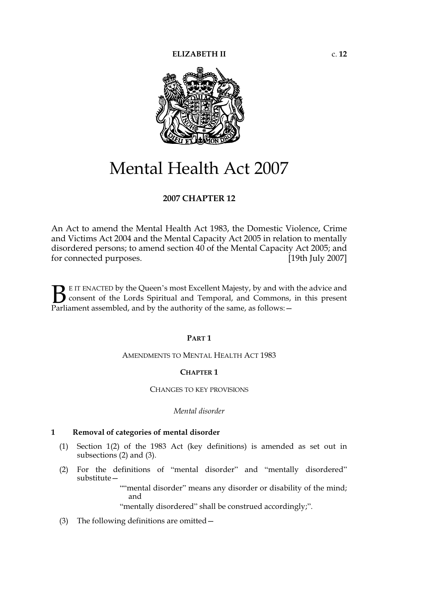

# Mental Health Act 2007

# **2007 CHAPTER 12**

An Act to amend the Mental Health Act 1983, the Domestic Violence, Crime and Victims Act 2004 and the Mental Capacity Act 2005 in relation to mentally disordered persons; to amend section 40 of the Mental Capacity Act 2005; and for connected purposes. [19th July 2007]

E IT ENACTED by the Queen's most Excellent Majesty, by and with the advice and consent of the Lords Spiritual and Temporal, and Commons, in this present **B** E IT ENACTED by the Queen's most Excellent Majesty, by and with consent of the Lords Spiritual and Temporal, and Commons, Parliament assembled, and by the authority of the same, as follows:

# **PART 1**

AMENDMENTS TO MENTAL HEALTH ACT 1983

#### **CHAPTER 1**

CHANGES TO KEY PROVISIONS

# *Mental disorder*

### **1 Removal of categories of mental disorder**

- (1) Section 1(2) of the 1983 Act (key definitions) is amended as set out in subsections (2) and (3).
- (2) For the definitions of "mental disorder" and "mentally disordered" substitute—

""mental disorder" means any disorder or disability of the mind; and

"mentally disordered" shall be construed accordingly;".

(3) The following definitions are omitted—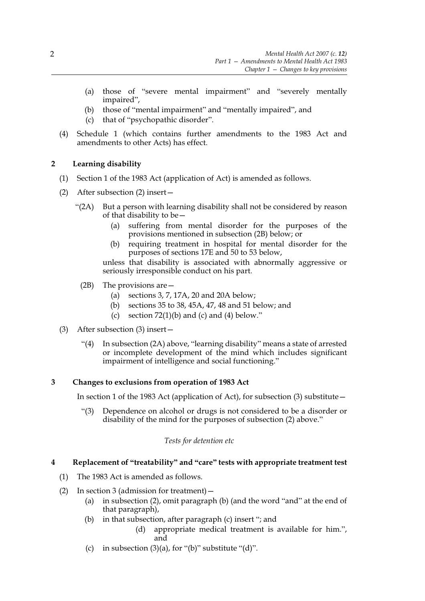- (a) those of "severe mental impairment" and "severely mentally impaired",
- (b) those of "mental impairment" and "mentally impaired", and
- (c) that of "psychopathic disorder".
- (4) Schedule 1 (which contains further amendments to the 1983 Act and amendments to other Acts) has effect.

# **2 Learning disability**

- (1) Section 1 of the 1983 Act (application of Act) is amended as follows.
- (2) After subsection (2) insert—
	- "(2A) But a person with learning disability shall not be considered by reason of that disability to be—
		- (a) suffering from mental disorder for the purposes of the provisions mentioned in subsection (2B) below; or
		- (b) requiring treatment in hospital for mental disorder for the purposes of sections 17E and 50 to 53 below,

unless that disability is associated with abnormally aggressive or seriously irresponsible conduct on his part.

- (2B) The provisions are—
	- (a) sections 3, 7, 17A, 20 and 20A below;
	- (b) sections 35 to 38, 45A, 47, 48 and 51 below; and
	- (c) section  $72(1)(b)$  and (c) and (4) below."
- (3) After subsection (3) insert—
	- "(4) In subsection (2A) above, "learning disability" means a state of arrested or incomplete development of the mind which includes significant impairment of intelligence and social functioning."

# **3 Changes to exclusions from operation of 1983 Act**

In section 1 of the 1983 Act (application of Act), for subsection (3) substitute  $-$ 

"(3) Dependence on alcohol or drugs is not considered to be a disorder or disability of the mind for the purposes of subsection (2) above."

# *Tests for detention etc*

# **4 Replacement of "treatability" and "care" tests with appropriate treatment test**

- (1) The 1983 Act is amended as follows.
- (2) In section 3 (admission for treatment)—
	- (a) in subsection (2), omit paragraph (b) (and the word "and" at the end of that paragraph),
	- (b) in that subsection, after paragraph (c) insert "; and
		- (d) appropriate medical treatment is available for him.", and
	- (c) in subsection  $(3)(a)$ , for "(b)" substitute "(d)".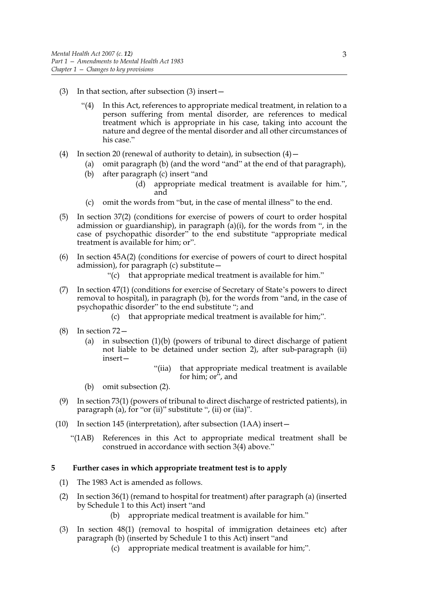- (3) In that section, after subsection (3) insert—
	- "(4) In this Act, references to appropriate medical treatment, in relation to a person suffering from mental disorder, are references to medical treatment which is appropriate in his case, taking into account the nature and degree of the mental disorder and all other circumstances of his case."
- (4) In section 20 (renewal of authority to detain), in subsection  $(4)$ 
	- (a) omit paragraph (b) (and the word "and" at the end of that paragraph),
	- (b) after paragraph (c) insert "and
		- (d) appropriate medical treatment is available for him.", and
	- (c) omit the words from "but, in the case of mental illness" to the end.
- (5) In section 37(2) (conditions for exercise of powers of court to order hospital admission or guardianship), in paragraph  $(a)(i)$ , for the words from ", in the case of psychopathic disorder" to the end substitute "appropriate medical treatment is available for him; or".
- (6) In section 45A(2) (conditions for exercise of powers of court to direct hospital admission), for paragraph (c) substitute—
	- "(c) that appropriate medical treatment is available for him."
- (7) In section 47(1) (conditions for exercise of Secretary of State's powers to direct removal to hospital), in paragraph (b), for the words from "and, in the case of psychopathic disorder" to the end substitute "; and
	- (c) that appropriate medical treatment is available for him;".
- (8) In section 72—
	- (a) in subsection (1)(b) (powers of tribunal to direct discharge of patient not liable to be detained under section 2), after sub-paragraph (ii) insert—
		- "(iia) that appropriate medical treatment is available for him; or", and
	- (b) omit subsection (2).
- (9) In section 73(1) (powers of tribunal to direct discharge of restricted patients), in paragraph (a), for "or (ii)" substitute ", (ii) or (iia)".
- (10) In section 145 (interpretation), after subsection (1AA) insert—
	- "(1AB) References in this Act to appropriate medical treatment shall be construed in accordance with section 3(4) above."

# **5 Further cases in which appropriate treatment test is to apply**

- (1) The 1983 Act is amended as follows.
- (2) In section 36(1) (remand to hospital for treatment) after paragraph (a) (inserted by Schedule 1 to this Act) insert "and
	- (b) appropriate medical treatment is available for him."
- (3) In section 48(1) (removal to hospital of immigration detainees etc) after paragraph (b) (inserted by Schedule 1 to this Act) insert "and
	- (c) appropriate medical treatment is available for him;".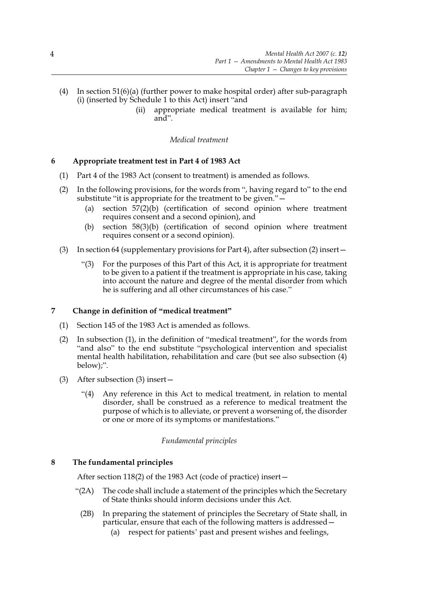- (4) In section 51(6)(a) (further power to make hospital order) after sub-paragraph (i) (inserted by Schedule 1 to this Act) insert "and
	- (ii) appropriate medical treatment is available for him; and".

*Medical treatment*

# **6 Appropriate treatment test in Part 4 of 1983 Act**

- (1) Part 4 of the 1983 Act (consent to treatment) is amended as follows.
- (2) In the following provisions, for the words from ", having regard to" to the end substitute "it is appropriate for the treatment to be given." $-$ 
	- (a) section 57(2)(b) (certification of second opinion where treatment requires consent and a second opinion), and
	- (b) section 58(3)(b) (certification of second opinion where treatment requires consent or a second opinion).
- (3) In section 64 (supplementary provisions for Part 4), after subsection (2) insert—
	- "(3) For the purposes of this Part of this Act, it is appropriate for treatment to be given to a patient if the treatment is appropriate in his case, taking into account the nature and degree of the mental disorder from which he is suffering and all other circumstances of his case."

# **7 Change in definition of "medical treatment"**

- (1) Section 145 of the 1983 Act is amended as follows.
- (2) In subsection (1), in the definition of "medical treatment", for the words from "and also" to the end substitute "psychological intervention and specialist mental health habilitation, rehabilitation and care (but see also subsection (4) below);".
- (3) After subsection (3) insert—
	- "(4) Any reference in this Act to medical treatment, in relation to mental disorder, shall be construed as a reference to medical treatment the purpose of which is to alleviate, or prevent a worsening of, the disorder or one or more of its symptoms or manifestations."

# *Fundamental principles*

### **8 The fundamental principles**

After section 118(2) of the 1983 Act (code of practice) insert—

- " $(2A)$  The code shall include a statement of the principles which the Secretary of State thinks should inform decisions under this Act.
- (2B) In preparing the statement of principles the Secretary of State shall, in particular, ensure that each of the following matters is addressed—
	- (a) respect for patients' past and present wishes and feelings,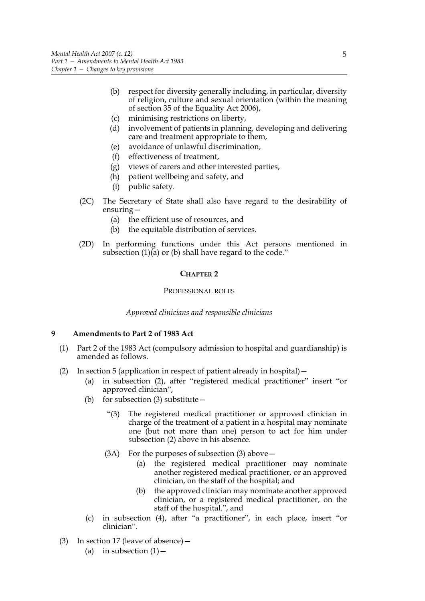- (b) respect for diversity generally including, in particular, diversity of religion, culture and sexual orientation (within the meaning of section 35 of the Equality Act 2006),
- (c) minimising restrictions on liberty,
- (d) involvement of patients in planning, developing and delivering care and treatment appropriate to them,
- (e) avoidance of unlawful discrimination,
- (f) effectiveness of treatment,
- (g) views of carers and other interested parties,
- (h) patient wellbeing and safety, and
- (i) public safety.
- (2C) The Secretary of State shall also have regard to the desirability of ensuring—
	- (a) the efficient use of resources, and
	- (b) the equitable distribution of services.
- (2D) In performing functions under this Act persons mentioned in subsection (1)(a) or (b) shall have regard to the code."

# PROFESSIONAL ROLES

*Approved clinicians and responsible clinicians*

# **9 Amendments to Part 2 of 1983 Act**

- (1) Part 2 of the 1983 Act (compulsory admission to hospital and guardianship) is amended as follows.
- (2) In section 5 (application in respect of patient already in hospital)—
	- (a) in subsection (2), after "registered medical practitioner" insert "or approved clinician",
	- (b) for subsection (3) substitute—
		- "(3) The registered medical practitioner or approved clinician in charge of the treatment of a patient in a hospital may nominate one (but not more than one) person to act for him under subsection (2) above in his absence.
		- $(3A)$  For the purposes of subsection  $(3)$  above  $-$ 
			- (a) the registered medical practitioner may nominate another registered medical practitioner, or an approved clinician, on the staff of the hospital; and
			- (b) the approved clinician may nominate another approved clinician, or a registered medical practitioner, on the staff of the hospital.", and
	- (c) in subsection (4), after "a practitioner", in each place, insert "or clinician".
- (3) In section 17 (leave of absence)—
	- (a) in subsection  $(1)$  -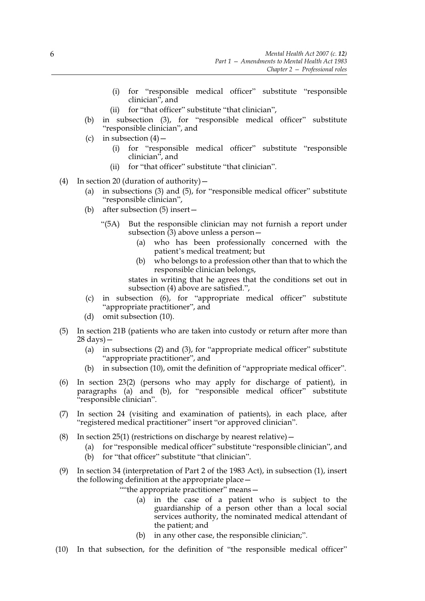- (i) for "responsible medical officer" substitute "responsible clinician", and
- (ii) for "that officer" substitute "that clinician",
- (b) in subsection (3), for "responsible medical officer" substitute "responsible clinician", and
- (c) in subsection  $(4)$ 
	- (i) for "responsible medical officer" substitute "responsible clinician", and
	- (ii) for "that officer" substitute "that clinician".
- (4) In section 20 (duration of authority)—
	- (a) in subsections (3) and (5), for "responsible medical officer" substitute "responsible clinician",
	- (b) after subsection (5) insert—
		- "(5A) But the responsible clinician may not furnish a report under subsection  $(3)$  above unless a person -
			- (a) who has been professionally concerned with the patient's medical treatment; but
			- (b) who belongs to a profession other than that to which the responsible clinician belongs,

states in writing that he agrees that the conditions set out in subsection (4) above are satisfied.",

- (c) in subsection (6), for "appropriate medical officer" substitute "appropriate practitioner", and
- (d) omit subsection (10).
- (5) In section 21B (patients who are taken into custody or return after more than  $28 \text{ days}$ )  $-$ 
	- (a) in subsections (2) and (3), for "appropriate medical officer" substitute "appropriate practitioner", and
	- (b) in subsection (10), omit the definition of "appropriate medical officer".
- (6) In section 23(2) (persons who may apply for discharge of patient), in paragraphs (a) and (b), for "responsible medical officer" substitute "responsible clinician".
- (7) In section 24 (visiting and examination of patients), in each place, after "registered medical practitioner" insert "or approved clinician".
- (8) In section 25(1) (restrictions on discharge by nearest relative)  $-$ 
	- (a) for "responsible medical officer" substitute "responsible clinician", and (b) for "that officer" substitute "that clinician".
- (9) In section 34 (interpretation of Part 2 of the 1983 Act), in subsection (1), insert the following definition at the appropriate place—
	- ""the appropriate practitioner" means—
		- (a) in the case of a patient who is subject to the guardianship of a person other than a local social services authority, the nominated medical attendant of the patient; and
		- (b) in any other case, the responsible clinician;".
- (10) In that subsection, for the definition of "the responsible medical officer"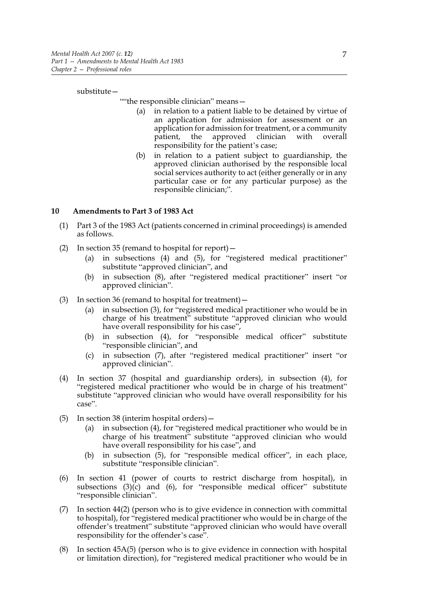#### substitute—

""the responsible clinician" means—

- (a) in relation to a patient liable to be detained by virtue of an application for admission for assessment or an application for admission for treatment, or a community patient, the approved clinician with overall responsibility for the patient's case;
- (b) in relation to a patient subject to guardianship, the approved clinician authorised by the responsible local social services authority to act (either generally or in any particular case or for any particular purpose) as the responsible clinician;".

## **10 Amendments to Part 3 of 1983 Act**

- (1) Part 3 of the 1983 Act (patients concerned in criminal proceedings) is amended as follows.
- (2) In section 35 (remand to hospital for report)—
	- (a) in subsections (4) and (5), for "registered medical practitioner" substitute "approved clinician", and
	- (b) in subsection (8), after "registered medical practitioner" insert "or approved clinician".
- (3) In section 36 (remand to hospital for treatment)—
	- (a) in subsection (3), for "registered medical practitioner who would be in charge of his treatment" substitute "approved clinician who would have overall responsibility for his case",
	- (b) in subsection (4), for "responsible medical officer" substitute "responsible clinician", and
	- (c) in subsection (7), after "registered medical practitioner" insert "or approved clinician".
- (4) In section 37 (hospital and guardianship orders), in subsection (4), for "registered medical practitioner who would be in charge of his treatment" substitute "approved clinician who would have overall responsibility for his case".
- (5) In section 38 (interim hospital orders)—
	- (a) in subsection (4), for "registered medical practitioner who would be in charge of his treatment" substitute "approved clinician who would have overall responsibility for his case", and
	- (b) in subsection (5), for "responsible medical officer", in each place, substitute "responsible clinician".
- (6) In section 41 (power of courts to restrict discharge from hospital), in subsections  $(3)(c)$  and  $(6)$ , for "responsible medical officer" substitute "responsible clinician".
- (7) In section 44(2) (person who is to give evidence in connection with committal to hospital), for "registered medical practitioner who would be in charge of the offender's treatment" substitute "approved clinician who would have overall responsibility for the offender's case".
- (8) In section 45A(5) (person who is to give evidence in connection with hospital or limitation direction), for "registered medical practitioner who would be in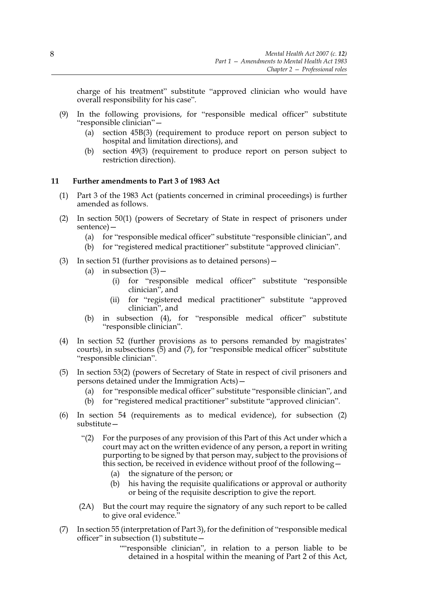charge of his treatment" substitute "approved clinician who would have overall responsibility for his case".

- (9) In the following provisions, for "responsible medical officer" substitute "responsible clinician"—
	- (a) section 45B(3) (requirement to produce report on person subject to hospital and limitation directions), and
	- (b) section 49(3) (requirement to produce report on person subject to restriction direction).

## **11 Further amendments to Part 3 of 1983 Act**

- (1) Part 3 of the 1983 Act (patients concerned in criminal proceedings) is further amended as follows.
- (2) In section 50(1) (powers of Secretary of State in respect of prisoners under sentence)—
	- (a) for "responsible medical officer" substitute "responsible clinician", and
	- (b) for "registered medical practitioner" substitute "approved clinician".
- (3) In section 51 (further provisions as to detained persons)—
	- (a) in subsection  $(3)$ 
		- (i) for "responsible medical officer" substitute "responsible clinician", and
		- (ii) for "registered medical practitioner" substitute "approved clinician", and
	- (b) in subsection (4), for "responsible medical officer" substitute "responsible clinician".
- (4) In section 52 (further provisions as to persons remanded by magistrates' courts), in subsections  $(5)$  and  $(7)$ , for "responsible medical officer" substitute "responsible clinician".
- (5) In section 53(2) (powers of Secretary of State in respect of civil prisoners and persons detained under the Immigration Acts)—
	- (a) for "responsible medical officer" substitute "responsible clinician", and
	- (b) for "registered medical practitioner" substitute "approved clinician".
- (6) In section 54 (requirements as to medical evidence), for subsection (2) substitute—
	- "(2) For the purposes of any provision of this Part of this Act under which a court may act on the written evidence of any person, a report in writing purporting to be signed by that person may, subject to the provisions of this section, be received in evidence without proof of the following—
		- (a) the signature of the person; or
		- (b) his having the requisite qualifications or approval or authority or being of the requisite description to give the report.
	- (2A) But the court may require the signatory of any such report to be called to give oral evidence."
- (7) In section 55 (interpretation of Part 3), for the definition of "responsible medical officer" in subsection (1) substitute—
	- ""responsible clinician", in relation to a person liable to be detained in a hospital within the meaning of Part 2 of this Act,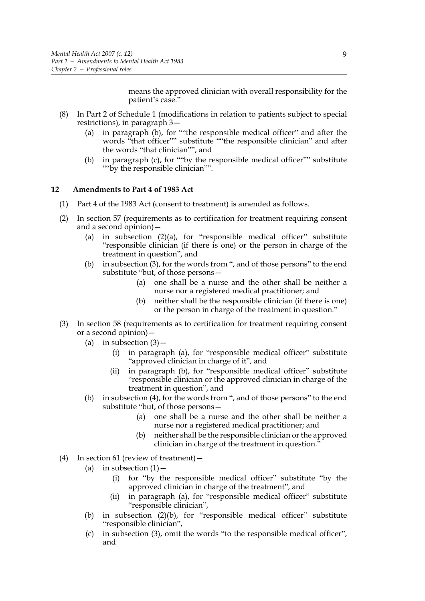means the approved clinician with overall responsibility for the patient's case."

- (8) In Part 2 of Schedule 1 (modifications in relation to patients subject to special restrictions), in paragraph 3—
	- (a) in paragraph (b), for ""the responsible medical officer" and after the words "that officer"" substitute ""the responsible clinician" and after the words "that clinician"", and
	- (b) in paragraph (c), for ""by the responsible medical officer"" substitute ""by the responsible clinician"".

# **12 Amendments to Part 4 of 1983 Act**

- (1) Part 4 of the 1983 Act (consent to treatment) is amended as follows.
- (2) In section 57 (requirements as to certification for treatment requiring consent and a second opinion)—
	- (a) in subsection  $(2)(a)$ , for "responsible medical officer" substitute "responsible clinician (if there is one) or the person in charge of the treatment in question", and
	- (b) in subsection (3), for the words from ", and of those persons" to the end substitute "but, of those persons—
		- (a) one shall be a nurse and the other shall be neither a nurse nor a registered medical practitioner; and
		- (b) neither shall be the responsible clinician (if there is one) or the person in charge of the treatment in question."
- (3) In section 58 (requirements as to certification for treatment requiring consent or a second opinion)—
	- (a) in subsection  $(3)$ 
		- (i) in paragraph (a), for "responsible medical officer" substitute "approved clinician in charge of it", and
		- (ii) in paragraph (b), for "responsible medical officer" substitute "responsible clinician or the approved clinician in charge of the treatment in question", and
	- (b) in subsection (4), for the words from ", and of those persons" to the end substitute "but, of those persons—
		- (a) one shall be a nurse and the other shall be neither a nurse nor a registered medical practitioner; and
		- (b) neither shall be the responsible clinician or the approved clinician in charge of the treatment in question."
- (4) In section 61 (review of treatment)—
	- (a) in subsection  $(1)$  -
		- (i) for "by the responsible medical officer" substitute "by the approved clinician in charge of the treatment", and
		- (ii) in paragraph (a), for "responsible medical officer" substitute "responsible clinician",
	- (b) in subsection (2)(b), for "responsible medical officer" substitute "responsible clinician",
	- (c) in subsection (3), omit the words "to the responsible medical officer", and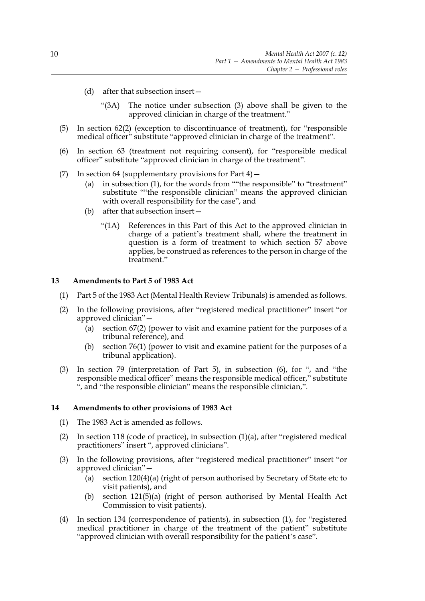- (d) after that subsection insert—
	- "(3A) The notice under subsection (3) above shall be given to the approved clinician in charge of the treatment."
- (5) In section 62(2) (exception to discontinuance of treatment), for "responsible medical officer" substitute "approved clinician in charge of the treatment".
- (6) In section 63 (treatment not requiring consent), for "responsible medical officer" substitute "approved clinician in charge of the treatment".
- (7) In section 64 (supplementary provisions for Part  $4$ )  $-$ 
	- (a) in subsection (1), for the words from ""the responsible" to "treatment" substitute ""the responsible clinician" means the approved clinician with overall responsibility for the case", and
	- (b) after that subsection insert—
		- "(1A) References in this Part of this Act to the approved clinician in charge of a patient's treatment shall, where the treatment in question is a form of treatment to which section 57 above applies, be construed as references to the person in charge of the treatment."

# **13 Amendments to Part 5 of 1983 Act**

- (1) Part 5 of the 1983 Act (Mental Health Review Tribunals) is amended as follows.
- (2) In the following provisions, after "registered medical practitioner" insert "or approved clinician"—
	- (a) section 67(2) (power to visit and examine patient for the purposes of a tribunal reference), and
	- (b) section 76(1) (power to visit and examine patient for the purposes of a tribunal application).
- (3) In section 79 (interpretation of Part 5), in subsection (6), for ", and "the responsible medical officer" means the responsible medical officer," substitute ", and "the responsible clinician" means the responsible clinician,".

#### **14 Amendments to other provisions of 1983 Act**

- (1) The 1983 Act is amended as follows.
- (2) In section 118 (code of practice), in subsection (1)(a), after "registered medical practitioners" insert ", approved clinicians".
- (3) In the following provisions, after "registered medical practitioner" insert "or approved clinician"—
	- (a) section 120(4)(a) (right of person authorised by Secretary of State etc to visit patients), and
	- (b) section 121(5)(a) (right of person authorised by Mental Health Act Commission to visit patients).
- (4) In section 134 (correspondence of patients), in subsection (1), for "registered medical practitioner in charge of the treatment of the patient" substitute "approved clinician with overall responsibility for the patient's case".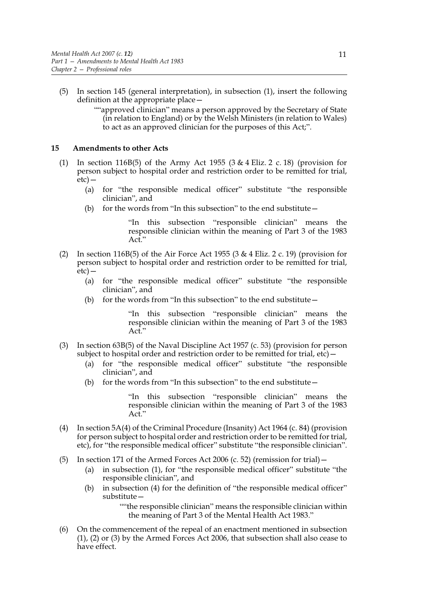- (5) In section 145 (general interpretation), in subsection (1), insert the following definition at the appropriate place—
	- ""approved clinician" means a person approved by the Secretary of State (in relation to England) or by the Welsh Ministers (in relation to Wales) to act as an approved clinician for the purposes of this Act;".

#### **15 Amendments to other Acts**

- (1) In section 116B(5) of the Army Act 1955 (3 & 4 Eliz. 2 c. 18) (provision for person subject to hospital order and restriction order to be remitted for trial, etc)—
	- (a) for "the responsible medical officer" substitute "the responsible clinician", and
	- (b) for the words from "In this subsection" to the end substitute  $-$

 "In this subsection "responsible clinician" means the responsible clinician within the meaning of Part 3 of the 1983 Act."

- (2) In section 116B(5) of the Air Force Act 1955 (3 & 4 Eliz. 2 c. 19) (provision for person subject to hospital order and restriction order to be remitted for trial, etc)—
	- (a) for "the responsible medical officer" substitute "the responsible clinician", and
	- (b) for the words from "In this subsection" to the end substitute  $-$

 "In this subsection "responsible clinician" means the responsible clinician within the meaning of Part 3 of the 1983 Act."

- (3) In section 63B(5) of the Naval Discipline Act 1957 (c. 53) (provision for person subject to hospital order and restriction order to be remitted for trial, etc)—
	- (a) for "the responsible medical officer" substitute "the responsible clinician", and
	- (b) for the words from "In this subsection" to the end substitute  $-$

 "In this subsection "responsible clinician" means the responsible clinician within the meaning of Part 3 of the 1983 Act."

- (4) In section 5A(4) of the Criminal Procedure (Insanity) Act 1964 (c. 84) (provision for person subject to hospital order and restriction order to be remitted for trial, etc), for "the responsible medical officer" substitute "the responsible clinician".
- (5) In section 171 of the Armed Forces Act 2006 (c. 52) (remission for trial)—
	- (a) in subsection (1), for "the responsible medical officer" substitute "the responsible clinician", and
	- (b) in subsection (4) for the definition of "the responsible medical officer" substitute—

""the responsible clinician" means the responsible clinician within the meaning of Part 3 of the Mental Health Act 1983."

(6) On the commencement of the repeal of an enactment mentioned in subsection (1), (2) or (3) by the Armed Forces Act 2006, that subsection shall also cease to have effect.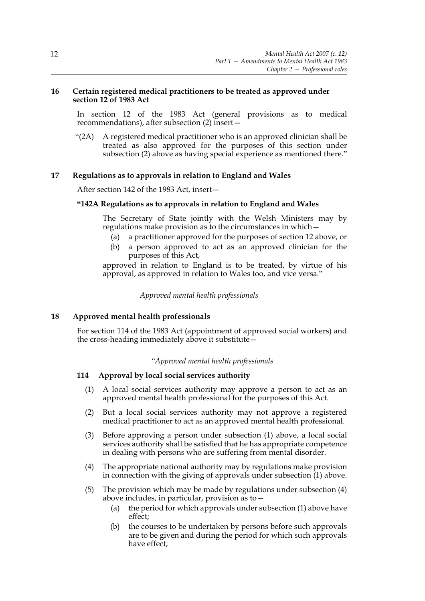# **16 Certain registered medical practitioners to be treated as approved under section 12 of 1983 Act**

In section 12 of the 1983 Act (general provisions as to medical recommendations), after subsection (2) insert—

"(2A) A registered medical practitioner who is an approved clinician shall be treated as also approved for the purposes of this section under subsection (2) above as having special experience as mentioned there."

# **17 Regulations as to approvals in relation to England and Wales**

After section 142 of the 1983 Act, insert—

#### **"142A Regulations as to approvals in relation to England and Wales**

The Secretary of State jointly with the Welsh Ministers may by regulations make provision as to the circumstances in which—

- (a) a practitioner approved for the purposes of section 12 above, or
- (b) a person approved to act as an approved clinician for the purposes of this Act,

approved in relation to England is to be treated, by virtue of his approval, as approved in relation to Wales too, and vice versa."

# *Approved mental health professionals*

# **18 Approved mental health professionals**

For section 114 of the 1983 Act (appointment of approved social workers) and the cross-heading immediately above it substitute—

#### *"Approved mental health professionals*

#### **114 Approval by local social services authority**

- (1) A local social services authority may approve a person to act as an approved mental health professional for the purposes of this Act.
- (2) But a local social services authority may not approve a registered medical practitioner to act as an approved mental health professional.
- (3) Before approving a person under subsection (1) above, a local social services authority shall be satisfied that he has appropriate competence in dealing with persons who are suffering from mental disorder.
- (4) The appropriate national authority may by regulations make provision in connection with the giving of approvals under subsection  $(1)$  above.
- (5) The provision which may be made by regulations under subsection (4) above includes, in particular, provision as to—
	- (a) the period for which approvals under subsection (1) above have effect;
	- (b) the courses to be undertaken by persons before such approvals are to be given and during the period for which such approvals have effect;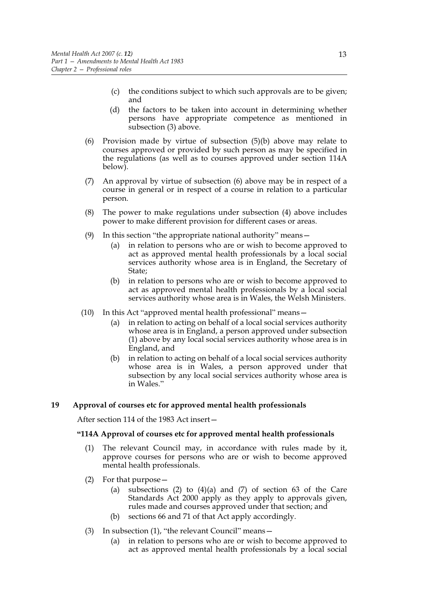- (c) the conditions subject to which such approvals are to be given; and
- (d) the factors to be taken into account in determining whether persons have appropriate competence as mentioned in subsection (3) above.
- (6) Provision made by virtue of subsection (5)(b) above may relate to courses approved or provided by such person as may be specified in the regulations (as well as to courses approved under section 114A below).
- (7) An approval by virtue of subsection (6) above may be in respect of a course in general or in respect of a course in relation to a particular person.
- (8) The power to make regulations under subsection (4) above includes power to make different provision for different cases or areas.
- (9) In this section "the appropriate national authority" means—
	- (a) in relation to persons who are or wish to become approved to act as approved mental health professionals by a local social services authority whose area is in England, the Secretary of State;
	- (b) in relation to persons who are or wish to become approved to act as approved mental health professionals by a local social services authority whose area is in Wales, the Welsh Ministers.
- (10) In this Act "approved mental health professional" means—
	- (a) in relation to acting on behalf of a local social services authority whose area is in England, a person approved under subsection (1) above by any local social services authority whose area is in England, and
	- (b) in relation to acting on behalf of a local social services authority whose area is in Wales, a person approved under that subsection by any local social services authority whose area is in Wales."

# **19 Approval of courses etc for approved mental health professionals**

After section 114 of the 1983 Act insert—

#### **"114A Approval of courses etc for approved mental health professionals**

- (1) The relevant Council may, in accordance with rules made by it, approve courses for persons who are or wish to become approved mental health professionals.
- (2) For that purpose—
	- (a) subsections  $(2)$  to  $(4)(a)$  and  $(7)$  of section 63 of the Care Standards Act 2000 apply as they apply to approvals given, rules made and courses approved under that section; and
	- (b) sections 66 and 71 of that Act apply accordingly.
- (3) In subsection (1), "the relevant Council" means—
	- (a) in relation to persons who are or wish to become approved to act as approved mental health professionals by a local social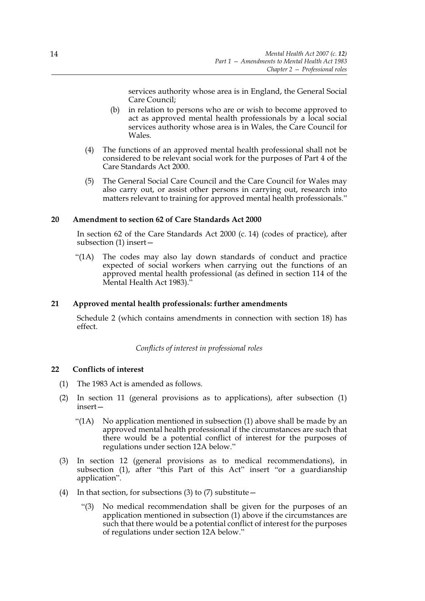services authority whose area is in England, the General Social Care Council;

- (b) in relation to persons who are or wish to become approved to act as approved mental health professionals by a local social services authority whose area is in Wales, the Care Council for Wales.
- (4) The functions of an approved mental health professional shall not be considered to be relevant social work for the purposes of Part 4 of the Care Standards Act 2000.
- (5) The General Social Care Council and the Care Council for Wales may also carry out, or assist other persons in carrying out, research into matters relevant to training for approved mental health professionals."

# **20 Amendment to section 62 of Care Standards Act 2000**

In section 62 of the Care Standards Act 2000 (c. 14) (codes of practice), after subsection (1) insert—

"(1A) The codes may also lay down standards of conduct and practice expected of social workers when carrying out the functions of an approved mental health professional (as defined in section 114 of the Mental Health Act 1983)."

## **21 Approved mental health professionals: further amendments**

Schedule 2 (which contains amendments in connection with section 18) has effect.

*Conflicts of interest in professional roles*

#### **22 Conflicts of interest**

- (1) The 1983 Act is amended as follows.
- (2) In section 11 (general provisions as to applications), after subsection (1) insert—
	- "( $1A$ ) No application mentioned in subsection  $(1)$  above shall be made by an approved mental health professional if the circumstances are such that there would be a potential conflict of interest for the purposes of regulations under section 12A below."
- (3) In section 12 (general provisions as to medical recommendations), in subsection (1), after "this Part of this Act" insert "or a guardianship application".
- (4) In that section, for subsections (3) to (7) substitute  $-$ 
	- "(3) No medical recommendation shall be given for the purposes of an application mentioned in subsection (1) above if the circumstances are such that there would be a potential conflict of interest for the purposes of regulations under section 12A below."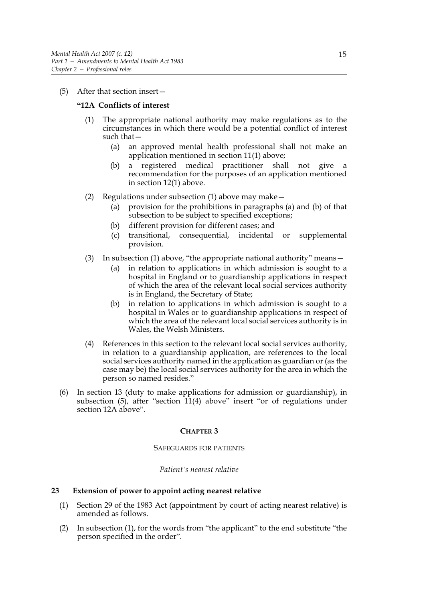(5) After that section insert—

# **"12A Conflicts of interest**

- (1) The appropriate national authority may make regulations as to the circumstances in which there would be a potential conflict of interest such that—
	- (a) an approved mental health professional shall not make an application mentioned in section 11(1) above;
	- $(b)$  a registered medical practitioner shall not give recommendation for the purposes of an application mentioned in section 12(1) above.
- (2) Regulations under subsection (1) above may make—
	- (a) provision for the prohibitions in paragraphs (a) and (b) of that subsection to be subject to specified exceptions;
	- (b) different provision for different cases; and
	- (c) transitional, consequential, incidental or supplemental provision.
- (3) In subsection (1) above, "the appropriate national authority" means  $-$ 
	- (a) in relation to applications in which admission is sought to a hospital in England or to guardianship applications in respect of which the area of the relevant local social services authority is in England, the Secretary of State;
	- (b) in relation to applications in which admission is sought to a hospital in Wales or to guardianship applications in respect of which the area of the relevant local social services authority is in Wales, the Welsh Ministers.
- (4) References in this section to the relevant local social services authority, in relation to a guardianship application, are references to the local social services authority named in the application as guardian or (as the case may be) the local social services authority for the area in which the person so named resides."
- (6) In section 13 (duty to make applications for admission or guardianship), in subsection (5), after "section 11(4) above" insert "or of regulations under section 12A above".

#### **CHAPTER 3**

## SAFEGUARDS FOR PATIENTS

#### *Patient's nearest relative*

## **23 Extension of power to appoint acting nearest relative**

- (1) Section 29 of the 1983 Act (appointment by court of acting nearest relative) is amended as follows.
- (2) In subsection (1), for the words from "the applicant" to the end substitute "the person specified in the order".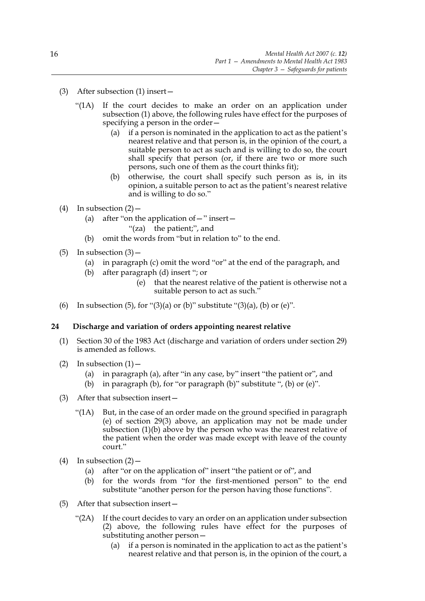- (3) After subsection (1) insert—
	- "(1A) If the court decides to make an order on an application under subsection (1) above, the following rules have effect for the purposes of specifying a person in the order—
		- (a) if a person is nominated in the application to act as the patient's nearest relative and that person is, in the opinion of the court, a suitable person to act as such and is willing to do so, the court shall specify that person (or, if there are two or more such persons, such one of them as the court thinks fit);
		- (b) otherwise, the court shall specify such person as is, in its opinion, a suitable person to act as the patient's nearest relative and is willing to do so."
- (4) In subsection  $(2)$ 
	- (a) after "on the application of  $-$ " insert  $-$ "(za) the patient;", and
	- (b) omit the words from "but in relation to" to the end.
- (5) In subsection  $(3)$ 
	- (a) in paragraph (c) omit the word "or" at the end of the paragraph, and
	- (b) after paragraph (d) insert "; or
		- (e) that the nearest relative of the patient is otherwise not a suitable person to act as such."
- (6) In subsection (5), for "(3)(a) or (b)" substitute "(3)(a), (b) or (e)".

# **24 Discharge and variation of orders appointing nearest relative**

- (1) Section 30 of the 1983 Act (discharge and variation of orders under section 29) is amended as follows.
- (2) In subsection  $(1)$  -
	- (a) in paragraph (a), after "in any case, by" insert "the patient or", and
	- (b) in paragraph (b), for "or paragraph (b)" substitute ", (b) or (e)".
- (3) After that subsection insert—
	- " $(1A)$  But, in the case of an order made on the ground specified in paragraph (e) of section 29(3) above, an application may not be made under subsection (1)(b) above by the person who was the nearest relative of the patient when the order was made except with leave of the county court."
- (4) In subsection  $(2)$ 
	- (a) after "or on the application of" insert "the patient or of", and
	- (b) for the words from "for the first-mentioned person" to the end substitute "another person for the person having those functions".
- (5) After that subsection insert—
	- "(2A) If the court decides to vary an order on an application under subsection (2) above, the following rules have effect for the purposes of substituting another person—
		- (a) if a person is nominated in the application to act as the patient's nearest relative and that person is, in the opinion of the court, a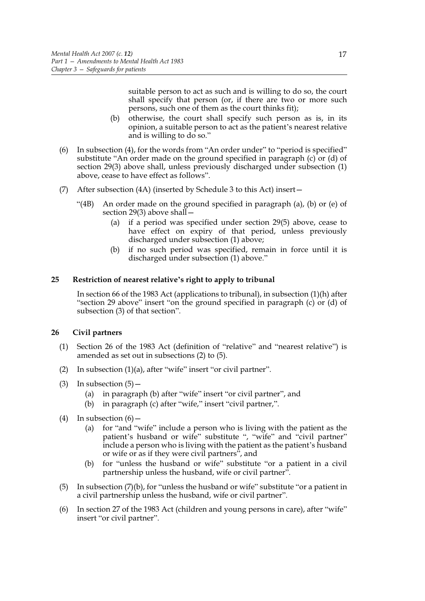suitable person to act as such and is willing to do so, the court shall specify that person (or, if there are two or more such persons, such one of them as the court thinks fit);

- (b) otherwise, the court shall specify such person as is, in its opinion, a suitable person to act as the patient's nearest relative and is willing to do so."
- (6) In subsection (4), for the words from "An order under" to "period is specified" substitute "An order made on the ground specified in paragraph (c) or (d) of section 29(3) above shall, unless previously discharged under subsection (1) above, cease to have effect as follows".
- (7) After subsection (4A) (inserted by Schedule 3 to this Act) insert—
	- "(4B) An order made on the ground specified in paragraph (a), (b) or (e) of section 29(3) above shall—
		- (a) if a period was specified under section 29(5) above, cease to have effect on expiry of that period, unless previously discharged under subsection (1) above;
		- (b) if no such period was specified, remain in force until it is discharged under subsection (1) above."

# **25 Restriction of nearest relative's right to apply to tribunal**

In section 66 of the 1983 Act (applications to tribunal), in subsection (1)(h) after "section 29 above" insert "on the ground specified in paragraph (c) or (d) of subsection (3) of that section".

#### **26 Civil partners**

- (1) Section 26 of the 1983 Act (definition of "relative" and "nearest relative") is amended as set out in subsections (2) to (5).
- (2) In subsection (1)(a), after "wife" insert "or civil partner".
- (3) In subsection  $(5)$ 
	- (a) in paragraph (b) after "wife" insert "or civil partner", and
	- (b) in paragraph (c) after "wife," insert "civil partner,".
- (4) In subsection  $(6)$  -
	- (a) for "and "wife" include a person who is living with the patient as the patient's husband or wife" substitute ", "wife" and "civil partner" include a person who is living with the patient as the patient's husband or wife or as if they were civil partners", and
	- (b) for "unless the husband or wife" substitute "or a patient in a civil partnership unless the husband, wife or civil partner".
- (5) In subsection  $(7)(b)$ , for "unless the husband or wife" substitute "or a patient in a civil partnership unless the husband, wife or civil partner".
- (6) In section 27 of the 1983 Act (children and young persons in care), after "wife" insert "or civil partner".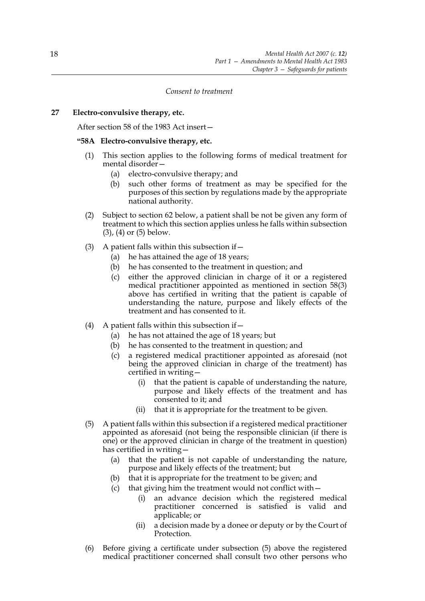#### *Consent to treatment*

#### **27 Electro-convulsive therapy, etc.**

After section 58 of the 1983 Act insert—

# **"58A Electro-convulsive therapy, etc.**

- (1) This section applies to the following forms of medical treatment for mental disorder—
	- (a) electro-convulsive therapy; and
	- (b) such other forms of treatment as may be specified for the purposes of this section by regulations made by the appropriate national authority.
- (2) Subject to section 62 below, a patient shall be not be given any form of treatment to which this section applies unless he falls within subsection (3), (4) or (5) below.
- (3) A patient falls within this subsection if—
	- (a) he has attained the age of 18 years;
	- (b) he has consented to the treatment in question; and
	- (c) either the approved clinician in charge of it or a registered medical practitioner appointed as mentioned in section 58(3) above has certified in writing that the patient is capable of understanding the nature, purpose and likely effects of the treatment and has consented to it.
- (4) A patient falls within this subsection if  $-$ 
	- (a) he has not attained the age of 18 years; but
	- (b) he has consented to the treatment in question; and
	- (c) a registered medical practitioner appointed as aforesaid (not being the approved clinician in charge of the treatment) has certified in writing—
		- (i) that the patient is capable of understanding the nature, purpose and likely effects of the treatment and has consented to it; and
		- (ii) that it is appropriate for the treatment to be given.
- (5) A patient falls within this subsection if a registered medical practitioner appointed as aforesaid (not being the responsible clinician (if there is one) or the approved clinician in charge of the treatment in question) has certified in writing—
	- (a) that the patient is not capable of understanding the nature, purpose and likely effects of the treatment; but
	- (b) that it is appropriate for the treatment to be given; and
	- (c) that giving him the treatment would not conflict with—
		- (i) an advance decision which the registered medical practitioner concerned is satisfied is valid and applicable; or
		- (ii) a decision made by a donee or deputy or by the Court of Protection.
- (6) Before giving a certificate under subsection (5) above the registered medical practitioner concerned shall consult two other persons who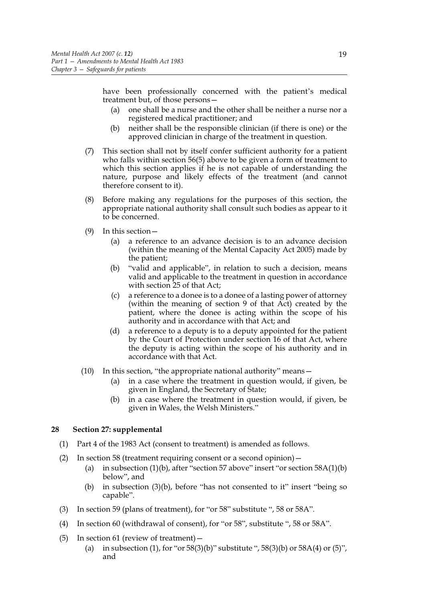have been professionally concerned with the patient's medical treatment but, of those persons—

- (a) one shall be a nurse and the other shall be neither a nurse nor a registered medical practitioner; and
- (b) neither shall be the responsible clinician (if there is one) or the approved clinician in charge of the treatment in question.
- (7) This section shall not by itself confer sufficient authority for a patient who falls within section 56(5) above to be given a form of treatment to which this section applies if he is not capable of understanding the nature, purpose and likely effects of the treatment (and cannot therefore consent to it).
- (8) Before making any regulations for the purposes of this section, the appropriate national authority shall consult such bodies as appear to it to be concerned.
- (9) In this section—
	- (a) a reference to an advance decision is to an advance decision (within the meaning of the Mental Capacity Act 2005) made by the patient;
	- (b) "valid and applicable", in relation to such a decision, means valid and applicable to the treatment in question in accordance with section 25 of that Act;
	- (c) a reference to a donee is to a donee of a lasting power of attorney (within the meaning of section 9 of that Act) created by the patient, where the donee is acting within the scope of his authority and in accordance with that Act; and
	- (d) a reference to a deputy is to a deputy appointed for the patient by the Court of Protection under section 16 of that Act, where the deputy is acting within the scope of his authority and in accordance with that Act.
- (10) In this section, "the appropriate national authority" means—
	- (a) in a case where the treatment in question would, if given, be given in England, the Secretary of State;
	- (b) in a case where the treatment in question would, if given, be given in Wales, the Welsh Ministers."

# **28 Section 27: supplemental**

- (1) Part 4 of the 1983 Act (consent to treatment) is amended as follows.
- (2) In section 58 (treatment requiring consent or a second opinion)—
	- (a) in subsection (1)(b), after "section 57 above" insert "or section 58A(1)(b) below", and
	- (b) in subsection (3)(b), before "has not consented to it" insert "being so capable".
- (3) In section 59 (plans of treatment), for "or 58" substitute ", 58 or 58A".
- (4) In section 60 (withdrawal of consent), for "or 58", substitute ", 58 or 58A".
- (5) In section 61 (review of treatment)—
	- (a) in subsection (1), for "or  $58(3)(b)$ " substitute ",  $58(3)(b)$  or  $58A(4)$  or  $(5)$ ", and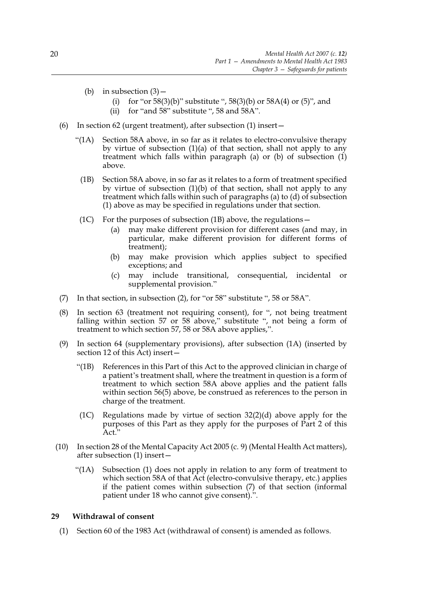- (b) in subsection  $(3)$ 
	- (i) for "or  $58(3)(b)$ " substitute ",  $58(3)(b)$  or  $58A(4)$  or  $(5)$ ", and
	- (ii) for "and 58" substitute ", 58 and 58A".
- (6) In section 62 (urgent treatment), after subsection (1) insert—
	- " $(1A)$  Section 58A above, in so far as it relates to electro-convulsive therapy by virtue of subsection (1)(a) of that section, shall not apply to any treatment which falls within paragraph (a) or (b) of subsection (1) above.
		- (1B) Section 58A above, in so far as it relates to a form of treatment specified by virtue of subsection (1)(b) of that section, shall not apply to any treatment which falls within such of paragraphs (a) to (d) of subsection (1) above as may be specified in regulations under that section.
	- (1C) For the purposes of subsection (1B) above, the regulations  $-$ 
		- (a) may make different provision for different cases (and may, in particular, make different provision for different forms of treatment);
		- (b) may make provision which applies subject to specified exceptions; and
		- (c) may include transitional, consequential, incidental or supplemental provision."
- (7) In that section, in subsection (2), for "or 58" substitute ", 58 or 58A".
- (8) In section 63 (treatment not requiring consent), for ", not being treatment falling within section 57 or 58 above," substitute ", not being a form of treatment to which section 57, 58 or 58A above applies,".
- (9) In section 64 (supplementary provisions), after subsection (1A) (inserted by section 12 of this Act) insert—
	- "(1B) References in this Part of this Act to the approved clinician in charge of a patient's treatment shall, where the treatment in question is a form of treatment to which section 58A above applies and the patient falls within section 56(5) above, be construed as references to the person in charge of the treatment.
	- (1C) Regulations made by virtue of section 32(2)(d) above apply for the purposes of this Part as they apply for the purposes of Part 2 of this Act."
- (10) In section 28 of the Mental Capacity Act 2005 (c. 9) (Mental Health Act matters), after subsection (1) insert—
	- "(1A) Subsection (1) does not apply in relation to any form of treatment to which section 58A of that Act (electro-convulsive therapy, etc.) applies if the patient comes within subsection (7) of that section (informal patient under 18 who cannot give consent).".

# **29 Withdrawal of consent**

(1) Section 60 of the 1983 Act (withdrawal of consent) is amended as follows.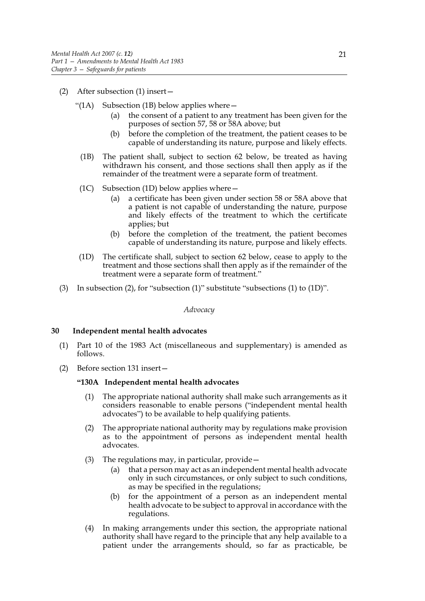- (2) After subsection (1) insert—
	- "(1A) Subsection (1B) below applies where  $-$ 
		- (a) the consent of a patient to any treatment has been given for the purposes of section 57, 58 or 58A above; but
		- (b) before the completion of the treatment, the patient ceases to be capable of understanding its nature, purpose and likely effects.
		- (1B) The patient shall, subject to section 62 below, be treated as having withdrawn his consent, and those sections shall then apply as if the remainder of the treatment were a separate form of treatment.
		- (1C) Subsection (1D) below applies where—
			- (a) a certificate has been given under section 58 or 58A above that a patient is not capable of understanding the nature, purpose and likely effects of the treatment to which the certificate applies; but
			- (b) before the completion of the treatment, the patient becomes capable of understanding its nature, purpose and likely effects.
		- (1D) The certificate shall, subject to section 62 below, cease to apply to the treatment and those sections shall then apply as if the remainder of the treatment were a separate form of treatment."
- (3) In subsection (2), for "subsection (1)" substitute "subsections (1) to (1D)".

*Advocacy*

#### **30 Independent mental health advocates**

- (1) Part 10 of the 1983 Act (miscellaneous and supplementary) is amended as follows.
- (2) Before section 131 insert—

#### **"130A Independent mental health advocates**

- (1) The appropriate national authority shall make such arrangements as it considers reasonable to enable persons ("independent mental health advocates") to be available to help qualifying patients.
- (2) The appropriate national authority may by regulations make provision as to the appointment of persons as independent mental health advocates.
- (3) The regulations may, in particular, provide  $-$ 
	- (a) that a person may act as an independent mental health advocate only in such circumstances, or only subject to such conditions, as may be specified in the regulations;
	- (b) for the appointment of a person as an independent mental health advocate to be subject to approval in accordance with the regulations.
- (4) In making arrangements under this section, the appropriate national authority shall have regard to the principle that any help available to a patient under the arrangements should, so far as practicable, be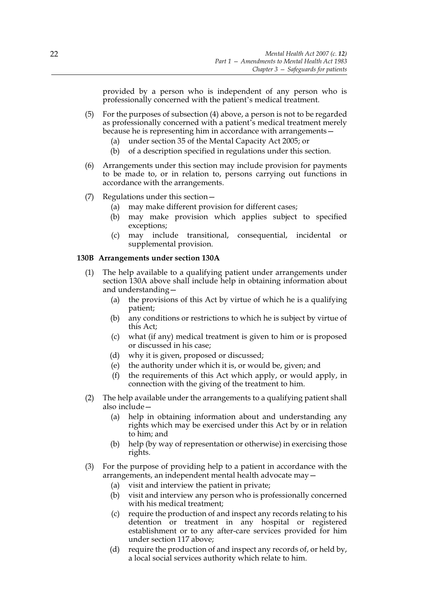provided by a person who is independent of any person who is professionally concerned with the patient's medical treatment.

- (5) For the purposes of subsection (4) above, a person is not to be regarded as professionally concerned with a patient's medical treatment merely because he is representing him in accordance with arrangements—
	- (a) under section 35 of the Mental Capacity Act 2005; or
	- (b) of a description specified in regulations under this section.
- (6) Arrangements under this section may include provision for payments to be made to, or in relation to, persons carrying out functions in accordance with the arrangements.
- (7) Regulations under this section—
	- (a) may make different provision for different cases;
	- (b) may make provision which applies subject to specified exceptions;
	- (c) may include transitional, consequential, incidental or supplemental provision.

# **130B Arrangements under section 130A**

- (1) The help available to a qualifying patient under arrangements under section 130A above shall include help in obtaining information about and understanding—
	- (a) the provisions of this Act by virtue of which he is a qualifying patient;
	- (b) any conditions or restrictions to which he is subject by virtue of this Act;
	- (c) what (if any) medical treatment is given to him or is proposed or discussed in his case;
	- (d) why it is given, proposed or discussed;
	- (e) the authority under which it is, or would be, given; and
	- (f) the requirements of this Act which apply, or would apply, in connection with the giving of the treatment to him.
- (2) The help available under the arrangements to a qualifying patient shall also include—
	- (a) help in obtaining information about and understanding any rights which may be exercised under this Act by or in relation to him; and
	- (b) help (by way of representation or otherwise) in exercising those rights.
- (3) For the purpose of providing help to a patient in accordance with the arrangements, an independent mental health advocate may—
	- (a) visit and interview the patient in private;
	- (b) visit and interview any person who is professionally concerned with his medical treatment;
	- (c) require the production of and inspect any records relating to his detention or treatment in any hospital or registered establishment or to any after-care services provided for him under section 117 above;
	- (d) require the production of and inspect any records of, or held by, a local social services authority which relate to him.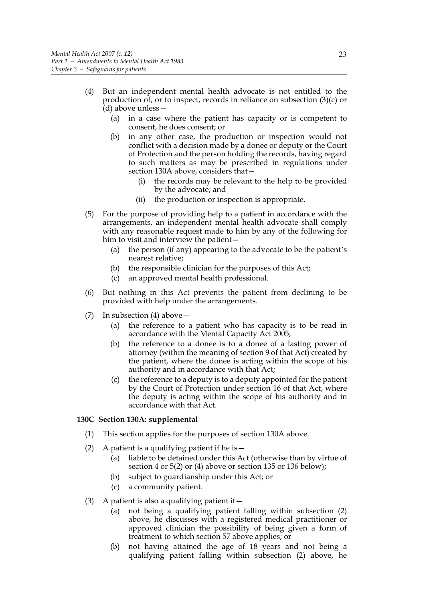- (4) But an independent mental health advocate is not entitled to the production of, or to inspect, records in reliance on subsection (3)(c) or (d) above unless—
	- (a) in a case where the patient has capacity or is competent to consent, he does consent; or
	- (b) in any other case, the production or inspection would not conflict with a decision made by a donee or deputy or the Court of Protection and the person holding the records, having regard to such matters as may be prescribed in regulations under section 130A above, considers that—
		- (i) the records may be relevant to the help to be provided by the advocate; and
		- (ii) the production or inspection is appropriate.
- (5) For the purpose of providing help to a patient in accordance with the arrangements, an independent mental health advocate shall comply with any reasonable request made to him by any of the following for him to visit and interview the patient—
	- (a) the person (if any) appearing to the advocate to be the patient's nearest relative;
	- (b) the responsible clinician for the purposes of this Act;
	- (c) an approved mental health professional.
- (6) But nothing in this Act prevents the patient from declining to be provided with help under the arrangements.
- (7) In subsection (4) above—
	- (a) the reference to a patient who has capacity is to be read in accordance with the Mental Capacity Act 2005;
	- (b) the reference to a donee is to a donee of a lasting power of attorney (within the meaning of section 9 of that Act) created by the patient, where the donee is acting within the scope of his authority and in accordance with that Act;
	- (c) the reference to a deputy is to a deputy appointed for the patient by the Court of Protection under section 16 of that Act, where the deputy is acting within the scope of his authority and in accordance with that Act.

# **130C Section 130A: supplemental**

- (1) This section applies for the purposes of section 130A above.
- (2) A patient is a qualifying patient if he is  $-$ 
	- (a) liable to be detained under this Act (otherwise than by virtue of section 4 or 5(2) or (4) above or section 135 or 136 below);
	- (b) subject to guardianship under this Act; or
	- (c) a community patient.
- (3) A patient is also a qualifying patient if  $-$ 
	- (a) not being a qualifying patient falling within subsection (2) above, he discusses with a registered medical practitioner or approved clinician the possibility of being given a form of treatment to which section 57 above applies; or
	- (b) not having attained the age of 18 years and not being a qualifying patient falling within subsection (2) above, he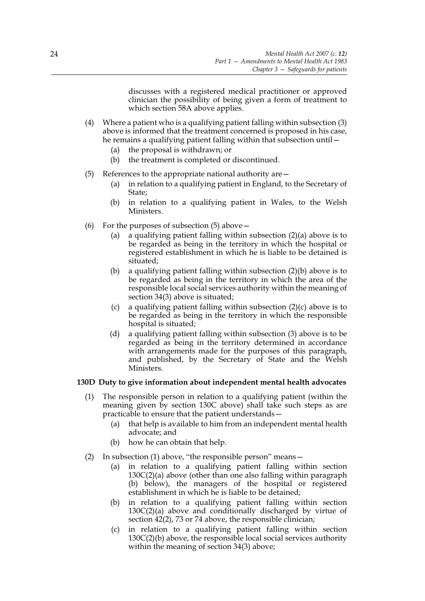discusses with a registered medical practitioner or approved clinician the possibility of being given a form of treatment to which section 58A above applies.

- (4) Where a patient who is a qualifying patient falling within subsection (3) above is informed that the treatment concerned is proposed in his case, he remains a qualifying patient falling within that subsection until—
	- (a) the proposal is withdrawn; or
	- (b) the treatment is completed or discontinued.
- (5) References to the appropriate national authority are—
	- (a) in relation to a qualifying patient in England, to the Secretary of State;
	- (b) in relation to a qualifying patient in Wales, to the Welsh Ministers.
- (6) For the purposes of subsection  $(5)$  above  $-$ 
	- (a) a qualifying patient falling within subsection  $(2)(a)$  above is to be regarded as being in the territory in which the hospital or registered establishment in which he is liable to be detained is situated;
	- (b) a qualifying patient falling within subsection (2)(b) above is to be regarded as being in the territory in which the area of the responsible local social services authority within the meaning of section 34(3) above is situated;
	- (c) a qualifying patient falling within subsection (2)(c) above is to be regarded as being in the territory in which the responsible hospital is situated;
	- (d) a qualifying patient falling within subsection (3) above is to be regarded as being in the territory determined in accordance with arrangements made for the purposes of this paragraph, and published, by the Secretary of State and the Welsh Ministers.

# **130D Duty to give information about independent mental health advocates**

- (1) The responsible person in relation to a qualifying patient (within the meaning given by section 130C above) shall take such steps as are practicable to ensure that the patient understands—
	- (a) that help is available to him from an independent mental health advocate; and
	- (b) how he can obtain that help.
- (2) In subsection (1) above, "the responsible person" means—
	- (a) in relation to a qualifying patient falling within section 130C(2)(a) above (other than one also falling within paragraph (b) below), the managers of the hospital or registered establishment in which he is liable to be detained;
	- (b) in relation to a qualifying patient falling within section 130C(2)(a) above and conditionally discharged by virtue of section  $42(2)$ , 73 or 74 above, the responsible clinician;
	- (c) in relation to a qualifying patient falling within section 130C(2)(b) above, the responsible local social services authority within the meaning of section 34(3) above;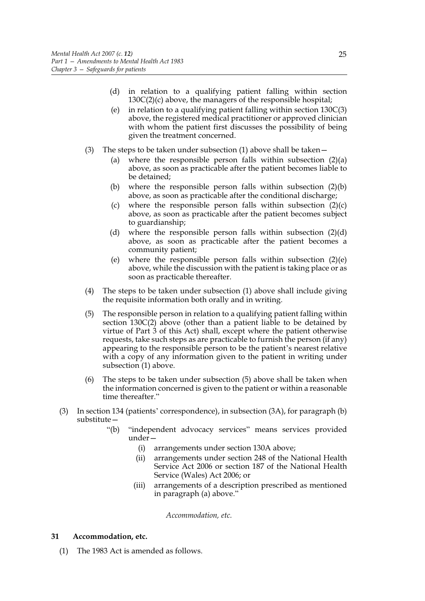- (d) in relation to a qualifying patient falling within section 130C(2)(c) above, the managers of the responsible hospital;
- (e) in relation to a qualifying patient falling within section  $130C(3)$ above, the registered medical practitioner or approved clinician with whom the patient first discusses the possibility of being given the treatment concerned.
- (3) The steps to be taken under subsection (1) above shall be taken—
	- (a) where the responsible person falls within subsection  $(2)(a)$ above, as soon as practicable after the patient becomes liable to be detained;
	- (b) where the responsible person falls within subsection (2)(b) above, as soon as practicable after the conditional discharge;
	- (c) where the responsible person falls within subsection  $(2)(c)$ above, as soon as practicable after the patient becomes subject to guardianship;
	- (d) where the responsible person falls within subsection (2)(d) above, as soon as practicable after the patient becomes a community patient;
	- (e) where the responsible person falls within subsection (2)(e) above, while the discussion with the patient is taking place or as soon as practicable thereafter.
- (4) The steps to be taken under subsection (1) above shall include giving the requisite information both orally and in writing.
- (5) The responsible person in relation to a qualifying patient falling within section 130C(2) above (other than a patient liable to be detained by virtue of Part 3 of this Act) shall, except where the patient otherwise requests, take such steps as are practicable to furnish the person (if any) appearing to the responsible person to be the patient's nearest relative with a copy of any information given to the patient in writing under subsection (1) above.
- (6) The steps to be taken under subsection (5) above shall be taken when the information concerned is given to the patient or within a reasonable time thereafter."
- (3) In section 134 (patients' correspondence), in subsection (3A), for paragraph (b) substitute—
	- "(b) "independent advocacy services" means services provided under—
		- (i) arrangements under section 130A above;
		- (ii) arrangements under section 248 of the National Health Service Act 2006 or section 187 of the National Health Service (Wales) Act 2006; or
		- (iii) arrangements of a description prescribed as mentioned in paragraph (a) above."

*Accommodation, etc.*

# **31 Accommodation, etc.**

(1) The 1983 Act is amended as follows.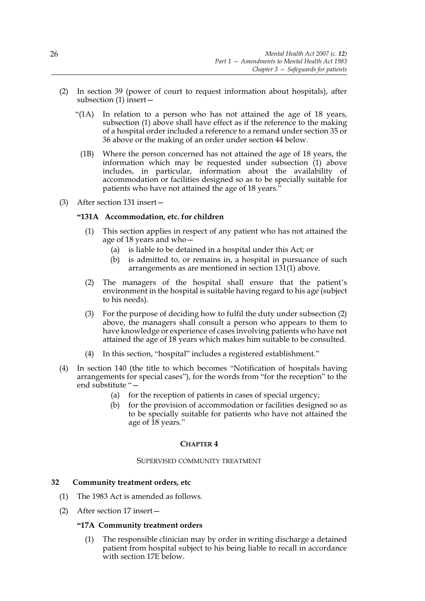- (2) In section 39 (power of court to request information about hospitals), after subsection (1) insert—
	- "(1A) In relation to a person who has not attained the age of 18 years, subsection (1) above shall have effect as if the reference to the making of a hospital order included a reference to a remand under section 35 or 36 above or the making of an order under section 44 below.
		- (1B) Where the person concerned has not attained the age of 18 years, the information which may be requested under subsection (1) above includes, in particular, information about the availability of accommodation or facilities designed so as to be specially suitable for patients who have not attained the age of 18 years."
- (3) After section 131 insert—

# **"131A Accommodation, etc. for children**

- (1) This section applies in respect of any patient who has not attained the age of 18 years and who—
	- (a) is liable to be detained in a hospital under this Act; or
	- (b) is admitted to, or remains in, a hospital in pursuance of such arrangements as are mentioned in section 131(1) above.
- (2) The managers of the hospital shall ensure that the patient's environment in the hospital is suitable having regard to his age (subject to his needs).
- (3) For the purpose of deciding how to fulfil the duty under subsection (2) above, the managers shall consult a person who appears to them to have knowledge or experience of cases involving patients who have not attained the age of 18 years which makes him suitable to be consulted.
- (4) In this section, "hospital" includes a registered establishment."
- (4) In section 140 (the title to which becomes "Notification of hospitals having arrangements for special cases"), for the words from "for the reception" to the end substitute "—
	- (a) for the reception of patients in cases of special urgency;
	- (b) for the provision of accommodation or facilities designed so as to be specially suitable for patients who have not attained the age of 18 years."

#### **CHAPTER 4**

#### SUPERVISED COMMUNITY TREATMENT

# **32 Community treatment orders, etc**

- (1) The 1983 Act is amended as follows.
- (2) After section 17 insert—

# **"17A Community treatment orders**

(1) The responsible clinician may by order in writing discharge a detained patient from hospital subject to his being liable to recall in accordance with section 17E below.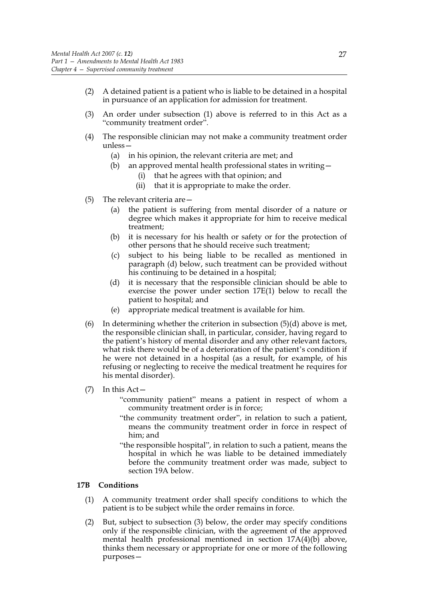- (2) A detained patient is a patient who is liable to be detained in a hospital in pursuance of an application for admission for treatment.
- (3) An order under subsection (1) above is referred to in this Act as a "community treatment order".
- (4) The responsible clinician may not make a community treatment order unless—
	- (a) in his opinion, the relevant criteria are met; and
	- (b) an approved mental health professional states in writing—
		- (i) that he agrees with that opinion; and
		- (ii) that it is appropriate to make the order.
- (5) The relevant criteria are—
	- (a) the patient is suffering from mental disorder of a nature or degree which makes it appropriate for him to receive medical treatment;
	- (b) it is necessary for his health or safety or for the protection of other persons that he should receive such treatment;
	- (c) subject to his being liable to be recalled as mentioned in paragraph (d) below, such treatment can be provided without his continuing to be detained in a hospital;
	- (d) it is necessary that the responsible clinician should be able to exercise the power under section 17E(1) below to recall the patient to hospital; and
	- (e) appropriate medical treatment is available for him.
- (6) In determining whether the criterion in subsection  $(5)(d)$  above is met, the responsible clinician shall, in particular, consider, having regard to the patient's history of mental disorder and any other relevant factors, what risk there would be of a deterioration of the patient's condition if he were not detained in a hospital (as a result, for example, of his refusing or neglecting to receive the medical treatment he requires for his mental disorder).
- (7) In this Act—
	- "community patient" means a patient in respect of whom a community treatment order is in force;
	- "the community treatment order", in relation to such a patient, means the community treatment order in force in respect of him; and
	- "the responsible hospital", in relation to such a patient, means the hospital in which he was liable to be detained immediately before the community treatment order was made, subject to section 19A below.

## **17B Conditions**

- (1) A community treatment order shall specify conditions to which the patient is to be subject while the order remains in force.
- (2) But, subject to subsection (3) below, the order may specify conditions only if the responsible clinician, with the agreement of the approved mental health professional mentioned in section 17A(4)(b) above, thinks them necessary or appropriate for one or more of the following purposes—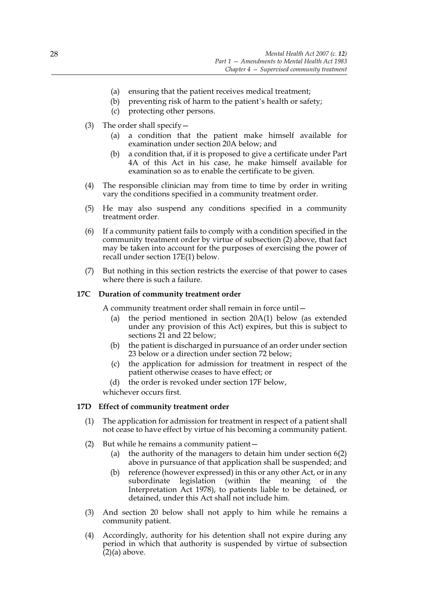- (a) ensuring that the patient receives medical treatment;
- (b) preventing risk of harm to the patient's health or safety;
- (c) protecting other persons.
- (3) The order shall specify  $-$ 
	- (a) a condition that the patient make himself available for examination under section 20A below; and
	- (b) a condition that, if it is proposed to give a certificate under Part 4A of this Act in his case, he make himself available for examination so as to enable the certificate to be given.
- (4) The responsible clinician may from time to time by order in writing vary the conditions specified in a community treatment order.
- (5) He may also suspend any conditions specified in a community treatment order.
- (6) If a community patient fails to comply with a condition specified in the community treatment order by virtue of subsection (2) above, that fact may be taken into account for the purposes of exercising the power of recall under section 17E(1) below.
- (7) But nothing in this section restricts the exercise of that power to cases where there is such a failure.

# **17C Duration of community treatment order**

A community treatment order shall remain in force until—

- (a) the period mentioned in section 20A(1) below (as extended under any provision of this Act) expires, but this is subject to sections 21 and 22 below:
- (b) the patient is discharged in pursuance of an order under section 23 below or a direction under section 72 below;
- (c) the application for admission for treatment in respect of the patient otherwise ceases to have effect; or
- (d) the order is revoked under section 17F below,

whichever occurs first.

#### **17D Effect of community treatment order**

- (1) The application for admission for treatment in respect of a patient shall not cease to have effect by virtue of his becoming a community patient.
- (2) But while he remains a community patient—
	- (a) the authority of the managers to detain him under section 6(2) above in pursuance of that application shall be suspended; and
	- (b) reference (however expressed) in this or any other Act, or in any subordinate legislation (within the meaning of the Interpretation Act 1978), to patients liable to be detained, or detained, under this Act shall not include him.
- (3) And section 20 below shall not apply to him while he remains a community patient.
- (4) Accordingly, authority for his detention shall not expire during any period in which that authority is suspended by virtue of subsection  $(2)(a)$  above.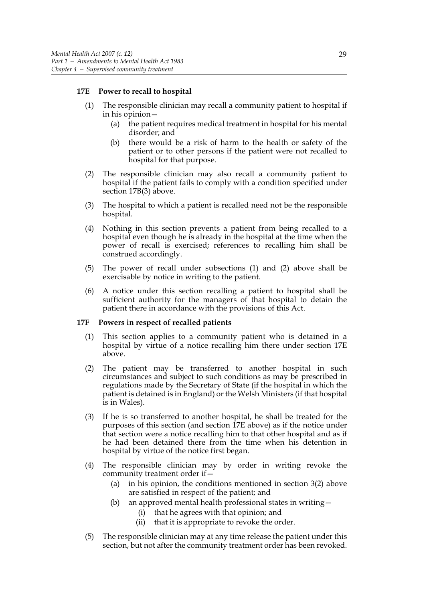# **17E Power to recall to hospital**

- (1) The responsible clinician may recall a community patient to hospital if in his opinion—
	- (a) the patient requires medical treatment in hospital for his mental disorder; and
	- (b) there would be a risk of harm to the health or safety of the patient or to other persons if the patient were not recalled to hospital for that purpose.
- (2) The responsible clinician may also recall a community patient to hospital if the patient fails to comply with a condition specified under section 17B(3) above.
- (3) The hospital to which a patient is recalled need not be the responsible hospital.
- (4) Nothing in this section prevents a patient from being recalled to a hospital even though he is already in the hospital at the time when the power of recall is exercised; references to recalling him shall be construed accordingly.
- (5) The power of recall under subsections (1) and (2) above shall be exercisable by notice in writing to the patient.
- (6) A notice under this section recalling a patient to hospital shall be sufficient authority for the managers of that hospital to detain the patient there in accordance with the provisions of this Act.

#### **17F Powers in respect of recalled patients**

- (1) This section applies to a community patient who is detained in a hospital by virtue of a notice recalling him there under section 17E above.
- (2) The patient may be transferred to another hospital in such circumstances and subject to such conditions as may be prescribed in regulations made by the Secretary of State (if the hospital in which the patient is detained is in England) or the Welsh Ministers (if that hospital is in Wales).
- (3) If he is so transferred to another hospital, he shall be treated for the purposes of this section (and section 17E above) as if the notice under that section were a notice recalling him to that other hospital and as if he had been detained there from the time when his detention in hospital by virtue of the notice first began.
- (4) The responsible clinician may by order in writing revoke the community treatment order if—
	- (a) in his opinion, the conditions mentioned in section 3(2) above are satisfied in respect of the patient; and
	- (b) an approved mental health professional states in writing—
		- (i) that he agrees with that opinion; and
		- (ii) that it is appropriate to revoke the order.
- (5) The responsible clinician may at any time release the patient under this section, but not after the community treatment order has been revoked.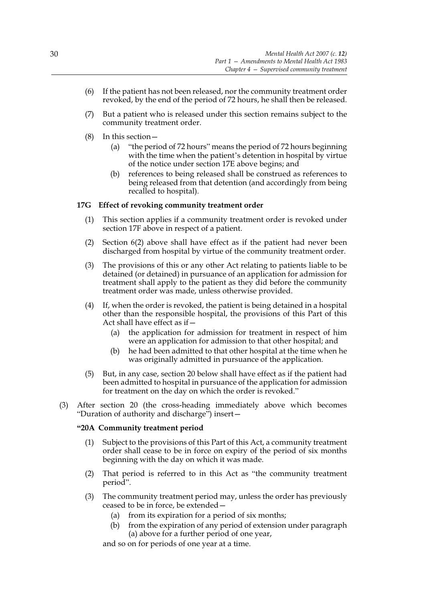- (6) If the patient has not been released, nor the community treatment order revoked, by the end of the period of 72 hours, he shall then be released.
- (7) But a patient who is released under this section remains subject to the community treatment order.
- (8) In this section—
	- (a) "the period of 72 hours" means the period of 72 hours beginning with the time when the patient's detention in hospital by virtue of the notice under section 17E above begins; and
	- (b) references to being released shall be construed as references to being released from that detention (and accordingly from being recalled to hospital).

# **17G Effect of revoking community treatment order**

- (1) This section applies if a community treatment order is revoked under section 17F above in respect of a patient.
- (2) Section 6(2) above shall have effect as if the patient had never been discharged from hospital by virtue of the community treatment order.
- (3) The provisions of this or any other Act relating to patients liable to be detained (or detained) in pursuance of an application for admission for treatment shall apply to the patient as they did before the community treatment order was made, unless otherwise provided.
- (4) If, when the order is revoked, the patient is being detained in a hospital other than the responsible hospital, the provisions of this Part of this Act shall have effect as if—
	- (a) the application for admission for treatment in respect of him were an application for admission to that other hospital; and
	- (b) he had been admitted to that other hospital at the time when he was originally admitted in pursuance of the application.
- (5) But, in any case, section 20 below shall have effect as if the patient had been admitted to hospital in pursuance of the application for admission for treatment on the day on which the order is revoked."
- (3) After section 20 (the cross-heading immediately above which becomes "Duration of authority and discharge") insert—

# **"20A Community treatment period**

- (1) Subject to the provisions of this Part of this Act, a community treatment order shall cease to be in force on expiry of the period of six months beginning with the day on which it was made.
- (2) That period is referred to in this Act as "the community treatment period".
- (3) The community treatment period may, unless the order has previously ceased to be in force, be extended—
	- (a) from its expiration for a period of six months;
	- (b) from the expiration of any period of extension under paragraph (a) above for a further period of one year,

and so on for periods of one year at a time.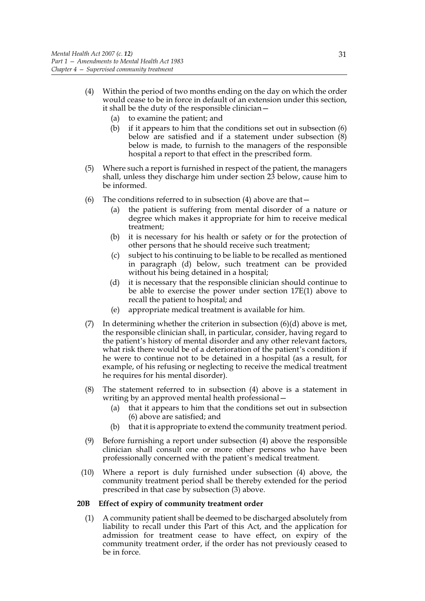- (4) Within the period of two months ending on the day on which the order would cease to be in force in default of an extension under this section, it shall be the duty of the responsible clinician—
	- (a) to examine the patient; and
	- (b) if it appears to him that the conditions set out in subsection (6) below are satisfied and if a statement under subsection  $(8)$ below is made, to furnish to the managers of the responsible hospital a report to that effect in the prescribed form.
- (5) Where such a report is furnished in respect of the patient, the managers shall, unless they discharge him under section 23 below, cause him to be informed.
- (6) The conditions referred to in subsection  $(4)$  above are that  $-$ 
	- (a) the patient is suffering from mental disorder of a nature or degree which makes it appropriate for him to receive medical treatment;
	- (b) it is necessary for his health or safety or for the protection of other persons that he should receive such treatment;
	- (c) subject to his continuing to be liable to be recalled as mentioned in paragraph (d) below, such treatment can be provided without his being detained in a hospital;
	- (d) it is necessary that the responsible clinician should continue to be able to exercise the power under section 17E(1) above to recall the patient to hospital; and
	- (e) appropriate medical treatment is available for him.
- (7) In determining whether the criterion in subsection (6)(d) above is met, the responsible clinician shall, in particular, consider, having regard to the patient's history of mental disorder and any other relevant factors, what risk there would be of a deterioration of the patient's condition if he were to continue not to be detained in a hospital (as a result, for example, of his refusing or neglecting to receive the medical treatment he requires for his mental disorder).
- (8) The statement referred to in subsection (4) above is a statement in writing by an approved mental health professional—
	- (a) that it appears to him that the conditions set out in subsection (6) above are satisfied; and
	- (b) that it is appropriate to extend the community treatment period.
- (9) Before furnishing a report under subsection (4) above the responsible clinician shall consult one or more other persons who have been professionally concerned with the patient's medical treatment.
- (10) Where a report is duly furnished under subsection (4) above, the community treatment period shall be thereby extended for the period prescribed in that case by subsection (3) above.

#### **20B Effect of expiry of community treatment order**

(1) A community patient shall be deemed to be discharged absolutely from liability to recall under this Part of this Act, and the application for admission for treatment cease to have effect, on expiry of the community treatment order, if the order has not previously ceased to be in force.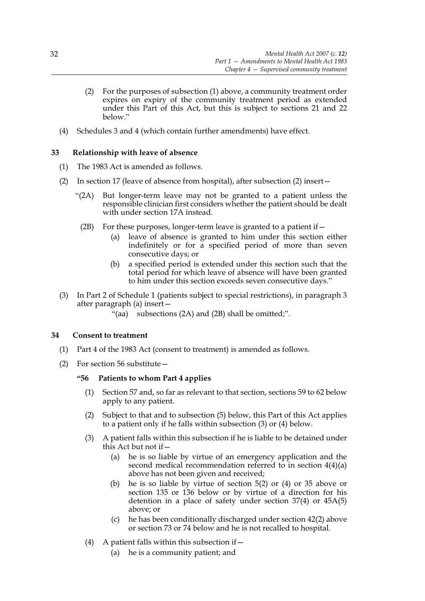- (2) For the purposes of subsection (1) above, a community treatment order expires on expiry of the community treatment period as extended under this Part of this Act, but this is subject to sections 21 and 22 below."
- (4) Schedules 3 and 4 (which contain further amendments) have effect.

# **33 Relationship with leave of absence**

- (1) The 1983 Act is amended as follows.
- (2) In section 17 (leave of absence from hospital), after subsection (2) insert—
	- "(2A) But longer-term leave may not be granted to a patient unless the responsible clinician first considers whether the patient should be dealt with under section 17A instead.
	- (2B) For these purposes, longer-term leave is granted to a patient if  $-$ 
		- (a) leave of absence is granted to him under this section either indefinitely or for a specified period of more than seven consecutive days; or
		- (b) a specified period is extended under this section such that the total period for which leave of absence will have been granted to him under this section exceeds seven consecutive days."
- (3) In Part 2 of Schedule 1 (patients subject to special restrictions), in paragraph 3 after paragraph (a) insert—
	- "(aa) subsections (2A) and (2B) shall be omitted;".

# **34 Consent to treatment**

- (1) Part 4 of the 1983 Act (consent to treatment) is amended as follows.
- (2) For section 56 substitute—

# **"56 Patients to whom Part 4 applies**

- (1) Section 57 and, so far as relevant to that section, sections 59 to 62 below apply to any patient.
- (2) Subject to that and to subsection (5) below, this Part of this Act applies to a patient only if he falls within subsection (3) or (4) below.
- (3) A patient falls within this subsection if he is liable to be detained under this Act but not if—
	- (a) he is so liable by virtue of an emergency application and the second medical recommendation referred to in section 4(4)(a) above has not been given and received;
	- (b) he is so liable by virtue of section 5(2) or (4) or 35 above or section 135 or 136 below or by virtue of a direction for his detention in a place of safety under section 37(4) or 45A(5) above; or
	- (c) he has been conditionally discharged under section 42(2) above or section 73 or 74 below and he is not recalled to hospital.
- (4) A patient falls within this subsection if  $-$ 
	- (a) he is a community patient; and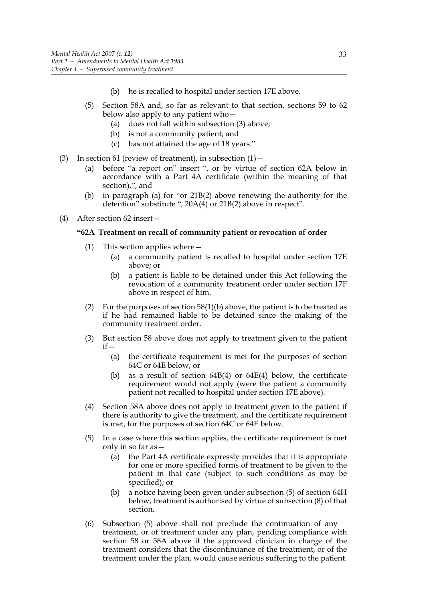- (b) he is recalled to hospital under section 17E above.
- (5) Section 58A and, so far as relevant to that section, sections 59 to 62 below also apply to any patient who—
	- (a) does not fall within subsection (3) above;
	- (b) is not a community patient; and
	- (c) has not attained the age of 18 years."
- (3) In section 61 (review of treatment), in subsection  $(1)$ 
	- (a) before "a report on" insert ", or by virtue of section 62A below in accordance with a Part 4A certificate (within the meaning of that section),", and
	- in paragraph (a) for "or  $21B(2)$  above renewing the authority for the detention" substitute ", 20A(4) or 21B(2) above in respect".
- (4) After section 62 insert—

### **"62A Treatment on recall of community patient or revocation of order**

- (1) This section applies where—
	- (a) a community patient is recalled to hospital under section 17E above; or
	- (b) a patient is liable to be detained under this Act following the revocation of a community treatment order under section 17F above in respect of him.
- (2) For the purposes of section  $58(1)(b)$  above, the patient is to be treated as if he had remained liable to be detained since the making of the community treatment order.
- (3) But section 58 above does not apply to treatment given to the patient  $if -$ 
	- (a) the certificate requirement is met for the purposes of section 64C or 64E below; or
	- (b) as a result of section 64B(4) or 64E(4) below, the certificate requirement would not apply (were the patient a community patient not recalled to hospital under section 17E above).
- (4) Section 58A above does not apply to treatment given to the patient if there is authority to give the treatment, and the certificate requirement is met, for the purposes of section 64C or 64E below.
- (5) In a case where this section applies, the certificate requirement is met only in so far as—
	- (a) the Part 4A certificate expressly provides that it is appropriate for one or more specified forms of treatment to be given to the patient in that case (subject to such conditions as may be specified); or
	- (b) a notice having been given under subsection (5) of section 64H below, treatment is authorised by virtue of subsection (8) of that section.
- (6) Subsection (5) above shall not preclude the continuation of any treatment, or of treatment under any plan, pending compliance with section 58 or 58A above if the approved clinician in charge of the treatment considers that the discontinuance of the treatment, or of the treatment under the plan, would cause serious suffering to the patient.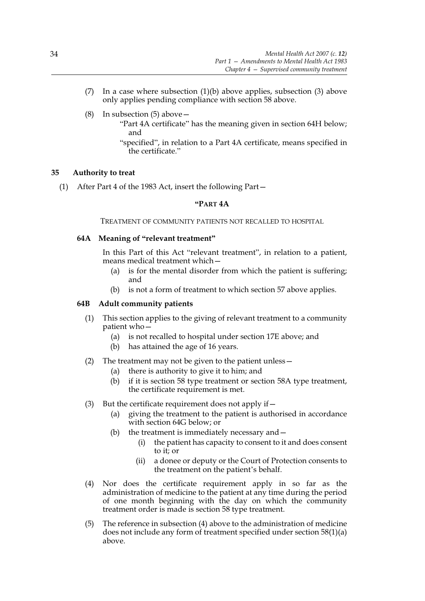- (7) In a case where subsection  $(1)(b)$  above applies, subsection  $(3)$  above only applies pending compliance with section 58 above.
- (8) In subsection  $(5)$  above  $-$ 
	- "Part 4A certificate" has the meaning given in section 64H below; and
	- "specified", in relation to a Part 4A certificate, means specified in the certificate."

# **35 Authority to treat**

(1) After Part 4 of the 1983 Act, insert the following Part—

#### **"PART 4A**

TREATMENT OF COMMUNITY PATIENTS NOT RECALLED TO HOSPITAL

# **64A Meaning of "relevant treatment"**

In this Part of this Act "relevant treatment", in relation to a patient, means medical treatment which—

- (a) is for the mental disorder from which the patient is suffering; and
- (b) is not a form of treatment to which section 57 above applies.

#### **64B Adult community patients**

- (1) This section applies to the giving of relevant treatment to a community patient who—
	- (a) is not recalled to hospital under section 17E above; and
	- (b) has attained the age of 16 years.
- (2) The treatment may not be given to the patient unless—
	- (a) there is authority to give it to him; and
	- (b) if it is section 58 type treatment or section 58A type treatment, the certificate requirement is met.
- (3) But the certificate requirement does not apply if  $-$ 
	- (a) giving the treatment to the patient is authorised in accordance with section 64G below; or
	- (b) the treatment is immediately necessary and—
		- (i) the patient has capacity to consent to it and does consent to it; or
		- (ii) a donee or deputy or the Court of Protection consents to the treatment on the patient's behalf.
- (4) Nor does the certificate requirement apply in so far as the administration of medicine to the patient at any time during the period of one month beginning with the day on which the community treatment order is made is section 58 type treatment.
- (5) The reference in subsection (4) above to the administration of medicine does not include any form of treatment specified under section 58(1)(a) above.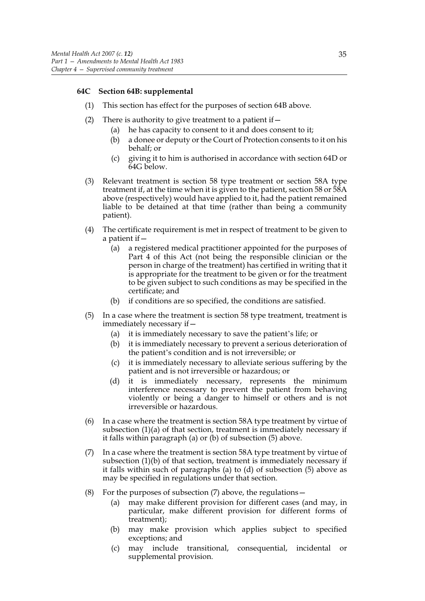### **64C Section 64B: supplemental**

- (1) This section has effect for the purposes of section 64B above.
- (2) There is authority to give treatment to a patient if  $-$ 
	- (a) he has capacity to consent to it and does consent to it;
	- (b) a donee or deputy or the Court of Protection consents to it on his behalf; or
	- (c) giving it to him is authorised in accordance with section 64D or 64G below.
- (3) Relevant treatment is section 58 type treatment or section 58A type treatment if, at the time when it is given to the patient, section 58 or 58A above (respectively) would have applied to it, had the patient remained liable to be detained at that time (rather than being a community patient).
- (4) The certificate requirement is met in respect of treatment to be given to a patient if—
	- (a) a registered medical practitioner appointed for the purposes of Part 4 of this Act (not being the responsible clinician or the person in charge of the treatment) has certified in writing that it is appropriate for the treatment to be given or for the treatment to be given subject to such conditions as may be specified in the certificate; and
	- (b) if conditions are so specified, the conditions are satisfied.
- (5) In a case where the treatment is section 58 type treatment, treatment is immediately necessary if—
	- (a) it is immediately necessary to save the patient's life; or
	- (b) it is immediately necessary to prevent a serious deterioration of the patient's condition and is not irreversible; or
	- (c) it is immediately necessary to alleviate serious suffering by the patient and is not irreversible or hazardous; or
	- (d) it is immediately necessary, represents the minimum interference necessary to prevent the patient from behaving violently or being a danger to himself or others and is not irreversible or hazardous.
- (6) In a case where the treatment is section 58A type treatment by virtue of subsection (1)(a) of that section, treatment is immediately necessary if it falls within paragraph (a) or (b) of subsection (5) above.
- (7) In a case where the treatment is section 58A type treatment by virtue of subsection  $(1)(b)$  of that section, treatment is immediately necessary if it falls within such of paragraphs (a) to (d) of subsection (5) above as may be specified in regulations under that section.
- (8) For the purposes of subsection  $(7)$  above, the regulations  $-$ 
	- (a) may make different provision for different cases (and may, in particular, make different provision for different forms of treatment);
	- (b) may make provision which applies subject to specified exceptions; and
	- (c) may include transitional, consequential, incidental or supplemental provision.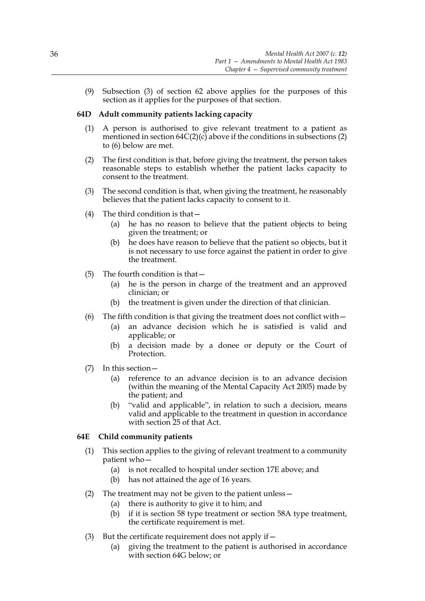(9) Subsection (3) of section 62 above applies for the purposes of this section as it applies for the purposes of that section.

# **64D Adult community patients lacking capacity**

- (1) A person is authorised to give relevant treatment to a patient as mentioned in section  $64C(2)(c)$  above if the conditions in subsections (2) to (6) below are met.
- (2) The first condition is that, before giving the treatment, the person takes reasonable steps to establish whether the patient lacks capacity to consent to the treatment.
- (3) The second condition is that, when giving the treatment, he reasonably believes that the patient lacks capacity to consent to it.
- (4) The third condition is that—
	- (a) he has no reason to believe that the patient objects to being given the treatment; or
	- (b) he does have reason to believe that the patient so objects, but it is not necessary to use force against the patient in order to give the treatment.
- (5) The fourth condition is that—
	- (a) he is the person in charge of the treatment and an approved clinician; or
	- (b) the treatment is given under the direction of that clinician.
- (6) The fifth condition is that giving the treatment does not conflict with—
	- (a) an advance decision which he is satisfied is valid and applicable; or
	- (b) a decision made by a donee or deputy or the Court of Protection.
- (7) In this section—
	- (a) reference to an advance decision is to an advance decision (within the meaning of the Mental Capacity Act 2005) made by the patient; and
	- (b) "valid and applicable", in relation to such a decision, means valid and applicable to the treatment in question in accordance with section 25 of that Act.

### **64E Child community patients**

- (1) This section applies to the giving of relevant treatment to a community patient who—
	- (a) is not recalled to hospital under section 17E above; and
	- (b) has not attained the age of 16 years.
- (2) The treatment may not be given to the patient unless—
	- (a) there is authority to give it to him; and
	- (b) if it is section 58 type treatment or section 58A type treatment, the certificate requirement is met.
- (3) But the certificate requirement does not apply if  $-$ 
	- (a) giving the treatment to the patient is authorised in accordance with section 64G below; or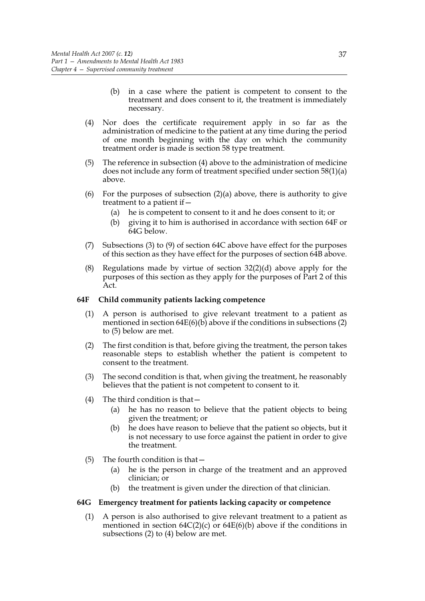- (b) in a case where the patient is competent to consent to the treatment and does consent to it, the treatment is immediately necessary.
- (4) Nor does the certificate requirement apply in so far as the administration of medicine to the patient at any time during the period of one month beginning with the day on which the community treatment order is made is section 58 type treatment.
- (5) The reference in subsection (4) above to the administration of medicine does not include any form of treatment specified under section 58(1)(a) above.
- (6) For the purposes of subsection  $(2)(a)$  above, there is authority to give treatment to a patient if—
	- (a) he is competent to consent to it and he does consent to it; or
	- (b) giving it to him is authorised in accordance with section 64F or 64G below.
- (7) Subsections (3) to (9) of section 64C above have effect for the purposes of this section as they have effect for the purposes of section 64B above.
- (8) Regulations made by virtue of section  $32(2)(d)$  above apply for the purposes of this section as they apply for the purposes of Part 2 of this Act.

# **64F Child community patients lacking competence**

- (1) A person is authorised to give relevant treatment to a patient as mentioned in section 64E(6)(b) above if the conditions in subsections (2) to (5) below are met.
- (2) The first condition is that, before giving the treatment, the person takes reasonable steps to establish whether the patient is competent to consent to the treatment.
- (3) The second condition is that, when giving the treatment, he reasonably believes that the patient is not competent to consent to it.
- (4) The third condition is that—
	- (a) he has no reason to believe that the patient objects to being given the treatment; or
	- (b) he does have reason to believe that the patient so objects, but it is not necessary to use force against the patient in order to give the treatment.
- (5) The fourth condition is that—
	- (a) he is the person in charge of the treatment and an approved clinician; or
	- (b) the treatment is given under the direction of that clinician.

#### **64G Emergency treatment for patients lacking capacity or competence**

(1) A person is also authorised to give relevant treatment to a patient as mentioned in section  $64C(2)(c)$  or  $64E(6)(b)$  above if the conditions in subsections (2) to (4) below are met.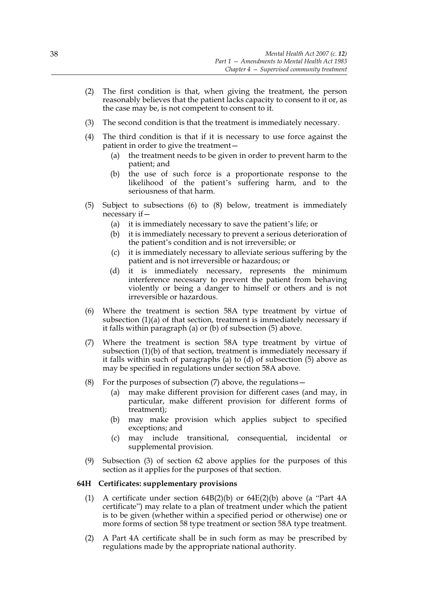- (2) The first condition is that, when giving the treatment, the person reasonably believes that the patient lacks capacity to consent to it or, as the case may be, is not competent to consent to it.
- (3) The second condition is that the treatment is immediately necessary.
- (4) The third condition is that if it is necessary to use force against the patient in order to give the treatment—
	- (a) the treatment needs to be given in order to prevent harm to the patient; and
	- (b) the use of such force is a proportionate response to the likelihood of the patient's suffering harm, and to the seriousness of that harm.
- (5) Subject to subsections (6) to (8) below, treatment is immediately necessary if—
	- (a) it is immediately necessary to save the patient's life; or
	- (b) it is immediately necessary to prevent a serious deterioration of the patient's condition and is not irreversible; or
	- (c) it is immediately necessary to alleviate serious suffering by the patient and is not irreversible or hazardous; or
	- (d) it is immediately necessary, represents the minimum interference necessary to prevent the patient from behaving violently or being a danger to himself or others and is not irreversible or hazardous.
- (6) Where the treatment is section 58A type treatment by virtue of subsection (1)(a) of that section, treatment is immediately necessary if it falls within paragraph (a) or (b) of subsection (5) above.
- (7) Where the treatment is section 58A type treatment by virtue of subsection (1)(b) of that section, treatment is immediately necessary if it falls within such of paragraphs (a) to (d) of subsection (5) above as may be specified in regulations under section 58A above.
- (8) For the purposes of subsection  $(7)$  above, the regulations  $-$ 
	- (a) may make different provision for different cases (and may, in particular, make different provision for different forms of treatment);
	- (b) may make provision which applies subject to specified exceptions; and
	- (c) may include transitional, consequential, incidental or supplemental provision.
- (9) Subsection (3) of section 62 above applies for the purposes of this section as it applies for the purposes of that section.

# **64H Certificates: supplementary provisions**

- (1) A certificate under section 64B(2)(b) or 64E(2)(b) above (a "Part 4A certificate") may relate to a plan of treatment under which the patient is to be given (whether within a specified period or otherwise) one or more forms of section 58 type treatment or section 58A type treatment.
- (2) A Part 4A certificate shall be in such form as may be prescribed by regulations made by the appropriate national authority.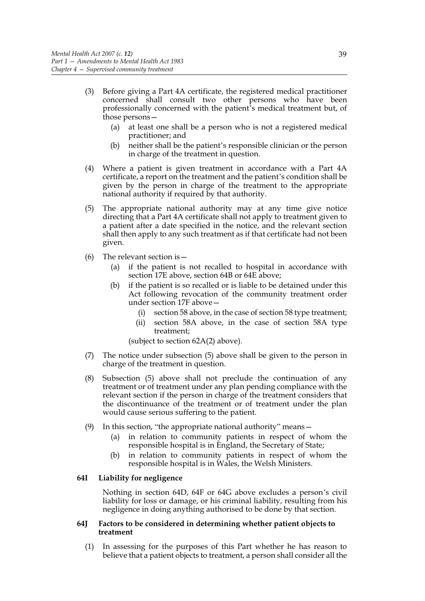- (3) Before giving a Part 4A certificate, the registered medical practitioner concerned shall consult two other persons who have been professionally concerned with the patient's medical treatment but, of those persons—
	- (a) at least one shall be a person who is not a registered medical practitioner; and
	- (b) neither shall be the patient's responsible clinician or the person in charge of the treatment in question.
- (4) Where a patient is given treatment in accordance with a Part 4A certificate, a report on the treatment and the patient's condition shall be given by the person in charge of the treatment to the appropriate national authority if required by that authority.
- (5) The appropriate national authority may at any time give notice directing that a Part 4A certificate shall not apply to treatment given to a patient after a date specified in the notice, and the relevant section shall then apply to any such treatment as if that certificate had not been given.
- (6) The relevant section is  $-$ 
	- (a) if the patient is not recalled to hospital in accordance with section 17E above, section 64B or 64E above;
	- (b) if the patient is so recalled or is liable to be detained under this Act following revocation of the community treatment order under section 17F above—
		- (i) section 58 above, in the case of section 58 type treatment;
		- (ii) section 58A above, in the case of section 58A type treatment;

(subject to section 62A(2) above).

- (7) The notice under subsection (5) above shall be given to the person in charge of the treatment in question.
- (8) Subsection (5) above shall not preclude the continuation of any treatment or of treatment under any plan pending compliance with the relevant section if the person in charge of the treatment considers that the discontinuance of the treatment or of treatment under the plan would cause serious suffering to the patient.
- (9) In this section, "the appropriate national authority" means—
	- (a) in relation to community patients in respect of whom the responsible hospital is in England, the Secretary of State;
	- (b) in relation to community patients in respect of whom the responsible hospital is in Wales, the Welsh Ministers.

# **64I Liability for negligence**

Nothing in section 64D, 64F or 64G above excludes a person's civil liability for loss or damage, or his criminal liability, resulting from his negligence in doing anything authorised to be done by that section.

# **64J Factors to be considered in determining whether patient objects to treatment**

(1) In assessing for the purposes of this Part whether he has reason to believe that a patient objects to treatment, a person shall consider all the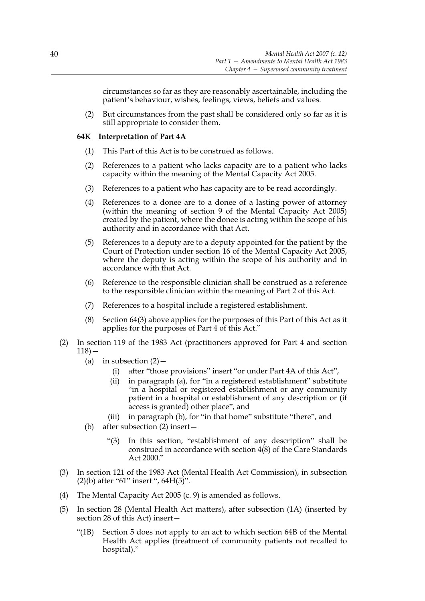circumstances so far as they are reasonably ascertainable, including the patient's behaviour, wishes, feelings, views, beliefs and values.

(2) But circumstances from the past shall be considered only so far as it is still appropriate to consider them.

#### **64K Interpretation of Part 4A**

- (1) This Part of this Act is to be construed as follows.
- (2) References to a patient who lacks capacity are to a patient who lacks capacity within the meaning of the Mental Capacity Act 2005.
- (3) References to a patient who has capacity are to be read accordingly.
- (4) References to a donee are to a donee of a lasting power of attorney (within the meaning of section 9 of the Mental Capacity Act 2005) created by the patient, where the donee is acting within the scope of his authority and in accordance with that Act.
- (5) References to a deputy are to a deputy appointed for the patient by the Court of Protection under section 16 of the Mental Capacity Act 2005, where the deputy is acting within the scope of his authority and in accordance with that Act.
- (6) Reference to the responsible clinician shall be construed as a reference to the responsible clinician within the meaning of Part 2 of this Act.
- (7) References to a hospital include a registered establishment.
- (8) Section 64(3) above applies for the purposes of this Part of this Act as it applies for the purposes of Part 4 of this Act."
- (2) In section 119 of the 1983 Act (practitioners approved for Part 4 and section  $118$ ) –
	- (a) in subsection  $(2)$ 
		- (i) after "those provisions" insert "or under Part 4A of this Act",
		- (ii) in paragraph (a), for "in a registered establishment" substitute "in a hospital or registered establishment or any community patient in a hospital or establishment of any description or (if access is granted) other place", and
		- (iii) in paragraph (b), for "in that home" substitute "there", and
	- (b) after subsection (2) insert—
		- "(3) In this section, "establishment of any description" shall be construed in accordance with section  $4(8)$  of the Care Standards Act 2000."
- (3) In section 121 of the 1983 Act (Mental Health Act Commission), in subsection (2)(b) after "61" insert ",  $64H(5)$ ".
- (4) The Mental Capacity Act 2005 (c. 9) is amended as follows.
- (5) In section 28 (Mental Health Act matters), after subsection (1A) (inserted by section 28 of this Act) insert—
	- "(1B) Section 5 does not apply to an act to which section 64B of the Mental Health Act applies (treatment of community patients not recalled to hospital)."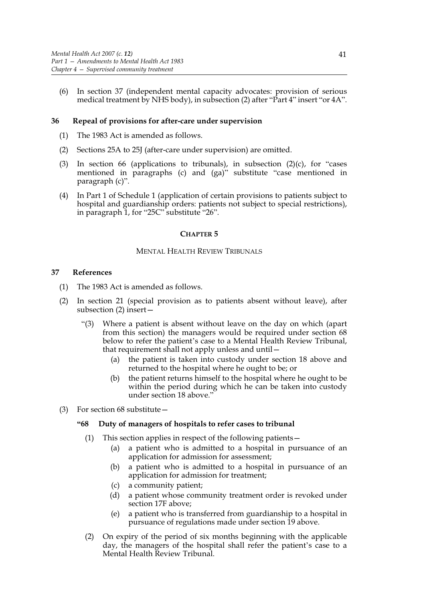(6) In section 37 (independent mental capacity advocates: provision of serious medical treatment by NHS body), in subsection (2) after "Part 4" insert "or 4A".

# **36 Repeal of provisions for after-care under supervision**

- (1) The 1983 Act is amended as follows.
- (2) Sections 25A to 25J (after-care under supervision) are omitted.
- (3) In section 66 (applications to tribunals), in subsection (2)(c), for "cases mentioned in paragraphs (c) and (ga)" substitute "case mentioned in paragraph (c)".
- (4) In Part 1 of Schedule 1 (application of certain provisions to patients subject to hospital and guardianship orders: patients not subject to special restrictions), in paragraph 1, for "25C" substitute "26".

#### **CHAPTER 5**

#### MENTAL HEALTH REVIEW TRIBUNALS

### **37 References**

- (1) The 1983 Act is amended as follows.
- (2) In section 21 (special provision as to patients absent without leave), after subsection (2) insert—
	- "(3) Where a patient is absent without leave on the day on which (apart from this section) the managers would be required under section 68 below to refer the patient's case to a Mental Health Review Tribunal, that requirement shall not apply unless and until—
		- (a) the patient is taken into custody under section 18 above and returned to the hospital where he ought to be; or
		- (b) the patient returns himself to the hospital where he ought to be within the period during which he can be taken into custody under section 18 above."
- (3) For section 68 substitute—

#### **"68 Duty of managers of hospitals to refer cases to tribunal**

- (1) This section applies in respect of the following patients—
	- (a) a patient who is admitted to a hospital in pursuance of an application for admission for assessment;
	- (b) a patient who is admitted to a hospital in pursuance of an application for admission for treatment;
	- (c) a community patient;
	- (d) a patient whose community treatment order is revoked under section 17F above;
	- (e) a patient who is transferred from guardianship to a hospital in pursuance of regulations made under section 19 above.
- (2) On expiry of the period of six months beginning with the applicable day, the managers of the hospital shall refer the patient's case to a Mental Health Review Tribunal.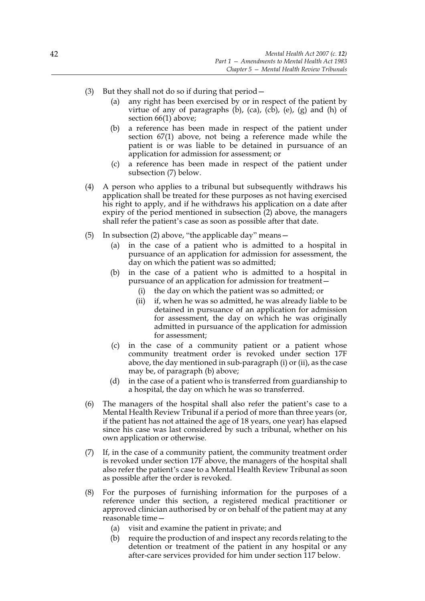- (3) But they shall not do so if during that period  $-$ 
	- (a) any right has been exercised by or in respect of the patient by virtue of any of paragraphs  $(b)$ ,  $(ca)$ ,  $(c\bar{b})$ ,  $(e)$ ,  $(g)$  and  $(h)$  of section 66(1) above;
	- (b) a reference has been made in respect of the patient under section 67(1) above, not being a reference made while the patient is or was liable to be detained in pursuance of an application for admission for assessment; or
	- (c) a reference has been made in respect of the patient under subsection (7) below.
- (4) A person who applies to a tribunal but subsequently withdraws his application shall be treated for these purposes as not having exercised his right to apply, and if he withdraws his application on a date after expiry of the period mentioned in subsection (2) above, the managers shall refer the patient's case as soon as possible after that date.
- (5) In subsection (2) above, "the applicable day" means—
	- (a) in the case of a patient who is admitted to a hospital in pursuance of an application for admission for assessment, the day on which the patient was so admitted;
	- (b) in the case of a patient who is admitted to a hospital in pursuance of an application for admission for treatment—
		- (i) the day on which the patient was so admitted; or
		- (ii) if, when he was so admitted, he was already liable to be detained in pursuance of an application for admission for assessment, the day on which he was originally admitted in pursuance of the application for admission for assessment;
	- (c) in the case of a community patient or a patient whose community treatment order is revoked under section 17F above, the day mentioned in sub-paragraph (i) or (ii), as the case may be, of paragraph (b) above;
	- (d) in the case of a patient who is transferred from guardianship to a hospital, the day on which he was so transferred.
- (6) The managers of the hospital shall also refer the patient's case to a Mental Health Review Tribunal if a period of more than three years (or, if the patient has not attained the age of 18 years, one year) has elapsed since his case was last considered by such a tribunal, whether on his own application or otherwise.
- (7) If, in the case of a community patient, the community treatment order is revoked under section 17F above, the managers of the hospital shall also refer the patient's case to a Mental Health Review Tribunal as soon as possible after the order is revoked.
- (8) For the purposes of furnishing information for the purposes of a reference under this section, a registered medical practitioner or approved clinician authorised by or on behalf of the patient may at any reasonable time—
	- (a) visit and examine the patient in private; and
	- (b) require the production of and inspect any records relating to the detention or treatment of the patient in any hospital or any after-care services provided for him under section 117 below.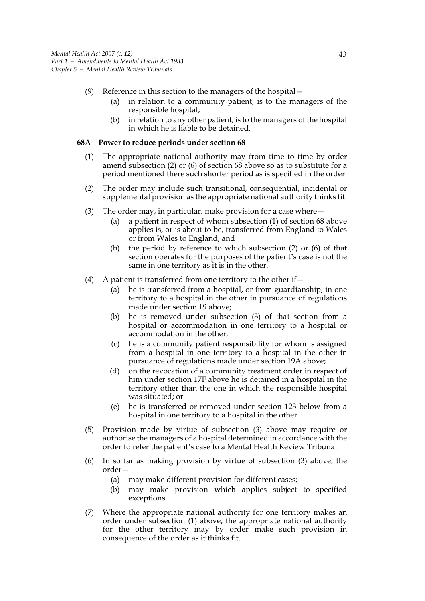- (9) Reference in this section to the managers of the hospital—
	- (a) in relation to a community patient, is to the managers of the responsible hospital;
	- (b) in relation to any other patient, is to the managers of the hospital in which he is liable to be detained.

# **68A Power to reduce periods under section 68**

- (1) The appropriate national authority may from time to time by order amend subsection (2) or (6) of section 68 above so as to substitute for a period mentioned there such shorter period as is specified in the order.
- (2) The order may include such transitional, consequential, incidental or supplemental provision as the appropriate national authority thinks fit.
- (3) The order may, in particular, make provision for a case where  $-$ 
	- (a) a patient in respect of whom subsection (1) of section 68 above applies is, or is about to be, transferred from England to Wales or from Wales to England; and
	- (b) the period by reference to which subsection (2) or (6) of that section operates for the purposes of the patient's case is not the same in one territory as it is in the other.
- (4) A patient is transferred from one territory to the other if  $-$ 
	- (a) he is transferred from a hospital, or from guardianship, in one territory to a hospital in the other in pursuance of regulations made under section 19 above;
	- (b) he is removed under subsection (3) of that section from a hospital or accommodation in one territory to a hospital or accommodation in the other;
	- (c) he is a community patient responsibility for whom is assigned from a hospital in one territory to a hospital in the other in pursuance of regulations made under section 19A above;
	- (d) on the revocation of a community treatment order in respect of him under section 17F above he is detained in a hospital in the territory other than the one in which the responsible hospital was situated; or
	- (e) he is transferred or removed under section 123 below from a hospital in one territory to a hospital in the other.
- (5) Provision made by virtue of subsection (3) above may require or authorise the managers of a hospital determined in accordance with the order to refer the patient's case to a Mental Health Review Tribunal.
- (6) In so far as making provision by virtue of subsection (3) above, the order—
	- (a) may make different provision for different cases;
	- (b) may make provision which applies subject to specified exceptions.
- (7) Where the appropriate national authority for one territory makes an order under subsection (1) above, the appropriate national authority for the other territory may by order make such provision in consequence of the order as it thinks fit.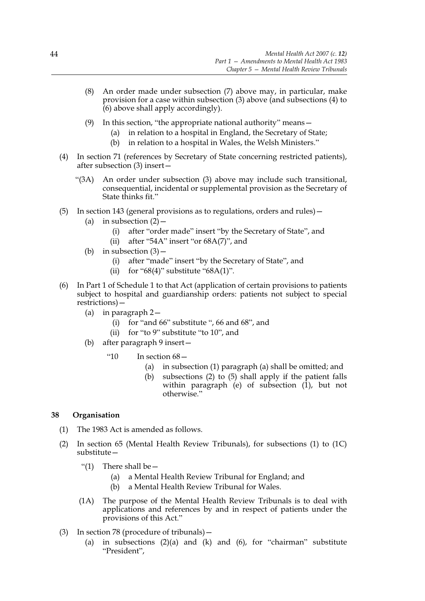- (8) An order made under subsection (7) above may, in particular, make provision for a case within subsection (3) above (and subsections (4) to (6) above shall apply accordingly).
- (9) In this section, "the appropriate national authority" means—
	- (a) in relation to a hospital in England, the Secretary of State;
	- (b) in relation to a hospital in Wales, the Welsh Ministers."
- (4) In section 71 (references by Secretary of State concerning restricted patients), after subsection (3) insert—
	- "(3A) An order under subsection (3) above may include such transitional, consequential, incidental or supplemental provision as the Secretary of State thinks fit."
- (5) In section 143 (general provisions as to regulations, orders and rules)—
	- (a) in subsection  $(2)$  -
		- (i) after "order made" insert "by the Secretary of State", and
		- (ii) after "54A" insert "or 68A(7)", and
	- (b) in subsection  $(3)$ 
		- (i) after "made" insert "by the Secretary of State", and
		- (ii) for " $68(4)$ " substitute " $68A(1)$ ".
- (6) In Part 1 of Schedule 1 to that Act (application of certain provisions to patients subject to hospital and guardianship orders: patients not subject to special restrictions)—
	- (a) in paragraph 2—
		- (i) for "and 66" substitute ", 66 and 68", and
		- (ii) for "to 9" substitute "to 10", and
	- (b) after paragraph 9 insert—
		- "10 In section 68—
			- (a) in subsection (1) paragraph (a) shall be omitted; and
			- (b) subsections (2) to (5) shall apply if the patient falls within paragraph (e) of subsection (1), but not otherwise."

### **38 Organisation**

- (1) The 1983 Act is amended as follows.
- (2) In section 65 (Mental Health Review Tribunals), for subsections (1) to (1C) substitute—
	- "(1) There shall be  $-$ 
		- (a) a Mental Health Review Tribunal for England; and
		- (b) a Mental Health Review Tribunal for Wales.
	- (1A) The purpose of the Mental Health Review Tribunals is to deal with applications and references by and in respect of patients under the provisions of this Act."
- (3) In section 78 (procedure of tribunals)—
	- (a) in subsections  $(2)(a)$  and  $(k)$  and  $(6)$ , for "chairman" substitute "President",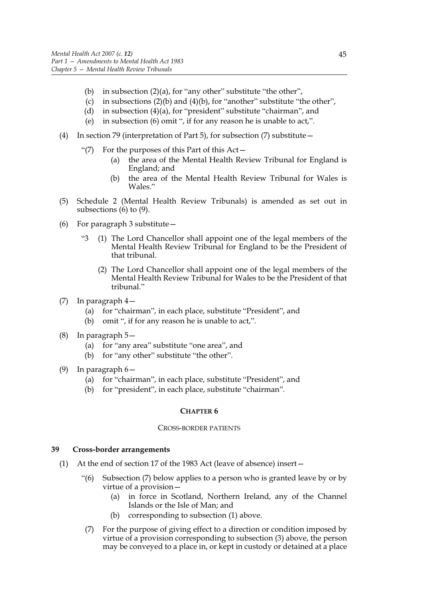- (b) in subsection (2)(a), for "any other" substitute "the other",
- (c) in subsections  $(2)(b)$  and  $(4)(b)$ , for "another" substitute "the other",
- (d) in subsection (4)(a), for "president" substitute "chairman", and
- (e) in subsection (6) omit ", if for any reason he is unable to act,".
- (4) In section 79 (interpretation of Part 5), for subsection (7) substitute—
	- "(7) For the purposes of this Part of this Act—
		- (a) the area of the Mental Health Review Tribunal for England is England; and
		- (b) the area of the Mental Health Review Tribunal for Wales is Wales."
- (5) Schedule 2 (Mental Health Review Tribunals) is amended as set out in subsections (6) to (9).
- (6) For paragraph 3 substitute—
	- "3 (1) The Lord Chancellor shall appoint one of the legal members of the Mental Health Review Tribunal for England to be the President of that tribunal.
		- (2) The Lord Chancellor shall appoint one of the legal members of the Mental Health Review Tribunal for Wales to be the President of that tribunal."
- (7) In paragraph 4—
	- (a) for "chairman", in each place, substitute "President", and
	- (b) omit ", if for any reason he is unable to act,".
- (8) In paragraph 5—
	- (a) for "any area" substitute "one area", and
	- (b) for "any other" substitute "the other".
- (9) In paragraph 6—
	- (a) for "chairman", in each place, substitute "President", and
	- (b) for "president", in each place, substitute "chairman".

# **CHAPTER 6**

#### CROSS-BORDER PATIENTS

# **39 Cross-border arrangements**

- (1) At the end of section 17 of the 1983 Act (leave of absence) insert—
	- "(6) Subsection (7) below applies to a person who is granted leave by or by virtue of a provision—
		- (a) in force in Scotland, Northern Ireland, any of the Channel Islands or the Isle of Man; and
		- (b) corresponding to subsection (1) above.
		- (7) For the purpose of giving effect to a direction or condition imposed by virtue of a provision corresponding to subsection (3) above, the person may be conveyed to a place in, or kept in custody or detained at a place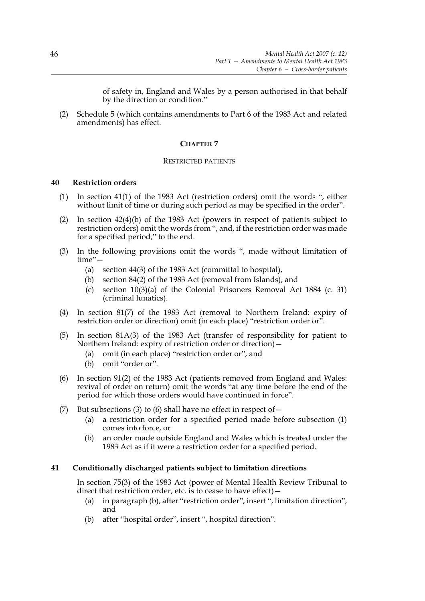of safety in, England and Wales by a person authorised in that behalf by the direction or condition."

(2) Schedule 5 (which contains amendments to Part 6 of the 1983 Act and related amendments) has effect.

# **CHAPTER 7**

# RESTRICTED PATIENTS

# **40 Restriction orders**

- (1) In section 41(1) of the 1983 Act (restriction orders) omit the words ", either without limit of time or during such period as may be specified in the order".
- (2) In section 42(4)(b) of the 1983 Act (powers in respect of patients subject to restriction orders) omit the words from ", and, if the restriction order was made for a specified period," to the end.
- (3) In the following provisions omit the words ", made without limitation of time"—
	- (a) section 44(3) of the 1983 Act (committal to hospital),
	- (b) section 84(2) of the 1983 Act (removal from Islands), and
	- (c) section 10(3)(a) of the Colonial Prisoners Removal Act 1884 (c. 31) (criminal lunatics).
- (4) In section 81(7) of the 1983 Act (removal to Northern Ireland: expiry of restriction order or direction) omit (in each place) "restriction order or".
- (5) In section 81A(3) of the 1983 Act (transfer of responsibility for patient to Northern Ireland: expiry of restriction order or direction)—
	- (a) omit (in each place) "restriction order or", and
	- (b) omit "order or".
- (6) In section 91(2) of the 1983 Act (patients removed from England and Wales: revival of order on return) omit the words "at any time before the end of the period for which those orders would have continued in force".
- (7) But subsections (3) to (6) shall have no effect in respect of  $-$ 
	- (a) a restriction order for a specified period made before subsection (1) comes into force, or
	- (b) an order made outside England and Wales which is treated under the 1983 Act as if it were a restriction order for a specified period.

# **41 Conditionally discharged patients subject to limitation directions**

In section 75(3) of the 1983 Act (power of Mental Health Review Tribunal to direct that restriction order, etc. is to cease to have effect)—

- (a) in paragraph (b), after "restriction order", insert ", limitation direction", and
- (b) after "hospital order", insert ", hospital direction".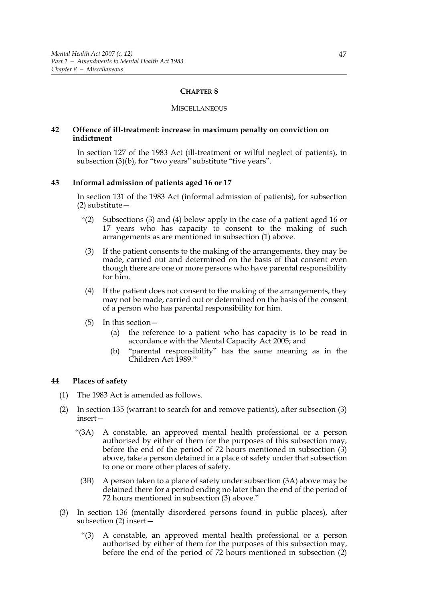# **CHAPTER 8**

#### **MISCELLANEOUS**

# **42 Offence of ill-treatment: increase in maximum penalty on conviction on indictment**

In section 127 of the 1983 Act (ill-treatment or wilful neglect of patients), in subsection (3)(b), for "two years" substitute "five years".

### **43 Informal admission of patients aged 16 or 17**

In section 131 of the 1983 Act (informal admission of patients), for subsection (2) substitute—

- "(2) Subsections (3) and (4) below apply in the case of a patient aged 16 or 17 years who has capacity to consent to the making of such arrangements as are mentioned in subsection (1) above.
- (3) If the patient consents to the making of the arrangements, they may be made, carried out and determined on the basis of that consent even though there are one or more persons who have parental responsibility for him.
- (4) If the patient does not consent to the making of the arrangements, they may not be made, carried out or determined on the basis of the consent of a person who has parental responsibility for him.
- (5) In this section—
	- (a) the reference to a patient who has capacity is to be read in accordance with the Mental Capacity Act 2005; and
	- (b) "parental responsibility" has the same meaning as in the Children Act 1989."

# **44 Places of safety**

- (1) The 1983 Act is amended as follows.
- (2) In section 135 (warrant to search for and remove patients), after subsection (3) insert—
	- "(3A) A constable, an approved mental health professional or a person authorised by either of them for the purposes of this subsection may, before the end of the period of 72 hours mentioned in subsection (3) above, take a person detained in a place of safety under that subsection to one or more other places of safety.
	- (3B) A person taken to a place of safety under subsection (3A) above may be detained there for a period ending no later than the end of the period of 72 hours mentioned in subsection (3) above."
- (3) In section 136 (mentally disordered persons found in public places), after subsection (2) insert—
	- "(3) A constable, an approved mental health professional or a person authorised by either of them for the purposes of this subsection may, before the end of the period of 72 hours mentioned in subsection (2)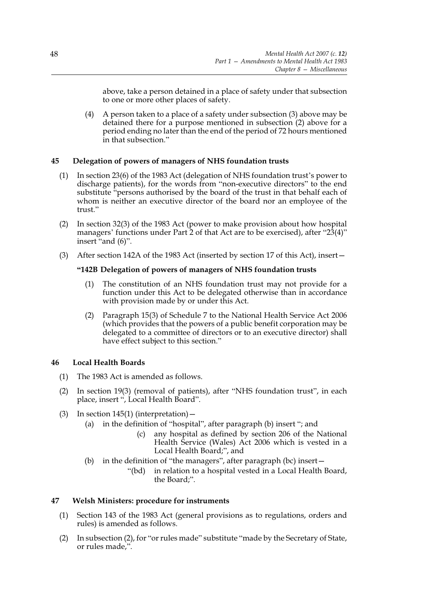above, take a person detained in a place of safety under that subsection to one or more other places of safety.

(4) A person taken to a place of a safety under subsection (3) above may be detained there for a purpose mentioned in subsection (2) above for a period ending no later than the end of the period of 72 hours mentioned in that subsection."

# **45 Delegation of powers of managers of NHS foundation trusts**

- (1) In section 23(6) of the 1983 Act (delegation of NHS foundation trust's power to discharge patients), for the words from "non-executive directors" to the end substitute "persons authorised by the board of the trust in that behalf each of whom is neither an executive director of the board nor an employee of the trust."
- (2) In section 32(3) of the 1983 Act (power to make provision about how hospital managers' functions under Part  $2$  of that Act are to be exercised), after "23(4)" insert "and (6)".
- (3) After section 142A of the 1983 Act (inserted by section 17 of this Act), insert—

# **"142B Delegation of powers of managers of NHS foundation trusts**

- (1) The constitution of an NHS foundation trust may not provide for a function under this Act to be delegated otherwise than in accordance with provision made by or under this Act.
- (2) Paragraph 15(3) of Schedule 7 to the National Health Service Act 2006 (which provides that the powers of a public benefit corporation may be delegated to a committee of directors or to an executive director) shall have effect subject to this section."

# **46 Local Health Boards**

- (1) The 1983 Act is amended as follows.
- (2) In section 19(3) (removal of patients), after "NHS foundation trust", in each place, insert ", Local Health Board".
- (3) In section  $145(1)$  (interpretation)
	- (a) in the definition of "hospital", after paragraph (b) insert "; and
		- (c) any hospital as defined by section 206 of the National Health Service (Wales) Act 2006 which is vested in a Local Health Board;", and
	- (b) in the definition of "the managers", after paragraph (bc) insert—
		- "(bd) in relation to a hospital vested in a Local Health Board, the Board;".

# **47 Welsh Ministers: procedure for instruments**

- (1) Section 143 of the 1983 Act (general provisions as to regulations, orders and rules) is amended as follows.
- (2) In subsection (2), for "or rules made" substitute "made by the Secretary of State, or rules made,".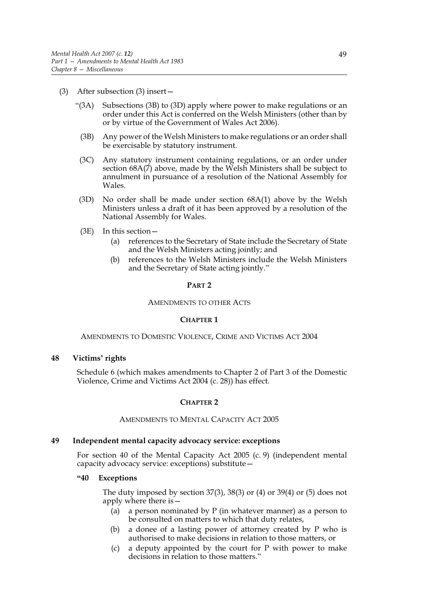- (3) After subsection (3) insert—
	- "(3A) Subsections (3B) to (3D) apply where power to make regulations or an order under this Act is conferred on the Welsh Ministers (other than by or by virtue of the Government of Wales Act 2006).
	- (3B) Any power of the Welsh Ministers to make regulations or an order shall be exercisable by statutory instrument.
	- (3C) Any statutory instrument containing regulations, or an order under section  $68A(7)$  above, made by the Welsh Ministers shall be subject to annulment in pursuance of a resolution of the National Assembly for Wales.
	- (3D) No order shall be made under section 68A(1) above by the Welsh Ministers unless a draft of it has been approved by a resolution of the National Assembly for Wales.
	- (3E) In this section—
		- (a) references to the Secretary of State include the Secretary of State and the Welsh Ministers acting jointly; and
		- (b) references to the Welsh Ministers include the Welsh Ministers and the Secretary of State acting jointly."

### **PART 2**

### AMENDMENTS TO OTHER ACTS

#### **CHAPTER 1**

AMENDMENTS TO DOMESTIC VIOLENCE, CRIME AND VICTIMS ACT 2004

# **48 Victims' rights**

Schedule 6 (which makes amendments to Chapter 2 of Part 3 of the Domestic Violence, Crime and Victims Act 2004 (c. 28)) has effect.

### **CHAPTER 2**

# AMENDMENTS TO MENTAL CAPACITY ACT 2005

# **49 Independent mental capacity advocacy service: exceptions**

For section 40 of the Mental Capacity Act 2005 (c. 9) (independent mental capacity advocacy service: exceptions) substitute—

#### **"40 Exceptions**

The duty imposed by section  $37(3)$ ,  $38(3)$  or  $(4)$  or  $39(4)$  or  $(5)$  does not apply where there is—

- (a) a person nominated by P (in whatever manner) as a person to be consulted on matters to which that duty relates,
- (b) a donee of a lasting power of attorney created by P who is authorised to make decisions in relation to those matters, or
- (c) a deputy appointed by the court for P with power to make decisions in relation to those matters."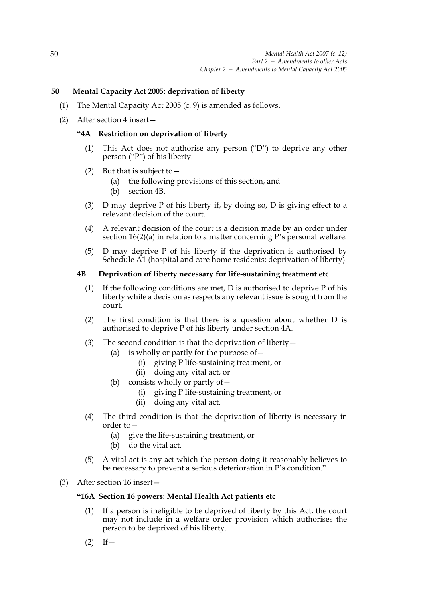# **50 Mental Capacity Act 2005: deprivation of liberty**

- (1) The Mental Capacity Act 2005 (c. 9) is amended as follows.
- (2) After section 4 insert—

# **"4A Restriction on deprivation of liberty**

- (1) This Act does not authorise any person ("D") to deprive any other person ("P") of his liberty.
- (2) But that is subject to  $-$ 
	- (a) the following provisions of this section, and
	- (b) section 4B.
- (3) D may deprive P of his liberty if, by doing so, D is giving effect to a relevant decision of the court.
- (4) A relevant decision of the court is a decision made by an order under section 16(2)(a) in relation to a matter concerning P's personal welfare.
- (5) D may deprive P of his liberty if the deprivation is authorised by Schedule A1 (hospital and care home residents: deprivation of liberty).

# **4B Deprivation of liberty necessary for life-sustaining treatment etc**

- (1) If the following conditions are met, D is authorised to deprive P of his liberty while a decision as respects any relevant issue is sought from the court.
- (2) The first condition is that there is a question about whether D is authorised to deprive P of his liberty under section 4A.
- (3) The second condition is that the deprivation of liberty  $-$ 
	- (a) is wholly or partly for the purpose of  $-$ 
		- (i) giving P life-sustaining treatment, or
		- (ii) doing any vital act, or
	- (b) consists wholly or partly of  $-$ 
		- (i) giving P life-sustaining treatment, or
		- (ii) doing any vital act.
- (4) The third condition is that the deprivation of liberty is necessary in order to—
	- (a) give the life-sustaining treatment, or
	- (b) do the vital act.
- (5) A vital act is any act which the person doing it reasonably believes to be necessary to prevent a serious deterioration in P's condition."
- (3) After section 16 insert—

#### **"16A Section 16 powers: Mental Health Act patients etc**

- (1) If a person is ineligible to be deprived of liberty by this Act, the court may not include in a welfare order provision which authorises the person to be deprived of his liberty.
- $(2)$  If —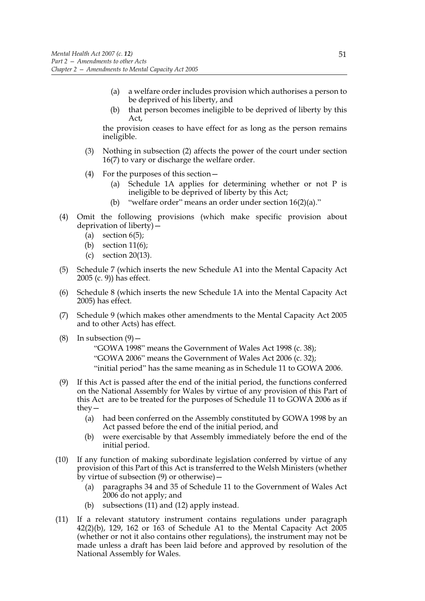- (a) a welfare order includes provision which authorises a person to be deprived of his liberty, and
- (b) that person becomes ineligible to be deprived of liberty by this Act,

the provision ceases to have effect for as long as the person remains ineligible.

- (3) Nothing in subsection (2) affects the power of the court under section 16(7) to vary or discharge the welfare order.
- (4) For the purposes of this section—
	- (a) Schedule 1A applies for determining whether or not P is ineligible to be deprived of liberty by this Act;
	- (b) "welfare order" means an order under section 16(2)(a)."
- (4) Omit the following provisions (which make specific provision about deprivation of liberty)—
	- (a) section  $6(5)$ ;
	- (b) section 11(6);
	- (c) section 20(13).
- (5) Schedule 7 (which inserts the new Schedule A1 into the Mental Capacity Act 2005 (c. 9)) has effect.
- (6) Schedule 8 (which inserts the new Schedule 1A into the Mental Capacity Act 2005) has effect.
- (7) Schedule 9 (which makes other amendments to the Mental Capacity Act 2005 and to other Acts) has effect.
- $(8)$  In subsection  $(9)$  –

"GOWA 1998" means the Government of Wales Act 1998 (c. 38); "GOWA 2006" means the Government of Wales Act 2006 (c. 32); "initial period" has the same meaning as in Schedule 11 to GOWA 2006.

- (9) If this Act is passed after the end of the initial period, the functions conferred on the National Assembly for Wales by virtue of any provision of this Part of this Act are to be treated for the purposes of Schedule 11 to GOWA 2006 as if they—
	- (a) had been conferred on the Assembly constituted by GOWA 1998 by an Act passed before the end of the initial period, and
	- (b) were exercisable by that Assembly immediately before the end of the initial period.
- (10) If any function of making subordinate legislation conferred by virtue of any provision of this Part of this Act is transferred to the Welsh Ministers (whether by virtue of subsection (9) or otherwise)—
	- (a) paragraphs 34 and 35 of Schedule 11 to the Government of Wales Act 2006 do not apply; and
	- (b) subsections (11) and (12) apply instead.
- (11) If a relevant statutory instrument contains regulations under paragraph  $42(2)(b)$ , 129, 162 or 163 of Schedule A1 to the Mental Capacity Act  $2005$ (whether or not it also contains other regulations), the instrument may not be made unless a draft has been laid before and approved by resolution of the National Assembly for Wales.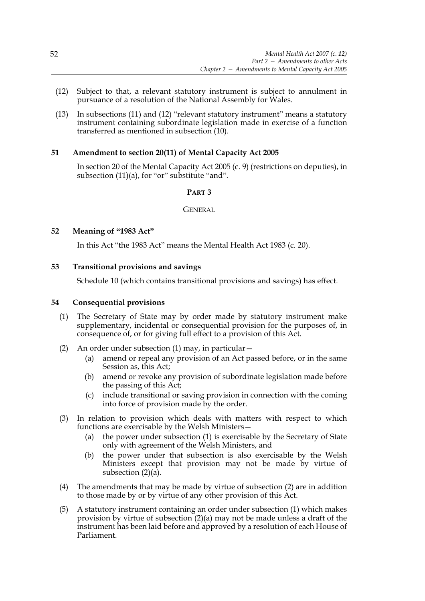- (12) Subject to that, a relevant statutory instrument is subject to annulment in pursuance of a resolution of the National Assembly for Wales.
- (13) In subsections (11) and (12) "relevant statutory instrument" means a statutory instrument containing subordinate legislation made in exercise of a function transferred as mentioned in subsection (10).

# **51 Amendment to section 20(11) of Mental Capacity Act 2005**

In section 20 of the Mental Capacity Act 2005 (c. 9) (restrictions on deputies), in subsection (11)(a), for "or" substitute "and".

# **PART 3**

#### **GENERAL**

# **52 Meaning of "1983 Act"**

In this Act "the 1983 Act" means the Mental Health Act 1983 (c. 20).

# **53 Transitional provisions and savings**

Schedule 10 (which contains transitional provisions and savings) has effect.

### **54 Consequential provisions**

- (1) The Secretary of State may by order made by statutory instrument make supplementary, incidental or consequential provision for the purposes of, in consequence of, or for giving full effect to a provision of this Act.
- (2) An order under subsection (1) may, in particular—
	- (a) amend or repeal any provision of an Act passed before, or in the same Session as, this Act;
	- (b) amend or revoke any provision of subordinate legislation made before the passing of this Act;
	- (c) include transitional or saving provision in connection with the coming into force of provision made by the order.
- (3) In relation to provision which deals with matters with respect to which functions are exercisable by the Welsh Ministers—
	- (a) the power under subsection (1) is exercisable by the Secretary of State only with agreement of the Welsh Ministers, and
	- (b) the power under that subsection is also exercisable by the Welsh Ministers except that provision may not be made by virtue of subsection  $(2)(a)$ .
- (4) The amendments that may be made by virtue of subsection (2) are in addition to those made by or by virtue of any other provision of this Act.
- (5) A statutory instrument containing an order under subsection (1) which makes provision by virtue of subsection (2)(a) may not be made unless a draft of the instrument has been laid before and approved by a resolution of each House of Parliament.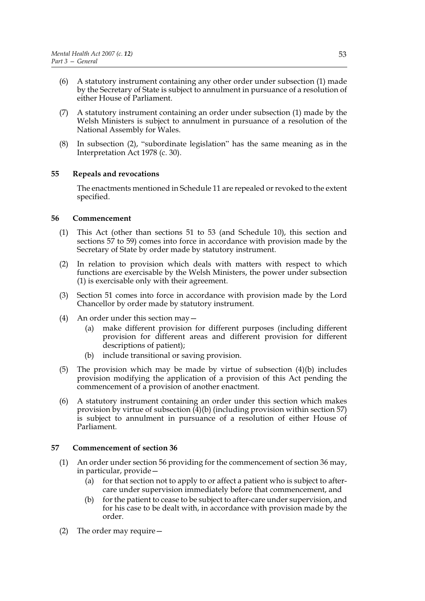- (6) A statutory instrument containing any other order under subsection (1) made by the Secretary of State is subject to annulment in pursuance of a resolution of either House of Parliament.
- (7) A statutory instrument containing an order under subsection (1) made by the Welsh Ministers is subject to annulment in pursuance of a resolution of the National Assembly for Wales.
- (8) In subsection (2), "subordinate legislation" has the same meaning as in the Interpretation Act 1978 (c. 30).

# **55 Repeals and revocations**

The enactments mentioned in Schedule 11 are repealed or revoked to the extent specified.

# **56 Commencement**

- (1) This Act (other than sections 51 to 53 (and Schedule 10), this section and sections 57 to 59) comes into force in accordance with provision made by the Secretary of State by order made by statutory instrument.
- (2) In relation to provision which deals with matters with respect to which functions are exercisable by the Welsh Ministers, the power under subsection (1) is exercisable only with their agreement.
- (3) Section 51 comes into force in accordance with provision made by the Lord Chancellor by order made by statutory instrument.
- (4) An order under this section may—
	- (a) make different provision for different purposes (including different provision for different areas and different provision for different descriptions of patient);
	- (b) include transitional or saving provision.
- (5) The provision which may be made by virtue of subsection (4)(b) includes provision modifying the application of a provision of this Act pending the commencement of a provision of another enactment.
- (6) A statutory instrument containing an order under this section which makes provision by virtue of subsection  $\overline{4}$  $(b)$  (including provision within section 57) is subject to annulment in pursuance of a resolution of either House of Parliament.

# **57 Commencement of section 36**

- (1) An order under section 56 providing for the commencement of section 36 may, in particular, provide—
	- (a) for that section not to apply to or affect a patient who is subject to aftercare under supervision immediately before that commencement, and
	- (b) for the patient to cease to be subject to after-care under supervision, and for his case to be dealt with, in accordance with provision made by the order.
- (2) The order may require—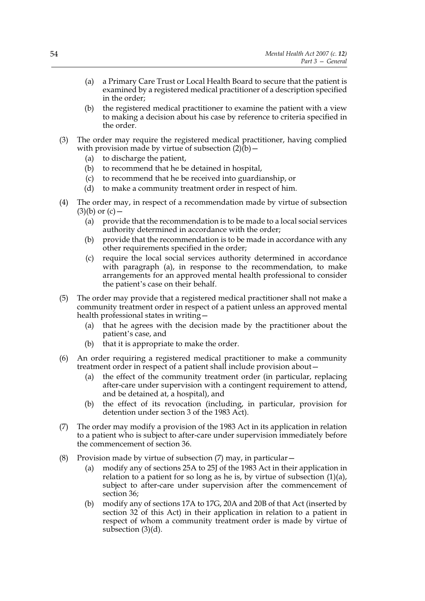- (a) a Primary Care Trust or Local Health Board to secure that the patient is examined by a registered medical practitioner of a description specified in the order;
- (b) the registered medical practitioner to examine the patient with a view to making a decision about his case by reference to criteria specified in the order.
- (3) The order may require the registered medical practitioner, having complied with provision made by virtue of subsection  $(2)(b)$  –
	- (a) to discharge the patient,
	- (b) to recommend that he be detained in hospital,
	- (c) to recommend that he be received into guardianship, or
	- (d) to make a community treatment order in respect of him.
- (4) The order may, in respect of a recommendation made by virtue of subsection  $(3)(b)$  or  $(c)$  –
	- (a) provide that the recommendation is to be made to a local social services authority determined in accordance with the order;
	- (b) provide that the recommendation is to be made in accordance with any other requirements specified in the order;
	- (c) require the local social services authority determined in accordance with paragraph (a), in response to the recommendation, to make arrangements for an approved mental health professional to consider the patient's case on their behalf.
- (5) The order may provide that a registered medical practitioner shall not make a community treatment order in respect of a patient unless an approved mental health professional states in writing—
	- (a) that he agrees with the decision made by the practitioner about the patient's case, and
	- (b) that it is appropriate to make the order.
- (6) An order requiring a registered medical practitioner to make a community treatment order in respect of a patient shall include provision about—
	- (a) the effect of the community treatment order (in particular, replacing after-care under supervision with a contingent requirement to attend, and be detained at, a hospital), and
	- (b) the effect of its revocation (including, in particular, provision for detention under section 3 of the 1983 Act).
- (7) The order may modify a provision of the 1983 Act in its application in relation to a patient who is subject to after-care under supervision immediately before the commencement of section 36.
- (8) Provision made by virtue of subsection  $(7)$  may, in particular -
	- (a) modify any of sections 25A to 25J of the 1983 Act in their application in relation to a patient for so long as he is, by virtue of subsection (1)(a), subject to after-care under supervision after the commencement of section 36;
	- (b) modify any of sections 17A to 17G, 20A and 20B of that Act (inserted by section 32 of this Act) in their application in relation to a patient in respect of whom a community treatment order is made by virtue of subsection (3)(d).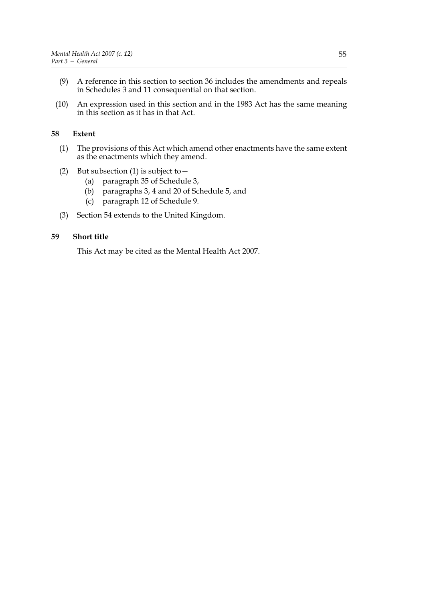- (9) A reference in this section to section 36 includes the amendments and repeals in Schedules 3 and 11 consequential on that section.
- (10) An expression used in this section and in the 1983 Act has the same meaning in this section as it has in that Act.

# **58 Extent**

- (1) The provisions of this Act which amend other enactments have the same extent as the enactments which they amend.
- (2) But subsection (1) is subject to  $-$ 
	- (a) paragraph 35 of Schedule 3,
	- (b) paragraphs 3, 4 and 20 of Schedule 5, and
	- (c) paragraph 12 of Schedule 9.
- (3) Section 54 extends to the United Kingdom.

# **59 Short title**

This Act may be cited as the Mental Health Act 2007.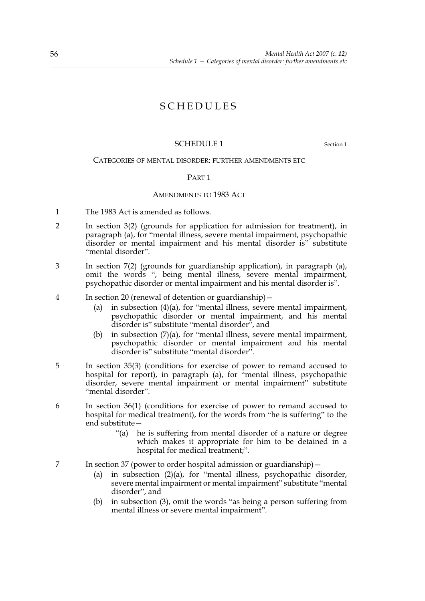# SCHEDULES

# SCHEDULE 1 Section 1

#### CATEGORIES OF MENTAL DISORDER: FURTHER AMENDMENTS ETC

# PART 1

# AMENDMENTS TO 1983 ACT

- 1 The 1983 Act is amended as follows.
- 2 In section 3(2) (grounds for application for admission for treatment), in paragraph (a), for "mental illness, severe mental impairment, psychopathic disorder or mental impairment and his mental disorder is" substitute "mental disorder".
- 3 In section 7(2) (grounds for guardianship application), in paragraph (a), omit the words ", being mental illness, severe mental impairment, psychopathic disorder or mental impairment and his mental disorder is".
- 4 In section 20 (renewal of detention or guardianship)—
	- (a) in subsection (4)(a), for "mental illness, severe mental impairment, psychopathic disorder or mental impairment, and his mental disorder is" substitute "mental disorder", and
	- (b) in subsection  $(7)(a)$ , for "mental illness, severe mental impairment, psychopathic disorder or mental impairment and his mental disorder is" substitute "mental disorder".
- 5 In section 35(3) (conditions for exercise of power to remand accused to hospital for report), in paragraph (a), for "mental illness, psychopathic disorder, severe mental impairment or mental impairment" substitute "mental disorder".
- 6 In section 36(1) (conditions for exercise of power to remand accused to hospital for medical treatment), for the words from "he is suffering" to the end substitute—
	- "(a) he is suffering from mental disorder of a nature or degree which makes it appropriate for him to be detained in a hospital for medical treatment;".
- 7 In section 37 (power to order hospital admission or guardianship)—
	- (a) in subsection (2)(a), for "mental illness, psychopathic disorder, severe mental impairment or mental impairment" substitute "mental disorder", and
	- (b) in subsection (3), omit the words "as being a person suffering from mental illness or severe mental impairment".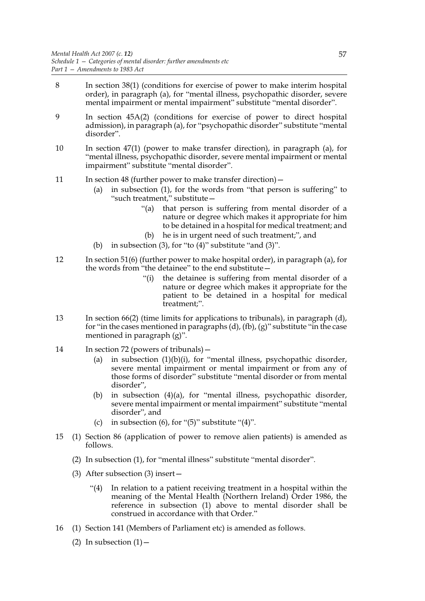- 8 In section 38(1) (conditions for exercise of power to make interim hospital order), in paragraph (a), for "mental illness, psychopathic disorder, severe mental impairment or mental impairment" substitute "mental disorder".
- 9 In section 45A(2) (conditions for exercise of power to direct hospital admission), in paragraph (a), for "psychopathic disorder" substitute "mental disorder".
- 10 In section 47(1) (power to make transfer direction), in paragraph (a), for "mental illness, psychopathic disorder, severe mental impairment or mental impairment" substitute "mental disorder".
- 11 In section 48 (further power to make transfer direction)
	- (a) in subsection (1), for the words from "that person is suffering" to "such treatment," substitute—
		- "(a) that person is suffering from mental disorder of a nature or degree which makes it appropriate for him to be detained in a hospital for medical treatment; and
		- (b) he is in urgent need of such treatment;", and
	- (b) in subsection  $(3)$ , for "to  $(4)$ " substitute "and  $(3)$ ".
- 12 In section 51(6) (further power to make hospital order), in paragraph (a), for the words from "the detainee" to the end substitute—
	- "(i) the detainee is suffering from mental disorder of a nature or degree which makes it appropriate for the patient to be detained in a hospital for medical treatment;".
- 13 In section 66(2) (time limits for applications to tribunals), in paragraph (d), for "in the cases mentioned in paragraphs  $(d)$ ,  $(fb)$ ,  $(g)$ " substitute "in the case mentioned in paragraph (g)".
- 14 In section 72 (powers of tribunals)—
	- (a) in subsection (1)(b)(i), for "mental illness, psychopathic disorder, severe mental impairment or mental impairment or from any of those forms of disorder" substitute "mental disorder or from mental disorder",
	- (b) in subsection (4)(a), for "mental illness, psychopathic disorder, severe mental impairment or mental impairment" substitute "mental disorder", and
	- (c) in subsection  $(6)$ , for " $(5)$ " substitute " $(4)$ ".
- 15 (1) Section 86 (application of power to remove alien patients) is amended as follows.
	- (2) In subsection (1), for "mental illness" substitute "mental disorder".
	- (3) After subsection (3) insert—
		- "(4) In relation to a patient receiving treatment in a hospital within the meaning of the Mental Health (Northern Ireland) Order 1986, the reference in subsection (1) above to mental disorder shall be construed in accordance with that Order."
- 16 (1) Section 141 (Members of Parliament etc) is amended as follows.
	- (2) In subsection  $(1)$  –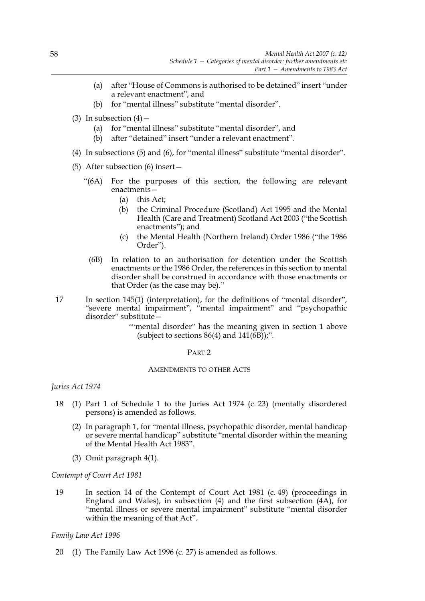- (a) after "House of Commons is authorised to be detained" insert "under a relevant enactment", and
- (b) for "mental illness" substitute "mental disorder".
- (3) In subsection  $(4)$ 
	- (a) for "mental illness" substitute "mental disorder", and
	- (b) after "detained" insert "under a relevant enactment".
- (4) In subsections (5) and (6), for "mental illness" substitute "mental disorder".
- (5) After subsection (6) insert—
	- "(6A) For the purposes of this section, the following are relevant enactments—
		- (a) this Act;
		- (b) the Criminal Procedure (Scotland) Act 1995 and the Mental Health (Care and Treatment) Scotland Act 2003 ("the Scottish enactments"); and
		- (c) the Mental Health (Northern Ireland) Order 1986 ("the 1986 Order").
		- (6B) In relation to an authorisation for detention under the Scottish enactments or the 1986 Order, the references in this section to mental disorder shall be construed in accordance with those enactments or that Order (as the case may be)."
- 17 In section 145(1) (interpretation), for the definitions of "mental disorder", "severe mental impairment", "mental impairment" and "psychopathic disorder" substitute—

""mental disorder" has the meaning given in section 1 above (subject to sections  $86(4)$  and  $141(6B)$ );".

# PART 2

### AMENDMENTS TO OTHER ACTS

# *Juries Act 1974*

- 18 (1) Part 1 of Schedule 1 to the Juries Act 1974 (c. 23) (mentally disordered persons) is amended as follows.
	- (2) In paragraph 1, for "mental illness, psychopathic disorder, mental handicap or severe mental handicap" substitute "mental disorder within the meaning of the Mental Health Act 1983".
	- (3) Omit paragraph 4(1).

# *Contempt of Court Act 1981*

19 In section 14 of the Contempt of Court Act 1981 (c. 49) (proceedings in England and Wales), in subsection (4) and the first subsection (4A), for "mental illness or severe mental impairment" substitute "mental disorder within the meaning of that Act".

# *Family Law Act 1996*

20 (1) The Family Law Act 1996 (c. 27) is amended as follows.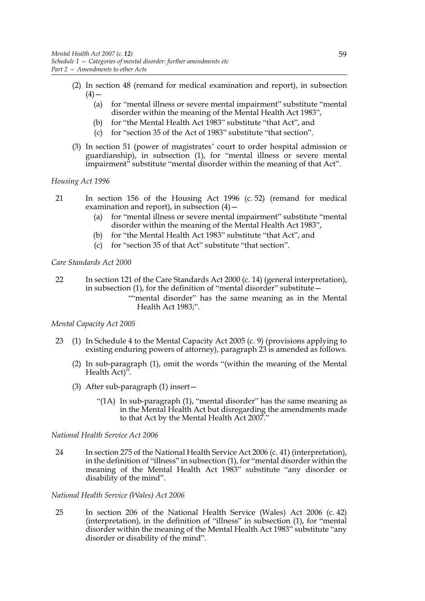- (2) In section 48 (remand for medical examination and report), in subsection  $(4)$  —
	- (a) for "mental illness or severe mental impairment" substitute "mental disorder within the meaning of the Mental Health Act 1983",
	- (b) for "the Mental Health Act 1983" substitute "that Act", and
	- (c) for "section 35 of the Act of 1983" substitute "that section".
- (3) In section 51 (power of magistrates' court to order hospital admission or guardianship), in subsection  $(1)$ , for "mental illness or severe mental impairment" substitute "mental disorder within the meaning of that Act".

# *Housing Act 1996*

- 21 In section 156 of the Housing Act 1996 (c. 52) (remand for medical examination and report), in subsection  $(4)$  –
	- (a) for "mental illness or severe mental impairment" substitute "mental disorder within the meaning of the Mental Health Act 1983",
	- (b) for "the Mental Health Act 1983" substitute "that Act", and
	- (c) for "section 35 of that Act" substitute "that section".

# *Care Standards Act 2000*

22 In section 121 of the Care Standards Act 2000 (c. 14) (general interpretation), in subsection (1), for the definition of "mental disorder" substitute—

> ""mental disorder" has the same meaning as in the Mental Health Act 1983;".

# *Mental Capacity Act 2005*

- 23 (1) In Schedule 4 to the Mental Capacity Act 2005 (c. 9) (provisions applying to existing enduring powers of attorney), paragraph 23 is amended as follows.
	- (2) In sub-paragraph (1), omit the words "(within the meaning of the Mental Health Act)".
	- (3) After sub-paragraph (1) insert—
		- "(1A) In sub-paragraph (1), "mental disorder" has the same meaning as in the Mental Health Act but disregarding the amendments made to that Act by the Mental Health Act 2007."

#### *National Health Service Act 2006*

24 In section 275 of the National Health Service Act 2006 (c. 41) (interpretation), in the definition of "illness" in subsection (1), for "mental disorder within the meaning of the Mental Health Act 1983" substitute "any disorder or disability of the mind".

### *National Health Service (Wales) Act 2006*

25 In section 206 of the National Health Service (Wales) Act 2006 (c. 42) (interpretation), in the definition of "illness" in subsection (1), for "mental disorder within the meaning of the Mental Health Act 1983" substitute "any disorder or disability of the mind".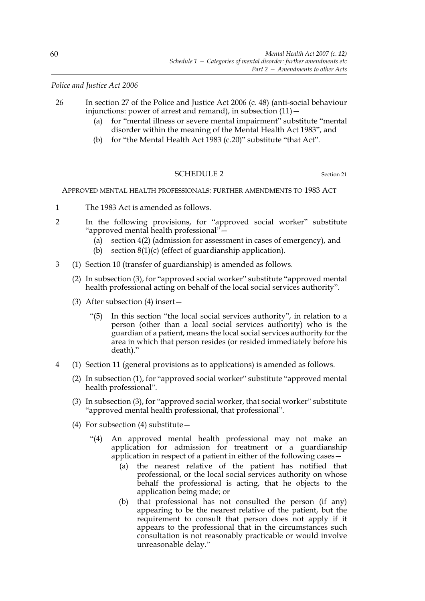*Police and Justice Act 2006*

- 26 In section 27 of the Police and Justice Act 2006 (c. 48) (anti-social behaviour injunctions: power of arrest and remand), in subsection  $(11)$  –
	- (a) for "mental illness or severe mental impairment" substitute "mental disorder within the meaning of the Mental Health Act 1983", and
	- (b) for "the Mental Health Act 1983 (c.20)" substitute "that Act".

# SCHEDULE 2 Section 21

APPROVED MENTAL HEALTH PROFESSIONALS: FURTHER AMENDMENTS TO 1983 ACT

- 1 The 1983 Act is amended as follows.
- 2 In the following provisions, for "approved social worker" substitute "approved mental health professional"—
	- (a) section 4(2) (admission for assessment in cases of emergency), and
	- (b) section 8(1)(c) (effect of guardianship application).
- 3 (1) Section 10 (transfer of guardianship) is amended as follows.
	- (2) In subsection (3), for "approved social worker" substitute "approved mental health professional acting on behalf of the local social services authority".
	- (3) After subsection (4) insert—
		- "(5) In this section "the local social services authority", in relation to a person (other than a local social services authority) who is the guardian of a patient, means the local social services authority for the area in which that person resides (or resided immediately before his death)."
- 4 (1) Section 11 (general provisions as to applications) is amended as follows.
	- (2) In subsection (1), for "approved social worker" substitute "approved mental health professional".
	- (3) In subsection (3), for "approved social worker, that social worker" substitute "approved mental health professional, that professional".
	- (4) For subsection (4) substitute—
		- "(4) An approved mental health professional may not make an application for admission for treatment or a guardianship application in respect of a patient in either of the following cases—
			- (a) the nearest relative of the patient has notified that professional, or the local social services authority on whose behalf the professional is acting, that he objects to the application being made; or
			- (b) that professional has not consulted the person (if any) appearing to be the nearest relative of the patient, but the requirement to consult that person does not apply if it appears to the professional that in the circumstances such consultation is not reasonably practicable or would involve unreasonable delay."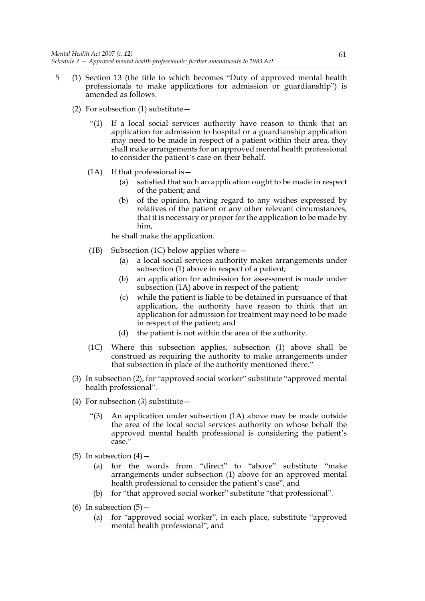- 5 (1) Section 13 (the title to which becomes "Duty of approved mental health professionals to make applications for admission or guardianship") is amended as follows.
	- (2) For subsection (1) substitute—
		- "(1) If a local social services authority have reason to think that an application for admission to hospital or a guardianship application may need to be made in respect of a patient within their area, they shall make arrangements for an approved mental health professional to consider the patient's case on their behalf.
		- (1A) If that professional is  $-$ 
			- (a) satisfied that such an application ought to be made in respect of the patient; and
			- (b) of the opinion, having regard to any wishes expressed by relatives of the patient or any other relevant circumstances, that it is necessary or proper for the application to be made by him,

he shall make the application.

- (1B) Subsection (1C) below applies where  $-$ 
	- (a) a local social services authority makes arrangements under subsection (1) above in respect of a patient;
	- (b) an application for admission for assessment is made under subsection (1A) above in respect of the patient;
	- (c) while the patient is liable to be detained in pursuance of that application, the authority have reason to think that an application for admission for treatment may need to be made in respect of the patient; and
	- (d) the patient is not within the area of the authority.
- (1C) Where this subsection applies, subsection (1) above shall be construed as requiring the authority to make arrangements under that subsection in place of the authority mentioned there."
- (3) In subsection (2), for "approved social worker" substitute "approved mental health professional".
- (4) For subsection (3) substitute—
	- "(3) An application under subsection (1A) above may be made outside the area of the local social services authority on whose behalf the approved mental health professional is considering the patient's case."
- (5) In subsection  $(4)$ 
	- (a) for the words from "direct" to "above" substitute "make arrangements under subsection (1) above for an approved mental health professional to consider the patient's case", and
	- (b) for "that approved social worker" substitute "that professional".
- (6) In subsection  $(5)$ 
	- (a) for "approved social worker", in each place, substitute "approved mental health professional", and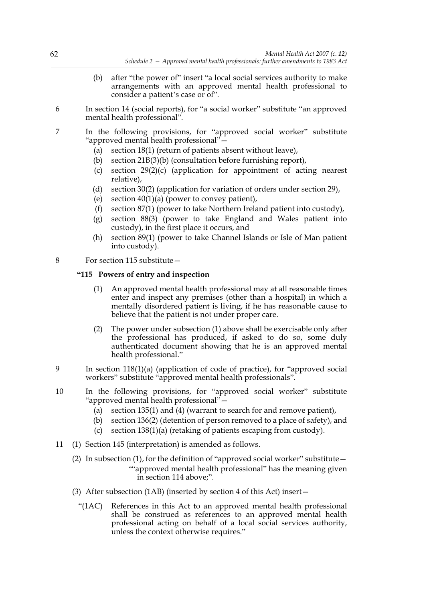- (b) after "the power of" insert "a local social services authority to make arrangements with an approved mental health professional to consider a patient's case or of".
- 6 In section 14 (social reports), for "a social worker" substitute "an approved mental health professional".
- 7 In the following provisions, for "approved social worker" substitute "approved mental health professional"—
	- (a) section 18(1) (return of patients absent without leave),
	- (b) section 21B(3)(b) (consultation before furnishing report),
	- (c) section 29(2)(c) (application for appointment of acting nearest relative),
	- (d) section 30(2) (application for variation of orders under section 29),
	- (e) section  $40(1)(a)$  (power to convey patient),
	- (f) section 87(1) (power to take Northern Ireland patient into custody),
	- (g) section 88(3) (power to take England and Wales patient into custody), in the first place it occurs, and
	- (h) section 89(1) (power to take Channel Islands or Isle of Man patient into custody).
- 8 For section 115 substitute—

# **"115 Powers of entry and inspection**

- (1) An approved mental health professional may at all reasonable times enter and inspect any premises (other than a hospital) in which a mentally disordered patient is living, if he has reasonable cause to believe that the patient is not under proper care.
- (2) The power under subsection (1) above shall be exercisable only after the professional has produced, if asked to do so, some duly authenticated document showing that he is an approved mental health professional."
- 9 In section 118(1)(a) (application of code of practice), for "approved social workers" substitute "approved mental health professionals".
- 10 In the following provisions, for "approved social worker" substitute "approved mental health professional"—
	- (a) section 135(1) and (4) (warrant to search for and remove patient),
	- (b) section 136(2) (detention of person removed to a place of safety), and
	- (c) section 138(1)(a) (retaking of patients escaping from custody).
- 11 (1) Section 145 (interpretation) is amended as follows.
	- (2) In subsection (1), for the definition of "approved social worker" substitute  $-$ ""approved mental health professional" has the meaning given in section 114 above;".
	- (3) After subsection (1AB) (inserted by section 4 of this Act) insert—
		- "(1AC) References in this Act to an approved mental health professional shall be construed as references to an approved mental health professional acting on behalf of a local social services authority, unless the context otherwise requires."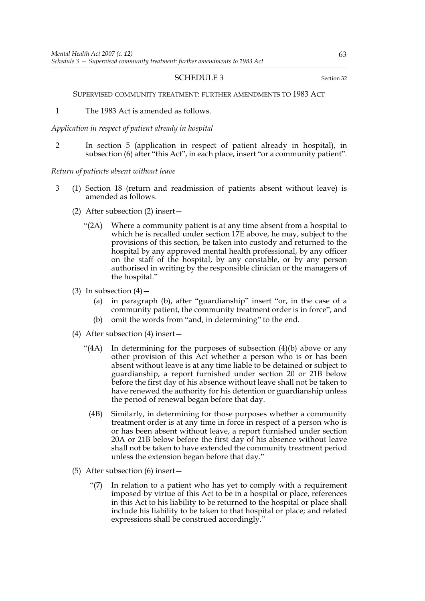# SCHEDULE 3 Section 32

63

#### SUPERVISED COMMUNITY TREATMENT: FURTHER AMENDMENTS TO 1983 ACT

1 The 1983 Act is amended as follows.

*Application in respect of patient already in hospital*

2 In section 5 (application in respect of patient already in hospital), in subsection (6) after "this Act", in each place, insert "or a community patient".

*Return of patients absent without leave*

- 3 (1) Section 18 (return and readmission of patients absent without leave) is amended as follows.
	- (2) After subsection (2) insert—
		- "(2A) Where a community patient is at any time absent from a hospital to which he is recalled under section 17E above, he may, subject to the provisions of this section, be taken into custody and returned to the hospital by any approved mental health professional, by any officer on the staff of the hospital, by any constable, or by any person authorised in writing by the responsible clinician or the managers of the hospital."
	- (3) In subsection  $(4)$ 
		- (a) in paragraph (b), after "guardianship" insert "or, in the case of a community patient, the community treatment order is in force", and
		- (b) omit the words from "and, in determining" to the end.
	- (4) After subsection (4) insert—
		- "(4A) In determining for the purposes of subsection  $(4)(b)$  above or any other provision of this Act whether a person who is or has been absent without leave is at any time liable to be detained or subject to guardianship, a report furnished under section 20 or 21B below before the first day of his absence without leave shall not be taken to have renewed the authority for his detention or guardianship unless the period of renewal began before that day.
			- (4B) Similarly, in determining for those purposes whether a community treatment order is at any time in force in respect of a person who is or has been absent without leave, a report furnished under section 20A or 21B below before the first day of his absence without leave shall not be taken to have extended the community treatment period unless the extension began before that day."
	- (5) After subsection (6) insert—
		- "(7) In relation to a patient who has yet to comply with a requirement imposed by virtue of this Act to be in a hospital or place, references in this Act to his liability to be returned to the hospital or place shall include his liability to be taken to that hospital or place; and related expressions shall be construed accordingly."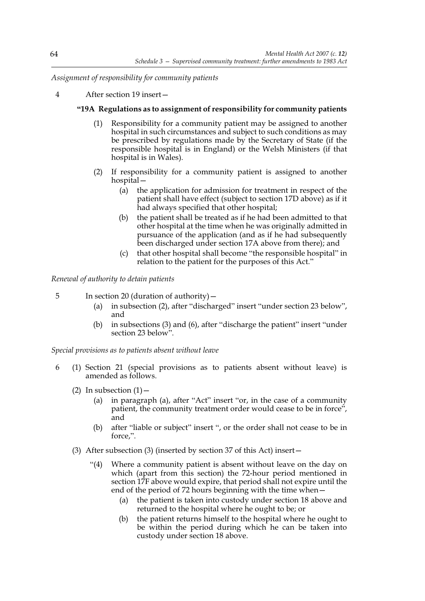*Assignment of responsibility for community patients*

4 After section 19 insert—

# **"19A Regulations as to assignment of responsibility for community patients**

- (1) Responsibility for a community patient may be assigned to another hospital in such circumstances and subject to such conditions as may be prescribed by regulations made by the Secretary of State (if the responsible hospital is in England) or the Welsh Ministers (if that hospital is in Wales).
- (2) If responsibility for a community patient is assigned to another hospital—
	- (a) the application for admission for treatment in respect of the patient shall have effect (subject to section 17D above) as if it had always specified that other hospital;
	- (b) the patient shall be treated as if he had been admitted to that other hospital at the time when he was originally admitted in pursuance of the application (and as if he had subsequently been discharged under section 17A above from there); and
	- (c) that other hospital shall become "the responsible hospital" in relation to the patient for the purposes of this Act."

*Renewal of authority to detain patients*

- 5 In section 20 (duration of authority)—
	- (a) in subsection (2), after "discharged" insert "under section 23 below", and
	- (b) in subsections (3) and (6), after "discharge the patient" insert "under section 23 below<sup>"</sup>.

*Special provisions as to patients absent without leave*

- 6 (1) Section 21 (special provisions as to patients absent without leave) is amended as follows.
	- (2) In subsection  $(1)$  -
		- (a) in paragraph (a), after "Act" insert "or, in the case of a community patient, the community treatment order would cease to be in force", and
		- (b) after "liable or subject" insert ", or the order shall not cease to be in force,".
	- (3) After subsection (3) (inserted by section 37 of this Act) insert—
		- "(4) Where a community patient is absent without leave on the day on which (apart from this section) the 72-hour period mentioned in section 17F above would expire, that period shall not expire until the end of the period of 72 hours beginning with the time when—
			- (a) the patient is taken into custody under section 18 above and returned to the hospital where he ought to be; or
			- (b) the patient returns himself to the hospital where he ought to be within the period during which he can be taken into custody under section 18 above.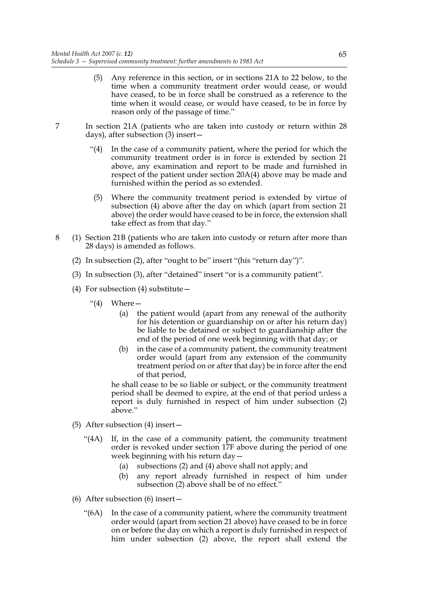- (5) Any reference in this section, or in sections 21A to 22 below, to the time when a community treatment order would cease, or would have ceased, to be in force shall be construed as a reference to the time when it would cease, or would have ceased, to be in force by reason only of the passage of time."
- 7 In section 21A (patients who are taken into custody or return within 28 days), after subsection (3) insert—
	- "(4) In the case of a community patient, where the period for which the community treatment order is in force is extended by section 21 above, any examination and report to be made and furnished in respect of the patient under section 20A(4) above may be made and furnished within the period as so extended.
		- (5) Where the community treatment period is extended by virtue of subsection (4) above after the day on which (apart from section 21 above) the order would have ceased to be in force, the extension shall take effect as from that day."
- 8 (1) Section 21B (patients who are taken into custody or return after more than 28 days) is amended as follows.
	- (2) In subsection (2), after "ought to be" insert "(his "return day")".
	- (3) In subsection (3), after "detained" insert "or is a community patient".
	- (4) For subsection (4) substitute  $-$ 
		- " $(4)$  Where  $-$ 
			- (a) the patient would (apart from any renewal of the authority for his detention or guardianship on or after his return day) be liable to be detained or subject to guardianship after the end of the period of one week beginning with that day; or
			- (b) in the case of a community patient, the community treatment order would (apart from any extension of the community treatment period on or after that day) be in force after the end of that period,

he shall cease to be so liable or subject, or the community treatment period shall be deemed to expire, at the end of that period unless a report is duly furnished in respect of him under subsection (2) above."

- (5) After subsection (4) insert—
	- "(4A) If, in the case of a community patient, the community treatment order is revoked under section 17F above during the period of one week beginning with his return day—
		- (a) subsections (2) and (4) above shall not apply; and
		- (b) any report already furnished in respect of him under subsection (2) above shall be of no effect."
- (6) After subsection (6) insert—
	- "(6A) In the case of a community patient, where the community treatment order would (apart from section 21 above) have ceased to be in force on or before the day on which a report is duly furnished in respect of him under subsection (2) above, the report shall extend the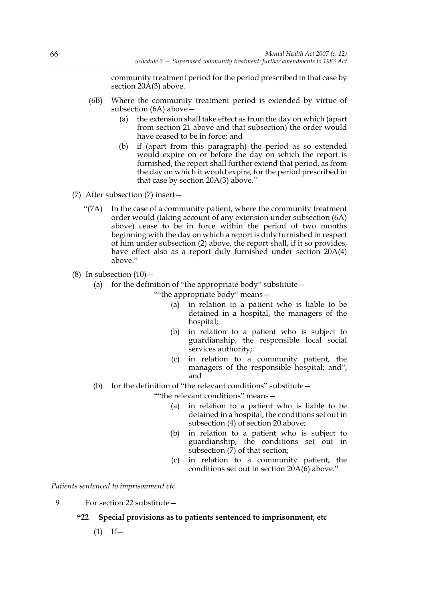community treatment period for the period prescribed in that case by section 20A(3) above.

- (6B) Where the community treatment period is extended by virtue of subsection (6A) above—
	- (a) the extension shall take effect as from the day on which (apart from section 21 above and that subsection) the order would have ceased to be in force; and
	- (b) if (apart from this paragraph) the period as so extended would expire on or before the day on which the report is furnished, the report shall further extend that period, as from the day on which it would expire, for the period prescribed in that case by section 20A(3) above."
- (7) After subsection (7) insert—
	- "(7A) In the case of a community patient, where the community treatment order would (taking account of any extension under subsection (6A) above) cease to be in force within the period of two months beginning with the day on which a report is duly furnished in respect of him under subsection (2) above, the report shall, if it so provides, have effect also as a report duly furnished under section 20A(4) above."
- (8) In subsection  $(10)$ 
	- (a) for the definition of "the appropriate body" substitute  $-$ 
		- ""the appropriate body" means—
			- (a) in relation to a patient who is liable to be detained in a hospital, the managers of the hospital;
			- (b) in relation to a patient who is subject to guardianship, the responsible local social services authority;
			- (c) in relation to a community patient, the managers of the responsible hospital; and", and
	- (b) for the definition of "the relevant conditions" substitute  $-$

""the relevant conditions" means—

- (a) in relation to a patient who is liable to be detained in a hospital, the conditions set out in subsection (4) of section 20 above;
- (b) in relation to a patient who is subject to guardianship, the conditions set out in subsection (7) of that section;
- (c) in relation to a community patient, the conditions set out in section 20A(6) above."

*Patients sentenced to imprisonment etc*

9 For section 22 substitute—

# **"22 Special provisions as to patients sentenced to imprisonment, etc**

 $(1)$  If —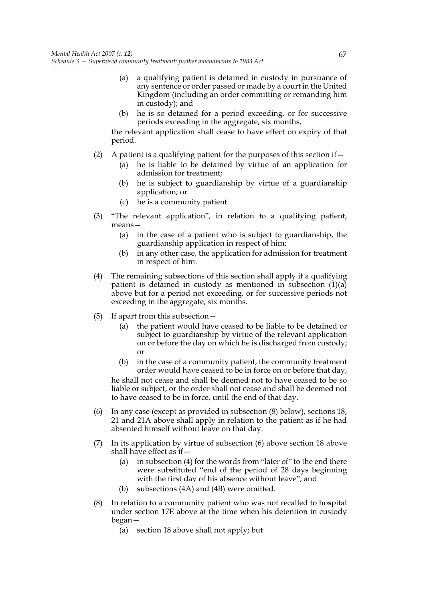- (a) a qualifying patient is detained in custody in pursuance of any sentence or order passed or made by a court in the United Kingdom (including an order committing or remanding him in custody); and
- (b) he is so detained for a period exceeding, or for successive periods exceeding in the aggregate, six months,

the relevant application shall cease to have effect on expiry of that period.

- (2) A patient is a qualifying patient for the purposes of this section if—
	- (a) he is liable to be detained by virtue of an application for admission for treatment;
	- (b) he is subject to guardianship by virtue of a guardianship application; or
	- (c) he is a community patient.
- (3) "The relevant application", in relation to a qualifying patient, means—
	- (a) in the case of a patient who is subject to guardianship, the guardianship application in respect of him;
	- (b) in any other case, the application for admission for treatment in respect of him.
- (4) The remaining subsections of this section shall apply if a qualifying patient is detained in custody as mentioned in subsection  $(1)(a)$ above but for a period not exceeding, or for successive periods not exceeding in the aggregate, six months.
- (5) If apart from this subsection—
	- (a) the patient would have ceased to be liable to be detained or subject to guardianship by virtue of the relevant application on or before the day on which he is discharged from custody; or
	- (b) in the case of a community patient, the community treatment order would have ceased to be in force on or before that day, he shall not cease and shall be deemed not to have ceased to be so liable or subject, or the order shall not cease and shall be deemed not to have ceased to be in force, until the end of that day.
- (6) In any case (except as provided in subsection (8) below), sections 18, 21 and 21A above shall apply in relation to the patient as if he had absented himself without leave on that day.
- (7) In its application by virtue of subsection (6) above section 18 above shall have effect as if—
	- (a) in subsection (4) for the words from "later of" to the end there were substituted "end of the period of 28 days beginning with the first day of his absence without leave"; and
	- (b) subsections (4A) and (4B) were omitted.
- (8) In relation to a community patient who was not recalled to hospital under section 17E above at the time when his detention in custody began—
	- (a) section 18 above shall not apply; but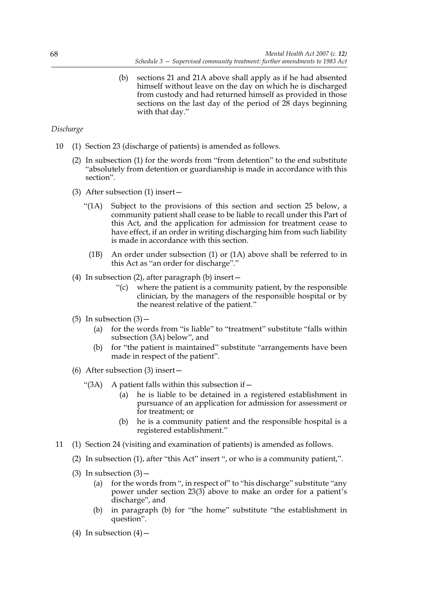(b) sections 21 and 21A above shall apply as if he had absented himself without leave on the day on which he is discharged from custody and had returned himself as provided in those sections on the last day of the period of 28 days beginning with that day."

# *Discharge*

- 10 (1) Section 23 (discharge of patients) is amended as follows.
	- (2) In subsection (1) for the words from "from detention" to the end substitute "absolutely from detention or guardianship is made in accordance with this section".
	- (3) After subsection (1) insert—
		- "(1A) Subject to the provisions of this section and section 25 below, a community patient shall cease to be liable to recall under this Part of this Act, and the application for admission for treatment cease to have effect, if an order in writing discharging him from such liability is made in accordance with this section.
			- (1B) An order under subsection (1) or (1A) above shall be referred to in this Act as "an order for discharge"."
	- (4) In subsection (2), after paragraph (b) insert—
		- "(c) where the patient is a community patient, by the responsible clinician, by the managers of the responsible hospital or by the nearest relative of the patient."
	- (5) In subsection  $(3)$ 
		- (a) for the words from "is liable" to "treatment" substitute "falls within subsection (3A) below", and
		- (b) for "the patient is maintained" substitute "arrangements have been made in respect of the patient".
	- (6) After subsection (3) insert—
		- "(3A) A patient falls within this subsection if  $-$ 
			- (a) he is liable to be detained in a registered establishment in pursuance of an application for admission for assessment or for treatment; or
			- (b) he is a community patient and the responsible hospital is a registered establishment."
- 11 (1) Section 24 (visiting and examination of patients) is amended as follows.
	- (2) In subsection (1), after "this Act" insert ", or who is a community patient,".
	- (3) In subsection  $(3)$ 
		- (a) for the words from ", in respect of" to "his discharge" substitute "any power under section 23(3) above to make an order for a patient's discharge", and
		- (b) in paragraph (b) for "the home" substitute "the establishment in question".
	- (4) In subsection  $(4)$  –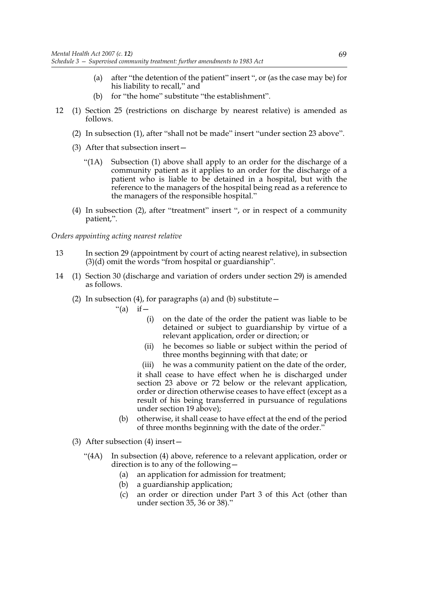- (a) after "the detention of the patient" insert ", or (as the case may be) for his liability to recall," and
- (b) for "the home" substitute "the establishment".
- 12 (1) Section 25 (restrictions on discharge by nearest relative) is amended as follows.
	- (2) In subsection (1), after "shall not be made" insert "under section 23 above".
	- (3) After that subsection insert—
		- "(1A) Subsection (1) above shall apply to an order for the discharge of a community patient as it applies to an order for the discharge of a patient who is liable to be detained in a hospital, but with the reference to the managers of the hospital being read as a reference to the managers of the responsible hospital."
	- (4) In subsection (2), after "treatment" insert ", or in respect of a community patient,".

#### *Orders appointing acting nearest relative*

- 13 In section 29 (appointment by court of acting nearest relative), in subsection (3)(d) omit the words "from hospital or guardianship".
- 14 (1) Section 30 (discharge and variation of orders under section 29) is amended as follows.
	- (2) In subsection (4), for paragraphs (a) and (b) substitute  $-$ 
		- "(a)  $if-$ 
			- (i) on the date of the order the patient was liable to be detained or subject to guardianship by virtue of a relevant application, order or direction; or
			- (ii) he becomes so liable or subject within the period of three months beginning with that date; or
			- (iii) he was a community patient on the date of the order,

it shall cease to have effect when he is discharged under section 23 above or 72 below or the relevant application, order or direction otherwise ceases to have effect (except as a result of his being transferred in pursuance of regulations under section 19 above);

- (b) otherwise, it shall cease to have effect at the end of the period of three months beginning with the date of the order."
- (3) After subsection (4) insert—
	- "(4A) In subsection (4) above, reference to a relevant application, order or direction is to any of the following—
		- (a) an application for admission for treatment;
		- (b) a guardianship application;
		- (c) an order or direction under Part 3 of this Act (other than under section 35, 36 or 38)."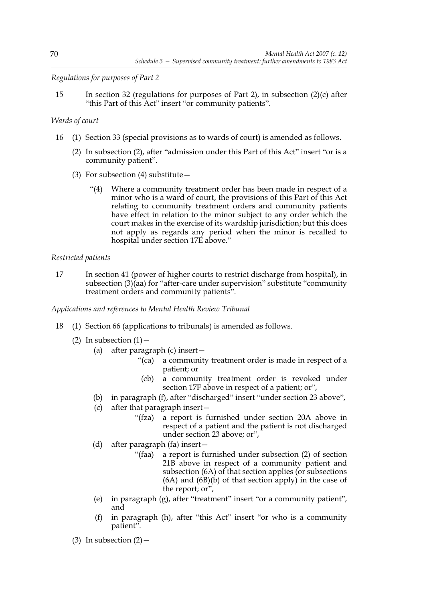*Regulations for purposes of Part 2*

15 In section 32 (regulations for purposes of Part 2), in subsection (2)(c) after "this Part of this Act" insert "or community patients".

# *Wards of court*

- 16 (1) Section 33 (special provisions as to wards of court) is amended as follows.
	- (2) In subsection (2), after "admission under this Part of this Act" insert "or is a community patient".
	- (3) For subsection (4) substitute  $-$ 
		- "(4) Where a community treatment order has been made in respect of a minor who is a ward of court, the provisions of this Part of this Act relating to community treatment orders and community patients have effect in relation to the minor subject to any order which the court makes in the exercise of its wardship jurisdiction; but this does not apply as regards any period when the minor is recalled to hospital under section 17E above."

# *Restricted patients*

17 In section 41 (power of higher courts to restrict discharge from hospital), in subsection (3)(aa) for "after-care under supervision" substitute "community treatment orders and community patients".

*Applications and references to Mental Health Review Tribunal*

- 18 (1) Section 66 (applications to tribunals) is amended as follows.
	- (2) In subsection  $(1)$ 
		- (a) after paragraph (c) insert—
			- "(ca) a community treatment order is made in respect of a patient; or
			- (cb) a community treatment order is revoked under section 17F above in respect of a patient; or",
		- (b) in paragraph (f), after "discharged" insert "under section 23 above",
		- (c) after that paragraph insert—
			- "(fza) a report is furnished under section 20A above in respect of a patient and the patient is not discharged under section 23 above; or",
		- (d) after paragraph (fa) insert—
			- "(faa) a report is furnished under subsection (2) of section 21B above in respect of a community patient and subsection (6A) of that section applies (or subsections (6A) and (6B)(b) of that section apply) in the case of the report; or",
		- (e) in paragraph (g), after "treatment" insert "or a community patient", and
		- (f) in paragraph (h), after "this Act" insert "or who is a community patient".
	- (3) In subsection  $(2)$  –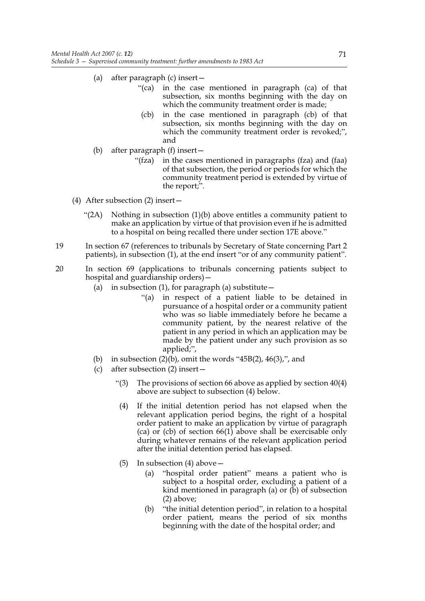- (a) after paragraph (c) insert—
	- "(ca) in the case mentioned in paragraph (ca) of that subsection, six months beginning with the day on which the community treatment order is made;
	- (cb) in the case mentioned in paragraph (cb) of that subsection, six months beginning with the day on which the community treatment order is revoked;", and
- (b) after paragraph (f) insert—
	- "(fza) in the cases mentioned in paragraphs (fza) and (faa) of that subsection, the period or periods for which the community treatment period is extended by virtue of the report;".
- (4) After subsection (2) insert—
	- "(2A) Nothing in subsection  $(1)(b)$  above entitles a community patient to make an application by virtue of that provision even if he is admitted to a hospital on being recalled there under section 17E above."
- 19 In section 67 (references to tribunals by Secretary of State concerning Part 2 patients), in subsection (1), at the end insert "or of any community patient".
- 20 In section 69 (applications to tribunals concerning patients subject to hospital and guardianship orders)—
	- (a) in subsection (1), for paragraph (a) substitute  $-$ 
		- "(a) in respect of a patient liable to be detained in pursuance of a hospital order or a community patient who was so liable immediately before he became a community patient, by the nearest relative of the patient in any period in which an application may be made by the patient under any such provision as so applied;",
	- (b) in subsection  $(2)(b)$ , omit the words "45B $(2)$ , 46 $(3)$ ,", and
	- (c) after subsection (2) insert—
		- "(3) The provisions of section 66 above as applied by section  $40(4)$ above are subject to subsection (4) below.
		- (4) If the initial detention period has not elapsed when the relevant application period begins, the right of a hospital order patient to make an application by virtue of paragraph (ca) or (cb) of section 66(1) above shall be exercisable only during whatever remains of the relevant application period after the initial detention period has elapsed.
		- (5) In subsection (4) above  $-$ 
			- (a) "hospital order patient" means a patient who is subject to a hospital order, excluding a patient of a kind mentioned in paragraph (a) or (b) of subsection (2) above;
			- (b) "the initial detention period", in relation to a hospital order patient, means the period of six months beginning with the date of the hospital order; and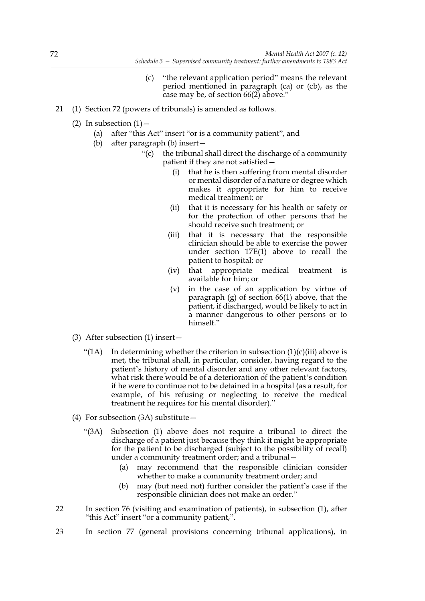- (c) "the relevant application period" means the relevant period mentioned in paragraph (ca) or (cb), as the case may be, of section 66(2) above."
- 21 (1) Section 72 (powers of tribunals) is amended as follows.
	- (2) In subsection  $(1)$ 
		- (a) after "this Act" insert "or is a community patient", and
		- (b) after paragraph (b) insert—
			- $\degree$ (c) the tribunal shall direct the discharge of a community patient if they are not satisfied—
				- (i) that he is then suffering from mental disorder or mental disorder of a nature or degree which makes it appropriate for him to receive medical treatment; or
				- (ii) that it is necessary for his health or safety or for the protection of other persons that he should receive such treatment; or
				- (iii) that it is necessary that the responsible clinician should be able to exercise the power under section 17E(1) above to recall the patient to hospital; or
				- (iv) that appropriate medical treatment is available for him; or
				- (v) in the case of an application by virtue of paragraph (g) of section 66(1) above, that the patient, if discharged, would be likely to act in a manner dangerous to other persons or to himself."
	- (3) After subsection (1) insert—
		- "(1A) In determining whether the criterion in subsection  $(1)(c)(iii)$  above is met, the tribunal shall, in particular, consider, having regard to the patient's history of mental disorder and any other relevant factors, what risk there would be of a deterioration of the patient's condition if he were to continue not to be detained in a hospital (as a result, for example, of his refusing or neglecting to receive the medical treatment he requires for his mental disorder)."
	- (4) For subsection (3A) substitute—
		- "(3A) Subsection (1) above does not require a tribunal to direct the discharge of a patient just because they think it might be appropriate for the patient to be discharged (subject to the possibility of recall) under a community treatment order; and a tribunal—
			- (a) may recommend that the responsible clinician consider whether to make a community treatment order; and
			- (b) may (but need not) further consider the patient's case if the responsible clinician does not make an order."
- 22 In section 76 (visiting and examination of patients), in subsection (1), after "this Act" insert "or a community patient,".
- 23 In section 77 (general provisions concerning tribunal applications), in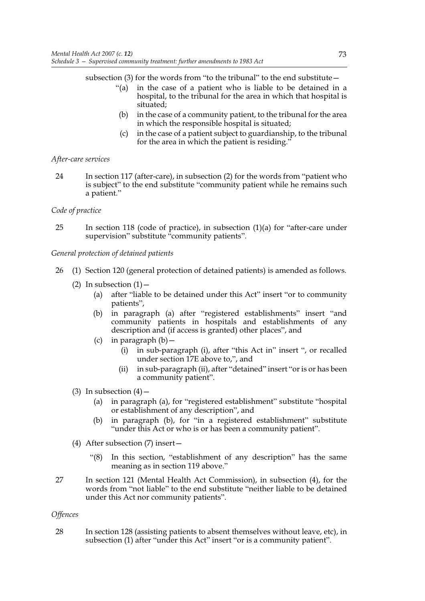subsection (3) for the words from "to the tribunal" to the end substitute -

- "(a) in the case of a patient who is liable to be detained in a hospital, to the tribunal for the area in which that hospital is situated;
- (b) in the case of a community patient, to the tribunal for the area in which the responsible hospital is situated;
- (c) in the case of a patient subject to guardianship, to the tribunal for the area in which the patient is residing."

# *After-care services*

24 In section 117 (after-care), in subsection (2) for the words from "patient who is subject" to the end substitute "community patient while he remains such a patient."

# *Code of practice*

25 In section 118 (code of practice), in subsection (1)(a) for "after-care under supervision" substitute "community patients".

*General protection of detained patients*

- 26 (1) Section 120 (general protection of detained patients) is amended as follows.
	- (2) In subsection  $(1)$ 
		- (a) after "liable to be detained under this Act" insert "or to community patients",
		- (b) in paragraph (a) after "registered establishments" insert "and community patients in hospitals and establishments of any description and (if access is granted) other places", and
		- (c) in paragraph  $(b)$  -
			- (i) in sub-paragraph (i), after "this Act in" insert ", or recalled under section 17E above to,", and
			- (ii) in sub-paragraph (ii), after "detained" insert "or is or has been a community patient".
	- (3) In subsection  $(4)$ 
		- (a) in paragraph (a), for "registered establishment" substitute "hospital or establishment of any description", and
		- (b) in paragraph (b), for "in a registered establishment" substitute "under this Act or who is or has been a community patient".
	- (4) After subsection (7) insert—
		- "(8) In this section, "establishment of any description" has the same meaning as in section 119 above."
- 27 In section 121 (Mental Health Act Commission), in subsection (4), for the words from "not liable" to the end substitute "neither liable to be detained under this Act nor community patients".

## *Offences*

28 In section 128 (assisting patients to absent themselves without leave, etc), in subsection (1) after "under this Act" insert "or is a community patient".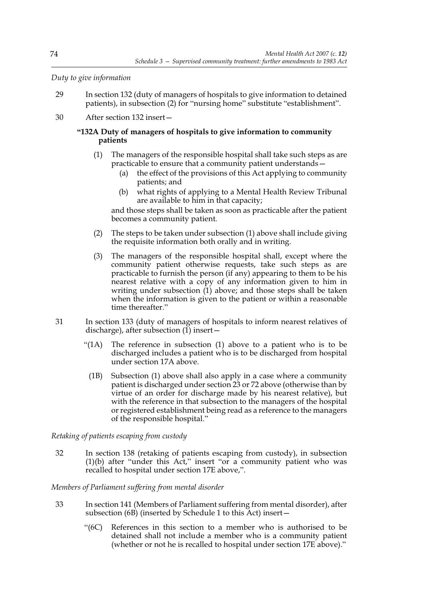*Duty to give information*

- 29 In section 132 (duty of managers of hospitals to give information to detained patients), in subsection (2) for "nursing home" substitute "establishment".
- 30 After section 132 insert—

# **"132A Duty of managers of hospitals to give information to community patients**

- (1) The managers of the responsible hospital shall take such steps as are practicable to ensure that a community patient understands—
	- (a) the effect of the provisions of this Act applying to community patients; and
	- (b) what rights of applying to a Mental Health Review Tribunal are available to him in that capacity;

and those steps shall be taken as soon as practicable after the patient becomes a community patient.

- (2) The steps to be taken under subsection (1) above shall include giving the requisite information both orally and in writing.
- (3) The managers of the responsible hospital shall, except where the community patient otherwise requests, take such steps as are practicable to furnish the person (if any) appearing to them to be his nearest relative with a copy of any information given to him in writing under subsection (1) above; and those steps shall be taken when the information is given to the patient or within a reasonable time thereafter."
- 31 In section 133 (duty of managers of hospitals to inform nearest relatives of discharge), after subsection (1) insert—
	- "(1A) The reference in subsection (1) above to a patient who is to be discharged includes a patient who is to be discharged from hospital under section 17A above.
	- (1B) Subsection (1) above shall also apply in a case where a community patient is discharged under section 23 or 72 above (otherwise than by virtue of an order for discharge made by his nearest relative), but with the reference in that subsection to the managers of the hospital or registered establishment being read as a reference to the managers of the responsible hospital."

## *Retaking of patients escaping from custody*

32 In section 138 (retaking of patients escaping from custody), in subsection (1)(b) after "under this Act," insert "or a community patient who was recalled to hospital under section 17E above,".

## *Members of Parliament suffering from mental disorder*

- 33 In section 141 (Members of Parliament suffering from mental disorder), after subsection (6B) (inserted by Schedule 1 to this Act) insert—
	- "(6C) References in this section to a member who is authorised to be detained shall not include a member who is a community patient (whether or not he is recalled to hospital under section 17E above)."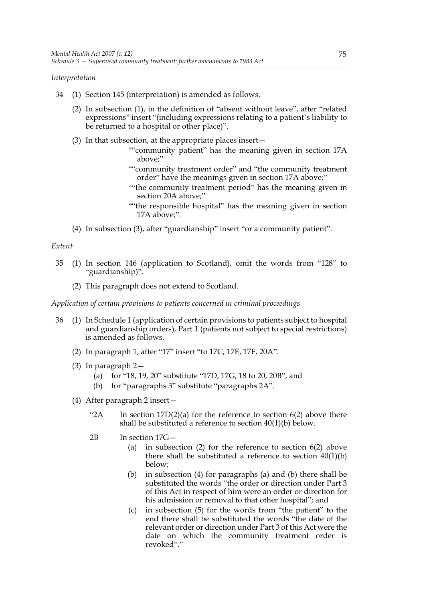# *Interpretation*

- 34 (1) Section 145 (interpretation) is amended as follows.
	- (2) In subsection (1), in the definition of "absent without leave", after "related expressions" insert "(including expressions relating to a patient's liability to be returned to a hospital or other place)".
	- (3) In that subsection, at the appropriate places insert—
		- ""community patient" has the meaning given in section 17A above;"
		- ""community treatment order" and "the community treatment order" have the meanings given in section 17A above;"
		- ""the community treatment period" has the meaning given in section 20A above;"
		- ""the responsible hospital" has the meaning given in section 17A above;".
	- (4) In subsection (3), after "guardianship" insert "or a community patient".

### *Extent*

- 35 (1) In section 146 (application to Scotland), omit the words from "128" to "guardianship)".
	- (2) This paragraph does not extend to Scotland.

*Application of certain provisions to patients concerned in criminal proceedings*

- 36 (1) In Schedule 1 (application of certain provisions to patients subject to hospital and guardianship orders), Part 1 (patients not subject to special restrictions) is amended as follows.
	- (2) In paragraph 1, after "17" insert "to 17C, 17E, 17F, 20A".
	- (3) In paragraph 2—
		- (a) for "18, 19, 20" substitute "17D, 17G, 18 to 20, 20B", and
		- (b) for "paragraphs 3" substitute "paragraphs 2A".
	- (4) After paragraph 2 insert—
		- "2A In section  $17D(2)(a)$  for the reference to section  $6(2)$  above there shall be substituted a reference to section 40(1)(b) below.
		- 2B In section 17G—
			- (a) in subsection (2) for the reference to section  $6(2)$  above there shall be substituted a reference to section  $40(1)(b)$ below;
			- (b) in subsection (4) for paragraphs (a) and (b) there shall be substituted the words "the order or direction under Part 3 of this Act in respect of him were an order or direction for his admission or removal to that other hospital"; and
			- (c) in subsection (5) for the words from "the patient" to the end there shall be substituted the words "the date of the relevant order or direction under Part 3 of this Act were the date on which the community treatment order is revoked"."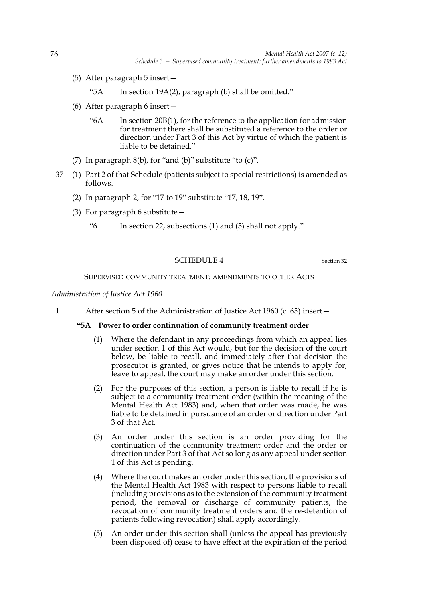- (5) After paragraph 5 insert—
	- "5A In section  $19A(2)$ , paragraph (b) shall be omitted."
- (6) After paragraph 6 insert—
	- "6A In section 20B(1), for the reference to the application for admission for treatment there shall be substituted a reference to the order or direction under Part 3 of this Act by virtue of which the patient is liable to be detained."
- (7) In paragraph  $8(b)$ , for "and  $(b)$ " substitute "to  $(c)$ ".
- 37 (1) Part 2 of that Schedule (patients subject to special restrictions) is amended as follows.
	- (2) In paragraph 2, for "17 to 19" substitute "17, 18, 19".
	- (3) For paragraph 6 substitute—
		- "6 In section 22, subsections (1) and (5) shall not apply."

### SCHEDULE 4 Section 32

### SUPERVISED COMMUNITY TREATMENT: AMENDMENTS TO OTHER ACTS

## *Administration of Justice Act 1960*

1 After section 5 of the Administration of Justice Act 1960 (c. 65) insert—

# **"5A Power to order continuation of community treatment order**

- (1) Where the defendant in any proceedings from which an appeal lies under section 1 of this Act would, but for the decision of the court below, be liable to recall, and immediately after that decision the prosecutor is granted, or gives notice that he intends to apply for, leave to appeal, the court may make an order under this section.
- (2) For the purposes of this section, a person is liable to recall if he is subject to a community treatment order (within the meaning of the Mental Health Act 1983) and, when that order was made, he was liable to be detained in pursuance of an order or direction under Part 3 of that Act.
- (3) An order under this section is an order providing for the continuation of the community treatment order and the order or direction under Part 3 of that Act so long as any appeal under section 1 of this Act is pending.
- (4) Where the court makes an order under this section, the provisions of the Mental Health Act 1983 with respect to persons liable to recall (including provisions as to the extension of the community treatment period, the removal or discharge of community patients, the revocation of community treatment orders and the re-detention of patients following revocation) shall apply accordingly.
- (5) An order under this section shall (unless the appeal has previously been disposed of) cease to have effect at the expiration of the period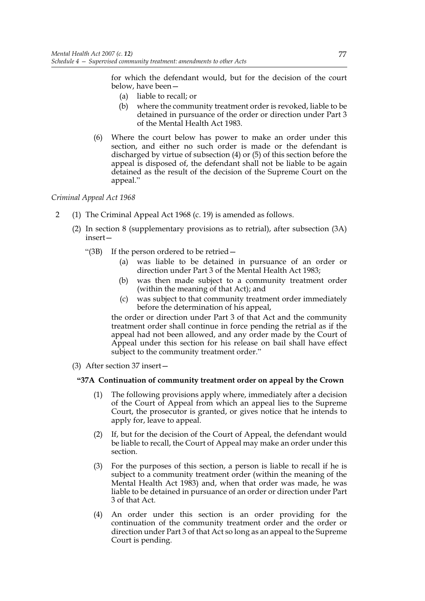for which the defendant would, but for the decision of the court below, have been—

- (a) liable to recall; or
- (b) where the community treatment order is revoked, liable to be detained in pursuance of the order or direction under Part 3 of the Mental Health Act 1983.
- (6) Where the court below has power to make an order under this section, and either no such order is made or the defendant is discharged by virtue of subsection (4) or (5) of this section before the appeal is disposed of, the defendant shall not be liable to be again detained as the result of the decision of the Supreme Court on the appeal."

# *Criminal Appeal Act 1968*

- 2 (1) The Criminal Appeal Act 1968 (c. 19) is amended as follows.
	- (2) In section 8 (supplementary provisions as to retrial), after subsection (3A) insert—
		- "(3B) If the person ordered to be retried—
			- (a) was liable to be detained in pursuance of an order or direction under Part 3 of the Mental Health Act 1983;
			- (b) was then made subject to a community treatment order (within the meaning of that Act); and
			- (c) was subject to that community treatment order immediately before the determination of his appeal,

the order or direction under Part 3 of that Act and the community treatment order shall continue in force pending the retrial as if the appeal had not been allowed, and any order made by the Court of Appeal under this section for his release on bail shall have effect subject to the community treatment order."

(3) After section 37 insert—

## **"37A Continuation of community treatment order on appeal by the Crown**

- (1) The following provisions apply where, immediately after a decision of the Court of Appeal from which an appeal lies to the Supreme Court, the prosecutor is granted, or gives notice that he intends to apply for, leave to appeal.
- (2) If, but for the decision of the Court of Appeal, the defendant would be liable to recall, the Court of Appeal may make an order under this section.
- (3) For the purposes of this section, a person is liable to recall if he is subject to a community treatment order (within the meaning of the Mental Health Act 1983) and, when that order was made, he was liable to be detained in pursuance of an order or direction under Part 3 of that Act.
- (4) An order under this section is an order providing for the continuation of the community treatment order and the order or direction under Part 3 of that Act so long as an appeal to the Supreme Court is pending.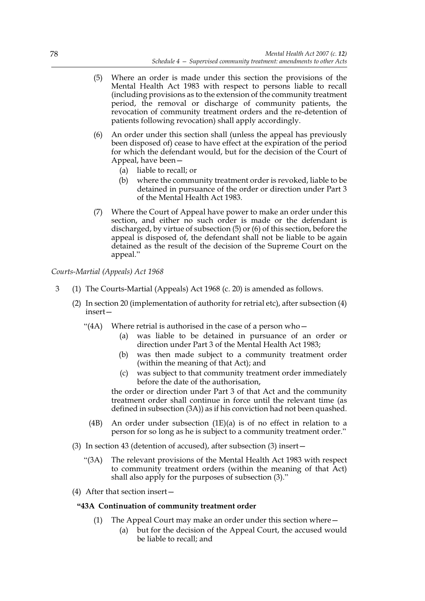- (5) Where an order is made under this section the provisions of the Mental Health Act 1983 with respect to persons liable to recall (including provisions as to the extension of the community treatment period, the removal or discharge of community patients, the revocation of community treatment orders and the re-detention of patients following revocation) shall apply accordingly.
- (6) An order under this section shall (unless the appeal has previously been disposed of) cease to have effect at the expiration of the period for which the defendant would, but for the decision of the Court of Appeal, have been—
	- (a) liable to recall; or
	- (b) where the community treatment order is revoked, liable to be detained in pursuance of the order or direction under Part 3 of the Mental Health Act 1983.
- (7) Where the Court of Appeal have power to make an order under this section, and either no such order is made or the defendant is discharged, by virtue of subsection (5) or (6) of this section, before the appeal is disposed of, the defendant shall not be liable to be again detained as the result of the decision of the Supreme Court on the appeal."

# *Courts-Martial (Appeals) Act 1968*

- 3 (1) The Courts-Martial (Appeals) Act 1968 (c. 20) is amended as follows.
	- (2) In section 20 (implementation of authority for retrial etc), after subsection (4) insert—
		- "(4A) Where retrial is authorised in the case of a person who $-$ 
			- (a) was liable to be detained in pursuance of an order or direction under Part 3 of the Mental Health Act 1983;
			- (b) was then made subject to a community treatment order (within the meaning of that Act); and
			- (c) was subject to that community treatment order immediately before the date of the authorisation,

the order or direction under Part 3 of that Act and the community treatment order shall continue in force until the relevant time (as defined in subsection (3A)) as if his conviction had not been quashed.

- (4B) An order under subsection (1E)(a) is of no effect in relation to a person for so long as he is subject to a community treatment order."
- (3) In section 43 (detention of accused), after subsection (3) insert—
	- "(3A) The relevant provisions of the Mental Health Act 1983 with respect to community treatment orders (within the meaning of that Act) shall also apply for the purposes of subsection (3)."
- (4) After that section insert—

## **"43A Continuation of community treatment order**

- (1) The Appeal Court may make an order under this section where—
	- (a) but for the decision of the Appeal Court, the accused would be liable to recall; and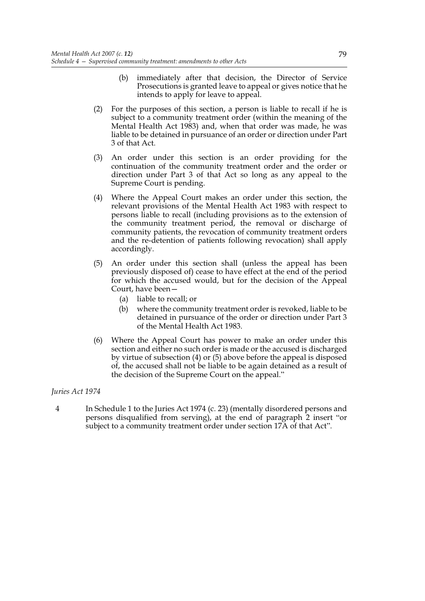- (b) immediately after that decision, the Director of Service Prosecutions is granted leave to appeal or gives notice that he intends to apply for leave to appeal.
- (2) For the purposes of this section, a person is liable to recall if he is subject to a community treatment order (within the meaning of the Mental Health Act 1983) and, when that order was made, he was liable to be detained in pursuance of an order or direction under Part 3 of that Act.
- (3) An order under this section is an order providing for the continuation of the community treatment order and the order or direction under Part 3 of that Act so long as any appeal to the Supreme Court is pending.
- (4) Where the Appeal Court makes an order under this section, the relevant provisions of the Mental Health Act 1983 with respect to persons liable to recall (including provisions as to the extension of the community treatment period, the removal or discharge of community patients, the revocation of community treatment orders and the re-detention of patients following revocation) shall apply accordingly.
- (5) An order under this section shall (unless the appeal has been previously disposed of) cease to have effect at the end of the period for which the accused would, but for the decision of the Appeal Court, have been—
	- (a) liable to recall; or
	- (b) where the community treatment order is revoked, liable to be detained in pursuance of the order or direction under Part 3 of the Mental Health Act 1983.
- (6) Where the Appeal Court has power to make an order under this section and either no such order is made or the accused is discharged by virtue of subsection (4) or (5) above before the appeal is disposed of, the accused shall not be liable to be again detained as a result of the decision of the Supreme Court on the appeal."

## *Juries Act 1974*

4 In Schedule 1 to the Juries Act 1974 (c. 23) (mentally disordered persons and persons disqualified from serving), at the end of paragraph 2 insert "or subject to a community treatment order under section 17A of that Act".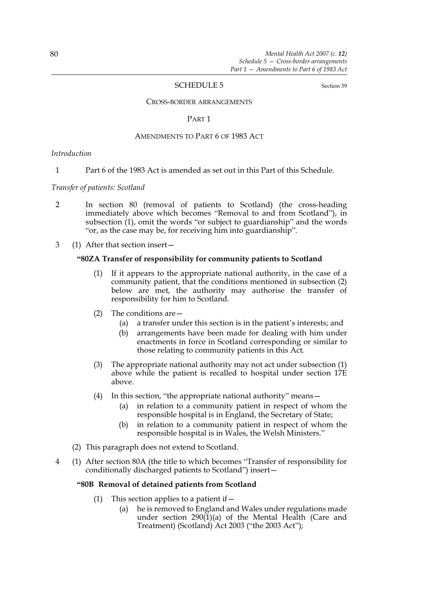#### SCHEDULE 5 Section 39

#### CROSS-BORDER ARRANGEMENTS

#### PART 1

#### AMENDMENTS TO PART 6 OF 1983 ACT

### *Introduction*

1 Part 6 of the 1983 Act is amended as set out in this Part of this Schedule.

*Transfer of patients: Scotland*

- 2 In section 80 (removal of patients to Scotland) (the cross-heading immediately above which becomes "Removal to and from Scotland"), in subsection (1), omit the words "or subject to guardianship" and the words "or, as the case may be, for receiving him into guardianship".
- 3 (1) After that section insert—

#### **"80ZA Transfer of responsibility for community patients to Scotland**

- (1) If it appears to the appropriate national authority, in the case of a community patient, that the conditions mentioned in subsection (2) below are met, the authority may authorise the transfer of responsibility for him to Scotland.
- (2) The conditions are—
	- (a) a transfer under this section is in the patient's interests; and
	- (b) arrangements have been made for dealing with him under enactments in force in Scotland corresponding or similar to those relating to community patients in this Act.
- (3) The appropriate national authority may not act under subsection (1) above while the patient is recalled to hospital under section 17E above.
- (4) In this section, "the appropriate national authority" means—
	- (a) in relation to a community patient in respect of whom the responsible hospital is in England, the Secretary of State;
	- (b) in relation to a community patient in respect of whom the responsible hospital is in Wales, the Welsh Ministers."
- (2) This paragraph does not extend to Scotland.
- 4 (1) After section 80A (the title to which becomes "Transfer of responsibility for conditionally discharged patients to Scotland") insert—

### **"80B Removal of detained patients from Scotland**

- (1) This section applies to a patient if  $-$ 
	- (a) he is removed to England and Wales under regulations made under section  $290(1)(a)$  of the Mental Health (Care and Treatment) (Scotland) Act 2003 ("the 2003 Act");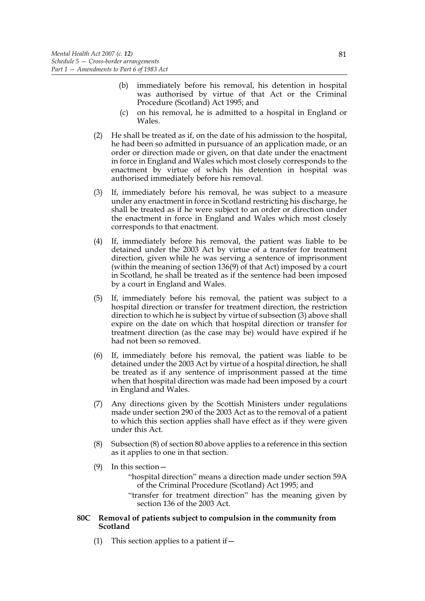- (b) immediately before his removal, his detention in hospital was authorised by virtue of that Act or the Criminal Procedure (Scotland) Act 1995; and
- (c) on his removal, he is admitted to a hospital in England or Wales.
- (2) He shall be treated as if, on the date of his admission to the hospital, he had been so admitted in pursuance of an application made, or an order or direction made or given, on that date under the enactment in force in England and Wales which most closely corresponds to the enactment by virtue of which his detention in hospital was authorised immediately before his removal.
- (3) If, immediately before his removal, he was subject to a measure under any enactment in force in Scotland restricting his discharge, he shall be treated as if he were subject to an order or direction under the enactment in force in England and Wales which most closely corresponds to that enactment.
- (4) If, immediately before his removal, the patient was liable to be detained under the 2003 Act by virtue of a transfer for treatment direction, given while he was serving a sentence of imprisonment (within the meaning of section 136(9) of that Act) imposed by a court in Scotland, he shall be treated as if the sentence had been imposed by a court in England and Wales.
- (5) If, immediately before his removal, the patient was subject to a hospital direction or transfer for treatment direction, the restriction direction to which he is subject by virtue of subsection (3) above shall expire on the date on which that hospital direction or transfer for treatment direction (as the case may be) would have expired if he had not been so removed.
- (6) If, immediately before his removal, the patient was liable to be detained under the 2003 Act by virtue of a hospital direction, he shall be treated as if any sentence of imprisonment passed at the time when that hospital direction was made had been imposed by a court in England and Wales.
- (7) Any directions given by the Scottish Ministers under regulations made under section 290 of the 2003 Act as to the removal of a patient to which this section applies shall have effect as if they were given under this Act.
- (8) Subsection (8) of section 80 above applies to a reference in this section as it applies to one in that section.
- (9) In this section—
	- "hospital direction" means a direction made under section 59A of the Criminal Procedure (Scotland) Act 1995; and
	- "transfer for treatment direction" has the meaning given by section 136 of the 2003 Act.
- **80C Removal of patients subject to compulsion in the community from Scotland**
	- (1) This section applies to a patient if  $-$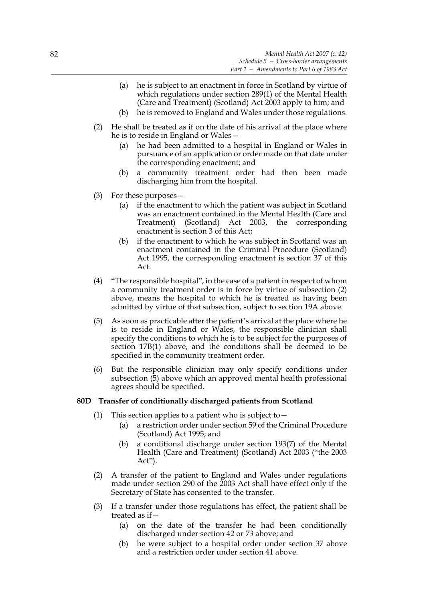- (a) he is subject to an enactment in force in Scotland by virtue of which regulations under section 289(1) of the Mental Health (Care and Treatment) (Scotland) Act 2003 apply to him; and
- (b) he is removed to England and Wales under those regulations.
- (2) He shall be treated as if on the date of his arrival at the place where he is to reside in England or Wales—
	- (a) he had been admitted to a hospital in England or Wales in pursuance of an application or order made on that date under the corresponding enactment; and
	- (b) a community treatment order had then been made discharging him from the hospital.
- (3) For these purposes—
	- (a) if the enactment to which the patient was subject in Scotland was an enactment contained in the Mental Health (Care and Treatment) (Scotland) Act 2003, the corresponding enactment is section 3 of this Act;
	- (b) if the enactment to which he was subject in Scotland was an enactment contained in the Criminal Procedure (Scotland) Act 1995, the corresponding enactment is section 37 of this Act.
- (4) "The responsible hospital", in the case of a patient in respect of whom a community treatment order is in force by virtue of subsection (2) above, means the hospital to which he is treated as having been admitted by virtue of that subsection, subject to section 19A above.
- (5) As soon as practicable after the patient's arrival at the place where he is to reside in England or Wales, the responsible clinician shall specify the conditions to which he is to be subject for the purposes of section 17B(1) above, and the conditions shall be deemed to be specified in the community treatment order.
- (6) But the responsible clinician may only specify conditions under subsection (5) above which an approved mental health professional agrees should be specified.

## **80D Transfer of conditionally discharged patients from Scotland**

- (1) This section applies to a patient who is subject to  $-$ 
	- (a) a restriction order under section 59 of the Criminal Procedure (Scotland) Act 1995; and
	- (b) a conditional discharge under section 193(7) of the Mental Health (Care and Treatment) (Scotland) Act 2003 ("the 2003 Act").
- (2) A transfer of the patient to England and Wales under regulations made under section 290 of the 2003 Act shall have effect only if the Secretary of State has consented to the transfer.
- (3) If a transfer under those regulations has effect, the patient shall be treated as if—
	- (a) on the date of the transfer he had been conditionally discharged under section 42 or 73 above; and
	- (b) he were subject to a hospital order under section 37 above and a restriction order under section 41 above.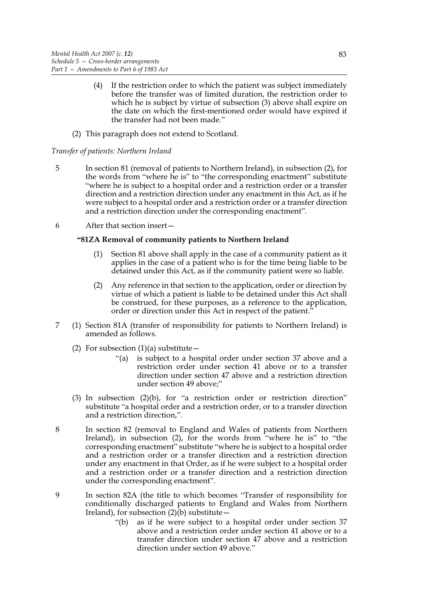- (4) If the restriction order to which the patient was subject immediately before the transfer was of limited duration, the restriction order to which he is subject by virtue of subsection (3) above shall expire on the date on which the first-mentioned order would have expired if the transfer had not been made."
- (2) This paragraph does not extend to Scotland.

## *Transfer of patients: Northern Ireland*

- 5 In section 81 (removal of patients to Northern Ireland), in subsection (2), for the words from "where he is" to "the corresponding enactment" substitute "where he is subject to a hospital order and a restriction order or a transfer direction and a restriction direction under any enactment in this Act, as if he were subject to a hospital order and a restriction order or a transfer direction and a restriction direction under the corresponding enactment".
- 6 After that section insert—

# **"81ZA Removal of community patients to Northern Ireland**

- (1) Section 81 above shall apply in the case of a community patient as it applies in the case of a patient who is for the time being liable to be detained under this Act, as if the community patient were so liable.
- (2) Any reference in that section to the application, order or direction by virtue of which a patient is liable to be detained under this Act shall be construed, for these purposes, as a reference to the application, order or direction under this Act in respect of the patient."
- 7 (1) Section 81A (transfer of responsibility for patients to Northern Ireland) is amended as follows.
	- (2) For subsection  $(1)(a)$  substitute
		- "(a) is subject to a hospital order under section 37 above and a restriction order under section 41 above or to a transfer direction under section 47 above and a restriction direction under section 49 above;"
	- (3) In subsection (2)(b), for "a restriction order or restriction direction" substitute "a hospital order and a restriction order, or to a transfer direction and a restriction direction,".
- 8 In section 82 (removal to England and Wales of patients from Northern Ireland), in subsection (2), for the words from "where he is" to "the corresponding enactment" substitute "where he is subject to a hospital order and a restriction order or a transfer direction and a restriction direction under any enactment in that Order, as if he were subject to a hospital order and a restriction order or a transfer direction and a restriction direction under the corresponding enactment".
- 9 In section 82A (the title to which becomes "Transfer of responsibility for conditionally discharged patients to England and Wales from Northern Ireland), for subsection  $(2)(b)$  substitute –
	- "(b) as if he were subject to a hospital order under section 37 above and a restriction order under section 41 above or to a transfer direction under section 47 above and a restriction direction under section 49 above."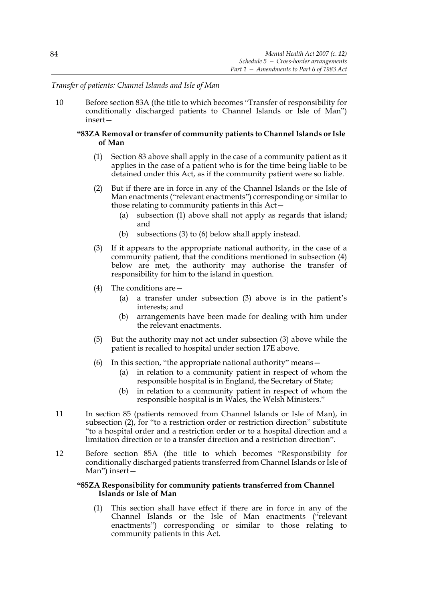### *Transfer of patients: Channel Islands and Isle of Man*

10 Before section 83A (the title to which becomes "Transfer of responsibility for conditionally discharged patients to Channel Islands or Isle of Man") insert—

### **"83ZA Removal or transfer of community patients to Channel Islands or Isle of Man**

- (1) Section 83 above shall apply in the case of a community patient as it applies in the case of a patient who is for the time being liable to be detained under this Act, as if the community patient were so liable.
- (2) But if there are in force in any of the Channel Islands or the Isle of Man enactments ("relevant enactments") corresponding or similar to those relating to community patients in this Act—
	- (a) subsection (1) above shall not apply as regards that island; and
	- (b) subsections (3) to (6) below shall apply instead.
- (3) If it appears to the appropriate national authority, in the case of a community patient, that the conditions mentioned in subsection (4) below are met, the authority may authorise the transfer of responsibility for him to the island in question.
- (4) The conditions are—
	- (a) a transfer under subsection (3) above is in the patient's interests; and
	- (b) arrangements have been made for dealing with him under the relevant enactments.
- (5) But the authority may not act under subsection (3) above while the patient is recalled to hospital under section 17E above.
- (6) In this section, "the appropriate national authority" means—
	- (a) in relation to a community patient in respect of whom the responsible hospital is in England, the Secretary of State;
	- (b) in relation to a community patient in respect of whom the responsible hospital is in Wales, the Welsh Ministers."
- 11 In section 85 (patients removed from Channel Islands or Isle of Man), in subsection (2), for "to a restriction order or restriction direction" substitute "to a hospital order and a restriction order or to a hospital direction and a limitation direction or to a transfer direction and a restriction direction".
- 12 Before section 85A (the title to which becomes "Responsibility for conditionally discharged patients transferred from Channel Islands or Isle of Man") insert—

### **"85ZA Responsibility for community patients transferred from Channel Islands or Isle of Man**

(1) This section shall have effect if there are in force in any of the Channel Islands or the Isle of Man enactments ("relevant enactments") corresponding or similar to those relating to community patients in this Act.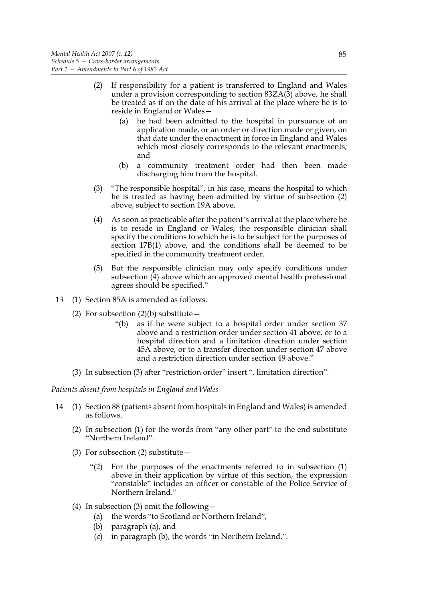- (2) If responsibility for a patient is transferred to England and Wales under a provision corresponding to section 83ZA(3) above, he shall be treated as if on the date of his arrival at the place where he is to reside in England or Wales—
	- (a) he had been admitted to the hospital in pursuance of an application made, or an order or direction made or given, on that date under the enactment in force in England and Wales which most closely corresponds to the relevant enactments; and
	- (b) a community treatment order had then been made discharging him from the hospital.
- (3) "The responsible hospital", in his case, means the hospital to which he is treated as having been admitted by virtue of subsection (2) above, subject to section 19A above.
- (4) As soon as practicable after the patient's arrival at the place where he is to reside in England or Wales, the responsible clinician shall specify the conditions to which he is to be subject for the purposes of section 17B(1) above, and the conditions shall be deemed to be specified in the community treatment order.
- (5) But the responsible clinician may only specify conditions under subsection (4) above which an approved mental health professional agrees should be specified."
- 13 (1) Section 85A is amended as follows.
	- (2) For subsection  $(2)(b)$  substitute
		- "(b) as if he were subject to a hospital order under section 37 above and a restriction order under section 41 above, or to a hospital direction and a limitation direction under section 45A above, or to a transfer direction under section 47 above and a restriction direction under section 49 above."
	- (3) In subsection (3) after "restriction order" insert ", limitation direction".

*Patients absent from hospitals in England and Wales*

- 14 (1) Section 88 (patients absent from hospitals in England and Wales) is amended as follows.
	- (2) In subsection (1) for the words from "any other part" to the end substitute "Northern Ireland".
	- (3) For subsection (2) substitute—
		- "(2) For the purposes of the enactments referred to in subsection (1) above in their application by virtue of this section, the expression "constable" includes an officer or constable of the Police Service of Northern Ireland."
	- (4) In subsection (3) omit the following—
		- (a) the words "to Scotland or Northern Ireland",
		- (b) paragraph (a), and
		- (c) in paragraph (b), the words "in Northern Ireland,".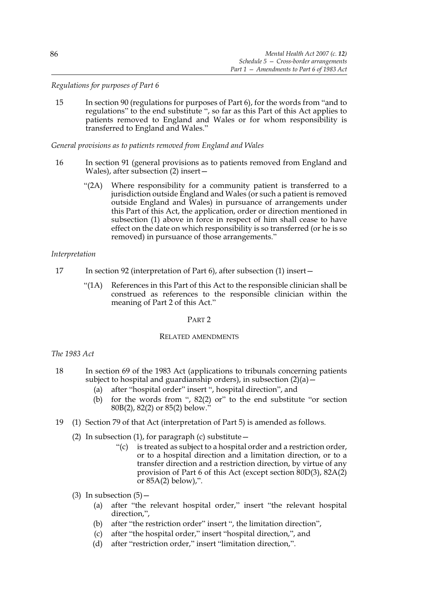*Regulations for purposes of Part 6*

15 In section 90 (regulations for purposes of Part 6), for the words from "and to regulations" to the end substitute ", so far as this Part of this Act applies to patients removed to England and Wales or for whom responsibility is transferred to England and Wales."

*General provisions as to patients removed from England and Wales*

- 16 In section 91 (general provisions as to patients removed from England and Wales), after subsection (2) insert—
	- "(2A) Where responsibility for a community patient is transferred to a jurisdiction outside England and Wales (or such a patient is removed outside England and Wales) in pursuance of arrangements under this Part of this Act, the application, order or direction mentioned in subsection (1) above in force in respect of him shall cease to have effect on the date on which responsibility is so transferred (or he is so removed) in pursuance of those arrangements."

### *Interpretation*

- 17 In section 92 (interpretation of Part 6), after subsection (1) insert—
	- "(1A) References in this Part of this Act to the responsible clinician shall be construed as references to the responsible clinician within the meaning of Part 2 of this Act."

#### PART 2

#### RELATED AMENDMENTS

#### *The 1983 Act*

- 18 In section 69 of the 1983 Act (applications to tribunals concerning patients subject to hospital and guardianship orders), in subsection  $(2)(a)$  –
	- (a) after "hospital order" insert ", hospital direction", and
	- (b) for the words from ", 82(2) or" to the end substitute "or section 80B(2), 82(2) or 85(2) below."
- 19 (1) Section 79 of that Act (interpretation of Part 5) is amended as follows.
	- (2) In subsection (1), for paragraph (c) substitute  $-$ 
		- "(c) is treated as subject to a hospital order and a restriction order, or to a hospital direction and a limitation direction, or to a transfer direction and a restriction direction, by virtue of any provision of Part 6 of this Act (except section 80D(3), 82A(2) or  $85A(2)$  below),".
	- (3) In subsection  $(5)$ 
		- (a) after "the relevant hospital order," insert "the relevant hospital direction,",
		- (b) after "the restriction order" insert ", the limitation direction",
		- (c) after "the hospital order," insert "hospital direction,", and
		- (d) after "restriction order," insert "limitation direction,".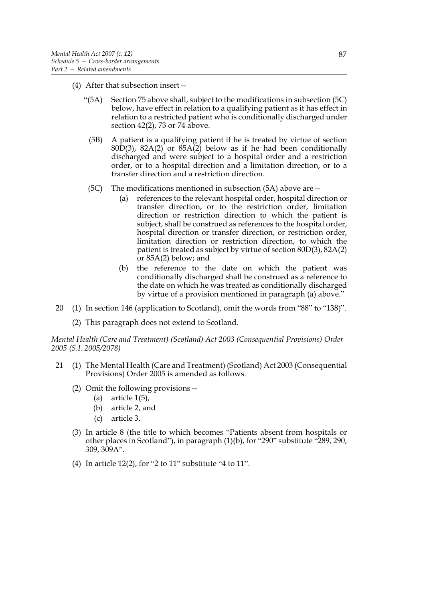- (4) After that subsection insert—
	- " $(5A)$  Section 75 above shall, subject to the modifications in subsection (5C) below, have effect in relation to a qualifying patient as it has effect in relation to a restricted patient who is conditionally discharged under section 42(2), 73 or 74 above.
	- (5B) A patient is a qualifying patient if he is treated by virtue of section  $80D(3)$ ,  $82A(2)$  or  $85A(2)$  below as if he had been conditionally discharged and were subject to a hospital order and a restriction order, or to a hospital direction and a limitation direction, or to a transfer direction and a restriction direction.
	- (5C) The modifications mentioned in subsection (5A) above are  $-$ 
		- (a) references to the relevant hospital order, hospital direction or transfer direction, or to the restriction order, limitation direction or restriction direction to which the patient is subject, shall be construed as references to the hospital order, hospital direction or transfer direction, or restriction order, limitation direction or restriction direction, to which the patient is treated as subject by virtue of section 80D(3), 82A(2) or 85A(2) below; and
		- (b) the reference to the date on which the patient was conditionally discharged shall be construed as a reference to the date on which he was treated as conditionally discharged by virtue of a provision mentioned in paragraph (a) above."
- 20 (1) In section 146 (application to Scotland), omit the words from "88" to "138)".
	- (2) This paragraph does not extend to Scotland.

*Mental Health (Care and Treatment) (Scotland) Act 2003 (Consequential Provisions) Order 2005 (S.I. 2005/2078)*

- 21 (1) The Mental Health (Care and Treatment) (Scotland) Act 2003 (Consequential Provisions) Order 2005 is amended as follows.
	- (2) Omit the following provisions—
		- (a) article 1(5),
		- (b) article 2, and
		- (c) article 3.
	- (3) In article 8 (the title to which becomes "Patients absent from hospitals or other places in Scotland"), in paragraph (1)(b), for "290" substitute "289, 290, 309, 309A".
	- (4) In article 12(2), for "2 to 11" substitute "4 to 11".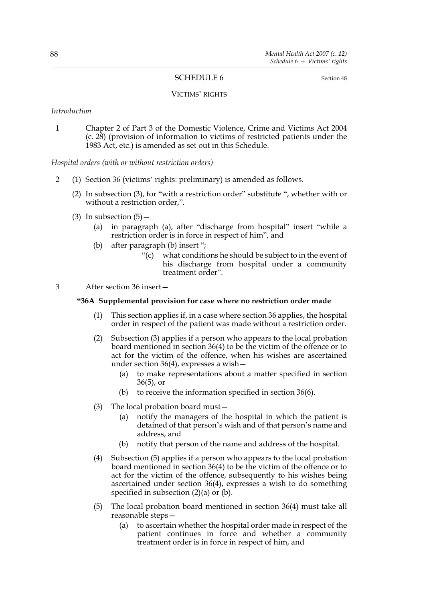### SCHEDULE 6 Section 48

## VICTIMS' RIGHTS

*Introduction*

1 Chapter 2 of Part 3 of the Domestic Violence, Crime and Victims Act 2004 (c. 28) (provision of information to victims of restricted patients under the 1983 Act, etc.) is amended as set out in this Schedule.

*Hospital orders (with or without restriction orders)*

- 2 (1) Section 36 (victims' rights: preliminary) is amended as follows.
	- (2) In subsection (3), for "with a restriction order" substitute ", whether with or without a restriction order,".
	- (3) In subsection  $(5)$  -
		- (a) in paragraph (a), after "discharge from hospital" insert "while a restriction order is in force in respect of him", and
		- (b) after paragraph (b) insert ";
			- "(c) what conditions he should be subject to in the event of his discharge from hospital under a community treatment order".

## 3 After section 36 insert—

### **"36A Supplemental provision for case where no restriction order made**

- (1) This section applies if, in a case where section 36 applies, the hospital order in respect of the patient was made without a restriction order.
- (2) Subsection (3) applies if a person who appears to the local probation board mentioned in section 36(4) to be the victim of the offence or to act for the victim of the offence, when his wishes are ascertained under section 36(4), expresses a wish—
	- (a) to make representations about a matter specified in section 36(5), or
	- (b) to receive the information specified in section 36(6).
- (3) The local probation board must—
	- (a) notify the managers of the hospital in which the patient is detained of that person's wish and of that person's name and address, and
	- (b) notify that person of the name and address of the hospital.
- (4) Subsection (5) applies if a person who appears to the local probation board mentioned in section 36(4) to be the victim of the offence or to act for the victim of the offence, subsequently to his wishes being ascertained under section 36(4), expresses a wish to do something specified in subsection  $(2)(a)$  or  $(b)$ .
- (5) The local probation board mentioned in section 36(4) must take all reasonable steps—
	- (a) to ascertain whether the hospital order made in respect of the patient continues in force and whether a community treatment order is in force in respect of him, and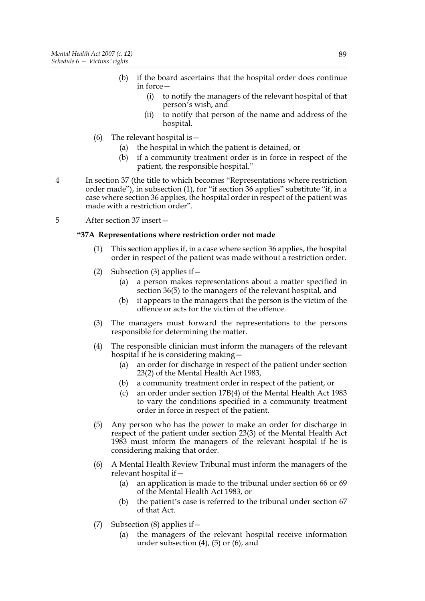- (b) if the board ascertains that the hospital order does continue in force—
	- (i) to notify the managers of the relevant hospital of that person's wish, and
	- (ii) to notify that person of the name and address of the hospital.
- (6) The relevant hospital is—
	- (a) the hospital in which the patient is detained, or
	- (b) if a community treatment order is in force in respect of the patient, the responsible hospital."
- 4 In section 37 (the title to which becomes "Representations where restriction order made"), in subsection (1), for "if section 36 applies" substitute "if, in a case where section 36 applies, the hospital order in respect of the patient was made with a restriction order".
- 5 After section 37 insert—

### **"37A Representations where restriction order not made**

- (1) This section applies if, in a case where section 36 applies, the hospital order in respect of the patient was made without a restriction order.
- (2) Subsection (3) applies if  $-$ 
	- (a) a person makes representations about a matter specified in section 36(5) to the managers of the relevant hospital, and
	- (b) it appears to the managers that the person is the victim of the offence or acts for the victim of the offence.
- (3) The managers must forward the representations to the persons responsible for determining the matter.
- (4) The responsible clinician must inform the managers of the relevant hospital if he is considering making—
	- (a) an order for discharge in respect of the patient under section 23(2) of the Mental Health Act 1983,
	- (b) a community treatment order in respect of the patient, or
	- (c) an order under section 17B(4) of the Mental Health Act 1983 to vary the conditions specified in a community treatment order in force in respect of the patient.
- (5) Any person who has the power to make an order for discharge in respect of the patient under section 23(3) of the Mental Health Act 1983 must inform the managers of the relevant hospital if he is considering making that order.
- (6) A Mental Health Review Tribunal must inform the managers of the relevant hospital if—
	- (a) an application is made to the tribunal under section 66 or 69 of the Mental Health Act 1983, or
	- (b) the patient's case is referred to the tribunal under section 67 of that Act.
- (7) Subsection  $(8)$  applies if  $-$ 
	- (a) the managers of the relevant hospital receive information under subsection  $(4)$ ,  $(5)$  or  $(6)$ , and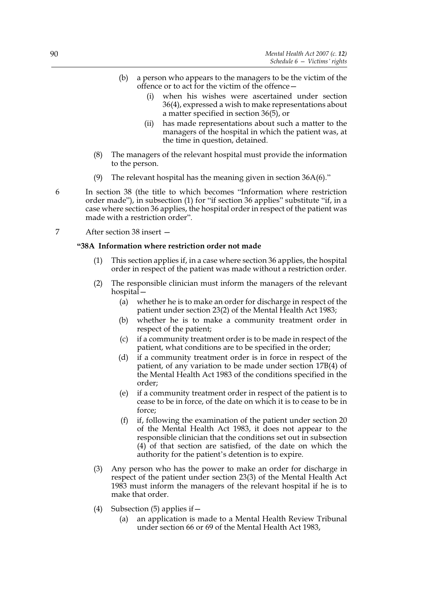- (b) a person who appears to the managers to be the victim of the offence or to act for the victim of the offence—
	- (i) when his wishes were ascertained under section 36(4), expressed a wish to make representations about a matter specified in section 36(5), or
	- (ii) has made representations about such a matter to the managers of the hospital in which the patient was, at the time in question, detained.
- (8) The managers of the relevant hospital must provide the information to the person.
- (9) The relevant hospital has the meaning given in section  $36A(6)$ ."

6 In section 38 (the title to which becomes "Information where restriction order made"), in subsection (1) for "if section 36 applies" substitute "if, in a case where section 36 applies, the hospital order in respect of the patient was made with a restriction order".

7 After section 38 insert —

#### **"38A Information where restriction order not made**

- (1) This section applies if, in a case where section 36 applies, the hospital order in respect of the patient was made without a restriction order.
- (2) The responsible clinician must inform the managers of the relevant hospital—
	- (a) whether he is to make an order for discharge in respect of the patient under section 23(2) of the Mental Health Act 1983;
	- (b) whether he is to make a community treatment order in respect of the patient;
	- (c) if a community treatment order is to be made in respect of the patient, what conditions are to be specified in the order;
	- (d) if a community treatment order is in force in respect of the patient, of any variation to be made under section 17B(4) of the Mental Health Act 1983 of the conditions specified in the order;
	- (e) if a community treatment order in respect of the patient is to cease to be in force, of the date on which it is to cease to be in force;
	- (f) if, following the examination of the patient under section 20 of the Mental Health Act 1983, it does not appear to the responsible clinician that the conditions set out in subsection (4) of that section are satisfied, of the date on which the authority for the patient's detention is to expire.
- (3) Any person who has the power to make an order for discharge in respect of the patient under section 23(3) of the Mental Health Act 1983 must inform the managers of the relevant hospital if he is to make that order.
- (4) Subsection (5) applies if—
	- (a) an application is made to a Mental Health Review Tribunal under section 66 or 69 of the Mental Health Act 1983,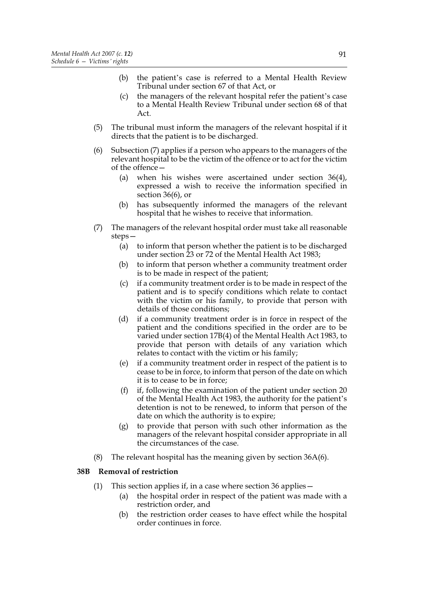- (b) the patient's case is referred to a Mental Health Review Tribunal under section 67 of that Act, or
- (c) the managers of the relevant hospital refer the patient's case to a Mental Health Review Tribunal under section 68 of that Act.
- (5) The tribunal must inform the managers of the relevant hospital if it directs that the patient is to be discharged.
- (6) Subsection (7) applies if a person who appears to the managers of the relevant hospital to be the victim of the offence or to act for the victim of the offence—
	- (a) when his wishes were ascertained under section 36(4), expressed a wish to receive the information specified in section 36(6), or
	- (b) has subsequently informed the managers of the relevant hospital that he wishes to receive that information.
- (7) The managers of the relevant hospital order must take all reasonable steps—
	- (a) to inform that person whether the patient is to be discharged under section 23 or 72 of the Mental Health Act 1983;
	- (b) to inform that person whether a community treatment order is to be made in respect of the patient;
	- (c) if a community treatment order is to be made in respect of the patient and is to specify conditions which relate to contact with the victim or his family, to provide that person with details of those conditions;
	- (d) if a community treatment order is in force in respect of the patient and the conditions specified in the order are to be varied under section 17B(4) of the Mental Health Act 1983, to provide that person with details of any variation which relates to contact with the victim or his family;
	- (e) if a community treatment order in respect of the patient is to cease to be in force, to inform that person of the date on which it is to cease to be in force;
	- (f) if, following the examination of the patient under section 20 of the Mental Health Act 1983, the authority for the patient's detention is not to be renewed, to inform that person of the date on which the authority is to expire;
	- (g) to provide that person with such other information as the managers of the relevant hospital consider appropriate in all the circumstances of the case.
- (8) The relevant hospital has the meaning given by section 36A(6).

## **38B Removal of restriction**

- (1) This section applies if, in a case where section 36 applies  $-$ 
	- (a) the hospital order in respect of the patient was made with a restriction order, and
	- (b) the restriction order ceases to have effect while the hospital order continues in force.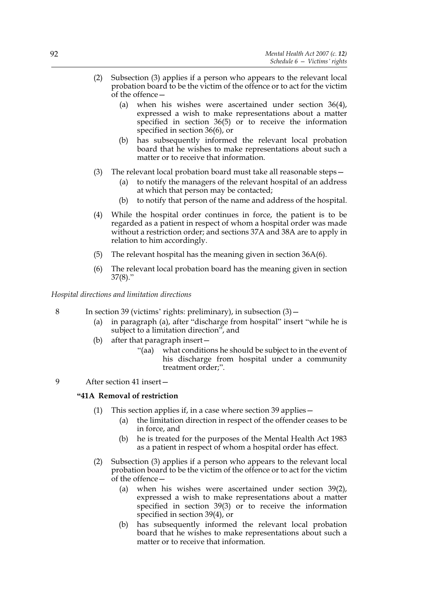- (2) Subsection (3) applies if a person who appears to the relevant local probation board to be the victim of the offence or to act for the victim of the offence—
	- (a) when his wishes were ascertained under section 36(4), expressed a wish to make representations about a matter specified in section 36(5) or to receive the information specified in section 36(6), or
	- (b) has subsequently informed the relevant local probation board that he wishes to make representations about such a matter or to receive that information.
- (3) The relevant local probation board must take all reasonable steps—
	- (a) to notify the managers of the relevant hospital of an address at which that person may be contacted;
	- (b) to notify that person of the name and address of the hospital.
- (4) While the hospital order continues in force, the patient is to be regarded as a patient in respect of whom a hospital order was made without a restriction order; and sections 37A and 38A are to apply in relation to him accordingly.
- (5) The relevant hospital has the meaning given in section 36A(6).
- (6) The relevant local probation board has the meaning given in section 37(8)."

*Hospital directions and limitation directions*

- 8 In section 39 (victims' rights: preliminary), in subsection (3)—
	- (a) in paragraph (a), after "discharge from hospital" insert "while he is subject to a limitation direction", and
	- (b) after that paragraph insert—
		- "(aa) what conditions he should be subject to in the event of his discharge from hospital under a community treatment order;".
- 9 After section 41 insert—

# **"41A Removal of restriction**

- (1) This section applies if, in a case where section 39 applies—
	- (a) the limitation direction in respect of the offender ceases to be in force, and
	- (b) he is treated for the purposes of the Mental Health Act 1983 as a patient in respect of whom a hospital order has effect.
- (2) Subsection (3) applies if a person who appears to the relevant local probation board to be the victim of the offence or to act for the victim of the offence—
	- (a) when his wishes were ascertained under section 39(2), expressed a wish to make representations about a matter specified in section 39(3) or to receive the information specified in section 39(4), or
	- (b) has subsequently informed the relevant local probation board that he wishes to make representations about such a matter or to receive that information.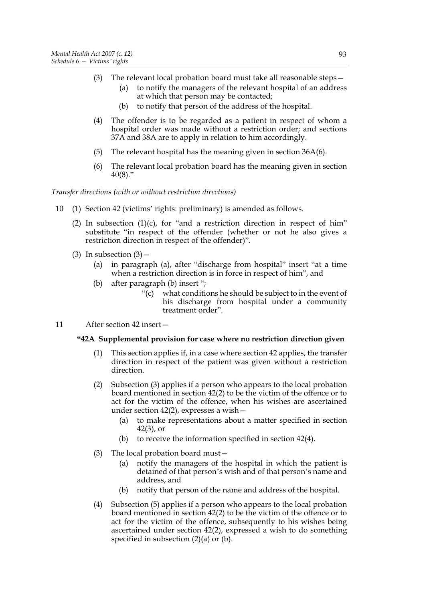- (3) The relevant local probation board must take all reasonable steps—
	- (a) to notify the managers of the relevant hospital of an address at which that person may be contacted;
	- (b) to notify that person of the address of the hospital.
- (4) The offender is to be regarded as a patient in respect of whom a hospital order was made without a restriction order; and sections 37A and 38A are to apply in relation to him accordingly.
- (5) The relevant hospital has the meaning given in section 36A(6).
- (6) The relevant local probation board has the meaning given in section  $40(8)$ ."

## *Transfer directions (with or without restriction directions)*

- 10 (1) Section 42 (victims' rights: preliminary) is amended as follows.
	- (2) In subsection  $(1)(c)$ , for "and a restriction direction in respect of him" substitute "in respect of the offender (whether or not he also gives a restriction direction in respect of the offender)".
	- (3) In subsection  $(3)$ 
		- (a) in paragraph (a), after "discharge from hospital" insert "at a time when a restriction direction is in force in respect of him", and
		- (b) after paragraph (b) insert ";
			- "(c) what conditions he should be subject to in the event of his discharge from hospital under a community treatment order".
- 11 After section 42 insert—

#### **"42A Supplemental provision for case where no restriction direction given**

- (1) This section applies if, in a case where section 42 applies, the transfer direction in respect of the patient was given without a restriction direction.
- (2) Subsection (3) applies if a person who appears to the local probation board mentioned in section 42(2) to be the victim of the offence or to act for the victim of the offence, when his wishes are ascertained under section 42(2), expresses a wish—
	- (a) to make representations about a matter specified in section 42(3), or
	- (b) to receive the information specified in section 42(4).
- (3) The local probation board must—
	- (a) notify the managers of the hospital in which the patient is detained of that person's wish and of that person's name and address, and
	- (b) notify that person of the name and address of the hospital.
- (4) Subsection (5) applies if a person who appears to the local probation board mentioned in section 42(2) to be the victim of the offence or to act for the victim of the offence, subsequently to his wishes being ascertained under section 42(2), expressed a wish to do something specified in subsection  $(2)(a)$  or  $(b)$ .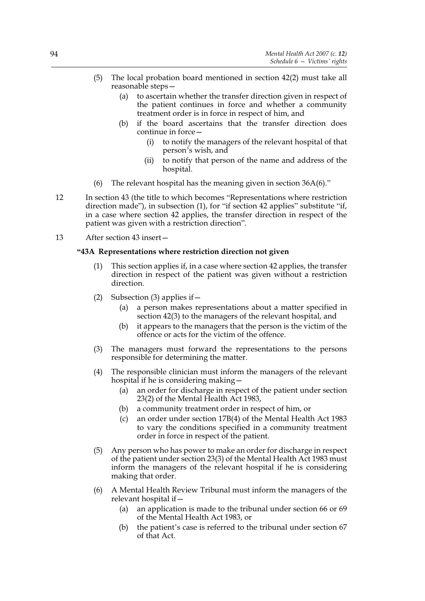- (5) The local probation board mentioned in section 42(2) must take all reasonable steps—
	- (a) to ascertain whether the transfer direction given in respect of the patient continues in force and whether a community treatment order is in force in respect of him, and
	- (b) if the board ascertains that the transfer direction does continue in force—
		- (i) to notify the managers of the relevant hospital of that person's wish, and
		- (ii) to notify that person of the name and address of the hospital.
- (6) The relevant hospital has the meaning given in section 36A(6)."
- 12 In section 43 (the title to which becomes "Representations where restriction direction made"), in subsection (1), for "if section 42 applies" substitute "if, in a case where section 42 applies, the transfer direction in respect of the patient was given with a restriction direction".

13 After section 43 insert—

## **"43A Representations where restriction direction not given**

- (1) This section applies if, in a case where section 42 applies, the transfer direction in respect of the patient was given without a restriction direction.
- (2) Subsection (3) applies if  $$ 
	- a person makes representations about a matter specified in section 42(3) to the managers of the relevant hospital, and
	- (b) it appears to the managers that the person is the victim of the offence or acts for the victim of the offence.
- (3) The managers must forward the representations to the persons responsible for determining the matter.
- (4) The responsible clinician must inform the managers of the relevant hospital if he is considering making—
	- (a) an order for discharge in respect of the patient under section 23(2) of the Mental Health Act 1983,
	- (b) a community treatment order in respect of him, or
	- (c) an order under section 17B(4) of the Mental Health Act 1983 to vary the conditions specified in a community treatment order in force in respect of the patient.
- (5) Any person who has power to make an order for discharge in respect of the patient under section 23(3) of the Mental Health Act 1983 must inform the managers of the relevant hospital if he is considering making that order.
- (6) A Mental Health Review Tribunal must inform the managers of the relevant hospital if—
	- (a) an application is made to the tribunal under section 66 or 69 of the Mental Health Act 1983, or
	- (b) the patient's case is referred to the tribunal under section 67 of that Act.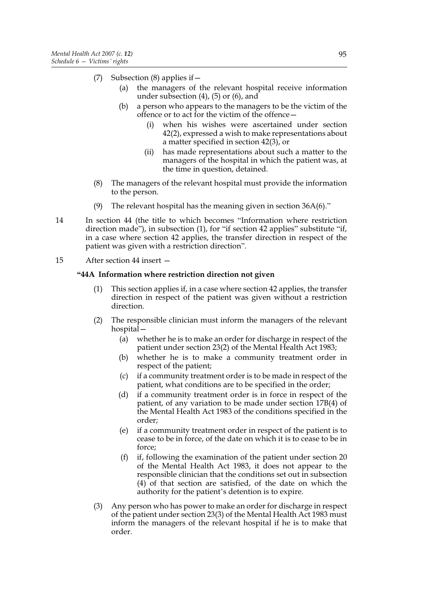- (7) Subsection  $(8)$  applies if  $-$ 
	- (a) the managers of the relevant hospital receive information under subsection  $(4)$ ,  $(5)$  or  $(6)$ , and
	- (b) a person who appears to the managers to be the victim of the offence or to act for the victim of the offence—
		- (i) when his wishes were ascertained under section 42(2), expressed a wish to make representations about a matter specified in section 42(3), or
		- (ii) has made representations about such a matter to the managers of the hospital in which the patient was, at the time in question, detained.
- (8) The managers of the relevant hospital must provide the information to the person.
- (9) The relevant hospital has the meaning given in section  $36A(6)$ ."
- 14 In section 44 (the title to which becomes "Information where restriction direction made"), in subsection (1), for "if section 42 applies" substitute "if, in a case where section 42 applies, the transfer direction in respect of the patient was given with a restriction direction".
- 15 After section 44 insert —

### **"44A Information where restriction direction not given**

- (1) This section applies if, in a case where section 42 applies, the transfer direction in respect of the patient was given without a restriction direction.
- (2) The responsible clinician must inform the managers of the relevant hospital—
	- (a) whether he is to make an order for discharge in respect of the patient under section 23(2) of the Mental Health Act 1983;
	- (b) whether he is to make a community treatment order in respect of the patient;
	- (c) if a community treatment order is to be made in respect of the patient, what conditions are to be specified in the order;
	- (d) if a community treatment order is in force in respect of the patient, of any variation to be made under section 17B(4) of the Mental Health Act 1983 of the conditions specified in the order;
	- (e) if a community treatment order in respect of the patient is to cease to be in force, of the date on which it is to cease to be in force;
	- (f) if, following the examination of the patient under section 20 of the Mental Health Act 1983, it does not appear to the responsible clinician that the conditions set out in subsection (4) of that section are satisfied, of the date on which the authority for the patient's detention is to expire.
- (3) Any person who has power to make an order for discharge in respect of the patient under section 23(3) of the Mental Health Act 1983 must inform the managers of the relevant hospital if he is to make that order.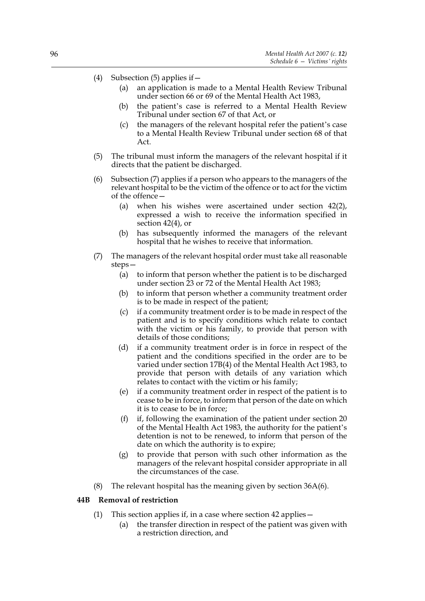- (4) Subsection (5) applies if  $-$ 
	- (a) an application is made to a Mental Health Review Tribunal under section 66 or 69 of the Mental Health Act 1983,
	- (b) the patient's case is referred to a Mental Health Review Tribunal under section 67 of that Act, or
	- (c) the managers of the relevant hospital refer the patient's case to a Mental Health Review Tribunal under section 68 of that Act.
- (5) The tribunal must inform the managers of the relevant hospital if it directs that the patient be discharged.
- (6) Subsection (7) applies if a person who appears to the managers of the relevant hospital to be the victim of the offence or to act for the victim of the offence—
	- (a) when his wishes were ascertained under section 42(2), expressed a wish to receive the information specified in section 42(4), or
	- (b) has subsequently informed the managers of the relevant hospital that he wishes to receive that information.
- (7) The managers of the relevant hospital order must take all reasonable steps—
	- (a) to inform that person whether the patient is to be discharged under section 23 or 72 of the Mental Health Act 1983;
	- (b) to inform that person whether a community treatment order is to be made in respect of the patient;
	- (c) if a community treatment order is to be made in respect of the patient and is to specify conditions which relate to contact with the victim or his family, to provide that person with details of those conditions;
	- (d) if a community treatment order is in force in respect of the patient and the conditions specified in the order are to be varied under section 17B(4) of the Mental Health Act 1983, to provide that person with details of any variation which relates to contact with the victim or his family;
	- (e) if a community treatment order in respect of the patient is to cease to be in force, to inform that person of the date on which it is to cease to be in force;
	- (f) if, following the examination of the patient under section 20 of the Mental Health Act 1983, the authority for the patient's detention is not to be renewed, to inform that person of the date on which the authority is to expire;
	- (g) to provide that person with such other information as the managers of the relevant hospital consider appropriate in all the circumstances of the case.
- (8) The relevant hospital has the meaning given by section  $36A(6)$ .

## **44B Removal of restriction**

- (1) This section applies if, in a case where section 42 applies  $-$ 
	- (a) the transfer direction in respect of the patient was given with a restriction direction, and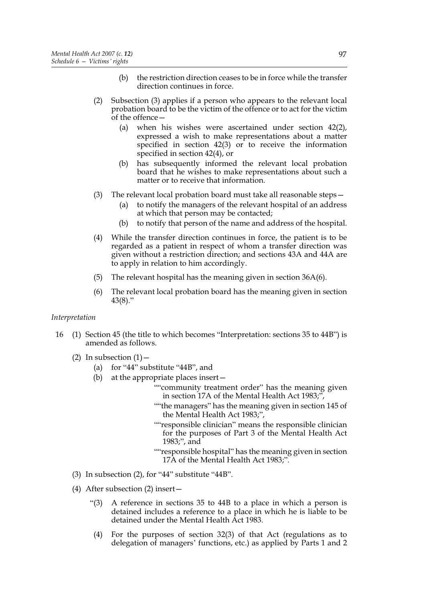- (b) the restriction direction ceases to be in force while the transfer direction continues in force.
- (2) Subsection (3) applies if a person who appears to the relevant local probation board to be the victim of the offence or to act for the victim of the offence—
	- (a) when his wishes were ascertained under section 42(2), expressed a wish to make representations about a matter specified in section 42(3) or to receive the information specified in section 42(4), or
	- (b) has subsequently informed the relevant local probation board that he wishes to make representations about such a matter or to receive that information.
- (3) The relevant local probation board must take all reasonable steps—
	- (a) to notify the managers of the relevant hospital of an address at which that person may be contacted;
	- (b) to notify that person of the name and address of the hospital.
- (4) While the transfer direction continues in force, the patient is to be regarded as a patient in respect of whom a transfer direction was given without a restriction direction; and sections 43A and 44A are to apply in relation to him accordingly.
- (5) The relevant hospital has the meaning given in section 36A(6).
- (6) The relevant local probation board has the meaning given in section 43(8)."

## *Interpretation*

- 16 (1) Section 45 (the title to which becomes "Interpretation: sections 35 to 44B") is amended as follows.
	- (2) In subsection  $(1)$ 
		- (a) for "44" substitute "44B", and
		- (b) at the appropriate places insert—
			- ""community treatment order" has the meaning given in section 17A of the Mental Health Act 1983;",
			- ""the managers" has the meaning given in section 145 of the Mental Health Act 1983;",
			- ""responsible clinician" means the responsible clinician for the purposes of Part 3 of the Mental Health Act 1983;", and
			- ""responsible hospital" has the meaning given in section 17A of the Mental Health Act 1983;".
	- (3) In subsection (2), for "44" substitute "44B".
	- (4) After subsection (2) insert—
		- "(3) A reference in sections 35 to 44B to a place in which a person is detained includes a reference to a place in which he is liable to be detained under the Mental Health Act 1983.
			- (4) For the purposes of section 32(3) of that Act (regulations as to delegation of managers' functions, etc.) as applied by Parts 1 and 2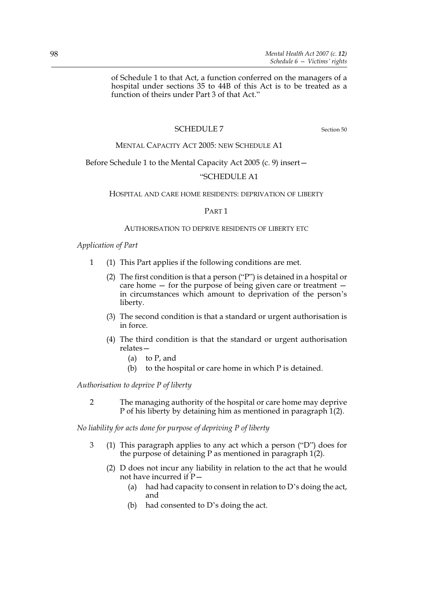of Schedule 1 to that Act, a function conferred on the managers of a hospital under sections 35 to 44B of this Act is to be treated as a function of theirs under Part 3 of that Act."

# SCHEDULE 7 Section 50

## MENTAL CAPACITY ACT 2005: NEW SCHEDULE A1

Before Schedule 1 to the Mental Capacity Act 2005 (c. 9) insert—

## "SCHEDULE A1

#### HOSPITAL AND CARE HOME RESIDENTS: DEPRIVATION OF LIBERTY

### PART 1

#### AUTHORISATION TO DEPRIVE RESIDENTS OF LIBERTY ETC

#### *Application of Part*

- 1 (1) This Part applies if the following conditions are met.
	- (2) The first condition is that a person ("P") is detained in a hospital or care home  $-$  for the purpose of being given care or treatment  $$ in circumstances which amount to deprivation of the person's liberty.
	- (3) The second condition is that a standard or urgent authorisation is in force.
	- (4) The third condition is that the standard or urgent authorisation relates—
		- (a) to P, and
		- (b) to the hospital or care home in which P is detained.

#### *Authorisation to deprive P of liberty*

2 The managing authority of the hospital or care home may deprive P of his liberty by detaining him as mentioned in paragraph  $\hat{1}(2)$ .

*No liability for acts done for purpose of depriving P of liberty*

- 3 (1) This paragraph applies to any act which a person ("D") does for the purpose of detaining P as mentioned in paragraph 1(2).
	- (2) D does not incur any liability in relation to the act that he would not have incurred if P—
		- (a) had had capacity to consent in relation to D's doing the act, and
		- (b) had consented to D's doing the act.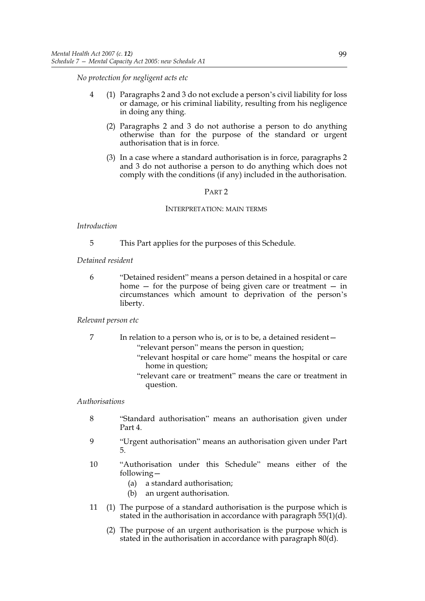*No protection for negligent acts etc*

- 4 (1) Paragraphs 2 and 3 do not exclude a person's civil liability for loss or damage, or his criminal liability, resulting from his negligence in doing any thing.
	- (2) Paragraphs 2 and 3 do not authorise a person to do anything otherwise than for the purpose of the standard or urgent authorisation that is in force.
	- (3) In a case where a standard authorisation is in force, paragraphs 2 and 3 do not authorise a person to do anything which does not comply with the conditions (if any) included in the authorisation.

### PART 2

#### INTERPRETATION: MAIN TERMS

### *Introduction*

5 This Part applies for the purposes of this Schedule.

## *Detained resident*

6 "Detained resident" means a person detained in a hospital or care home  $-$  for the purpose of being given care or treatment  $-$  in circumstances which amount to deprivation of the person's liberty.

## *Relevant person etc*

- 7 In relation to a person who is, or is to be, a detained resident— "relevant person" means the person in question;
	- "relevant hospital or care home" means the hospital or care home in question;
	- "relevant care or treatment" means the care or treatment in question.

## *Authorisations*

- 8 "Standard authorisation" means an authorisation given under Part 4.
- 9 "Urgent authorisation" means an authorisation given under Part 5.
- 10 "Authorisation under this Schedule" means either of the following—
	- (a) a standard authorisation;
	- (b) an urgent authorisation.
- 11 (1) The purpose of a standard authorisation is the purpose which is stated in the authorisation in accordance with paragraph 55(1)(d).
	- (2) The purpose of an urgent authorisation is the purpose which is stated in the authorisation in accordance with paragraph 80(d).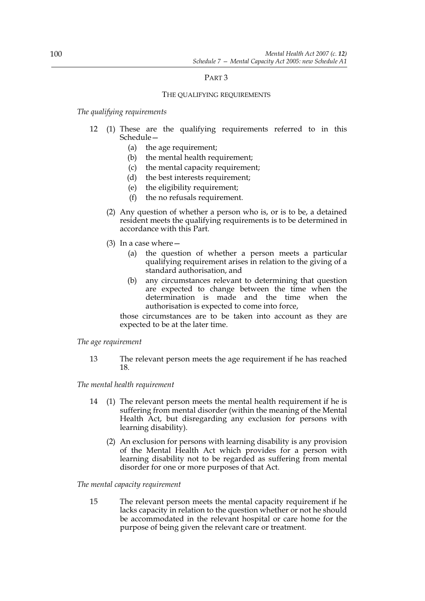### PART 3

#### THE QUALIFYING REQUIREMENTS

*The qualifying requirements*

- 12 (1) These are the qualifying requirements referred to in this Schedule—
	- (a) the age requirement;
	- (b) the mental health requirement;
	- (c) the mental capacity requirement;
	- (d) the best interests requirement;
	- (e) the eligibility requirement;
	- (f) the no refusals requirement.
	- (2) Any question of whether a person who is, or is to be, a detained resident meets the qualifying requirements is to be determined in accordance with this Part.
	- (3) In a case where—
		- (a) the question of whether a person meets a particular qualifying requirement arises in relation to the giving of a standard authorisation, and
		- (b) any circumstances relevant to determining that question are expected to change between the time when the determination is made and the time when the authorisation is expected to come into force,

those circumstances are to be taken into account as they are expected to be at the later time.

*The age requirement*

13 The relevant person meets the age requirement if he has reached 18.

*The mental health requirement*

- 14 (1) The relevant person meets the mental health requirement if he is suffering from mental disorder (within the meaning of the Mental Health Act, but disregarding any exclusion for persons with learning disability).
	- (2) An exclusion for persons with learning disability is any provision of the Mental Health Act which provides for a person with learning disability not to be regarded as suffering from mental disorder for one or more purposes of that Act.

*The mental capacity requirement*

15 The relevant person meets the mental capacity requirement if he lacks capacity in relation to the question whether or not he should be accommodated in the relevant hospital or care home for the purpose of being given the relevant care or treatment.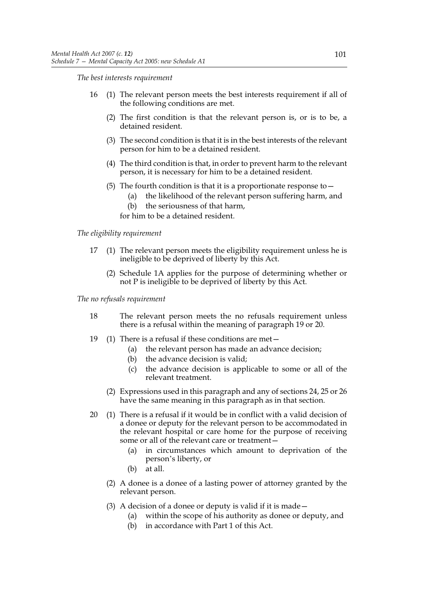*The best interests requirement*

- 16 (1) The relevant person meets the best interests requirement if all of the following conditions are met.
	- (2) The first condition is that the relevant person is, or is to be, a detained resident.
	- (3) The second condition is that it is in the best interests of the relevant person for him to be a detained resident.
	- (4) The third condition is that, in order to prevent harm to the relevant person, it is necessary for him to be a detained resident.
	- (5) The fourth condition is that it is a proportionate response to  $-$ 
		- (a) the likelihood of the relevant person suffering harm, and
		- (b) the seriousness of that harm,

for him to be a detained resident.

#### *The eligibility requirement*

- 17 (1) The relevant person meets the eligibility requirement unless he is ineligible to be deprived of liberty by this Act.
	- (2) Schedule 1A applies for the purpose of determining whether or not P is ineligible to be deprived of liberty by this Act.

#### *The no refusals requirement*

- 18 The relevant person meets the no refusals requirement unless there is a refusal within the meaning of paragraph 19 or 20.
- 19 (1) There is a refusal if these conditions are met—
	- (a) the relevant person has made an advance decision;
	- (b) the advance decision is valid;
	- (c) the advance decision is applicable to some or all of the relevant treatment.
	- (2) Expressions used in this paragraph and any of sections 24, 25 or 26 have the same meaning in this paragraph as in that section.
- 20 (1) There is a refusal if it would be in conflict with a valid decision of a donee or deputy for the relevant person to be accommodated in the relevant hospital or care home for the purpose of receiving some or all of the relevant care or treatment
	- in circumstances which amount to deprivation of the person's liberty, or
	- (b) at all.
	- (2) A donee is a donee of a lasting power of attorney granted by the relevant person.
	- (3) A decision of a donee or deputy is valid if it is made—
		- (a) within the scope of his authority as donee or deputy, and
		- (b) in accordance with Part 1 of this Act.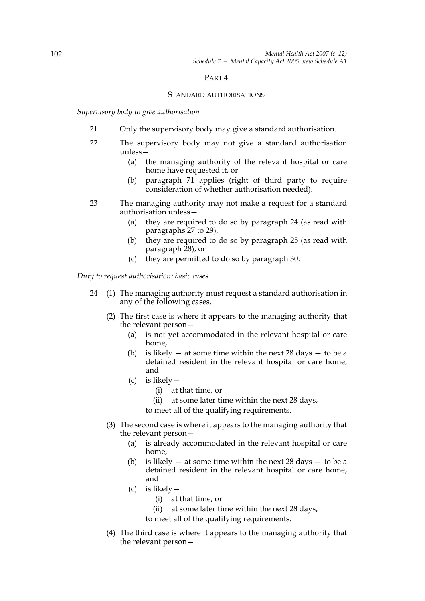### PART 4

### STANDARD AUTHORISATIONS

*Supervisory body to give authorisation*

- 21 Only the supervisory body may give a standard authorisation.
- 22 The supervisory body may not give a standard authorisation unless—
	- (a) the managing authority of the relevant hospital or care home have requested it, or
	- (b) paragraph 71 applies (right of third party to require consideration of whether authorisation needed).
- 23 The managing authority may not make a request for a standard authorisation unless—
	- (a) they are required to do so by paragraph 24 (as read with paragraphs 27 to 29),
	- (b) they are required to do so by paragraph 25 (as read with paragraph  $28$ ), or
	- (c) they are permitted to do so by paragraph 30.

*Duty to request authorisation: basic cases*

- 24 (1) The managing authority must request a standard authorisation in any of the following cases.
	- (2) The first case is where it appears to the managing authority that the relevant person—
		- (a) is not yet accommodated in the relevant hospital or care home,
		- (b) is likely  $-$  at some time within the next 28 days  $-$  to be a detained resident in the relevant hospital or care home, and
		- (c) is likely—
			- (i) at that time, or
			- (ii) at some later time within the next 28 days,
			- to meet all of the qualifying requirements.
	- (3) The second case is where it appears to the managing authority that the relevant person—
		- (a) is already accommodated in the relevant hospital or care home,
		- (b) is likely  $-$  at some time within the next 28 days  $-$  to be a detained resident in the relevant hospital or care home, and
		- (c) is likely—
			- (i) at that time, or
			- (ii) at some later time within the next 28 days,
			- to meet all of the qualifying requirements.
	- (4) The third case is where it appears to the managing authority that the relevant person—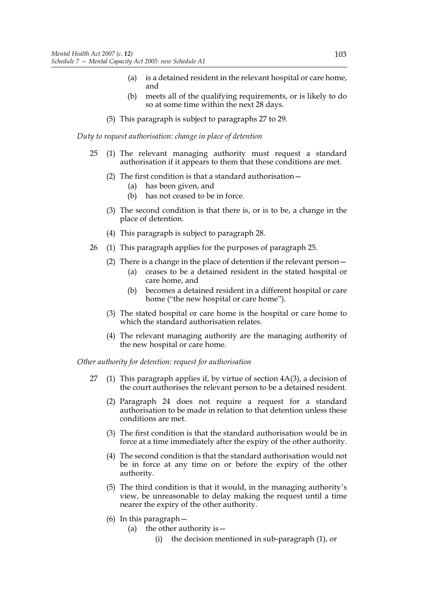- (a) is a detained resident in the relevant hospital or care home, and
- (b) meets all of the qualifying requirements, or is likely to do so at some time within the next 28 days.
- (5) This paragraph is subject to paragraphs 27 to 29.

*Duty to request authorisation: change in place of detention*

- 25 (1) The relevant managing authority must request a standard authorisation if it appears to them that these conditions are met.
	- (2) The first condition is that a standard authorisation—
		- (a) has been given, and
		- (b) has not ceased to be in force.
	- (3) The second condition is that there is, or is to be, a change in the place of detention.
	- (4) This paragraph is subject to paragraph 28.
- 26 (1) This paragraph applies for the purposes of paragraph 25.
	- (2) There is a change in the place of detention if the relevant person—
		- (a) ceases to be a detained resident in the stated hospital or care home, and
		- (b) becomes a detained resident in a different hospital or care home ("the new hospital or care home").
	- (3) The stated hospital or care home is the hospital or care home to which the standard authorisation relates.
	- (4) The relevant managing authority are the managing authority of the new hospital or care home.

#### *Other authority for detention: request for authorisation*

- 27 (1) This paragraph applies if, by virtue of section  $4A(3)$ , a decision of the court authorises the relevant person to be a detained resident.
	- (2) Paragraph 24 does not require a request for a standard authorisation to be made in relation to that detention unless these conditions are met.
	- (3) The first condition is that the standard authorisation would be in force at a time immediately after the expiry of the other authority.
	- (4) The second condition is that the standard authorisation would not be in force at any time on or before the expiry of the other authority.
	- (5) The third condition is that it would, in the managing authority's view, be unreasonable to delay making the request until a time nearer the expiry of the other authority.
	- (6) In this paragraph—
		- (a) the other authority is  $-$ 
			- (i) the decision mentioned in sub-paragraph (1), or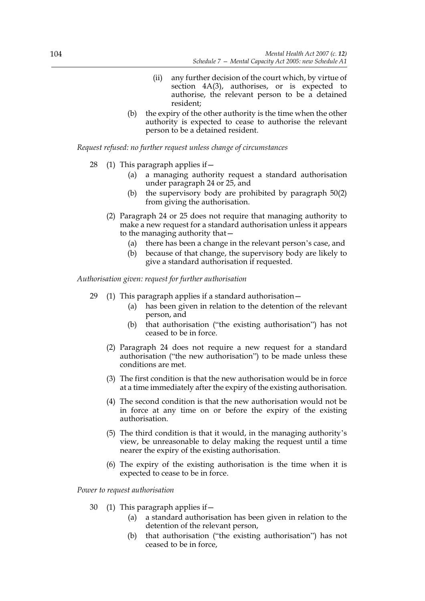- (ii) any further decision of the court which, by virtue of section  $4A(3)$ , authorises, or is expected to authorise, the relevant person to be a detained resident;
- (b) the expiry of the other authority is the time when the other authority is expected to cease to authorise the relevant person to be a detained resident.

*Request refused: no further request unless change of circumstances*

- 28 (1) This paragraph applies if—
	- (a) a managing authority request a standard authorisation under paragraph 24 or 25, and
	- (b) the supervisory body are prohibited by paragraph 50(2) from giving the authorisation.
	- (2) Paragraph 24 or 25 does not require that managing authority to make a new request for a standard authorisation unless it appears to the managing authority that—
		- (a) there has been a change in the relevant person's case, and
		- (b) because of that change, the supervisory body are likely to give a standard authorisation if requested.

*Authorisation given: request for further authorisation*

- 29 (1) This paragraph applies if a standard authorisation—
	- (a) has been given in relation to the detention of the relevant person, and
	- (b) that authorisation ("the existing authorisation") has not ceased to be in force.
	- (2) Paragraph 24 does not require a new request for a standard authorisation ("the new authorisation") to be made unless these conditions are met.
	- (3) The first condition is that the new authorisation would be in force at a time immediately after the expiry of the existing authorisation.
	- (4) The second condition is that the new authorisation would not be in force at any time on or before the expiry of the existing authorisation.
	- (5) The third condition is that it would, in the managing authority's view, be unreasonable to delay making the request until a time nearer the expiry of the existing authorisation.
	- (6) The expiry of the existing authorisation is the time when it is expected to cease to be in force.

*Power to request authorisation*

- 30 (1) This paragraph applies if—
	- (a) a standard authorisation has been given in relation to the detention of the relevant person,
	- (b) that authorisation ("the existing authorisation") has not ceased to be in force,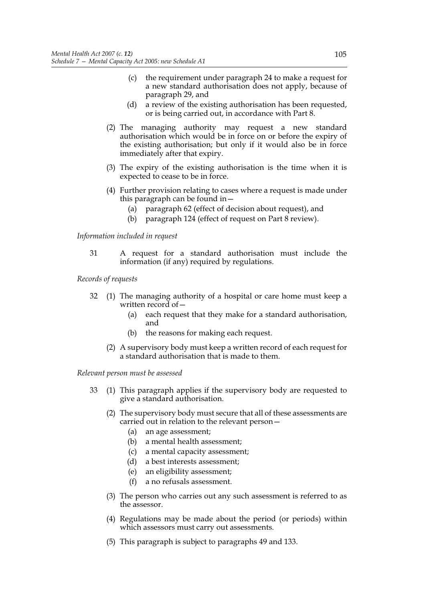- (c) the requirement under paragraph 24 to make a request for a new standard authorisation does not apply, because of paragraph 29, and
- (d) a review of the existing authorisation has been requested, or is being carried out, in accordance with Part 8.
- (2) The managing authority may request a new standard authorisation which would be in force on or before the expiry of the existing authorisation; but only if it would also be in force immediately after that expiry.
- (3) The expiry of the existing authorisation is the time when it is expected to cease to be in force.
- (4) Further provision relating to cases where a request is made under this paragraph can be found in—
	- (a) paragraph 62 (effect of decision about request), and
	- (b) paragraph 124 (effect of request on Part 8 review).

*Information included in request*

31 A request for a standard authorisation must include the information (if any) required by regulations.

*Records of requests*

- 32 (1) The managing authority of a hospital or care home must keep a written record of—
	- (a) each request that they make for a standard authorisation, and
	- (b) the reasons for making each request.
	- (2) A supervisory body must keep a written record of each request for a standard authorisation that is made to them.

*Relevant person must be assessed*

- 33 (1) This paragraph applies if the supervisory body are requested to give a standard authorisation.
	- (2) The supervisory body must secure that all of these assessments are carried out in relation to the relevant person—
		- (a) an age assessment;
		- (b) a mental health assessment;
		- (c) a mental capacity assessment;
		- (d) a best interests assessment;
		- (e) an eligibility assessment;
		- (f) a no refusals assessment.
	- (3) The person who carries out any such assessment is referred to as the assessor.
	- (4) Regulations may be made about the period (or periods) within which assessors must carry out assessments.
	- (5) This paragraph is subject to paragraphs 49 and 133.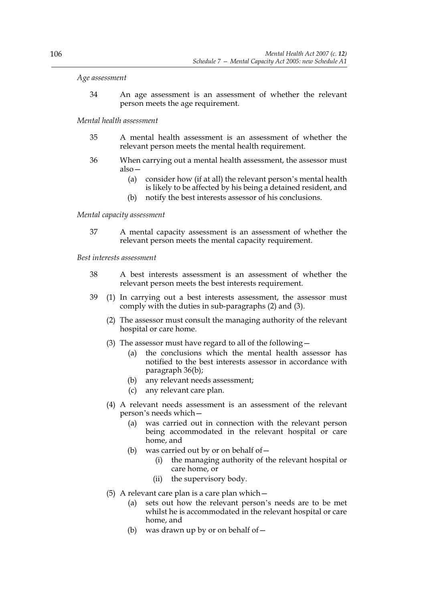*Age assessment*

34 An age assessment is an assessment of whether the relevant person meets the age requirement.

## *Mental health assessment*

- 35 A mental health assessment is an assessment of whether the relevant person meets the mental health requirement.
- 36 When carrying out a mental health assessment, the assessor must also—
	- (a) consider how (if at all) the relevant person's mental health is likely to be affected by his being a detained resident, and
	- (b) notify the best interests assessor of his conclusions.

*Mental capacity assessment*

37 A mental capacity assessment is an assessment of whether the relevant person meets the mental capacity requirement.

*Best interests assessment*

- 38 A best interests assessment is an assessment of whether the relevant person meets the best interests requirement.
- 39 (1) In carrying out a best interests assessment, the assessor must comply with the duties in sub-paragraphs (2) and (3).
	- (2) The assessor must consult the managing authority of the relevant hospital or care home.
	- (3) The assessor must have regard to all of the following—
		- (a) the conclusions which the mental health assessor has notified to the best interests assessor in accordance with paragraph 36(b);
		- (b) any relevant needs assessment;
		- (c) any relevant care plan.
	- (4) A relevant needs assessment is an assessment of the relevant person's needs which—
		- (a) was carried out in connection with the relevant person being accommodated in the relevant hospital or care home, and
		- (b) was carried out by or on behalf of  $-$ 
			- (i) the managing authority of the relevant hospital or care home, or
			- (ii) the supervisory body.
	- (5) A relevant care plan is a care plan which—
		- (a) sets out how the relevant person's needs are to be met whilst he is accommodated in the relevant hospital or care home, and
		- (b) was drawn up by or on behalf of  $-$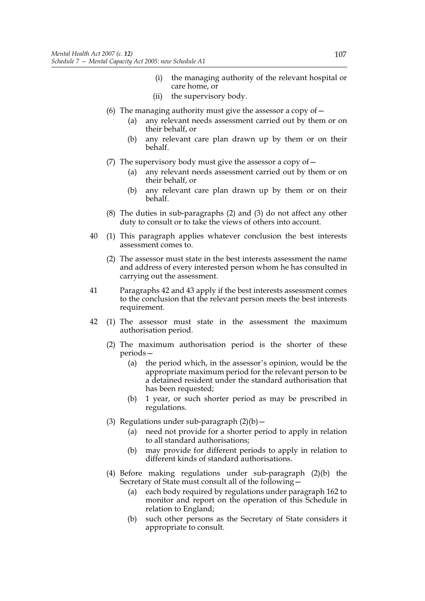- (i) the managing authority of the relevant hospital or care home, or
- (ii) the supervisory body.
- (6) The managing authority must give the assessor a copy of  $-$ 
	- (a) any relevant needs assessment carried out by them or on their behalf, or
	- (b) any relevant care plan drawn up by them or on their behalf.
- (7) The supervisory body must give the assessor a copy of  $-$ 
	- (a) any relevant needs assessment carried out by them or on their behalf, or
	- (b) any relevant care plan drawn up by them or on their behalf.
- (8) The duties in sub-paragraphs (2) and (3) do not affect any other duty to consult or to take the views of others into account.
- 40 (1) This paragraph applies whatever conclusion the best interests assessment comes to.
	- (2) The assessor must state in the best interests assessment the name and address of every interested person whom he has consulted in carrying out the assessment.
- 41 Paragraphs 42 and 43 apply if the best interests assessment comes to the conclusion that the relevant person meets the best interests requirement.
- 42 (1) The assessor must state in the assessment the maximum authorisation period.
	- (2) The maximum authorisation period is the shorter of these periods—
		- (a) the period which, in the assessor's opinion, would be the appropriate maximum period for the relevant person to be a detained resident under the standard authorisation that has been requested;
		- (b) 1 year, or such shorter period as may be prescribed in regulations.
	- (3) Regulations under sub-paragraph  $(2)(b)$ 
		- (a) need not provide for a shorter period to apply in relation to all standard authorisations;
		- (b) may provide for different periods to apply in relation to different kinds of standard authorisations.
	- (4) Before making regulations under sub-paragraph (2)(b) the Secretary of State must consult all of the following—
		- (a) each body required by regulations under paragraph 162 to monitor and report on the operation of this Schedule in relation to England;
		- (b) such other persons as the Secretary of State considers it appropriate to consult.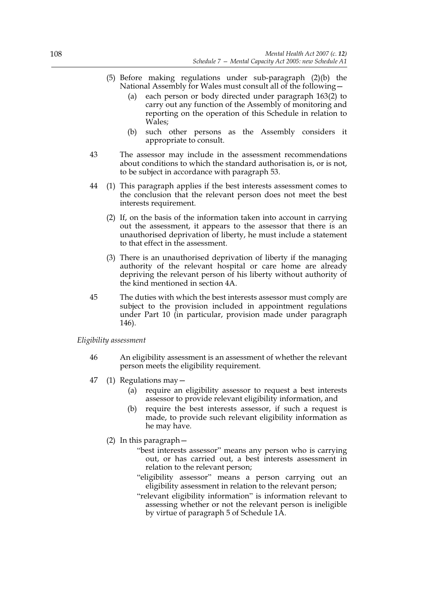- (5) Before making regulations under sub-paragraph (2)(b) the National Assembly for Wales must consult all of the following—
	- (a) each person or body directed under paragraph 163(2) to carry out any function of the Assembly of monitoring and reporting on the operation of this Schedule in relation to Wales;
	- (b) such other persons as the Assembly considers it appropriate to consult.
- 43 The assessor may include in the assessment recommendations about conditions to which the standard authorisation is, or is not, to be subject in accordance with paragraph 53.
- 44 (1) This paragraph applies if the best interests assessment comes to the conclusion that the relevant person does not meet the best interests requirement.
	- (2) If, on the basis of the information taken into account in carrying out the assessment, it appears to the assessor that there is an unauthorised deprivation of liberty, he must include a statement to that effect in the assessment.
	- (3) There is an unauthorised deprivation of liberty if the managing authority of the relevant hospital or care home are already depriving the relevant person of his liberty without authority of the kind mentioned in section 4A.
- 45 The duties with which the best interests assessor must comply are subject to the provision included in appointment regulations under Part 10 (in particular, provision made under paragraph 146).

*Eligibility assessment*

- 46 An eligibility assessment is an assessment of whether the relevant person meets the eligibility requirement.
- 47 (1) Regulations may—
	- (a) require an eligibility assessor to request a best interests assessor to provide relevant eligibility information, and
	- (b) require the best interests assessor, if such a request is made, to provide such relevant eligibility information as he may have.
	- (2) In this paragraph—
		- "best interests assessor" means any person who is carrying out, or has carried out, a best interests assessment in relation to the relevant person;
		- "eligibility assessor" means a person carrying out an eligibility assessment in relation to the relevant person;
		- "relevant eligibility information" is information relevant to assessing whether or not the relevant person is ineligible by virtue of paragraph 5 of Schedule 1A.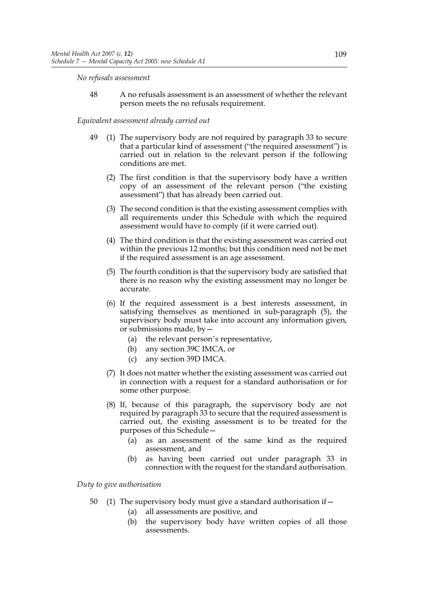#### *No refusals assessment*

48 A no refusals assessment is an assessment of whether the relevant person meets the no refusals requirement.

# *Equivalent assessment already carried out*

- 49 (1) The supervisory body are not required by paragraph 33 to secure that a particular kind of assessment ("the required assessment") is carried out in relation to the relevant person if the following conditions are met.
	- (2) The first condition is that the supervisory body have a written copy of an assessment of the relevant person ("the existing assessment") that has already been carried out.
	- (3) The second condition is that the existing assessment complies with all requirements under this Schedule with which the required assessment would have to comply (if it were carried out).
	- (4) The third condition is that the existing assessment was carried out within the previous 12 months; but this condition need not be met if the required assessment is an age assessment.
	- (5) The fourth condition is that the supervisory body are satisfied that there is no reason why the existing assessment may no longer be accurate.
	- (6) If the required assessment is a best interests assessment, in satisfying themselves as mentioned in sub-paragraph (5), the supervisory body must take into account any information given, or submissions made, by—
		- (a) the relevant person's representative,
		- (b) any section 39C IMCA, or
		- (c) any section 39D IMCA.
	- (7) It does not matter whether the existing assessment was carried out in connection with a request for a standard authorisation or for some other purpose.
	- (8) If, because of this paragraph, the supervisory body are not required by paragraph 33 to secure that the required assessment is carried out, the existing assessment is to be treated for the purposes of this Schedule—
		- (a) as an assessment of the same kind as the required assessment, and
		- (b) as having been carried out under paragraph 33 in connection with the request for the standard authorisation.

*Duty to give authorisation*

- 50 (1) The supervisory body must give a standard authorisation if  $-$ 
	- (a) all assessments are positive, and
	- (b) the supervisory body have written copies of all those assessments.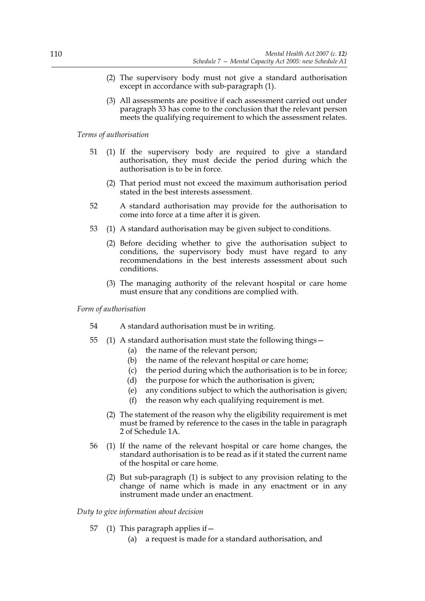- (2) The supervisory body must not give a standard authorisation except in accordance with sub-paragraph (1).
- (3) All assessments are positive if each assessment carried out under paragraph 33 has come to the conclusion that the relevant person meets the qualifying requirement to which the assessment relates.

### *Terms of authorisation*

- 51 (1) If the supervisory body are required to give a standard authorisation, they must decide the period during which the authorisation is to be in force.
	- (2) That period must not exceed the maximum authorisation period stated in the best interests assessment.
- 52 A standard authorisation may provide for the authorisation to come into force at a time after it is given.
- 53 (1) A standard authorisation may be given subject to conditions.
	- (2) Before deciding whether to give the authorisation subject to conditions, the supervisory body must have regard to any recommendations in the best interests assessment about such conditions.
	- (3) The managing authority of the relevant hospital or care home must ensure that any conditions are complied with.

## *Form of authorisation*

- 54 A standard authorisation must be in writing.
- 55 (1) A standard authorisation must state the following things—
	- (a) the name of the relevant person;
	- (b) the name of the relevant hospital or care home;
	- (c) the period during which the authorisation is to be in force;
	- (d) the purpose for which the authorisation is given;
	- (e) any conditions subject to which the authorisation is given;
	- (f) the reason why each qualifying requirement is met.
	- (2) The statement of the reason why the eligibility requirement is met must be framed by reference to the cases in the table in paragraph 2 of Schedule 1A.
- 56 (1) If the name of the relevant hospital or care home changes, the standard authorisation is to be read as if it stated the current name of the hospital or care home.
	- (2) But sub-paragraph (1) is subject to any provision relating to the change of name which is made in any enactment or in any instrument made under an enactment.

## *Duty to give information about decision*

- 57 (1) This paragraph applies if—
	- (a) a request is made for a standard authorisation, and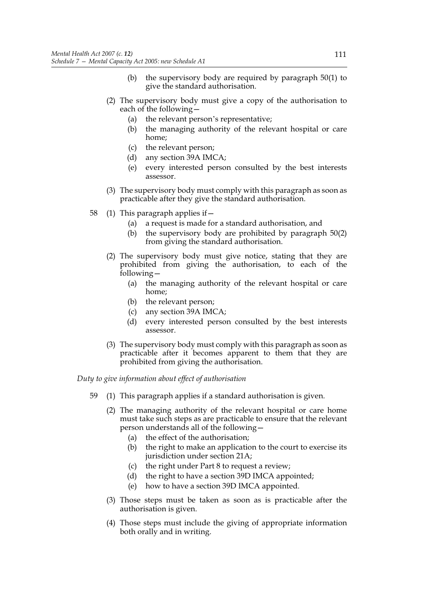- (b) the supervisory body are required by paragraph 50(1) to give the standard authorisation.
- (2) The supervisory body must give a copy of the authorisation to each of the following—
	- (a) the relevant person's representative;
	- (b) the managing authority of the relevant hospital or care home;
	- (c) the relevant person;
	- (d) any section 39A IMCA;
	- (e) every interested person consulted by the best interests assessor.
- (3) The supervisory body must comply with this paragraph as soon as practicable after they give the standard authorisation.
- 58 (1) This paragraph applies if—
	- (a) a request is made for a standard authorisation, and
	- (b) the supervisory body are prohibited by paragraph 50(2) from giving the standard authorisation.
	- (2) The supervisory body must give notice, stating that they are prohibited from giving the authorisation, to each of the following—
		- (a) the managing authority of the relevant hospital or care home;
		- (b) the relevant person;
		- (c) any section 39A IMCA;
		- (d) every interested person consulted by the best interests assessor.
	- (3) The supervisory body must comply with this paragraph as soon as practicable after it becomes apparent to them that they are prohibited from giving the authorisation.

*Duty to give information about effect of authorisation*

- 59 (1) This paragraph applies if a standard authorisation is given.
	- (2) The managing authority of the relevant hospital or care home must take such steps as are practicable to ensure that the relevant person understands all of the following—
		- (a) the effect of the authorisation;
		- (b) the right to make an application to the court to exercise its jurisdiction under section 21A;
		- (c) the right under Part 8 to request a review;
		- (d) the right to have a section 39D IMCA appointed;
		- (e) how to have a section 39D IMCA appointed.
	- (3) Those steps must be taken as soon as is practicable after the authorisation is given.
	- (4) Those steps must include the giving of appropriate information both orally and in writing.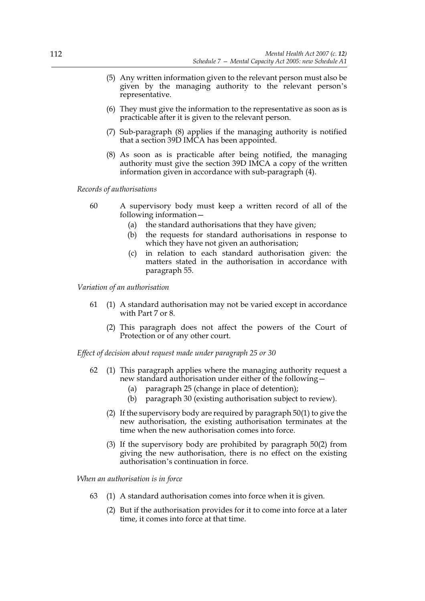- (5) Any written information given to the relevant person must also be given by the managing authority to the relevant person's representative.
- (6) They must give the information to the representative as soon as is practicable after it is given to the relevant person.
- (7) Sub-paragraph (8) applies if the managing authority is notified that a section 39D IMCA has been appointed.
- (8) As soon as is practicable after being notified, the managing authority must give the section 39D IMCA a copy of the written information given in accordance with sub-paragraph (4).

*Records of authorisations*

- 60 A supervisory body must keep a written record of all of the following information—
	- (a) the standard authorisations that they have given;
	- (b) the requests for standard authorisations in response to which they have not given an authorisation;
	- (c) in relation to each standard authorisation given: the matters stated in the authorisation in accordance with paragraph 55.

*Variation of an authorisation*

- 61 (1) A standard authorisation may not be varied except in accordance with Part 7 or 8.
	- (2) This paragraph does not affect the powers of the Court of Protection or of any other court.

*Effect of decision about request made under paragraph 25 or 30*

- 62 (1) This paragraph applies where the managing authority request a new standard authorisation under either of the following—
	- (a) paragraph 25 (change in place of detention);
	- (b) paragraph 30 (existing authorisation subject to review).
	- (2) If the supervisory body are required by paragraph 50(1) to give the new authorisation, the existing authorisation terminates at the time when the new authorisation comes into force.
	- (3) If the supervisory body are prohibited by paragraph 50(2) from giving the new authorisation, there is no effect on the existing authorisation's continuation in force.

*When an authorisation is in force*

- 63 (1) A standard authorisation comes into force when it is given.
	- (2) But if the authorisation provides for it to come into force at a later time, it comes into force at that time.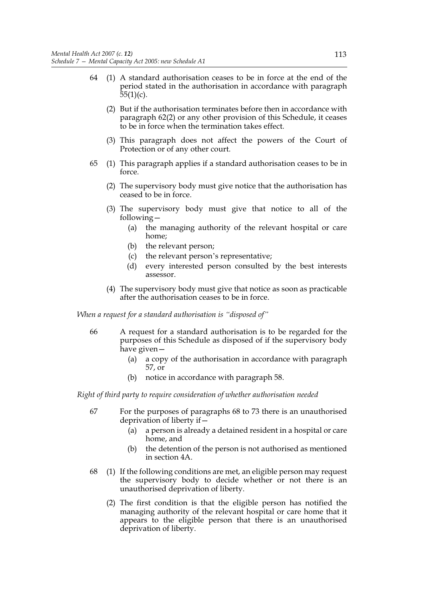- 64 (1) A standard authorisation ceases to be in force at the end of the period stated in the authorisation in accordance with paragraph  $55(1)(c)$ .
	- (2) But if the authorisation terminates before then in accordance with paragraph 62(2) or any other provision of this Schedule, it ceases to be in force when the termination takes effect.
	- (3) This paragraph does not affect the powers of the Court of Protection or of any other court.
- 65 (1) This paragraph applies if a standard authorisation ceases to be in force.
	- (2) The supervisory body must give notice that the authorisation has ceased to be in force.
	- (3) The supervisory body must give that notice to all of the following—
		- (a) the managing authority of the relevant hospital or care home;
		- (b) the relevant person;
		- (c) the relevant person's representative;
		- (d) every interested person consulted by the best interests assessor.
	- (4) The supervisory body must give that notice as soon as practicable after the authorisation ceases to be in force.

*When a request for a standard authorisation is "disposed of"*

- 66 A request for a standard authorisation is to be regarded for the purposes of this Schedule as disposed of if the supervisory body have given—
	- (a) a copy of the authorisation in accordance with paragraph 57, or
	- (b) notice in accordance with paragraph 58.

*Right of third party to require consideration of whether authorisation needed*

- 67 For the purposes of paragraphs 68 to 73 there is an unauthorised deprivation of liberty if—
	- (a) a person is already a detained resident in a hospital or care home, and
	- (b) the detention of the person is not authorised as mentioned in section 4A.
- 68 (1) If the following conditions are met, an eligible person may request the supervisory body to decide whether or not there is an unauthorised deprivation of liberty.
	- (2) The first condition is that the eligible person has notified the managing authority of the relevant hospital or care home that it appears to the eligible person that there is an unauthorised deprivation of liberty.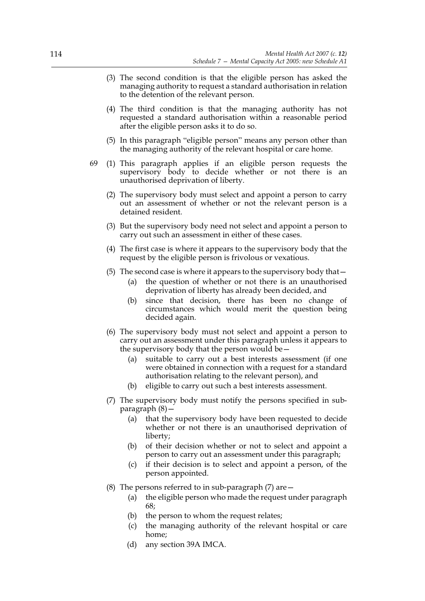- (3) The second condition is that the eligible person has asked the managing authority to request a standard authorisation in relation to the detention of the relevant person.
- (4) The third condition is that the managing authority has not requested a standard authorisation within a reasonable period after the eligible person asks it to do so.
- (5) In this paragraph "eligible person" means any person other than the managing authority of the relevant hospital or care home.
- 69 (1) This paragraph applies if an eligible person requests the supervisory body to decide whether or not there is an unauthorised deprivation of liberty.
	- (2) The supervisory body must select and appoint a person to carry out an assessment of whether or not the relevant person is a detained resident.
	- (3) But the supervisory body need not select and appoint a person to carry out such an assessment in either of these cases.
	- (4) The first case is where it appears to the supervisory body that the request by the eligible person is frivolous or vexatious.
	- (5) The second case is where it appears to the supervisory body that—
		- (a) the question of whether or not there is an unauthorised deprivation of liberty has already been decided, and
		- (b) since that decision, there has been no change of circumstances which would merit the question being decided again.
	- (6) The supervisory body must not select and appoint a person to carry out an assessment under this paragraph unless it appears to the supervisory body that the person would be—
		- (a) suitable to carry out a best interests assessment (if one were obtained in connection with a request for a standard authorisation relating to the relevant person), and
		- (b) eligible to carry out such a best interests assessment.
	- (7) The supervisory body must notify the persons specified in subparagraph (8)—
		- (a) that the supervisory body have been requested to decide whether or not there is an unauthorised deprivation of liberty;
		- (b) of their decision whether or not to select and appoint a person to carry out an assessment under this paragraph;
		- (c) if their decision is to select and appoint a person, of the person appointed.
	- (8) The persons referred to in sub-paragraph  $(7)$  are  $-$ 
		- (a) the eligible person who made the request under paragraph 68;
		- (b) the person to whom the request relates;
		- (c) the managing authority of the relevant hospital or care home;
		- (d) any section 39A IMCA.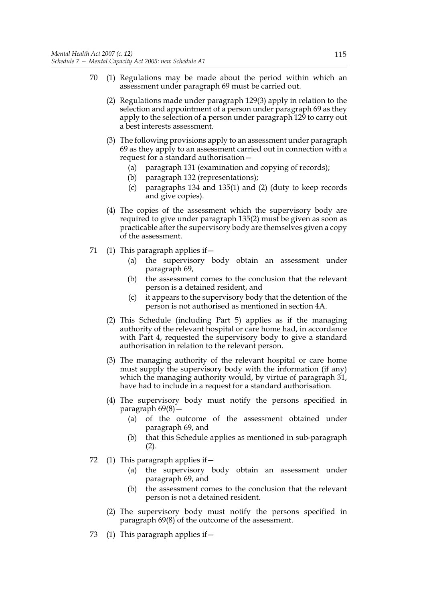- 70 (1) Regulations may be made about the period within which an assessment under paragraph 69 must be carried out.
	- (2) Regulations made under paragraph 129(3) apply in relation to the selection and appointment of a person under paragraph 69 as they apply to the selection of a person under paragraph 129 to carry out a best interests assessment.
	- (3) The following provisions apply to an assessment under paragraph 69 as they apply to an assessment carried out in connection with a request for a standard authorisation—
		- (a) paragraph 131 (examination and copying of records);
		- (b) paragraph 132 (representations);
		- (c) paragraphs 134 and 135(1) and (2) (duty to keep records and give copies).
	- (4) The copies of the assessment which the supervisory body are required to give under paragraph 135(2) must be given as soon as practicable after the supervisory body are themselves given a copy of the assessment.
- 71 (1) This paragraph applies if—
	- (a) the supervisory body obtain an assessment under paragraph 69,
	- (b) the assessment comes to the conclusion that the relevant person is a detained resident, and
	- (c) it appears to the supervisory body that the detention of the person is not authorised as mentioned in section 4A.
	- (2) This Schedule (including Part 5) applies as if the managing authority of the relevant hospital or care home had, in accordance with Part 4, requested the supervisory body to give a standard authorisation in relation to the relevant person.
	- (3) The managing authority of the relevant hospital or care home must supply the supervisory body with the information (if any) which the managing authority would, by virtue of paragraph 31, have had to include in a request for a standard authorisation.
	- (4) The supervisory body must notify the persons specified in paragraph 69(8)—
		- (a) of the outcome of the assessment obtained under paragraph 69, and
		- (b) that this Schedule applies as mentioned in sub-paragraph  $(2).$
- 72 (1) This paragraph applies if—
	- (a) the supervisory body obtain an assessment under paragraph 69, and
	- (b) the assessment comes to the conclusion that the relevant person is not a detained resident.
	- (2) The supervisory body must notify the persons specified in paragraph 69(8) of the outcome of the assessment.
- 73 (1) This paragraph applies if—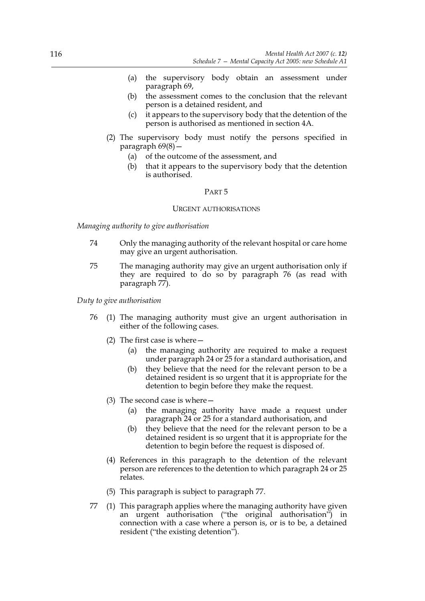- (a) the supervisory body obtain an assessment under paragraph 69,
- (b) the assessment comes to the conclusion that the relevant person is a detained resident, and
- (c) it appears to the supervisory body that the detention of the person is authorised as mentioned in section 4A.
- (2) The supervisory body must notify the persons specified in paragraph 69(8)—
	- (a) of the outcome of the assessment, and
	- (b) that it appears to the supervisory body that the detention is authorised.

#### PART 5

#### URGENT AUTHORISATIONS

*Managing authority to give authorisation*

- 74 Only the managing authority of the relevant hospital or care home may give an urgent authorisation.
- 75 The managing authority may give an urgent authorisation only if they are required to do so by paragraph 76 (as read with paragraph 77).

*Duty to give authorisation*

- 76 (1) The managing authority must give an urgent authorisation in either of the following cases.
	- (2) The first case is where—
		- (a) the managing authority are required to make a request under paragraph 24 or 25 for a standard authorisation, and
		- (b) they believe that the need for the relevant person to be a detained resident is so urgent that it is appropriate for the detention to begin before they make the request.
	- (3) The second case is where—
		- (a) the managing authority have made a request under paragraph 24 or 25 for a standard authorisation, and
		- (b) they believe that the need for the relevant person to be a detained resident is so urgent that it is appropriate for the detention to begin before the request is disposed of.
	- (4) References in this paragraph to the detention of the relevant person are references to the detention to which paragraph 24 or 25 relates.
	- (5) This paragraph is subject to paragraph 77.
- 77 (1) This paragraph applies where the managing authority have given an urgent authorisation ("the original authorisation") in connection with a case where a person is, or is to be, a detained resident ("the existing detention").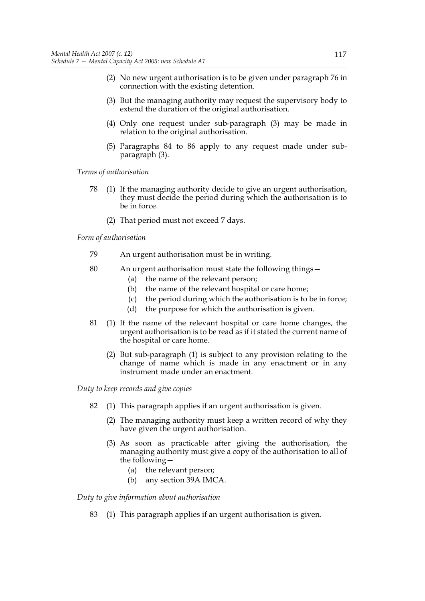- (2) No new urgent authorisation is to be given under paragraph 76 in connection with the existing detention.
- (3) But the managing authority may request the supervisory body to extend the duration of the original authorisation.
- (4) Only one request under sub-paragraph (3) may be made in relation to the original authorisation.
- (5) Paragraphs 84 to 86 apply to any request made under subparagraph (3).

#### *Terms of authorisation*

- 78 (1) If the managing authority decide to give an urgent authorisation, they must decide the period during which the authorisation is to be in force.
	- (2) That period must not exceed 7 days.

## *Form of authorisation*

- 79 An urgent authorisation must be in writing.
- 80 An urgent authorisation must state the following things—
	- (a) the name of the relevant person;
	- (b) the name of the relevant hospital or care home;
	- (c) the period during which the authorisation is to be in force;
	- (d) the purpose for which the authorisation is given.
- 81 (1) If the name of the relevant hospital or care home changes, the urgent authorisation is to be read as if it stated the current name of the hospital or care home.
	- (2) But sub-paragraph (1) is subject to any provision relating to the change of name which is made in any enactment or in any instrument made under an enactment.

#### *Duty to keep records and give copies*

- 82 (1) This paragraph applies if an urgent authorisation is given.
	- (2) The managing authority must keep a written record of why they have given the urgent authorisation.
	- (3) As soon as practicable after giving the authorisation, the managing authority must give a copy of the authorisation to all of the following—
		- (a) the relevant person;
		- (b) any section 39A IMCA.

# *Duty to give information about authorisation*

83 (1) This paragraph applies if an urgent authorisation is given.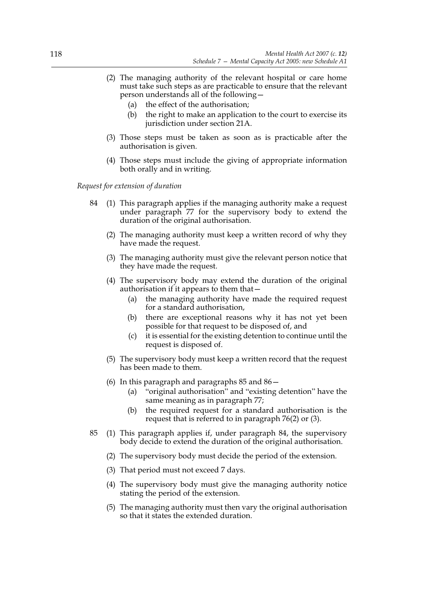- (2) The managing authority of the relevant hospital or care home must take such steps as are practicable to ensure that the relevant person understands all of the following—
	- (a) the effect of the authorisation;
	- (b) the right to make an application to the court to exercise its jurisdiction under section 21A.
- (3) Those steps must be taken as soon as is practicable after the authorisation is given.
- (4) Those steps must include the giving of appropriate information both orally and in writing.

#### *Request for extension of duration*

- 84 (1) This paragraph applies if the managing authority make a request under paragraph 77 for the supervisory body to extend the duration of the original authorisation.
	- (2) The managing authority must keep a written record of why they have made the request.
	- (3) The managing authority must give the relevant person notice that they have made the request.
	- (4) The supervisory body may extend the duration of the original authorisation if it appears to them that—
		- (a) the managing authority have made the required request for a standard authorisation,
		- (b) there are exceptional reasons why it has not yet been possible for that request to be disposed of, and
		- (c) it is essential for the existing detention to continue until the request is disposed of.
	- (5) The supervisory body must keep a written record that the request has been made to them.
	- (6) In this paragraph and paragraphs 85 and 86—
		- (a) "original authorisation" and "existing detention" have the same meaning as in paragraph 77;
		- (b) the required request for a standard authorisation is the request that is referred to in paragraph 76(2) or (3).
- 85 (1) This paragraph applies if, under paragraph 84, the supervisory body decide to extend the duration of the original authorisation.
	- (2) The supervisory body must decide the period of the extension.
	- (3) That period must not exceed 7 days.
	- (4) The supervisory body must give the managing authority notice stating the period of the extension.
	- (5) The managing authority must then vary the original authorisation so that it states the extended duration.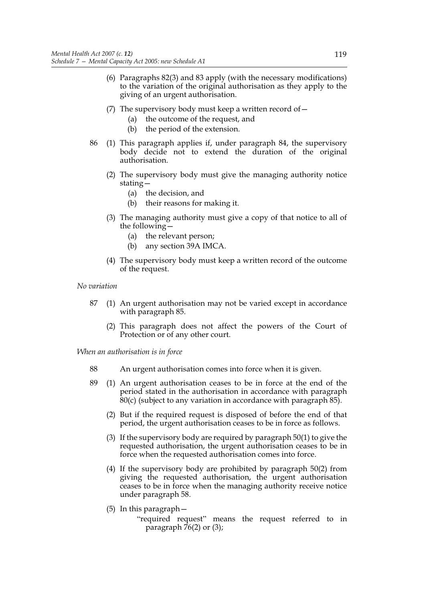- (6) Paragraphs 82(3) and 83 apply (with the necessary modifications) to the variation of the original authorisation as they apply to the giving of an urgent authorisation.
- (7) The supervisory body must keep a written record of  $-$ 
	- (a) the outcome of the request, and
	- (b) the period of the extension.
- 86 (1) This paragraph applies if, under paragraph 84, the supervisory body decide not to extend the duration of the original authorisation.
	- (2) The supervisory body must give the managing authority notice stating—
		- (a) the decision, and
		- (b) their reasons for making it.
	- (3) The managing authority must give a copy of that notice to all of the following—
		- (a) the relevant person;
		- (b) any section 39A IMCA.
	- (4) The supervisory body must keep a written record of the outcome of the request.

#### *No variation*

- 87 (1) An urgent authorisation may not be varied except in accordance with paragraph 85.
	- (2) This paragraph does not affect the powers of the Court of Protection or of any other court.

*When an authorisation is in force*

- 88 An urgent authorisation comes into force when it is given.
- 89 (1) An urgent authorisation ceases to be in force at the end of the period stated in the authorisation in accordance with paragraph 80(c) (subject to any variation in accordance with paragraph 85).
	- (2) But if the required request is disposed of before the end of that period, the urgent authorisation ceases to be in force as follows.
	- (3) If the supervisory body are required by paragraph 50(1) to give the requested authorisation, the urgent authorisation ceases to be in force when the requested authorisation comes into force.
	- (4) If the supervisory body are prohibited by paragraph 50(2) from giving the requested authorisation, the urgent authorisation ceases to be in force when the managing authority receive notice under paragraph 58.
	- (5) In this paragraph—

"required request" means the request referred to in paragraph 76(2) or (3);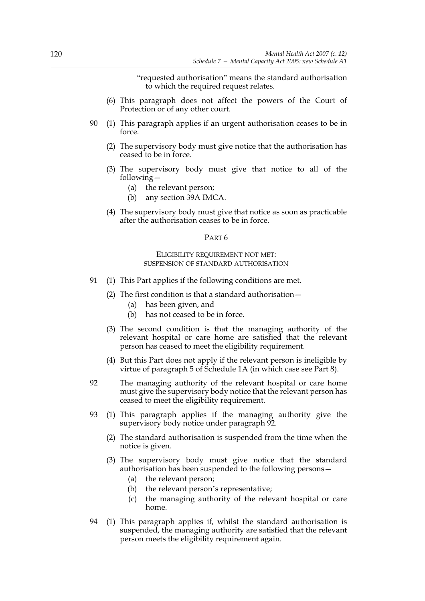"requested authorisation" means the standard authorisation to which the required request relates.

- (6) This paragraph does not affect the powers of the Court of Protection or of any other court.
- 90 (1) This paragraph applies if an urgent authorisation ceases to be in force.
	- (2) The supervisory body must give notice that the authorisation has ceased to be in force.
	- (3) The supervisory body must give that notice to all of the following—
		- (a) the relevant person;
		- (b) any section 39A IMCA.
	- (4) The supervisory body must give that notice as soon as practicable after the authorisation ceases to be in force.

#### PART 6

### ELIGIBILITY REQUIREMENT NOT MET: SUSPENSION OF STANDARD AUTHORISATION

- 91 (1) This Part applies if the following conditions are met.
	- (2) The first condition is that a standard authorisation—
		- (a) has been given, and
		- (b) has not ceased to be in force.
	- (3) The second condition is that the managing authority of the relevant hospital or care home are satisfied that the relevant person has ceased to meet the eligibility requirement.
	- (4) But this Part does not apply if the relevant person is ineligible by virtue of paragraph 5 of Schedule 1A (in which case see Part 8).
- 92 The managing authority of the relevant hospital or care home must give the supervisory body notice that the relevant person has ceased to meet the eligibility requirement.
- 93 (1) This paragraph applies if the managing authority give the supervisory body notice under paragraph 92.
	- (2) The standard authorisation is suspended from the time when the notice is given.
	- (3) The supervisory body must give notice that the standard authorisation has been suspended to the following persons—
		- (a) the relevant person;
		- (b) the relevant person's representative;
		- (c) the managing authority of the relevant hospital or care home.
- 94 (1) This paragraph applies if, whilst the standard authorisation is suspended, the managing authority are satisfied that the relevant person meets the eligibility requirement again.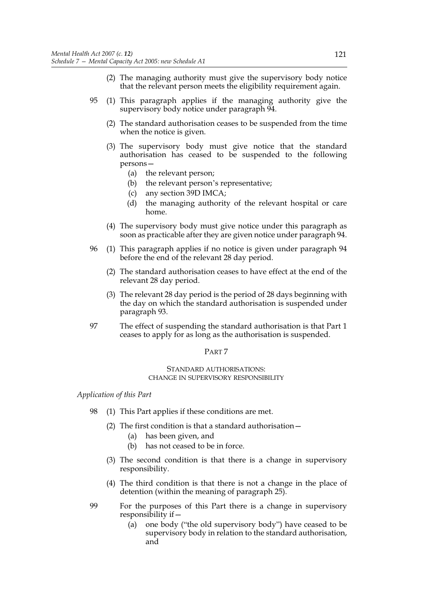- (2) The managing authority must give the supervisory body notice that the relevant person meets the eligibility requirement again.
- 95 (1) This paragraph applies if the managing authority give the supervisory body notice under paragraph 94.
	- (2) The standard authorisation ceases to be suspended from the time when the notice is given.
	- (3) The supervisory body must give notice that the standard authorisation has ceased to be suspended to the following persons—
		- (a) the relevant person;
		- (b) the relevant person's representative;
		- (c) any section 39D IMCA;
		- (d) the managing authority of the relevant hospital or care home.
	- (4) The supervisory body must give notice under this paragraph as soon as practicable after they are given notice under paragraph 94.
- 96 (1) This paragraph applies if no notice is given under paragraph 94 before the end of the relevant 28 day period.
	- (2) The standard authorisation ceases to have effect at the end of the relevant 28 day period.
	- (3) The relevant 28 day period is the period of 28 days beginning with the day on which the standard authorisation is suspended under paragraph 93.
- 97 The effect of suspending the standard authorisation is that Part 1 ceases to apply for as long as the authorisation is suspended.

### PART 7

#### STANDARD AUTHORISATIONS: CHANGE IN SUPERVISORY RESPONSIBILITY

#### *Application of this Part*

- 98 (1) This Part applies if these conditions are met.
	- (2) The first condition is that a standard authorisation—
		- (a) has been given, and
		- (b) has not ceased to be in force.
	- (3) The second condition is that there is a change in supervisory responsibility.
	- (4) The third condition is that there is not a change in the place of detention (within the meaning of paragraph 25).
- 99 For the purposes of this Part there is a change in supervisory responsibility if—
	- (a) one body ("the old supervisory body") have ceased to be supervisory body in relation to the standard authorisation, and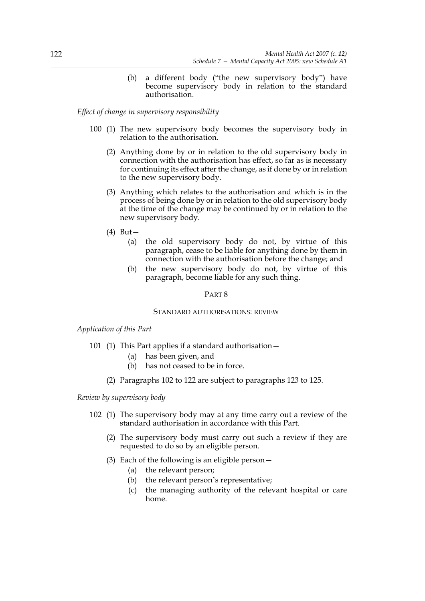(b) a different body ("the new supervisory body") have become supervisory body in relation to the standard authorisation.

### *Effect of change in supervisory responsibility*

- 100 (1) The new supervisory body becomes the supervisory body in relation to the authorisation.
	- (2) Anything done by or in relation to the old supervisory body in connection with the authorisation has effect, so far as is necessary for continuing its effect after the change, as if done by or in relation to the new supervisory body.
	- (3) Anything which relates to the authorisation and which is in the process of being done by or in relation to the old supervisory body at the time of the change may be continued by or in relation to the new supervisory body.
	- (4) But—
		- (a) the old supervisory body do not, by virtue of this paragraph, cease to be liable for anything done by them in connection with the authorisation before the change; and
		- (b) the new supervisory body do not, by virtue of this paragraph, become liable for any such thing.

## PART 8

#### STANDARD AUTHORISATIONS: REVIEW

#### *Application of this Part*

- 101 (1) This Part applies if a standard authorisation—
	- (a) has been given, and
	- (b) has not ceased to be in force.
	- (2) Paragraphs 102 to 122 are subject to paragraphs 123 to 125.

#### *Review by supervisory body*

- 102 (1) The supervisory body may at any time carry out a review of the standard authorisation in accordance with this Part.
	- (2) The supervisory body must carry out such a review if they are requested to do so by an eligible person.
	- (3) Each of the following is an eligible person—
		- (a) the relevant person;
		- (b) the relevant person's representative;
		- (c) the managing authority of the relevant hospital or care home.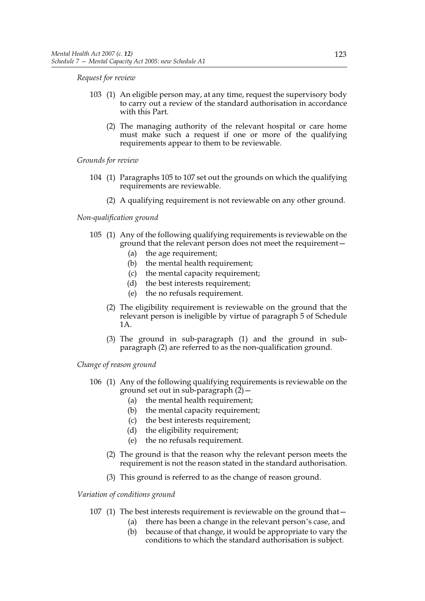*Request for review*

- 103 (1) An eligible person may, at any time, request the supervisory body to carry out a review of the standard authorisation in accordance with this Part.
	- (2) The managing authority of the relevant hospital or care home must make such a request if one or more of the qualifying requirements appear to them to be reviewable.

# *Grounds for review*

- 104 (1) Paragraphs 105 to 107 set out the grounds on which the qualifying requirements are reviewable.
	- (2) A qualifying requirement is not reviewable on any other ground.

# *Non-qualification ground*

- 105 (1) Any of the following qualifying requirements is reviewable on the ground that the relevant person does not meet the requirement—
	- (a) the age requirement;
	- (b) the mental health requirement;
	- (c) the mental capacity requirement;
	- (d) the best interests requirement;
	- (e) the no refusals requirement.
	- (2) The eligibility requirement is reviewable on the ground that the relevant person is ineligible by virtue of paragraph 5 of Schedule 1A.
	- (3) The ground in sub-paragraph (1) and the ground in subparagraph (2) are referred to as the non-qualification ground.

*Change of reason ground*

- 106 (1) Any of the following qualifying requirements is reviewable on the ground set out in sub-paragraph  $(2)$  -
	- (a) the mental health requirement;
	- (b) the mental capacity requirement;
	- (c) the best interests requirement;
	- (d) the eligibility requirement;
	- (e) the no refusals requirement.
	- (2) The ground is that the reason why the relevant person meets the requirement is not the reason stated in the standard authorisation.
	- (3) This ground is referred to as the change of reason ground.

*Variation of conditions ground*

- 107 (1) The best interests requirement is reviewable on the ground that—
	- (a) there has been a change in the relevant person's case, and
	- (b) because of that change, it would be appropriate to vary the conditions to which the standard authorisation is subject.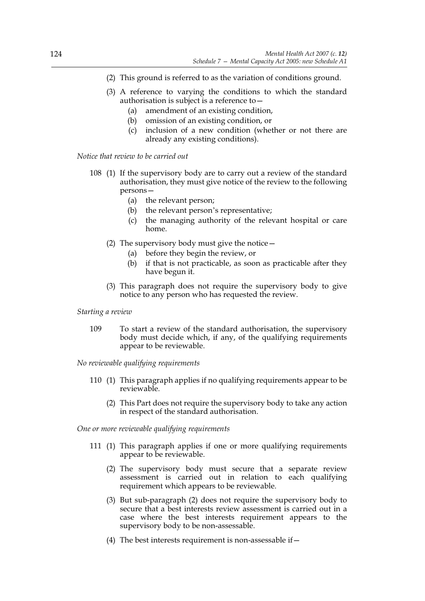- (2) This ground is referred to as the variation of conditions ground.
- (3) A reference to varying the conditions to which the standard authorisation is subject is a reference to—
	- (a) amendment of an existing condition,
	- (b) omission of an existing condition, or
	- (c) inclusion of a new condition (whether or not there are already any existing conditions).

*Notice that review to be carried out*

- 108 (1) If the supervisory body are to carry out a review of the standard authorisation, they must give notice of the review to the following persons—
	- (a) the relevant person;
	- (b) the relevant person's representative;
	- (c) the managing authority of the relevant hospital or care home.
	- (2) The supervisory body must give the notice—
		- (a) before they begin the review, or
		- (b) if that is not practicable, as soon as practicable after they have begun it.
	- (3) This paragraph does not require the supervisory body to give notice to any person who has requested the review.

# *Starting a review*

109 To start a review of the standard authorisation, the supervisory body must decide which, if any, of the qualifying requirements appear to be reviewable.

# *No reviewable qualifying requirements*

- 110 (1) This paragraph applies if no qualifying requirements appear to be reviewable.
	- (2) This Part does not require the supervisory body to take any action in respect of the standard authorisation.

*One or more reviewable qualifying requirements*

- 111 (1) This paragraph applies if one or more qualifying requirements appear to be reviewable.
	- (2) The supervisory body must secure that a separate review assessment is carried out in relation to each qualifying requirement which appears to be reviewable.
	- (3) But sub-paragraph (2) does not require the supervisory body to secure that a best interests review assessment is carried out in a case where the best interests requirement appears to the supervisory body to be non-assessable.
	- (4) The best interests requirement is non-assessable if  $-$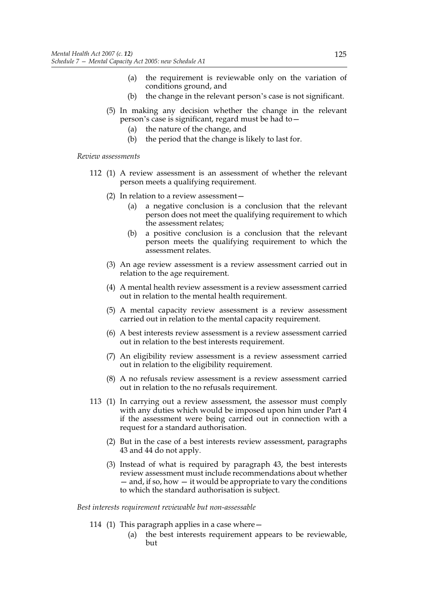- (a) the requirement is reviewable only on the variation of conditions ground, and
- (b) the change in the relevant person's case is not significant.
- (5) In making any decision whether the change in the relevant person's case is significant, regard must be had to—
	- (a) the nature of the change, and
	- (b) the period that the change is likely to last for.

*Review assessments*

- 112 (1) A review assessment is an assessment of whether the relevant person meets a qualifying requirement.
	- (2) In relation to a review assessment—
		- (a) a negative conclusion is a conclusion that the relevant person does not meet the qualifying requirement to which the assessment relates;
		- (b) a positive conclusion is a conclusion that the relevant person meets the qualifying requirement to which the assessment relates.
	- (3) An age review assessment is a review assessment carried out in relation to the age requirement.
	- (4) A mental health review assessment is a review assessment carried out in relation to the mental health requirement.
	- (5) A mental capacity review assessment is a review assessment carried out in relation to the mental capacity requirement.
	- (6) A best interests review assessment is a review assessment carried out in relation to the best interests requirement.
	- (7) An eligibility review assessment is a review assessment carried out in relation to the eligibility requirement.
	- (8) A no refusals review assessment is a review assessment carried out in relation to the no refusals requirement.
- 113 (1) In carrying out a review assessment, the assessor must comply with any duties which would be imposed upon him under Part 4 if the assessment were being carried out in connection with a request for a standard authorisation.
	- (2) But in the case of a best interests review assessment, paragraphs 43 and 44 do not apply.
	- (3) Instead of what is required by paragraph 43, the best interests review assessment must include recommendations about whether — and, if so, how — it would be appropriate to vary the conditions to which the standard authorisation is subject.

*Best interests requirement reviewable but non-assessable*

- 114 (1) This paragraph applies in a case where—
	- (a) the best interests requirement appears to be reviewable, but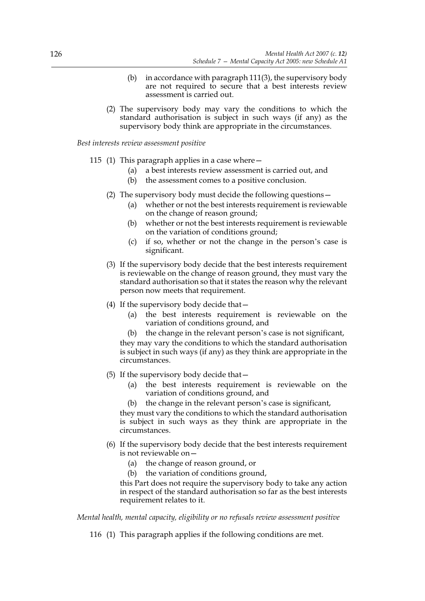- (b) in accordance with paragraph  $111(3)$ , the supervisory body are not required to secure that a best interests review assessment is carried out.
- (2) The supervisory body may vary the conditions to which the standard authorisation is subject in such ways (if any) as the supervisory body think are appropriate in the circumstances.

*Best interests review assessment positive*

- 115 (1) This paragraph applies in a case where—
	- (a) a best interests review assessment is carried out, and
	- (b) the assessment comes to a positive conclusion.
	- (2) The supervisory body must decide the following questions—
		- (a) whether or not the best interests requirement is reviewable on the change of reason ground;
		- (b) whether or not the best interests requirement is reviewable on the variation of conditions ground;
		- (c) if so, whether or not the change in the person's case is significant.
	- (3) If the supervisory body decide that the best interests requirement is reviewable on the change of reason ground, they must vary the standard authorisation so that it states the reason why the relevant person now meets that requirement.
	- (4) If the supervisory body decide that—
		- (a) the best interests requirement is reviewable on the variation of conditions ground, and
		- (b) the change in the relevant person's case is not significant, they may vary the conditions to which the standard authorisation is subject in such ways (if any) as they think are appropriate in the circumstances.
	- (5) If the supervisory body decide that—
		- (a) the best interests requirement is reviewable on the variation of conditions ground, and
		- (b) the change in the relevant person's case is significant,

they must vary the conditions to which the standard authorisation is subject in such ways as they think are appropriate in the circumstances.

- (6) If the supervisory body decide that the best interests requirement is not reviewable on—
	- (a) the change of reason ground, or
	- (b) the variation of conditions ground,

this Part does not require the supervisory body to take any action in respect of the standard authorisation so far as the best interests requirement relates to it.

*Mental health, mental capacity, eligibility or no refusals review assessment positive*

116 (1) This paragraph applies if the following conditions are met.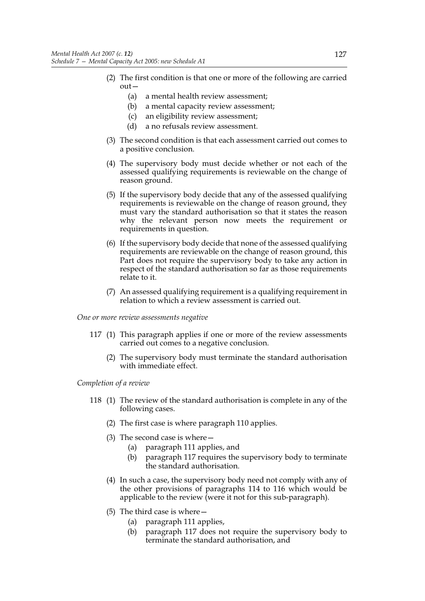- (2) The first condition is that one or more of the following are carried out—
	- (a) a mental health review assessment;
	- (b) a mental capacity review assessment;
	- (c) an eligibility review assessment;
	- (d) a no refusals review assessment.
- (3) The second condition is that each assessment carried out comes to a positive conclusion.
- (4) The supervisory body must decide whether or not each of the assessed qualifying requirements is reviewable on the change of reason ground.
- (5) If the supervisory body decide that any of the assessed qualifying requirements is reviewable on the change of reason ground, they must vary the standard authorisation so that it states the reason why the relevant person now meets the requirement or requirements in question.
- (6) If the supervisory body decide that none of the assessed qualifying requirements are reviewable on the change of reason ground, this Part does not require the supervisory body to take any action in respect of the standard authorisation so far as those requirements relate to it.
- (7) An assessed qualifying requirement is a qualifying requirement in relation to which a review assessment is carried out.

*One or more review assessments negative*

- 117 (1) This paragraph applies if one or more of the review assessments carried out comes to a negative conclusion.
	- (2) The supervisory body must terminate the standard authorisation with immediate effect.

*Completion of a review*

- 118 (1) The review of the standard authorisation is complete in any of the following cases.
	- (2) The first case is where paragraph 110 applies.
	- (3) The second case is where—
		- (a) paragraph 111 applies, and
		- (b) paragraph 117 requires the supervisory body to terminate the standard authorisation.
	- (4) In such a case, the supervisory body need not comply with any of the other provisions of paragraphs 114 to 116 which would be applicable to the review (were it not for this sub-paragraph).
	- (5) The third case is where—
		- (a) paragraph 111 applies,
		- (b) paragraph 117 does not require the supervisory body to terminate the standard authorisation, and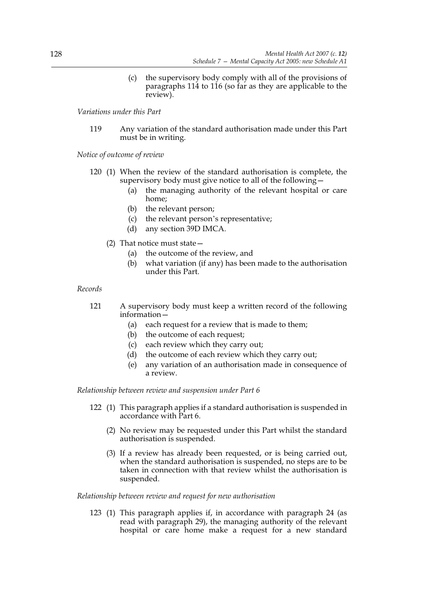(c) the supervisory body comply with all of the provisions of paragraphs 114 to 116 (so far as they are applicable to the review).

*Variations under this Part*

119 Any variation of the standard authorisation made under this Part must be in writing.

*Notice of outcome of review*

- 120 (1) When the review of the standard authorisation is complete, the supervisory body must give notice to all of the following—
	- (a) the managing authority of the relevant hospital or care home;
	- (b) the relevant person;
	- (c) the relevant person's representative;
	- (d) any section 39D IMCA.
	- (2) That notice must state—
		- (a) the outcome of the review, and
		- (b) what variation (if any) has been made to the authorisation under this Part.

## *Records*

- 121 A supervisory body must keep a written record of the following information—
	- (a) each request for a review that is made to them;
	- (b) the outcome of each request;
	- (c) each review which they carry out;
	- (d) the outcome of each review which they carry out;
	- (e) any variation of an authorisation made in consequence of a review.

*Relationship between review and suspension under Part 6*

- 122 (1) This paragraph applies if a standard authorisation is suspended in accordance with Part 6.
	- (2) No review may be requested under this Part whilst the standard authorisation is suspended.
	- (3) If a review has already been requested, or is being carried out, when the standard authorisation is suspended, no steps are to be taken in connection with that review whilst the authorisation is suspended.

# *Relationship between review and request for new authorisation*

123 (1) This paragraph applies if, in accordance with paragraph 24 (as read with paragraph 29), the managing authority of the relevant hospital or care home make a request for a new standard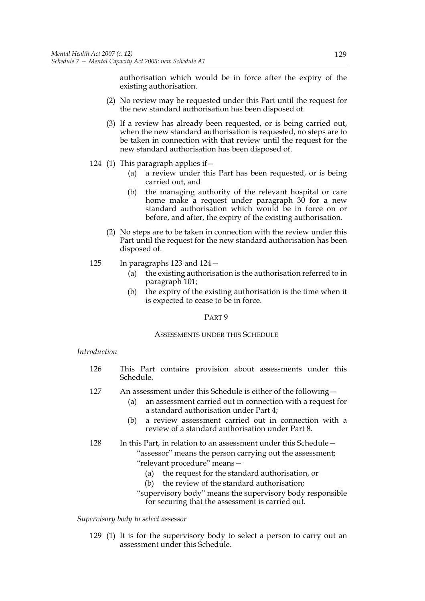authorisation which would be in force after the expiry of the existing authorisation.

- (2) No review may be requested under this Part until the request for the new standard authorisation has been disposed of.
- (3) If a review has already been requested, or is being carried out, when the new standard authorisation is requested, no steps are to be taken in connection with that review until the request for the new standard authorisation has been disposed of.
- 124 (1) This paragraph applies if—
	- (a) a review under this Part has been requested, or is being carried out, and
	- (b) the managing authority of the relevant hospital or care home make a request under paragraph 30 for a new standard authorisation which would be in force on or before, and after, the expiry of the existing authorisation.
	- (2) No steps are to be taken in connection with the review under this Part until the request for the new standard authorisation has been disposed of.
- 125 In paragraphs 123 and 124—
	- (a) the existing authorisation is the authorisation referred to in paragraph 101;
	- (b) the expiry of the existing authorisation is the time when it is expected to cease to be in force.

PART 9

#### ASSESSMENTS UNDER THIS SCHEDULE

#### *Introduction*

- 126 This Part contains provision about assessments under this Schedule.
- 127 An assessment under this Schedule is either of the following -
	- (a) an assessment carried out in connection with a request for a standard authorisation under Part 4;
	- (b) a review assessment carried out in connection with a review of a standard authorisation under Part 8.
- 128 In this Part, in relation to an assessment under this Schedule— "assessor" means the person carrying out the assessment; "relevant procedure" means—
	- (a) the request for the standard authorisation, or
	- (b) the review of the standard authorisation;
	- "supervisory body" means the supervisory body responsible for securing that the assessment is carried out.

*Supervisory body to select assessor*

129 (1) It is for the supervisory body to select a person to carry out an assessment under this Schedule.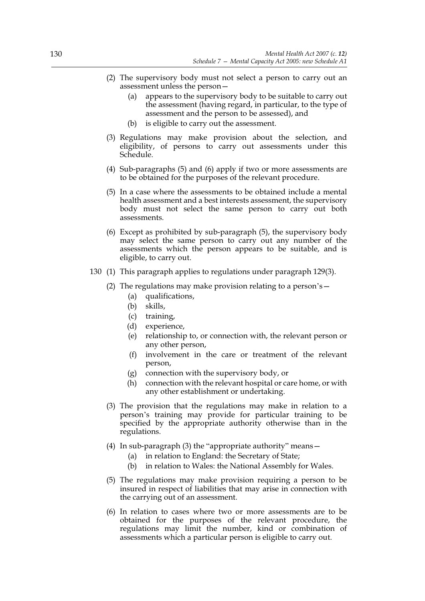- (2) The supervisory body must not select a person to carry out an assessment unless the person—
	- (a) appears to the supervisory body to be suitable to carry out the assessment (having regard, in particular, to the type of assessment and the person to be assessed), and
	- (b) is eligible to carry out the assessment.
- (3) Regulations may make provision about the selection, and eligibility, of persons to carry out assessments under this Schedule.
- (4) Sub-paragraphs (5) and (6) apply if two or more assessments are to be obtained for the purposes of the relevant procedure.
- (5) In a case where the assessments to be obtained include a mental health assessment and a best interests assessment, the supervisory body must not select the same person to carry out both assessments.
- (6) Except as prohibited by sub-paragraph (5), the supervisory body may select the same person to carry out any number of the assessments which the person appears to be suitable, and is eligible, to carry out.
- 130 (1) This paragraph applies to regulations under paragraph 129(3).
	- (2) The regulations may make provision relating to a person's—
		- (a) qualifications,
		- (b) skills,
		- (c) training,
		- (d) experience,
		- (e) relationship to, or connection with, the relevant person or any other person,
		- (f) involvement in the care or treatment of the relevant person,
		- (g) connection with the supervisory body, or
		- (h) connection with the relevant hospital or care home, or with any other establishment or undertaking.
	- (3) The provision that the regulations may make in relation to a person's training may provide for particular training to be specified by the appropriate authority otherwise than in the regulations.
	- (4) In sub-paragraph (3) the "appropriate authority" means—
		- (a) in relation to England: the Secretary of State;
		- (b) in relation to Wales: the National Assembly for Wales.
	- (5) The regulations may make provision requiring a person to be insured in respect of liabilities that may arise in connection with the carrying out of an assessment.
	- (6) In relation to cases where two or more assessments are to be obtained for the purposes of the relevant procedure, the regulations may limit the number, kind or combination of assessments which a particular person is eligible to carry out.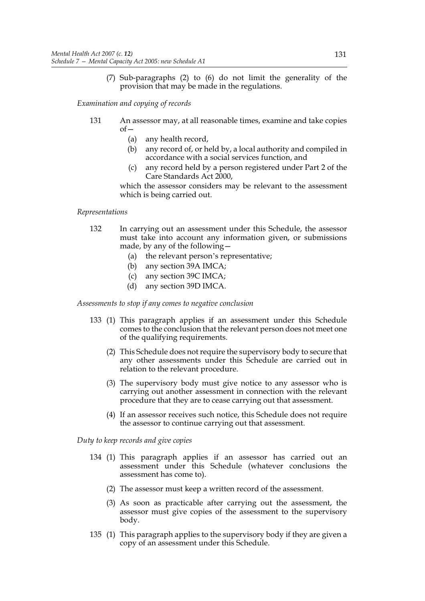(7) Sub-paragraphs (2) to (6) do not limit the generality of the provision that may be made in the regulations.

*Examination and copying of records*

- 131 An assessor may, at all reasonable times, examine and take copies  $of$ 
	- (a) any health record,
	- (b) any record of, or held by, a local authority and compiled in accordance with a social services function, and
	- (c) any record held by a person registered under Part 2 of the Care Standards Act 2000,

which the assessor considers may be relevant to the assessment which is being carried out.

#### *Representations*

- 132 In carrying out an assessment under this Schedule, the assessor must take into account any information given, or submissions made, by any of the following—
	- (a) the relevant person's representative;
	- (b) any section 39A IMCA;
	- (c) any section 39C IMCA;
	- (d) any section 39D IMCA.

*Assessments to stop if any comes to negative conclusion*

- 133 (1) This paragraph applies if an assessment under this Schedule comes to the conclusion that the relevant person does not meet one of the qualifying requirements.
	- (2) This Schedule does not require the supervisory body to secure that any other assessments under this Schedule are carried out in relation to the relevant procedure.
	- (3) The supervisory body must give notice to any assessor who is carrying out another assessment in connection with the relevant procedure that they are to cease carrying out that assessment.
	- (4) If an assessor receives such notice, this Schedule does not require the assessor to continue carrying out that assessment.

*Duty to keep records and give copies*

- 134 (1) This paragraph applies if an assessor has carried out an assessment under this Schedule (whatever conclusions the assessment has come to).
	- (2) The assessor must keep a written record of the assessment.
	- (3) As soon as practicable after carrying out the assessment, the assessor must give copies of the assessment to the supervisory body.
- 135 (1) This paragraph applies to the supervisory body if they are given a copy of an assessment under this Schedule.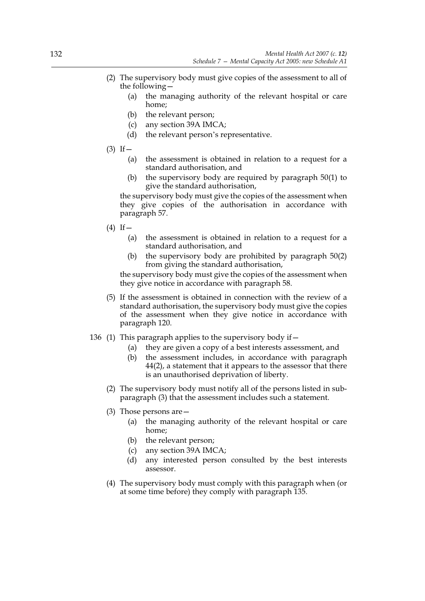- (2) The supervisory body must give copies of the assessment to all of the following—
	- (a) the managing authority of the relevant hospital or care home;
	- (b) the relevant person;
	- (c) any section 39A IMCA;
	- (d) the relevant person's representative.
- $(3)$  If  $-$ 
	- (a) the assessment is obtained in relation to a request for a standard authorisation, and
	- (b) the supervisory body are required by paragraph 50(1) to give the standard authorisation,

the supervisory body must give the copies of the assessment when they give copies of the authorisation in accordance with paragraph 57.

- $(4)$  If  $-$ 
	- (a) the assessment is obtained in relation to a request for a standard authorisation, and
	- (b) the supervisory body are prohibited by paragraph 50(2) from giving the standard authorisation,

the supervisory body must give the copies of the assessment when they give notice in accordance with paragraph 58.

- (5) If the assessment is obtained in connection with the review of a standard authorisation, the supervisory body must give the copies of the assessment when they give notice in accordance with paragraph 120.
- 136 (1) This paragraph applies to the supervisory body if  $-$ 
	- (a) they are given a copy of a best interests assessment, and
	- (b) the assessment includes, in accordance with paragraph 44(2), a statement that it appears to the assessor that there is an unauthorised deprivation of liberty.
	- (2) The supervisory body must notify all of the persons listed in subparagraph (3) that the assessment includes such a statement.
	- (3) Those persons are—
		- (a) the managing authority of the relevant hospital or care home;
		- (b) the relevant person;
		- (c) any section 39A IMCA;
		- (d) any interested person consulted by the best interests assessor.
	- (4) The supervisory body must comply with this paragraph when (or at some time before) they comply with paragraph 135.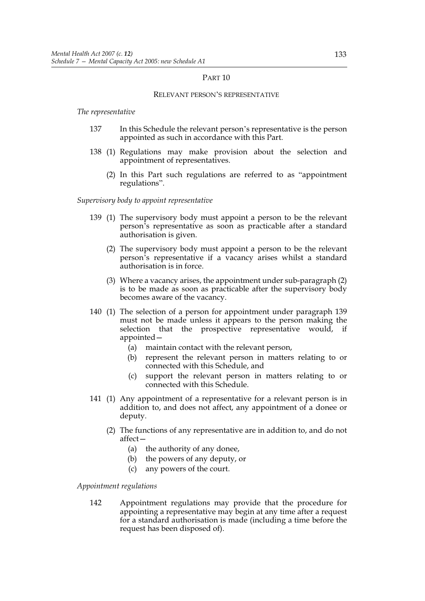## PART 10

#### RELEVANT PERSON'S REPRESENTATIVE

#### *The representative*

- 137 In this Schedule the relevant person's representative is the person appointed as such in accordance with this Part.
- 138 (1) Regulations may make provision about the selection and appointment of representatives.
	- (2) In this Part such regulations are referred to as "appointment regulations".

#### *Supervisory body to appoint representative*

- 139 (1) The supervisory body must appoint a person to be the relevant person's representative as soon as practicable after a standard authorisation is given.
	- (2) The supervisory body must appoint a person to be the relevant person's representative if a vacancy arises whilst a standard authorisation is in force.
	- (3) Where a vacancy arises, the appointment under sub-paragraph (2) is to be made as soon as practicable after the supervisory body becomes aware of the vacancy.
- 140 (1) The selection of a person for appointment under paragraph 139 must not be made unless it appears to the person making the selection that the prospective representative would, if appointed—
	- (a) maintain contact with the relevant person,
	- (b) represent the relevant person in matters relating to or connected with this Schedule, and
	- (c) support the relevant person in matters relating to or connected with this Schedule.
- 141 (1) Any appointment of a representative for a relevant person is in addition to, and does not affect, any appointment of a donee or deputy.
	- (2) The functions of any representative are in addition to, and do not affect—
		- (a) the authority of any donee,
		- (b) the powers of any deputy, or
		- (c) any powers of the court.

#### *Appointment regulations*

142 Appointment regulations may provide that the procedure for appointing a representative may begin at any time after a request for a standard authorisation is made (including a time before the request has been disposed of).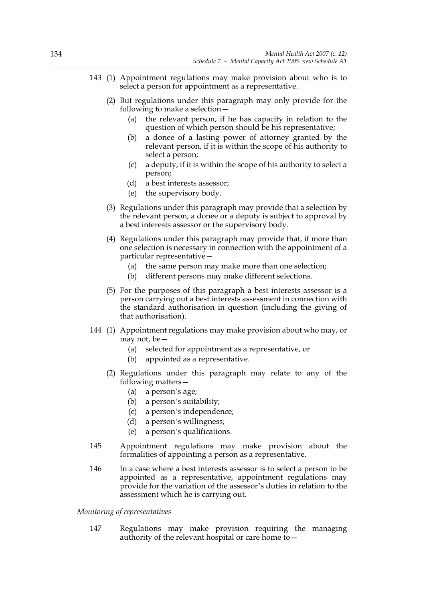- 143 (1) Appointment regulations may make provision about who is to select a person for appointment as a representative.
	- (2) But regulations under this paragraph may only provide for the following to make a selection—
		- (a) the relevant person, if he has capacity in relation to the question of which person should be his representative;
		- (b) a donee of a lasting power of attorney granted by the relevant person, if it is within the scope of his authority to select a person;
		- (c) a deputy, if it is within the scope of his authority to select a person;
		- (d) a best interests assessor;
		- (e) the supervisory body.
	- (3) Regulations under this paragraph may provide that a selection by the relevant person, a donee or a deputy is subject to approval by a best interests assessor or the supervisory body.
	- (4) Regulations under this paragraph may provide that, if more than one selection is necessary in connection with the appointment of a particular representative—
		- (a) the same person may make more than one selection;
		- (b) different persons may make different selections.
	- (5) For the purposes of this paragraph a best interests assessor is a person carrying out a best interests assessment in connection with the standard authorisation in question (including the giving of that authorisation).
- 144 (1) Appointment regulations may make provision about who may, or may not, be—
	- (a) selected for appointment as a representative, or
	- (b) appointed as a representative.
	- (2) Regulations under this paragraph may relate to any of the following matters—
		- (a) a person's age;
		- (b) a person's suitability;
		- (c) a person's independence;
		- (d) a person's willingness;
		- (e) a person's qualifications.
- 145 Appointment regulations may make provision about the formalities of appointing a person as a representative.
- 146 In a case where a best interests assessor is to select a person to be appointed as a representative, appointment regulations may provide for the variation of the assessor's duties in relation to the assessment which he is carrying out.

## *Monitoring of representatives*

147 Regulations may make provision requiring the managing authority of the relevant hospital or care home to—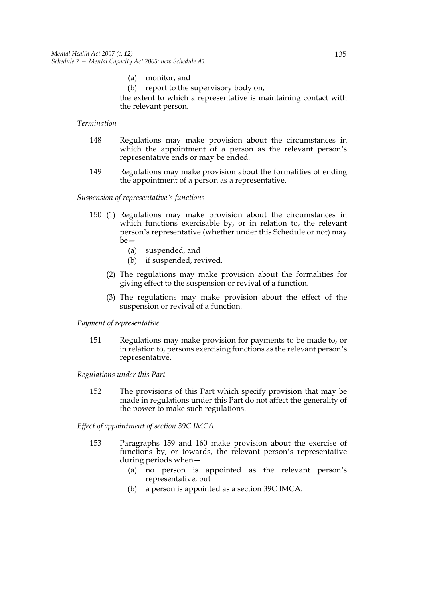- (a) monitor, and
- (b) report to the supervisory body on,

the extent to which a representative is maintaining contact with the relevant person.

# *Termination*

- 148 Regulations may make provision about the circumstances in which the appointment of a person as the relevant person's representative ends or may be ended.
- 149 Regulations may make provision about the formalities of ending the appointment of a person as a representative.

## *Suspension of representative's functions*

- 150 (1) Regulations may make provision about the circumstances in which functions exercisable by, or in relation to, the relevant person's representative (whether under this Schedule or not) may be—
	- (a) suspended, and
	- (b) if suspended, revived.
	- (2) The regulations may make provision about the formalities for giving effect to the suspension or revival of a function.
	- (3) The regulations may make provision about the effect of the suspension or revival of a function.

# *Payment of representative*

151 Regulations may make provision for payments to be made to, or in relation to, persons exercising functions as the relevant person's representative.

# *Regulations under this Part*

152 The provisions of this Part which specify provision that may be made in regulations under this Part do not affect the generality of the power to make such regulations.

*Effect of appointment of section 39C IMCA*

- 153 Paragraphs 159 and 160 make provision about the exercise of functions by, or towards, the relevant person's representative during periods when—
	- (a) no person is appointed as the relevant person's representative, but
	- (b) a person is appointed as a section 39C IMCA.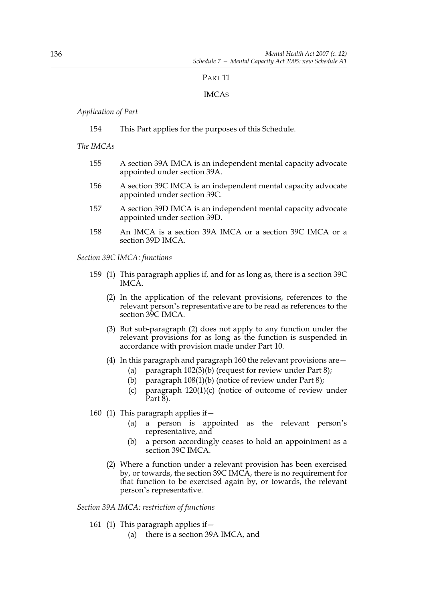# PART 11

# IMCAS

# *Application of Part*

154 This Part applies for the purposes of this Schedule.

# *The IMCAs*

- 155 A section 39A IMCA is an independent mental capacity advocate appointed under section 39A.
- 156 A section 39C IMCA is an independent mental capacity advocate appointed under section 39C.
- 157 A section 39D IMCA is an independent mental capacity advocate appointed under section 39D.
- 158 An IMCA is a section 39A IMCA or a section 39C IMCA or a section 39D IMCA.

*Section 39C IMCA: functions*

- 159 (1) This paragraph applies if, and for as long as, there is a section 39C IMCA.
	- (2) In the application of the relevant provisions, references to the relevant person's representative are to be read as references to the section 39C IMCA.
	- (3) But sub-paragraph (2) does not apply to any function under the relevant provisions for as long as the function is suspended in accordance with provision made under Part 10.
	- (4) In this paragraph and paragraph 160 the relevant provisions are—
		- (a) paragraph 102(3)(b) (request for review under Part 8);
		- (b) paragraph 108(1)(b) (notice of review under Part 8);
		- (c) paragraph 120(1)(c) (notice of outcome of review under Part 8).
- 160 (1) This paragraph applies if—
	- (a) a person is appointed as the relevant person's representative, and
	- (b) a person accordingly ceases to hold an appointment as a section 39C IMCA.
	- (2) Where a function under a relevant provision has been exercised by, or towards, the section 39C IMCA, there is no requirement for that function to be exercised again by, or towards, the relevant person's representative.

*Section 39A IMCA: restriction of functions*

161 (1) This paragraph applies if—

(a) there is a section 39A IMCA, and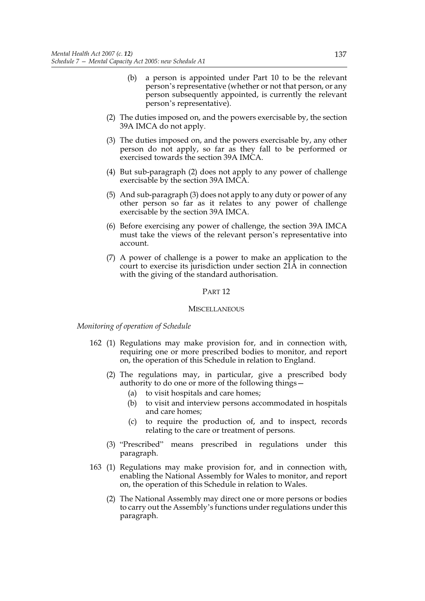- (b) a person is appointed under Part 10 to be the relevant person's representative (whether or not that person, or any person subsequently appointed, is currently the relevant person's representative).
- (2) The duties imposed on, and the powers exercisable by, the section 39A IMCA do not apply.
- (3) The duties imposed on, and the powers exercisable by, any other person do not apply, so far as they fall to be performed or exercised towards the section 39A IMCA.
- (4) But sub-paragraph (2) does not apply to any power of challenge exercisable by the section 39A IMCA.
- (5) And sub-paragraph (3) does not apply to any duty or power of any other person so far as it relates to any power of challenge exercisable by the section 39A IMCA.
- (6) Before exercising any power of challenge, the section 39A IMCA must take the views of the relevant person's representative into account.
- (7) A power of challenge is a power to make an application to the court to exercise its jurisdiction under section 21A in connection with the giving of the standard authorisation.

#### PART 12

#### **MISCELLANEOUS**

*Monitoring of operation of Schedule*

- 162 (1) Regulations may make provision for, and in connection with, requiring one or more prescribed bodies to monitor, and report on, the operation of this Schedule in relation to England.
	- (2) The regulations may, in particular, give a prescribed body authority to do one or more of the following things—
		- (a) to visit hospitals and care homes;
		- (b) to visit and interview persons accommodated in hospitals and care homes;
		- (c) to require the production of, and to inspect, records relating to the care or treatment of persons.
	- (3) "Prescribed" means prescribed in regulations under this paragraph.
- 163 (1) Regulations may make provision for, and in connection with, enabling the National Assembly for Wales to monitor, and report on, the operation of this Schedule in relation to Wales.
	- (2) The National Assembly may direct one or more persons or bodies to carry out the Assembly's functions under regulations under this paragraph.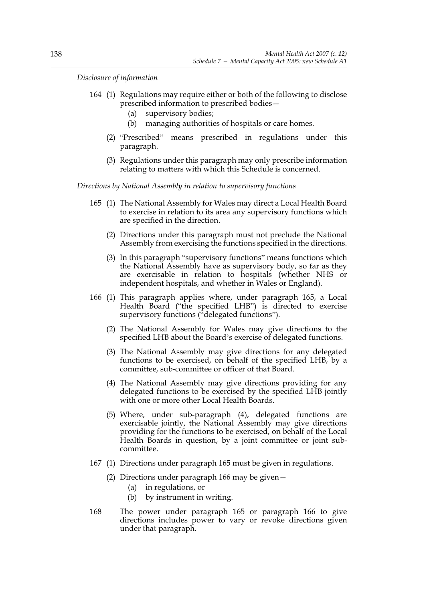*Disclosure of information*

- 164 (1) Regulations may require either or both of the following to disclose prescribed information to prescribed bodies—
	- (a) supervisory bodies;
	- (b) managing authorities of hospitals or care homes.
	- (2) "Prescribed" means prescribed in regulations under this paragraph.
	- (3) Regulations under this paragraph may only prescribe information relating to matters with which this Schedule is concerned.

*Directions by National Assembly in relation to supervisory functions*

- 165 (1) The National Assembly for Wales may direct a Local Health Board to exercise in relation to its area any supervisory functions which are specified in the direction.
	- (2) Directions under this paragraph must not preclude the National Assembly from exercising the functions specified in the directions.
	- (3) In this paragraph "supervisory functions" means functions which the National Assembly have as supervisory body, so far as they are exercisable in relation to hospitals (whether NHS or independent hospitals, and whether in Wales or England).
- 166 (1) This paragraph applies where, under paragraph 165, a Local Health Board ("the specified LHB") is directed to exercise supervisory functions ("delegated functions").
	- (2) The National Assembly for Wales may give directions to the specified LHB about the Board's exercise of delegated functions.
	- (3) The National Assembly may give directions for any delegated functions to be exercised, on behalf of the specified LHB, by a committee, sub-committee or officer of that Board.
	- (4) The National Assembly may give directions providing for any delegated functions to be exercised by the specified LHB jointly with one or more other Local Health Boards.
	- (5) Where, under sub-paragraph (4), delegated functions are exercisable jointly, the National Assembly may give directions providing for the functions to be exercised, on behalf of the Local Health Boards in question, by a joint committee or joint subcommittee.
- 167 (1) Directions under paragraph 165 must be given in regulations.
	- (2) Directions under paragraph 166 may be given—
		- (a) in regulations, or
		- (b) by instrument in writing.
- 168 The power under paragraph 165 or paragraph 166 to give directions includes power to vary or revoke directions given under that paragraph.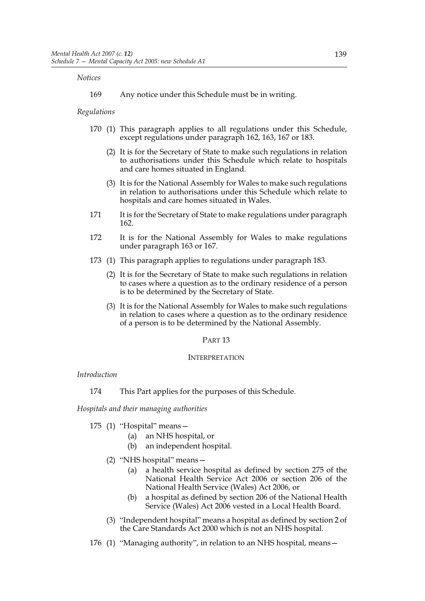### *Notices*

169 Any notice under this Schedule must be in writing.

## *Regulations*

- 170 (1) This paragraph applies to all regulations under this Schedule, except regulations under paragraph 162, 163, 167 or 183.
	- (2) It is for the Secretary of State to make such regulations in relation to authorisations under this Schedule which relate to hospitals and care homes situated in England.
	- (3) It is for the National Assembly for Wales to make such regulations in relation to authorisations under this Schedule which relate to hospitals and care homes situated in Wales.
- 171 It is for the Secretary of State to make regulations under paragraph 162.
- 172 It is for the National Assembly for Wales to make regulations under paragraph 163 or 167.
- 173 (1) This paragraph applies to regulations under paragraph 183.
	- (2) It is for the Secretary of State to make such regulations in relation to cases where a question as to the ordinary residence of a person is to be determined by the Secretary of State.
	- (3) It is for the National Assembly for Wales to make such regulations in relation to cases where a question as to the ordinary residence of a person is to be determined by the National Assembly.

### PART 13

#### INTERPRETATION

# *Introduction*

174 This Part applies for the purposes of this Schedule.

# *Hospitals and their managing authorities*

- 175 (1) "Hospital" means—
	- (a) an NHS hospital, or
	- (b) an independent hospital.
	- (2) "NHS hospital" means—
		- (a) a health service hospital as defined by section 275 of the National Health Service Act 2006 or section 206 of the National Health Service (Wales) Act 2006, or
		- (b) a hospital as defined by section 206 of the National Health Service (Wales) Act 2006 vested in a Local Health Board.
	- (3) "Independent hospital" means a hospital as defined by section 2 of the Care Standards Act 2000 which is not an NHS hospital.
- 176 (1) "Managing authority", in relation to an NHS hospital, means—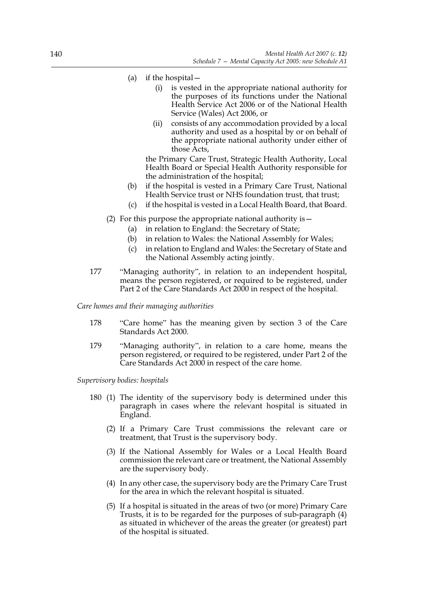- (a) if the hospital—
	- (i) is vested in the appropriate national authority for the purposes of its functions under the National Health Service Act 2006 or of the National Health Service (Wales) Act 2006, or
	- (ii) consists of any accommodation provided by a local authority and used as a hospital by or on behalf of the appropriate national authority under either of those Acts,

the Primary Care Trust, Strategic Health Authority, Local Health Board or Special Health Authority responsible for the administration of the hospital;

- (b) if the hospital is vested in a Primary Care Trust, National Health Service trust or NHS foundation trust, that trust;
- (c) if the hospital is vested in a Local Health Board, that Board.
- (2) For this purpose the appropriate national authority is—
	- (a) in relation to England: the Secretary of State;
	- (b) in relation to Wales: the National Assembly for Wales;
	- (c) in relation to England and Wales: the Secretary of State and the National Assembly acting jointly.
- 177 "Managing authority", in relation to an independent hospital, means the person registered, or required to be registered, under Part 2 of the Care Standards Act 2000 in respect of the hospital.

*Care homes and their managing authorities*

- 178 "Care home" has the meaning given by section 3 of the Care Standards Act 2000.
- 179 "Managing authority", in relation to a care home, means the person registered, or required to be registered, under Part 2 of the Care Standards Act 2000 in respect of the care home.

*Supervisory bodies: hospitals*

- 180 (1) The identity of the supervisory body is determined under this paragraph in cases where the relevant hospital is situated in England.
	- (2) If a Primary Care Trust commissions the relevant care or treatment, that Trust is the supervisory body.
	- (3) If the National Assembly for Wales or a Local Health Board commission the relevant care or treatment, the National Assembly are the supervisory body.
	- (4) In any other case, the supervisory body are the Primary Care Trust for the area in which the relevant hospital is situated.
	- (5) If a hospital is situated in the areas of two (or more) Primary Care Trusts, it is to be regarded for the purposes of sub-paragraph (4) as situated in whichever of the areas the greater (or greatest) part of the hospital is situated.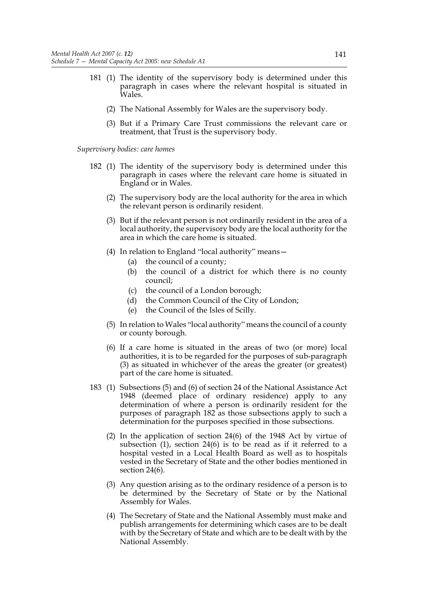- 181 (1) The identity of the supervisory body is determined under this paragraph in cases where the relevant hospital is situated in Wales.
	- (2) The National Assembly for Wales are the supervisory body.
	- (3) But if a Primary Care Trust commissions the relevant care or treatment, that Trust is the supervisory body.

*Supervisory bodies: care homes*

- 182 (1) The identity of the supervisory body is determined under this paragraph in cases where the relevant care home is situated in England or in Wales.
	- (2) The supervisory body are the local authority for the area in which the relevant person is ordinarily resident.
	- (3) But if the relevant person is not ordinarily resident in the area of a local authority, the supervisory body are the local authority for the area in which the care home is situated.
	- (4) In relation to England "local authority" means—
		- (a) the council of a county;
		- (b) the council of a district for which there is no county council;
		- (c) the council of a London borough;
		- (d) the Common Council of the City of London;
		- (e) the Council of the Isles of Scilly.
	- (5) In relation to Wales "local authority" means the council of a county or county borough.
	- (6) If a care home is situated in the areas of two (or more) local authorities, it is to be regarded for the purposes of sub-paragraph (3) as situated in whichever of the areas the greater (or greatest) part of the care home is situated.
- 183 (1) Subsections (5) and (6) of section 24 of the National Assistance Act 1948 (deemed place of ordinary residence) apply to any determination of where a person is ordinarily resident for the purposes of paragraph 182 as those subsections apply to such a determination for the purposes specified in those subsections.
	- (2) In the application of section 24(6) of the 1948 Act by virtue of subsection (1), section 24(6) is to be read as if it referred to a hospital vested in a Local Health Board as well as to hospitals vested in the Secretary of State and the other bodies mentioned in section 24(6).
	- (3) Any question arising as to the ordinary residence of a person is to be determined by the Secretary of State or by the National Assembly for Wales.
	- (4) The Secretary of State and the National Assembly must make and publish arrangements for determining which cases are to be dealt with by the Secretary of State and which are to be dealt with by the National Assembly.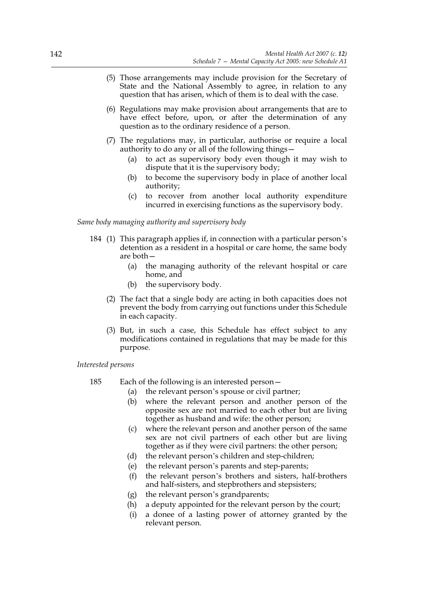- (5) Those arrangements may include provision for the Secretary of State and the National Assembly to agree, in relation to any question that has arisen, which of them is to deal with the case.
- (6) Regulations may make provision about arrangements that are to have effect before, upon, or after the determination of any question as to the ordinary residence of a person.
- (7) The regulations may, in particular, authorise or require a local authority to do any or all of the following things—
	- (a) to act as supervisory body even though it may wish to dispute that it is the supervisory body;
	- (b) to become the supervisory body in place of another local authority;
	- (c) to recover from another local authority expenditure incurred in exercising functions as the supervisory body.

### *Same body managing authority and supervisory body*

- 184 (1) This paragraph applies if, in connection with a particular person's detention as a resident in a hospital or care home, the same body are both—
	- (a) the managing authority of the relevant hospital or care home, and
	- (b) the supervisory body.
	- (2) The fact that a single body are acting in both capacities does not prevent the body from carrying out functions under this Schedule in each capacity.
	- (3) But, in such a case, this Schedule has effect subject to any modifications contained in regulations that may be made for this purpose.

*Interested persons*

- 185 Each of the following is an interested person—
	- (a) the relevant person's spouse or civil partner;
		- (b) where the relevant person and another person of the opposite sex are not married to each other but are living together as husband and wife: the other person;
		- (c) where the relevant person and another person of the same sex are not civil partners of each other but are living together as if they were civil partners: the other person;
	- (d) the relevant person's children and step-children;
	- (e) the relevant person's parents and step-parents;
	- (f) the relevant person's brothers and sisters, half-brothers and half-sisters, and stepbrothers and stepsisters;
	- (g) the relevant person's grandparents;
	- (h) a deputy appointed for the relevant person by the court;
	- (i) a donee of a lasting power of attorney granted by the relevant person.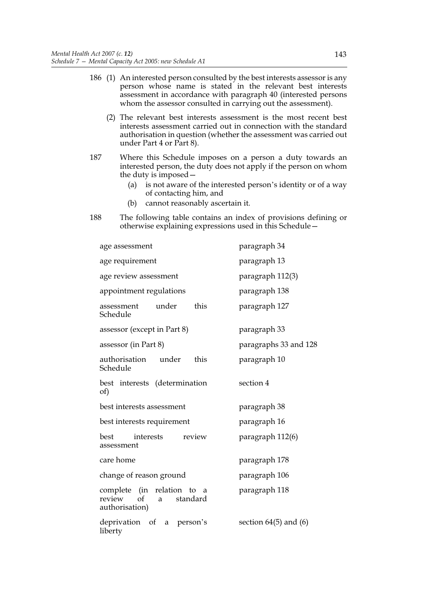- 186 (1) An interested person consulted by the best interests assessor is any person whose name is stated in the relevant best interests assessment in accordance with paragraph 40 (interested persons whom the assessor consulted in carrying out the assessment).
	- (2) The relevant best interests assessment is the most recent best interests assessment carried out in connection with the standard authorisation in question (whether the assessment was carried out under Part 4 or Part 8).
- 187 Where this Schedule imposes on a person a duty towards an interested person, the duty does not apply if the person on whom the duty is imposed—
	- (a) is not aware of the interested person's identity or of a way of contacting him, and
	- (b) cannot reasonably ascertain it.
- 188 The following table contains an index of provisions defining or otherwise explaining expressions used in this Schedule—

| age assessment                                                                           | paragraph 34              |
|------------------------------------------------------------------------------------------|---------------------------|
| age requirement                                                                          | paragraph 13              |
| age review assessment                                                                    | paragraph 112(3)          |
| appointment regulations                                                                  | paragraph 138             |
| this<br>under<br>assessment<br>Schedule                                                  | paragraph 127             |
| assessor (except in Part 8)                                                              | paragraph 33              |
| assessor (in Part 8)                                                                     | paragraphs 33 and 128     |
| authorisation<br>under<br>this<br>Schedule                                               | paragraph 10              |
| best interests (determination<br>of)                                                     | section 4                 |
| best interests assessment                                                                | paragraph 38              |
| best interests requirement                                                               | paragraph 16              |
| review<br>best<br>interests<br>assessment                                                | paragraph 112(6)          |
| care home                                                                                | paragraph 178             |
| change of reason ground                                                                  | paragraph 106             |
| complete (in relation to a<br><sub>of</sub><br>review<br>standard<br>a<br>authorisation) | paragraph 118             |
| deprivation of a<br>person's<br>liberty                                                  | section $64(5)$ and $(6)$ |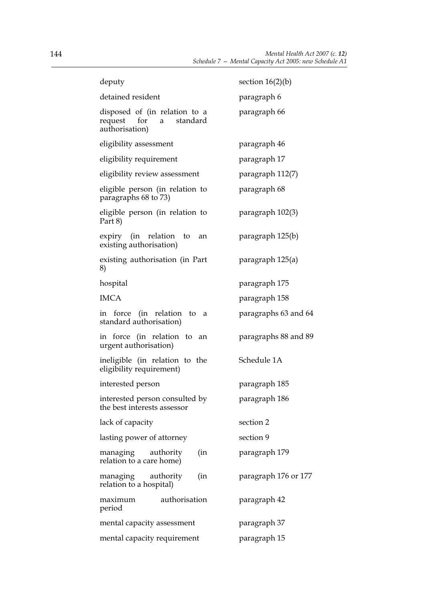| deputy                                                                             | section $16(2)(b)$   |
|------------------------------------------------------------------------------------|----------------------|
| detained resident                                                                  | paragraph 6          |
| disposed of (in relation to a<br>for<br>standard<br>request<br>a<br>authorisation) | paragraph 66         |
| eligibility assessment                                                             | paragraph 46         |
| eligibility requirement                                                            | paragraph 17         |
| eligibility review assessment                                                      | paragraph 112(7)     |
| eligible person (in relation to<br>paragraphs 68 to 73)                            | paragraph 68         |
| eligible person (in relation to<br>Part 8)                                         | paragraph 102(3)     |
| expiry (in relation to<br>an<br>existing authorisation)                            | paragraph 125(b)     |
| existing authorisation (in Part<br>8)                                              | paragraph 125(a)     |
| hospital                                                                           | paragraph 175        |
| <b>IMCA</b>                                                                        | paragraph 158        |
| in force (in relation<br>to a<br>standard authorisation)                           | paragraphs 63 and 64 |
| in force (in relation to an<br>urgent authorisation)                               | paragraphs 88 and 89 |
| ineligible (in relation to the<br>eligibility requirement)                         | Schedule 1A          |
| interested person                                                                  | paragraph 185        |
| interested person consulted by<br>the best interests assessor                      | paragraph 186        |
| lack of capacity                                                                   | section 2            |
| lasting power of attorney                                                          | section 9            |
| managing<br>authority<br>(in<br>relation to a care home)                           | paragraph 179        |
| managing<br>authority<br>(in<br>relation to a hospital)                            | paragraph 176 or 177 |
| authorisation<br>maximum<br>period                                                 | paragraph 42         |
| mental capacity assessment                                                         | paragraph 37         |
| mental capacity requirement                                                        | paragraph 15         |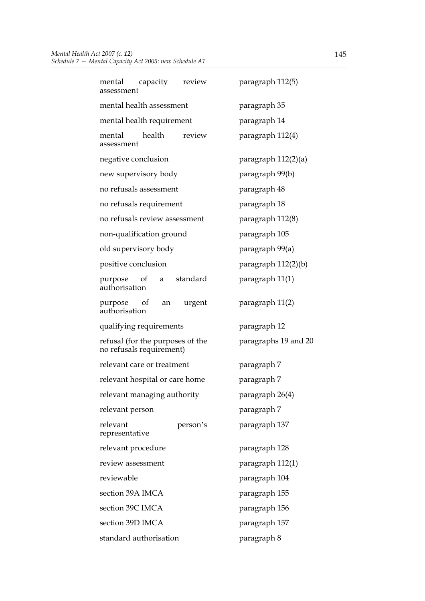| mental<br>capacity<br>review<br>assessment                   | paragraph 112(5)     |
|--------------------------------------------------------------|----------------------|
| mental health assessment                                     | paragraph 35         |
| mental health requirement                                    | paragraph 14         |
| health<br>mental<br>review<br>assessment                     | paragraph 112(4)     |
| negative conclusion                                          | paragraph 112(2)(a)  |
| new supervisory body                                         | paragraph 99(b)      |
| no refusals assessment                                       | paragraph 48         |
| no refusals requirement                                      | paragraph 18         |
| no refusals review assessment                                | paragraph 112(8)     |
| non-qualification ground                                     | paragraph 105        |
| old supervisory body                                         | paragraph 99(a)      |
| positive conclusion                                          | paragraph 112(2)(b)  |
| <sub>of</sub><br>standard<br>purpose<br>a<br>authorisation   | paragraph 11(1)      |
| purpose of<br>urgent<br>an<br>authorisation                  | paragraph 11(2)      |
| qualifying requirements                                      | paragraph 12         |
| refusal (for the purposes of the<br>no refusals requirement) | paragraphs 19 and 20 |
| relevant care or treatment                                   | paragraph 7          |
| relevant hospital or care home                               | paragraph 7          |
| relevant managing authority                                  | paragraph 26(4)      |
| relevant person                                              | paragraph 7          |
| relevant<br>person's<br>representative                       | paragraph 137        |
| relevant procedure                                           | paragraph 128        |
| review assessment                                            | paragraph 112(1)     |
| reviewable                                                   | paragraph 104        |
| section 39A IMCA                                             | paragraph 155        |
| section 39C IMCA                                             | paragraph 156        |
| section 39D IMCA                                             | paragraph 157        |
| standard authorisation                                       | paragraph 8          |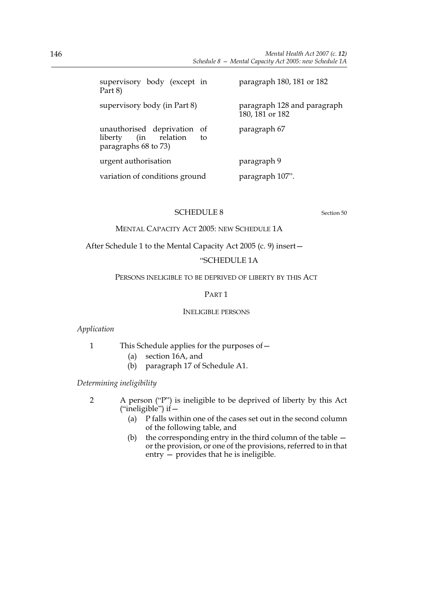| supervisory body (except in<br>Part 8)                                            | paragraph 180, 181 or 182                      |
|-----------------------------------------------------------------------------------|------------------------------------------------|
| supervisory body (in Part 8)                                                      | paragraph 128 and paragraph<br>180, 181 or 182 |
| unauthorised deprivation of<br>liberty (in relation<br>to<br>paragraphs 68 to 73) | paragraph 67                                   |
| urgent authorisation                                                              | paragraph 9                                    |
| variation of conditions ground                                                    | paragraph 107".                                |

## SCHEDULE 8 Section 50

### MENTAL CAPACITY ACT 2005: NEW SCHEDULE 1A

After Schedule 1 to the Mental Capacity Act 2005 (c. 9) insert—

### "SCHEDULE 1A

## PERSONS INELIGIBLE TO BE DEPRIVED OF LIBERTY BY THIS ACT

PART 1

## INELIGIBLE PERSONS

### *Application*

- 1 This Schedule applies for the purposes of—
	- (a) section 16A, and
	- (b) paragraph 17 of Schedule A1.

### *Determining ineligibility*

- 2 A person ("P") is ineligible to be deprived of liberty by this Act ("ineligible") if—
	- (a) P falls within one of the cases set out in the second column of the following table, and
	- (b) the corresponding entry in the third column of the table or the provision, or one of the provisions, referred to in that entry — provides that he is ineligible.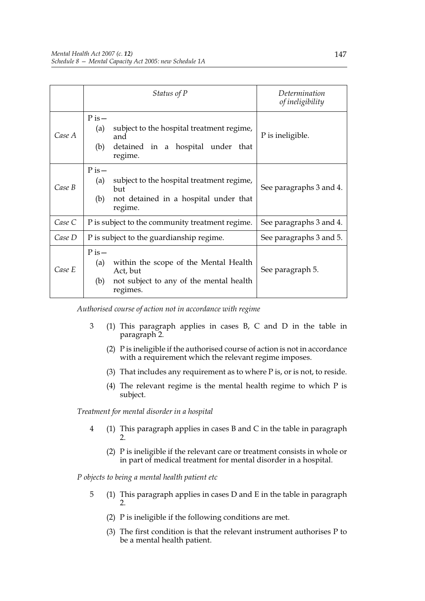|        | Status of P                                                                                                                          | Determination<br>of ineligibility |
|--------|--------------------------------------------------------------------------------------------------------------------------------------|-----------------------------------|
| Case A | $P$ is $-$<br>subject to the hospital treatment regime,<br>(a)<br>and<br>detained in a hospital under that<br>(b)<br>regime.         | P is ineligible.                  |
| Case B | $P$ is $-$<br>subject to the hospital treatment regime,<br>(a)<br>but<br>not detained in a hospital under that<br>(b)<br>regime.     | See paragraphs 3 and 4.           |
| Case C | P is subject to the community treatment regime.                                                                                      | See paragraphs 3 and 4.           |
| Case D | P is subject to the guardianship regime.                                                                                             | See paragraphs 3 and 5.           |
| Case E | $P$ is $-$<br>within the scope of the Mental Health<br>(a)<br>Act, but<br>not subject to any of the mental health<br>(b)<br>regimes. | See paragraph 5.                  |

*Authorised course of action not in accordance with regime*

- 3 (1) This paragraph applies in cases B, C and D in the table in paragraph 2.
	- (2) P is ineligible if the authorised course of action is not in accordance with a requirement which the relevant regime imposes.
	- (3) That includes any requirement as to where P is, or is not, to reside.
	- (4) The relevant regime is the mental health regime to which P is subject.

*Treatment for mental disorder in a hospital*

- 4 (1) This paragraph applies in cases B and C in the table in paragraph 2.
	- (2) P is ineligible if the relevant care or treatment consists in whole or in part of medical treatment for mental disorder in a hospital.

*P objects to being a mental health patient etc*

- 5 (1) This paragraph applies in cases D and E in the table in paragraph 2.
	- (2) P is ineligible if the following conditions are met.
	- (3) The first condition is that the relevant instrument authorises P to be a mental health patient.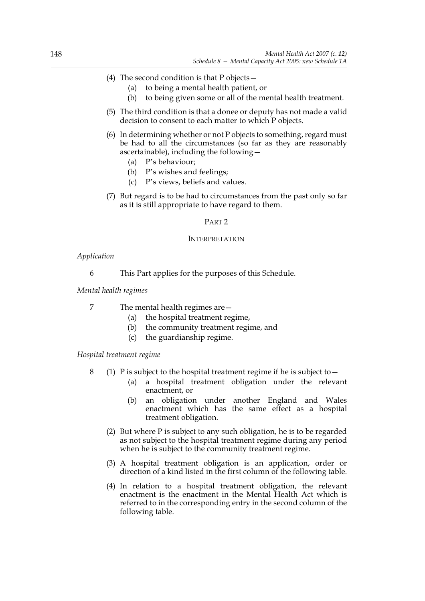- (4) The second condition is that P objects  $-$ 
	- (a) to being a mental health patient, or
	- (b) to being given some or all of the mental health treatment.
- (5) The third condition is that a donee or deputy has not made a valid decision to consent to each matter to which P objects.
- (6) In determining whether or not P objects to something, regard must be had to all the circumstances (so far as they are reasonably ascertainable), including the following—
	- (a) P's behaviour;
	- (b) P's wishes and feelings;
	- (c) P's views, beliefs and values.
- (7) But regard is to be had to circumstances from the past only so far as it is still appropriate to have regard to them.

#### INTERPRETATION

*Application*

6 This Part applies for the purposes of this Schedule.

*Mental health regimes*

- 7 The mental health regimes are—
	- (a) the hospital treatment regime,
	- (b) the community treatment regime, and
	- (c) the guardianship regime.

*Hospital treatment regime*

- 8 (1) P is subject to the hospital treatment regime if he is subject to  $-$ 
	- (a) a hospital treatment obligation under the relevant enactment, or
	- (b) an obligation under another England and Wales enactment which has the same effect as a hospital treatment obligation.
	- (2) But where P is subject to any such obligation, he is to be regarded as not subject to the hospital treatment regime during any period when he is subject to the community treatment regime.
	- (3) A hospital treatment obligation is an application, order or direction of a kind listed in the first column of the following table.
	- (4) In relation to a hospital treatment obligation, the relevant enactment is the enactment in the Mental Health Act which is referred to in the corresponding entry in the second column of the following table.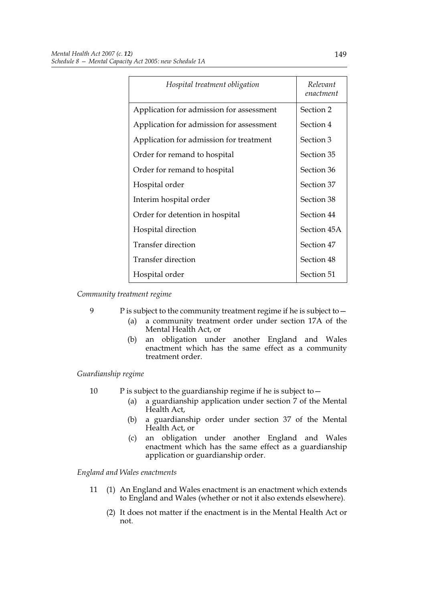| Hospital treatment obligation            | Relevant<br>enactment |
|------------------------------------------|-----------------------|
| Application for admission for assessment | Section 2             |
| Application for admission for assessment | Section 4             |
| Application for admission for treatment  | Section 3             |
| Order for remand to hospital             | Section 35            |
| Order for remand to hospital             | Section 36            |
| Hospital order                           | Section 37            |
| Interim hospital order                   | Section 38            |
| Order for detention in hospital          | Section 44            |
| Hospital direction                       | Section 45A           |
| Transfer direction                       | Section 47            |
| Transfer direction                       | Section 48            |
| Hospital order                           | Section 51            |

### *Community treatment regime*

- 9 P is subject to the community treatment regime if he is subject to
	- (a) a community treatment order under section 17A of the Mental Health Act, or
	- (b) an obligation under another England and Wales enactment which has the same effect as a community treatment order.

### *Guardianship regime*

- 10 P is subject to the guardianship regime if he is subject to—
	- (a) a guardianship application under section 7 of the Mental Health Act,
	- (b) a guardianship order under section 37 of the Mental Health Act, or
	- (c) an obligation under another England and Wales enactment which has the same effect as a guardianship application or guardianship order.

*England and Wales enactments*

- 11 (1) An England and Wales enactment is an enactment which extends to England and Wales (whether or not it also extends elsewhere).
	- (2) It does not matter if the enactment is in the Mental Health Act or not.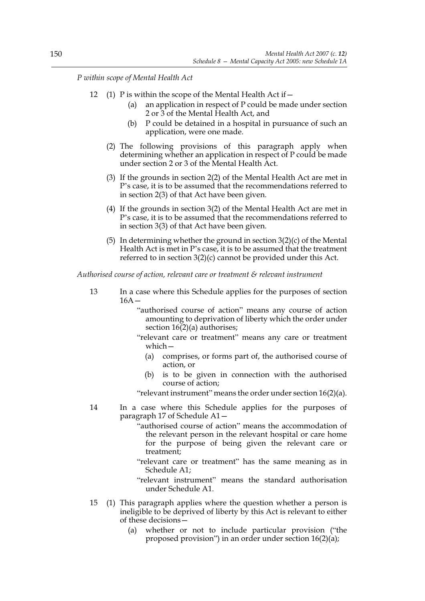*P within scope of Mental Health Act*

- 12 (1) P is within the scope of the Mental Health Act if  $-$ 
	- (a) an application in respect of P could be made under section 2 or 3 of the Mental Health Act, and
	- (b) P could be detained in a hospital in pursuance of such an application, were one made.
	- (2) The following provisions of this paragraph apply when determining whether an application in respect of P could be made under section 2 or 3 of the Mental Health Act.
	- (3) If the grounds in section 2(2) of the Mental Health Act are met in P's case, it is to be assumed that the recommendations referred to in section 2(3) of that Act have been given.
	- (4) If the grounds in section 3(2) of the Mental Health Act are met in P's case, it is to be assumed that the recommendations referred to in section 3(3) of that Act have been given.
	- (5) In determining whether the ground in section  $3(2)(c)$  of the Mental Health Act is met in P's case, it is to be assumed that the treatment referred to in section 3(2)(c) cannot be provided under this Act.

*Authorised course of action, relevant care or treatment & relevant instrument*

- 13 In a case where this Schedule applies for the purposes of section  $16A -$ 
	- "authorised course of action" means any course of action amounting to deprivation of liberty which the order under section 16(2)(a) authorises;
	- "relevant care or treatment" means any care or treatment which—
		- (a) comprises, or forms part of, the authorised course of action, or
		- (b) is to be given in connection with the authorised course of action;

"relevant instrument" means the order under section 16(2)(a).

- 14 In a case where this Schedule applies for the purposes of paragraph 17 of Schedule A1—
	- "authorised course of action" means the accommodation of the relevant person in the relevant hospital or care home for the purpose of being given the relevant care or treatment;
	- "relevant care or treatment" has the same meaning as in Schedule A1;
	- "relevant instrument" means the standard authorisation under Schedule A1.
- 15 (1) This paragraph applies where the question whether a person is ineligible to be deprived of liberty by this Act is relevant to either of these decisions—
	- (a) whether or not to include particular provision ("the proposed provision") in an order under section 16(2)(a);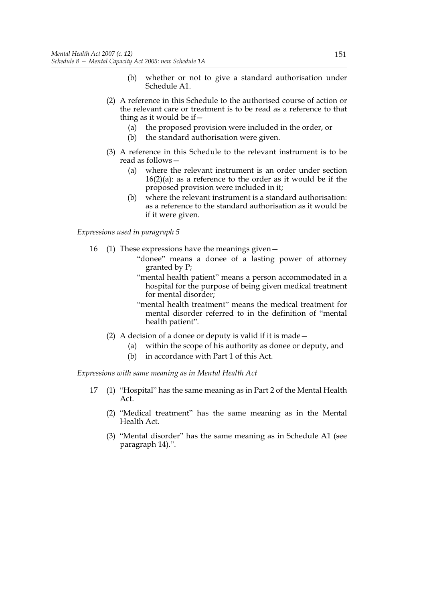- (b) whether or not to give a standard authorisation under Schedule A1.
- (2) A reference in this Schedule to the authorised course of action or the relevant care or treatment is to be read as a reference to that thing as it would be if  $-$ 
	- (a) the proposed provision were included in the order, or
	- (b) the standard authorisation were given.
- (3) A reference in this Schedule to the relevant instrument is to be read as follows—
	- (a) where the relevant instrument is an order under section  $16(2)(a)$ : as a reference to the order as it would be if the proposed provision were included in it;
	- (b) where the relevant instrument is a standard authorisation: as a reference to the standard authorisation as it would be if it were given.

*Expressions used in paragraph 5*

- 16 (1) These expressions have the meanings given—
	- "donee" means a donee of a lasting power of attorney granted by P;
	- "mental health patient" means a person accommodated in a hospital for the purpose of being given medical treatment for mental disorder;
	- "mental health treatment" means the medical treatment for mental disorder referred to in the definition of "mental health patient".
	- (2) A decision of a donee or deputy is valid if it is made—
		- (a) within the scope of his authority as donee or deputy, and
		- (b) in accordance with Part 1 of this Act.

### *Expressions with same meaning as in Mental Health Act*

- 17 (1) "Hospital" has the same meaning as in Part 2 of the Mental Health Act.
	- (2) "Medical treatment" has the same meaning as in the Mental Health Act.
	- (3) "Mental disorder" has the same meaning as in Schedule A1 (see paragraph 14).".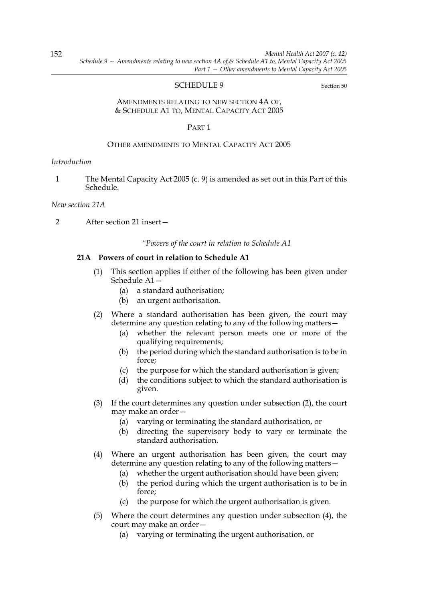#### SCHEDULE 9 Section 50

#### AMENDMENTS RELATING TO NEW SECTION 4A OF, & SCHEDULE A1 TO, MENTAL CAPACITY ACT 2005

#### PART 1

### OTHER AMENDMENTS TO MENTAL CAPACITY ACT 2005

#### *Introduction*

1 The Mental Capacity Act 2005 (c. 9) is amended as set out in this Part of this Schedule.

*New section 21A*

2 After section 21 insert—

*"Powers of the court in relation to Schedule A1*

### **21A Powers of court in relation to Schedule A1**

- (1) This section applies if either of the following has been given under Schedule A1—
	- (a) a standard authorisation;
	- (b) an urgent authorisation.
- (2) Where a standard authorisation has been given, the court may determine any question relating to any of the following matters—
	- (a) whether the relevant person meets one or more of the qualifying requirements;
	- (b) the period during which the standard authorisation is to be in force;
	- (c) the purpose for which the standard authorisation is given;
	- (d) the conditions subject to which the standard authorisation is given.
- (3) If the court determines any question under subsection (2), the court may make an order—
	- (a) varying or terminating the standard authorisation, or
	- (b) directing the supervisory body to vary or terminate the standard authorisation.
- (4) Where an urgent authorisation has been given, the court may determine any question relating to any of the following matters—
	- (a) whether the urgent authorisation should have been given;
	- (b) the period during which the urgent authorisation is to be in force;
	- (c) the purpose for which the urgent authorisation is given.
- (5) Where the court determines any question under subsection (4), the court may make an order—
	- (a) varying or terminating the urgent authorisation, or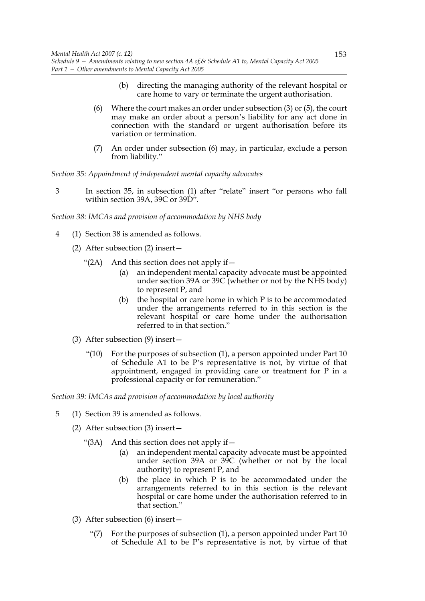- (b) directing the managing authority of the relevant hospital or care home to vary or terminate the urgent authorisation.
- (6) Where the court makes an order under subsection (3) or (5), the court may make an order about a person's liability for any act done in connection with the standard or urgent authorisation before its variation or termination.
- (7) An order under subsection (6) may, in particular, exclude a person from liability."

*Section 35: Appointment of independent mental capacity advocates*

3 In section 35, in subsection (1) after "relate" insert "or persons who fall within section 39A, 39C or 39D".

*Section 38: IMCAs and provision of accommodation by NHS body*

- 4 (1) Section 38 is amended as follows.
	- (2) After subsection (2) insert—
		- " $(2A)$  And this section does not apply if  $-$ 
			- (a) an independent mental capacity advocate must be appointed under section 39A or 39C (whether or not by the NHS body) to represent P, and
			- (b) the hospital or care home in which  $P$  is to be accommodated under the arrangements referred to in this section is the relevant hospital or care home under the authorisation referred to in that section."
	- (3) After subsection (9) insert—
		- "(10) For the purposes of subsection  $(1)$ , a person appointed under Part 10 of Schedule A1 to be P's representative is not, by virtue of that appointment, engaged in providing care or treatment for P in a professional capacity or for remuneration."

*Section 39: IMCAs and provision of accommodation by local authority*

- 5 (1) Section 39 is amended as follows.
	- (2) After subsection (3) insert—
		- " $(3A)$  And this section does not apply if  $-$ 
			- (a) an independent mental capacity advocate must be appointed under section 39A or 39C (whether or not by the local authority) to represent P, and
			- (b) the place in which P is to be accommodated under the arrangements referred to in this section is the relevant hospital or care home under the authorisation referred to in that section."
	- (3) After subsection (6) insert—
		- "(7) For the purposes of subsection (1), a person appointed under Part 10 of Schedule A1 to be P's representative is not, by virtue of that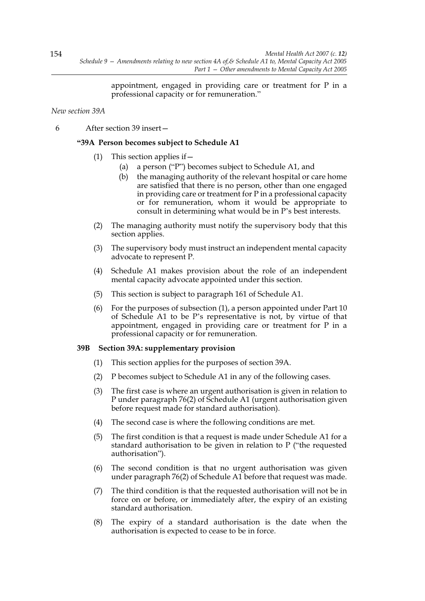appointment, engaged in providing care or treatment for P in a professional capacity or for remuneration."

*New section 39A*

6 After section 39 insert—

## **"39A Person becomes subject to Schedule A1**

- (1) This section applies if  $-$ 
	- (a) a person ("P") becomes subject to Schedule A1, and
	- (b) the managing authority of the relevant hospital or care home are satisfied that there is no person, other than one engaged in providing care or treatment for P in a professional capacity or for remuneration, whom it would be appropriate to consult in determining what would be in P's best interests.
- (2) The managing authority must notify the supervisory body that this section applies.
- (3) The supervisory body must instruct an independent mental capacity advocate to represent P.
- (4) Schedule A1 makes provision about the role of an independent mental capacity advocate appointed under this section.
- (5) This section is subject to paragraph 161 of Schedule A1.
- (6) For the purposes of subsection (1), a person appointed under Part 10 of Schedule A1 to be P's representative is not, by virtue of that appointment, engaged in providing care or treatment for P in a professional capacity or for remuneration.

### **39B Section 39A: supplementary provision**

- (1) This section applies for the purposes of section 39A.
- (2) P becomes subject to Schedule A1 in any of the following cases.
- (3) The first case is where an urgent authorisation is given in relation to P under paragraph 76(2) of Schedule A1 (urgent authorisation given before request made for standard authorisation).
- (4) The second case is where the following conditions are met.
- (5) The first condition is that a request is made under Schedule A1 for a standard authorisation to be given in relation to P ("the requested authorisation").
- (6) The second condition is that no urgent authorisation was given under paragraph 76(2) of Schedule A1 before that request was made.
- (7) The third condition is that the requested authorisation will not be in force on or before, or immediately after, the expiry of an existing standard authorisation.
- (8) The expiry of a standard authorisation is the date when the authorisation is expected to cease to be in force.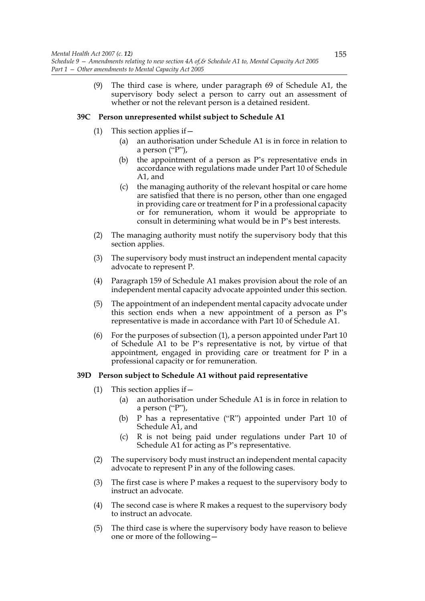(9) The third case is where, under paragraph 69 of Schedule A1, the supervisory body select a person to carry out an assessment of whether or not the relevant person is a detained resident.

## **39C Person unrepresented whilst subject to Schedule A1**

- (1) This section applies if  $-$ 
	- (a) an authorisation under Schedule A1 is in force in relation to a person ("P"),
	- (b) the appointment of a person as P's representative ends in accordance with regulations made under Part 10 of Schedule A1, and
	- (c) the managing authority of the relevant hospital or care home are satisfied that there is no person, other than one engaged in providing care or treatment for P in a professional capacity or for remuneration, whom it would be appropriate to consult in determining what would be in P's best interests.
- (2) The managing authority must notify the supervisory body that this section applies.
- (3) The supervisory body must instruct an independent mental capacity advocate to represent P.
- (4) Paragraph 159 of Schedule A1 makes provision about the role of an independent mental capacity advocate appointed under this section.
- (5) The appointment of an independent mental capacity advocate under this section ends when a new appointment of a person as P's representative is made in accordance with Part 10 of Schedule A1.
- (6) For the purposes of subsection (1), a person appointed under Part 10 of Schedule A1 to be P's representative is not, by virtue of that appointment, engaged in providing care or treatment for P in a professional capacity or for remuneration.

### **39D Person subject to Schedule A1 without paid representative**

- (1) This section applies if  $-$ 
	- (a) an authorisation under Schedule A1 is in force in relation to a person ("P"),
	- (b) P has a representative ("R") appointed under Part 10 of Schedule A<sub>1</sub>, and
	- (c) R is not being paid under regulations under Part 10 of Schedule A1 for acting as P's representative.
- (2) The supervisory body must instruct an independent mental capacity advocate to represent P in any of the following cases.
- (3) The first case is where P makes a request to the supervisory body to instruct an advocate.
- (4) The second case is where R makes a request to the supervisory body to instruct an advocate.
- (5) The third case is where the supervisory body have reason to believe one or more of the following—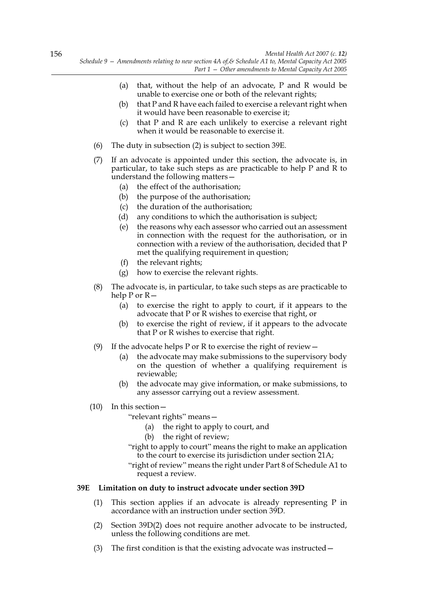- (a) that, without the help of an advocate, P and R would be unable to exercise one or both of the relevant rights;
- (b) that P and R have each failed to exercise a relevant right when it would have been reasonable to exercise it;
- (c) that P and R are each unlikely to exercise a relevant right when it would be reasonable to exercise it.
- (6) The duty in subsection (2) is subject to section 39E.
- (7) If an advocate is appointed under this section, the advocate is, in particular, to take such steps as are practicable to help P and R to understand the following matters—
	- (a) the effect of the authorisation;
	- (b) the purpose of the authorisation;
	- (c) the duration of the authorisation;
	- (d) any conditions to which the authorisation is subject;
	- (e) the reasons why each assessor who carried out an assessment in connection with the request for the authorisation, or in connection with a review of the authorisation, decided that P met the qualifying requirement in question;
	- (f) the relevant rights;
	- (g) how to exercise the relevant rights.
- (8) The advocate is, in particular, to take such steps as are practicable to help P or R—
	- (a) to exercise the right to apply to court, if it appears to the advocate that P or R wishes to exercise that right, or
	- (b) to exercise the right of review, if it appears to the advocate that P or R wishes to exercise that right.
- (9) If the advocate helps P or R to exercise the right of review  $-$ 
	- (a) the advocate may make submissions to the supervisory body on the question of whether a qualifying requirement is reviewable;
	- (b) the advocate may give information, or make submissions, to any assessor carrying out a review assessment.
- (10) In this section—

156

"relevant rights" means—

- (a) the right to apply to court, and
- (b) the right of review;
- "right to apply to court" means the right to make an application to the court to exercise its jurisdiction under section 21A;
- "right of review" means the right under Part 8 of Schedule A1 to request a review.

#### **39E Limitation on duty to instruct advocate under section 39D**

- (1) This section applies if an advocate is already representing P in accordance with an instruction under section 39D.
- (2) Section 39D(2) does not require another advocate to be instructed, unless the following conditions are met.
- (3) The first condition is that the existing advocate was instructed—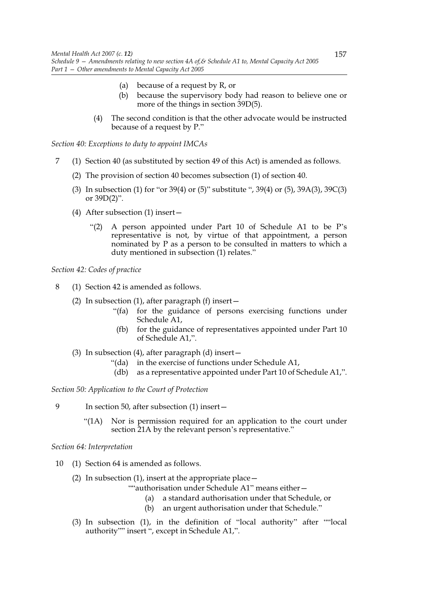- (a) because of a request by R, or
- (b) because the supervisory body had reason to believe one or more of the things in section 39D(5).
- (4) The second condition is that the other advocate would be instructed because of a request by P."

*Section 40: Exceptions to duty to appoint IMCAs*

- 7 (1) Section 40 (as substituted by section 49 of this Act) is amended as follows.
	- (2) The provision of section 40 becomes subsection (1) of section 40.
	- (3) In subsection (1) for "or 39(4) or (5)" substitute ", 39(4) or (5), 39A(3), 39C(3) or 39D(2)".
	- (4) After subsection (1) insert—
		- "(2) A person appointed under Part 10 of Schedule A1 to be P's representative is not, by virtue of that appointment, a person nominated by P as a person to be consulted in matters to which a duty mentioned in subsection (1) relates."

*Section 42: Codes of practice*

- 8 (1) Section 42 is amended as follows.
	- (2) In subsection (1), after paragraph (f) insert  $-$ 
		- "(fa) for the guidance of persons exercising functions under Schedule A1,
		- (fb) for the guidance of representatives appointed under Part 10 of Schedule A1,".
	- (3) In subsection (4), after paragraph (d) insert  $-$ 
		- "(da) in the exercise of functions under Schedule A1,
		- (db) as a representative appointed under Part 10 of Schedule A1,".

*Section 50: Application to the Court of Protection*

- 9 In section 50, after subsection (1) insert—
	- "(1A) Nor is permission required for an application to the court under section 21A by the relevant person's representative."

#### *Section 64: Interpretation*

- 10 (1) Section 64 is amended as follows.
	- (2) In subsection (1), insert at the appropriate place  $-$ 
		- ""authorisation under Schedule A1" means either—
			- (a) a standard authorisation under that Schedule, or
			- (b) an urgent authorisation under that Schedule."
	- (3) In subsection (1), in the definition of "local authority" after ""local authority"" insert ", except in Schedule A1,".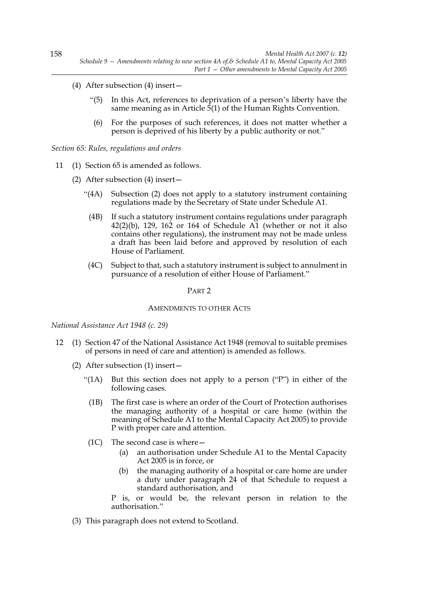- (4) After subsection (4) insert—
	- "(5) In this Act, references to deprivation of a person's liberty have the same meaning as in Article 5(1) of the Human Rights Convention.
	- (6) For the purposes of such references, it does not matter whether a person is deprived of his liberty by a public authority or not."

*Section 65: Rules, regulations and orders*

- 11 (1) Section 65 is amended as follows.
	- (2) After subsection (4) insert—
		- "(4A) Subsection (2) does not apply to a statutory instrument containing regulations made by the Secretary of State under Schedule A1.
			- (4B) If such a statutory instrument contains regulations under paragraph  $42(2)(b)$ ,  $129$ ,  $162$  or  $164$  of Schedule A1 (whether or not it also contains other regulations), the instrument may not be made unless a draft has been laid before and approved by resolution of each House of Parliament.
		- (4C) Subject to that, such a statutory instrument is subject to annulment in pursuance of a resolution of either House of Parliament."

#### PART 2

#### AMENDMENTS TO OTHER ACTS

*National Assistance Act 1948 (c. 29)*

- 12 (1) Section 47 of the National Assistance Act 1948 (removal to suitable premises of persons in need of care and attention) is amended as follows.
	- (2) After subsection (1) insert—
		- "(1A) But this section does not apply to a person ("P") in either of the following cases.
			- (1B) The first case is where an order of the Court of Protection authorises the managing authority of a hospital or care home (within the meaning of Schedule A1 to the Mental Capacity Act 2005) to provide P with proper care and attention.
		- (1C) The second case is where—
			- (a) an authorisation under Schedule A1 to the Mental Capacity Act 2005 is in force, or
			- (b) the managing authority of a hospital or care home are under a duty under paragraph 24 of that Schedule to request a standard authorisation, and
			- P is, or would be, the relevant person in relation to the authorisation."
	- (3) This paragraph does not extend to Scotland.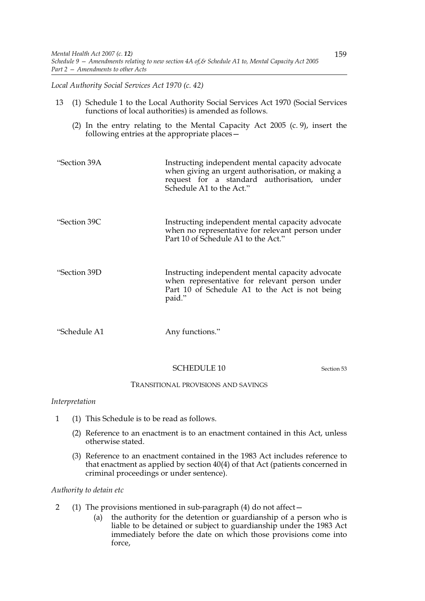*Local Authority Social Services Act 1970 (c. 42)*

- 13 (1) Schedule 1 to the Local Authority Social Services Act 1970 (Social Services functions of local authorities) is amended as follows.
	- (2) In the entry relating to the Mental Capacity Act 2005 (c. 9), insert the following entries at the appropriate places—

"Section 39A Instructing independent mental capacity advocate when giving an urgent authorisation, or making a request for a standard authorisation, under Schedule A1 to the Act."

"Section 39C Instructing independent mental capacity advocate when no representative for relevant person under Part 10 of Schedule A1 to the Act."

"Section 39D Instructing independent mental capacity advocate when representative for relevant person under Part 10 of Schedule A1 to the Act is not being paid."

"Schedule A1 Any functions."

# SCHEDULE 10 Section 53

#### TRANSITIONAL PROVISIONS AND SAVINGS

#### *Interpretation*

- 1 (1) This Schedule is to be read as follows.
	- (2) Reference to an enactment is to an enactment contained in this Act, unless otherwise stated.
	- (3) Reference to an enactment contained in the 1983 Act includes reference to that enactment as applied by section 40(4) of that Act (patients concerned in criminal proceedings or under sentence).

## *Authority to detain etc*

- 2 (1) The provisions mentioned in sub-paragraph (4) do not affect—
	- (a) the authority for the detention or guardianship of a person who is liable to be detained or subject to guardianship under the 1983 Act immediately before the date on which those provisions come into force,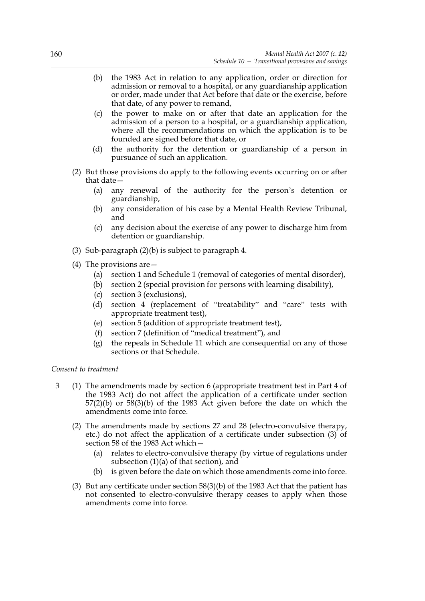- (b) the 1983 Act in relation to any application, order or direction for admission or removal to a hospital, or any guardianship application or order, made under that Act before that date or the exercise, before that date, of any power to remand,
- (c) the power to make on or after that date an application for the admission of a person to a hospital, or a guardianship application, where all the recommendations on which the application is to be founded are signed before that date, or
- (d) the authority for the detention or guardianship of a person in pursuance of such an application.
- (2) But those provisions do apply to the following events occurring on or after that date—
	- (a) any renewal of the authority for the person's detention or guardianship,
	- (b) any consideration of his case by a Mental Health Review Tribunal, and
	- (c) any decision about the exercise of any power to discharge him from detention or guardianship.
- (3) Sub-paragraph (2)(b) is subject to paragraph 4.
- (4) The provisions are—
	- (a) section 1 and Schedule 1 (removal of categories of mental disorder),
	- (b) section 2 (special provision for persons with learning disability),
	- (c) section 3 (exclusions),
	- (d) section 4 (replacement of "treatability" and "care" tests with appropriate treatment test),
	- (e) section 5 (addition of appropriate treatment test),
	- (f) section 7 (definition of "medical treatment"), and
	- (g) the repeals in Schedule 11 which are consequential on any of those sections or that Schedule.

### *Consent to treatment*

- 3 (1) The amendments made by section 6 (appropriate treatment test in Part 4 of the 1983 Act) do not affect the application of a certificate under section  $57(2)(b)$  or  $58(3)(b)$  of the 1983 Act given before the date on which the amendments come into force.
	- (2) The amendments made by sections 27 and 28 (electro-convulsive therapy, etc.) do not affect the application of a certificate under subsection (3) of section 58 of the 1983 Act which—
		- (a) relates to electro-convulsive therapy (by virtue of regulations under subsection (1)(a) of that section), and
		- (b) is given before the date on which those amendments come into force.
	- (3) But any certificate under section 58(3)(b) of the 1983 Act that the patient has not consented to electro-convulsive therapy ceases to apply when those amendments come into force.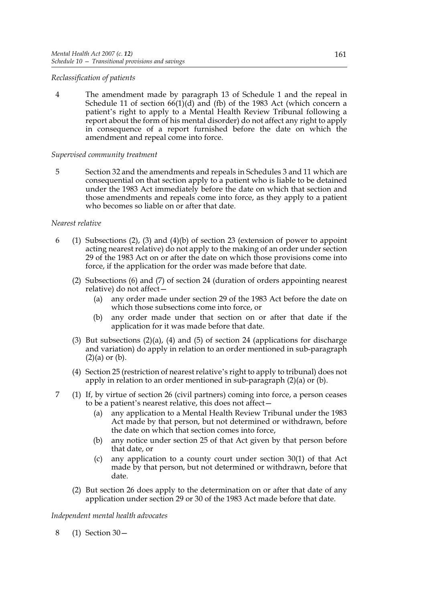### *Reclassification of patients*

4 The amendment made by paragraph 13 of Schedule 1 and the repeal in Schedule 11 of section  $66(1)(d)$  and (fb) of the 1983 Act (which concern a patient's right to apply to a Mental Health Review Tribunal following a report about the form of his mental disorder) do not affect any right to apply in consequence of a report furnished before the date on which the amendment and repeal come into force.

### *Supervised community treatment*

5 Section 32 and the amendments and repeals in Schedules 3 and 11 which are consequential on that section apply to a patient who is liable to be detained under the 1983 Act immediately before the date on which that section and those amendments and repeals come into force, as they apply to a patient who becomes so liable on or after that date.

### *Nearest relative*

- 6 (1) Subsections (2), (3) and (4)(b) of section 23 (extension of power to appoint acting nearest relative) do not apply to the making of an order under section 29 of the 1983 Act on or after the date on which those provisions come into force, if the application for the order was made before that date.
	- (2) Subsections (6) and (7) of section 24 (duration of orders appointing nearest relative) do not affect—
		- (a) any order made under section 29 of the 1983 Act before the date on which those subsections come into force, or
		- (b) any order made under that section on or after that date if the application for it was made before that date.
	- (3) But subsections  $(2)(a)$ ,  $(4)$  and  $(5)$  of section 24 (applications for discharge and variation) do apply in relation to an order mentioned in sub-paragraph  $(2)(a)$  or  $(b)$ .
	- (4) Section 25 (restriction of nearest relative's right to apply to tribunal) does not apply in relation to an order mentioned in sub-paragraph (2)(a) or (b).
- 7 (1) If, by virtue of section 26 (civil partners) coming into force, a person ceases to be a patient's nearest relative, this does not affect—
	- (a) any application to a Mental Health Review Tribunal under the 1983 Act made by that person, but not determined or withdrawn, before the date on which that section comes into force,
	- (b) any notice under section 25 of that Act given by that person before that date, or
	- (c) any application to a county court under section 30(1) of that Act made by that person, but not determined or withdrawn, before that date.
	- (2) But section 26 does apply to the determination on or after that date of any application under section 29 or 30 of the 1983 Act made before that date.

### *Independent mental health advocates*

8 (1) Section 30—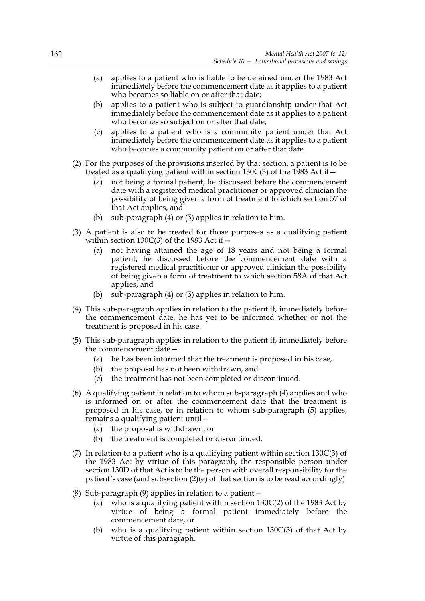- (a) applies to a patient who is liable to be detained under the 1983 Act immediately before the commencement date as it applies to a patient who becomes so liable on or after that date;
- (b) applies to a patient who is subject to guardianship under that Act immediately before the commencement date as it applies to a patient who becomes so subject on or after that date:
- (c) applies to a patient who is a community patient under that Act immediately before the commencement date as it applies to a patient who becomes a community patient on or after that date.
- (2) For the purposes of the provisions inserted by that section, a patient is to be treated as a qualifying patient within section  $130C(3)$  of the 1983 Act if  $-$ 
	- (a) not being a formal patient, he discussed before the commencement date with a registered medical practitioner or approved clinician the possibility of being given a form of treatment to which section 57 of that Act applies, and
	- (b) sub-paragraph (4) or (5) applies in relation to him.
- (3) A patient is also to be treated for those purposes as a qualifying patient within section  $130C(3)$  of the 1983 Act if  $-$ 
	- (a) not having attained the age of 18 years and not being a formal patient, he discussed before the commencement date with a registered medical practitioner or approved clinician the possibility of being given a form of treatment to which section 58A of that Act applies, and
	- (b) sub-paragraph (4) or (5) applies in relation to him.
- (4) This sub-paragraph applies in relation to the patient if, immediately before the commencement date, he has yet to be informed whether or not the treatment is proposed in his case.
- (5) This sub-paragraph applies in relation to the patient if, immediately before the commencement date—
	- (a) he has been informed that the treatment is proposed in his case,
	- (b) the proposal has not been withdrawn, and
	- (c) the treatment has not been completed or discontinued.
- (6) A qualifying patient in relation to whom sub-paragraph (4) applies and who is informed on or after the commencement date that the treatment is proposed in his case, or in relation to whom sub-paragraph (5) applies, remains a qualifying patient until—
	- (a) the proposal is withdrawn, or
	- (b) the treatment is completed or discontinued.
- (7) In relation to a patient who is a qualifying patient within section 130C(3) of the 1983 Act by virtue of this paragraph, the responsible person under section 130D of that Act is to be the person with overall responsibility for the patient's case (and subsection (2)(e) of that section is to be read accordingly).
- (8) Sub-paragraph (9) applies in relation to a patient—
	- (a) who is a qualifying patient within section 130C(2) of the 1983 Act by virtue of being a formal patient immediately before the commencement date, or
	- (b) who is a qualifying patient within section 130C(3) of that Act by virtue of this paragraph.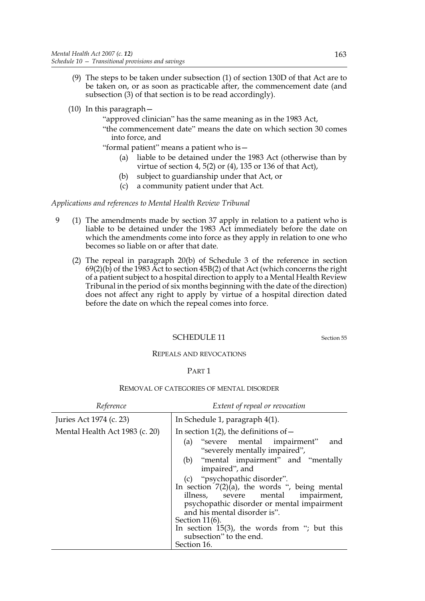- (9) The steps to be taken under subsection (1) of section 130D of that Act are to be taken on, or as soon as practicable after, the commencement date (and subsection (3) of that section is to be read accordingly).
- (10) In this paragraph—
	- "approved clinician" has the same meaning as in the 1983 Act,
	- "the commencement date" means the date on which section 30 comes into force, and
	- "formal patient" means a patient who is—
		- (a) liable to be detained under the 1983 Act (otherwise than by virtue of section 4, 5(2) or (4), 135 or 136 of that Act),
		- (b) subject to guardianship under that Act, or
		- (c) a community patient under that Act.

### *Applications and references to Mental Health Review Tribunal*

- 9 (1) The amendments made by section 37 apply in relation to a patient who is liable to be detained under the 1983 Act immediately before the date on which the amendments come into force as they apply in relation to one who becomes so liable on or after that date.
	- (2) The repeal in paragraph 20(b) of Schedule 3 of the reference in section  $69(2)$ (b) of the 1983 Act to section 45B(2) of that Act (which concerns the right of a patient subject to a hospital direction to apply to a Mental Health Review Tribunal in the period of six months beginning with the date of the direction) does not affect any right to apply by virtue of a hospital direction dated before the date on which the repeal comes into force.

### SCHEDULE 11 Section 55

#### REPEALS AND REVOCATIONS

#### PART 1

#### REMOVAL OF CATEGORIES OF MENTAL DISORDER

| Reference                      | Extent of repeal or revocation                                                                                                                                                                                                                                                                                         |
|--------------------------------|------------------------------------------------------------------------------------------------------------------------------------------------------------------------------------------------------------------------------------------------------------------------------------------------------------------------|
| Juries Act 1974 (c. 23)        | In Schedule 1, paragraph 4(1).                                                                                                                                                                                                                                                                                         |
| Mental Health Act 1983 (c. 20) | In section $1(2)$ , the definitions of $-$<br>(a) "severe mental impairment"<br>and<br>"severely mentally impaired",<br>(b) "mental impairment" and "mentally<br>impaired", and                                                                                                                                        |
|                                | (c) "psychopathic disorder".<br>In section $7(2)(a)$ , the words ", being mental<br>illness, severe mental impairment,<br>psychopathic disorder or mental impairment<br>and his mental disorder is".<br>Section $11(6)$ .<br>In section $15(3)$ , the words from "; but this<br>subsection" to the end.<br>Section 16. |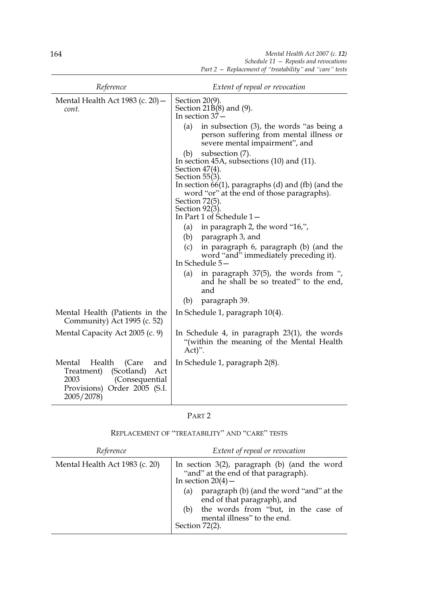| Reference                                                                                                                                   | Extent of repeal or revocation                                                                                                              |
|---------------------------------------------------------------------------------------------------------------------------------------------|---------------------------------------------------------------------------------------------------------------------------------------------|
| Mental Health Act 1983 (c. 20) -<br>cont.                                                                                                   | Section $20(9)$ .<br>Section $21B(8)$ and $(9)$ .<br>In section $37-$                                                                       |
|                                                                                                                                             | in subsection (3), the words "as being a<br>(a)<br>person suffering from mental illness or<br>severe mental impairment", and                |
|                                                                                                                                             | subsection (7).<br>(b)<br>In section 45A, subsections (10) and (11).<br>Section $47(4)$ .<br>Section $55(3)$ .                              |
|                                                                                                                                             | In section $66(1)$ , paragraphs $(d)$ and $(fb)$ (and the<br>word "or" at the end of those paragraphs).<br>Section 72(5).<br>Section 92(3). |
|                                                                                                                                             | In Part 1 of Schedule $1-$                                                                                                                  |
|                                                                                                                                             | (a)<br>in paragraph 2, the word "16,",                                                                                                      |
|                                                                                                                                             | paragraph 3, and<br>(b)                                                                                                                     |
|                                                                                                                                             | (c)<br>in paragraph 6, paragraph (b) (and the<br>word "and" immediately preceding it).<br>In Schedule 5-                                    |
|                                                                                                                                             | in paragraph $37(5)$ , the words from ",<br>(a)<br>and he shall be so treated" to the end,<br>and                                           |
|                                                                                                                                             | (b)<br>paragraph 39.                                                                                                                        |
| Mental Health (Patients in the<br>Community) Act 1995 (c. 52)                                                                               | In Schedule 1, paragraph 10(4).                                                                                                             |
| Mental Capacity Act 2005 (c. 9)                                                                                                             | In Schedule 4, in paragraph $23(1)$ , the words<br>"(within the meaning of the Mental Health<br>$Act)$ ".                                   |
| Mental<br>Health<br>(Care<br>and<br>(Scotland)<br>Act<br>Treatment)<br>2003<br>(Consequential<br>Provisions) Order 2005 (S.I.<br>2005/2078) | In Schedule 1, paragraph 2(8).                                                                                                              |

| Reference                      | Extent of repeal or revocation                                                                                  |
|--------------------------------|-----------------------------------------------------------------------------------------------------------------|
| Mental Health Act 1983 (c. 20) | In section $3(2)$ , paragraph (b) (and the word<br>"and" at the end of that paragraph).<br>In section $20(4)$ – |
|                                | (a) paragraph (b) (and the word "and" at the<br>end of that paragraph), and                                     |
|                                | (b) the words from "but, in the case of<br>mental illness" to the end.<br>Section 72(2).                        |

### REPLACEMENT OF "TREATABILITY" AND "CARE" TESTS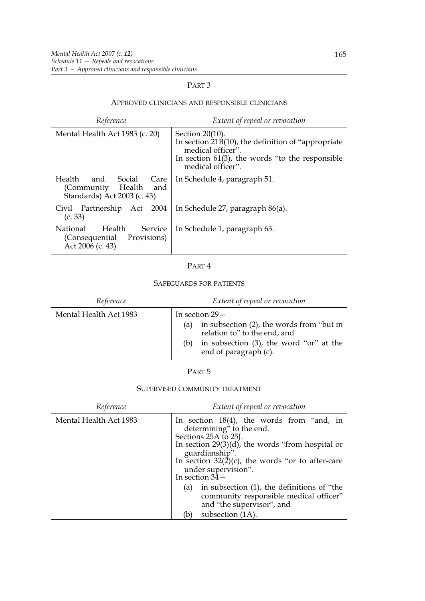### APPROVED CLINICIANS AND RESPONSIBLE CLINICIANS

| Reference                                                                                      | Extent of repeal or revocation                                                                                                                                             |
|------------------------------------------------------------------------------------------------|----------------------------------------------------------------------------------------------------------------------------------------------------------------------------|
| Mental Health Act 1983 (c. 20)                                                                 | Section 20(10).<br>In section $21B(10)$ , the definition of "appropriate"<br>medical officer".<br>In section $61(3)$ , the words "to the responsible"<br>medical officer". |
| Health<br>Social<br>and<br>Care<br>Health<br>(Community)<br>and<br>Standards) Act 2003 (c. 43) | In Schedule 4, paragraph 51.                                                                                                                                               |
| Civil Partnership Act 2004<br>(c. 33)                                                          | In Schedule 27, paragraph $86(a)$ .                                                                                                                                        |
| National<br>Health<br>Service<br>(Consequential Provisions)<br>Act 2006 (c. 43)                | In Schedule 1, paragraph 63.                                                                                                                                               |

### PART 4

### SAFEGUARDS FOR PATIENTS

| Reference              | Extent of repeal or revocation                                                                                                                                                     |
|------------------------|------------------------------------------------------------------------------------------------------------------------------------------------------------------------------------|
| Mental Health Act 1983 | In section $29-$<br>in subsection (2), the words from "but in<br>(a)<br>relation to" to the end, and<br>in subsection $(3)$ , the word "or" at the<br>(b)<br>end of paragraph (c). |

### SUPERVISED COMMUNITY TREATMENT

| Reference              | Extent of repeal or revocation                                                                                                                                                                                                                                               |
|------------------------|------------------------------------------------------------------------------------------------------------------------------------------------------------------------------------------------------------------------------------------------------------------------------|
| Mental Health Act 1983 | In section $18(4)$ , the words from "and, in<br>determining" to the end.<br>Sections 25A to 25J.<br>In section $29(3)(d)$ , the words "from hospital or<br>guardianship".<br>In section $32(2)(c)$ , the words "or to after-care"<br>under supervision".<br>In section $34-$ |
|                        | in subsection (1), the definitions of "the<br>(a)<br>community responsible medical officer"<br>and "the supervisor", and<br>(b)<br>subsection $(1A)$ .                                                                                                                       |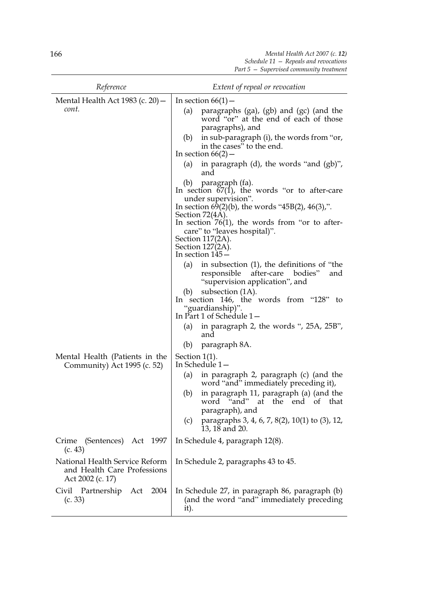| Reference                                                                         | Extent of repeal or revocation                                                                                    |
|-----------------------------------------------------------------------------------|-------------------------------------------------------------------------------------------------------------------|
| Mental Health Act 1983 (c. 20) –                                                  | In section $66(1)$ –                                                                                              |
| cont.                                                                             | (a)<br>paragraphs (ga), (gb) and (gc) (and the<br>word "or" at the end of each of those<br>paragraphs), and       |
|                                                                                   | in sub-paragraph (i), the words from "or,<br>(b)<br>in the cases" to the end.                                     |
|                                                                                   | In section $66(2)$ –<br>in paragraph (d), the words "and (gb)",                                                   |
|                                                                                   | (a)<br>and                                                                                                        |
|                                                                                   | (b)<br>paragraph (fa).<br>In section $67(1)$ , the words "or to after-care                                        |
|                                                                                   | under supervision".<br>In section $69(2)(b)$ , the words "45B(2), 46(3),".<br>Section 72(4A).                     |
|                                                                                   | In section $76(1)$ , the words from "or to after-                                                                 |
|                                                                                   | care" to "leaves hospital)".<br>Section 117(2A).                                                                  |
|                                                                                   | Section 127(2A).<br>In section $145-$                                                                             |
|                                                                                   | (a)<br>in subsection $(1)$ , the definitions of "the                                                              |
|                                                                                   | responsible<br>after-care<br>bodies"<br>and<br>"supervision application", and                                     |
|                                                                                   | subsection (1A).<br>(b)                                                                                           |
|                                                                                   | In section 146, the words from "128" to<br>"guardianship)".<br>In Part 1 of Schedule 1 –                          |
|                                                                                   | in paragraph 2, the words ", 25A, 25B",<br>(a)<br>and                                                             |
|                                                                                   | (b)<br>paragraph 8A.                                                                                              |
| Mental Health (Patients in the<br>Community) Act 1995 (c. 52)                     | Section $1(1)$ .<br>In Schedule 1-                                                                                |
|                                                                                   | (a)<br>in paragraph 2, paragraph (c) (and the<br>word "and" immediately preceding it),                            |
|                                                                                   | in paragraph 11, paragraph (a) (and the<br>(b)<br>word "and"<br>at<br>the<br>end<br>that<br>ΟÌ<br>paragraph), and |
|                                                                                   | paragraphs 3, 4, 6, 7, 8(2), 10(1) to (3), 12,<br>(c)<br>13, 18 and 20.                                           |
| (Sentences) Act 1997<br>Crime<br>(c. 43)                                          | In Schedule 4, paragraph 12(8).                                                                                   |
| National Health Service Reform<br>and Health Care Professions<br>Act 2002 (c. 17) | In Schedule 2, paragraphs 43 to 45.                                                                               |
| Partnership Act<br>2004<br>Civil<br>(c. 33)                                       | In Schedule 27, in paragraph 86, paragraph (b)<br>(and the word "and" immediately preceding<br>it).               |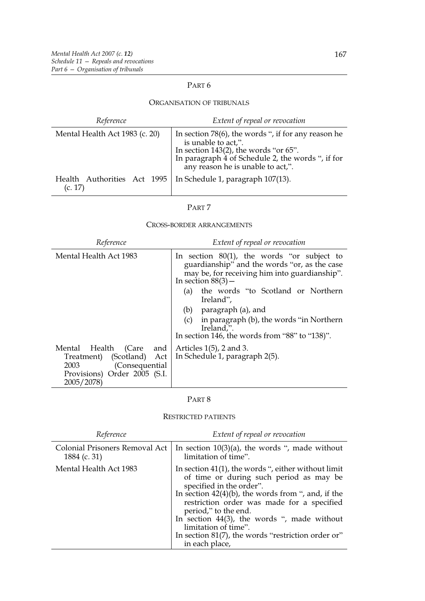### ORGANISATION OF TRIBUNALS

| Reference                              | Extent of repeal or revocation                                                                                                                                                                                   |
|----------------------------------------|------------------------------------------------------------------------------------------------------------------------------------------------------------------------------------------------------------------|
| Mental Health Act 1983 (c. 20)         | In section $78(6)$ , the words ", if for any reason he<br>is unable to act,".<br>In section 143(2), the words "or 65".<br>In paragraph 4 of Schedule 2, the words ", if for<br>any reason he is unable to act,". |
| Health Authorities Act 1995<br>(c. 17) | In Schedule 1, paragraph 107(13).                                                                                                                                                                                |

### PART 7

# CROSS-BORDER ARRANGEMENTS

| Reference                                                                                | Extent of repeal or revocation                                                                                                                                         |
|------------------------------------------------------------------------------------------|------------------------------------------------------------------------------------------------------------------------------------------------------------------------|
| Mental Health Act 1983                                                                   | In section $80(1)$ , the words "or subject to<br>guardianship" and the words "or, as the case<br>may be, for receiving him into guardianship".<br>In section $88(3)$ – |
|                                                                                          | the words "to Scotland or Northern<br>(a)<br>Ireland",                                                                                                                 |
|                                                                                          | (b) paragraph (a), and                                                                                                                                                 |
|                                                                                          | (c) in paragraph (b), the words "in Northern"<br>Ireland,".                                                                                                            |
|                                                                                          | In section 146, the words from " $88$ " to "138)".                                                                                                                     |
| Health (Care<br>Mental<br>and<br>Treatment) (Scotland)<br>Act<br>2003<br>(Consequential) | Articles $1(5)$ , 2 and 3.<br>In Schedule 1, paragraph 2(5).                                                                                                           |
| Provisions) Order 2005 (S.I.<br>2005/2078)                                               |                                                                                                                                                                        |

# PART 8

### RESTRICTED PATIENTS

| Reference                                      | Extent of repeal or revocation                                                                                                                                                                                                                                                                                                                                                                                    |
|------------------------------------------------|-------------------------------------------------------------------------------------------------------------------------------------------------------------------------------------------------------------------------------------------------------------------------------------------------------------------------------------------------------------------------------------------------------------------|
| Colonial Prisoners Removal Act<br>1884 (c. 31) | In section $10(3)(a)$ , the words ", made without<br>limitation of time".                                                                                                                                                                                                                                                                                                                                         |
| Mental Health Act 1983                         | In section $41(1)$ , the words ", either without limit<br>of time or during such period as may be<br>specified in the order".<br>In section $42(4)(b)$ , the words from ", and, if the<br>restriction order was made for a specified<br>period," to the end.<br>In section $44(3)$ , the words ", made without<br>limitation of time".<br>In section $81(7)$ , the words "restriction order or"<br>in each place, |